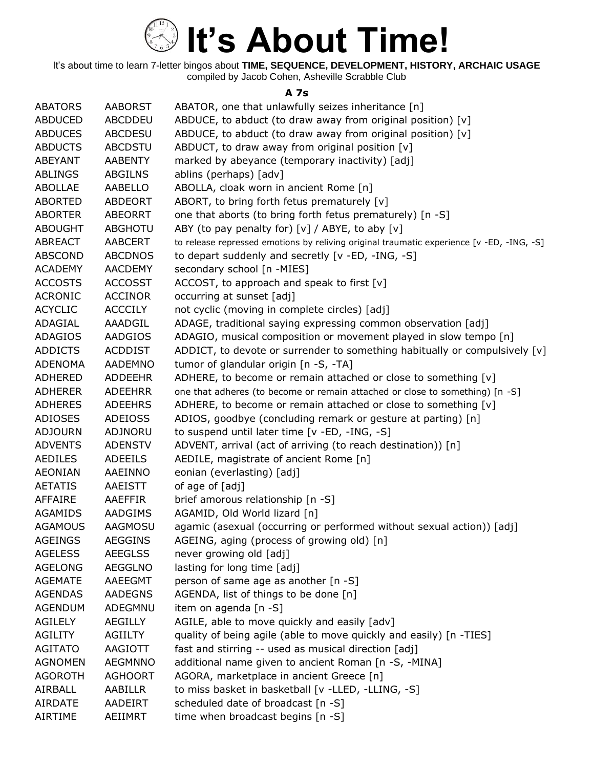

It's about time to learn 7-letter bingos about **TIME, SEQUENCE, DEVELOPMENT, HISTORY, ARCHAIC USAGE** compiled by Jacob Cohen, Asheville Scrabble Club

#### **A 7s**

| <b>ABATORS</b> | <b>AABORST</b> | ABATOR, one that unlawfully seizes inheritance [n]                                        |
|----------------|----------------|-------------------------------------------------------------------------------------------|
| <b>ABDUCED</b> | ABCDDEU        | ABDUCE, to abduct (to draw away from original position) [v]                               |
| <b>ABDUCES</b> | <b>ABCDESU</b> | ABDUCE, to abduct (to draw away from original position) [v]                               |
| <b>ABDUCTS</b> | <b>ABCDSTU</b> | ABDUCT, to draw away from original position [v]                                           |
| <b>ABEYANT</b> | <b>AABENTY</b> | marked by abeyance (temporary inactivity) [adj]                                           |
| <b>ABLINGS</b> | <b>ABGILNS</b> | ablins (perhaps) [adv]                                                                    |
| ABOLLAE        | AABELLO        | ABOLLA, cloak worn in ancient Rome [n]                                                    |
| <b>ABORTED</b> | ABDEORT        | ABORT, to bring forth fetus prematurely [v]                                               |
| <b>ABORTER</b> | <b>ABEORRT</b> | one that aborts (to bring forth fetus prematurely) [n -S]                                 |
| <b>ABOUGHT</b> | <b>ABGHOTU</b> | ABY (to pay penalty for) $[v] / ABYE$ , to aby $[v]$                                      |
| <b>ABREACT</b> | <b>AABCERT</b> | to release repressed emotions by reliving original traumatic experience [v -ED, -ING, -S] |
| <b>ABSCOND</b> | <b>ABCDNOS</b> | to depart suddenly and secretly [v -ED, -ING, -S]                                         |
| <b>ACADEMY</b> | <b>AACDEMY</b> | secondary school [n -MIES]                                                                |
| <b>ACCOSTS</b> | <b>ACCOSST</b> | ACCOST, to approach and speak to first [v]                                                |
| <b>ACRONIC</b> | <b>ACCINOR</b> | occurring at sunset [adj]                                                                 |
| <b>ACYCLIC</b> | <b>ACCCILY</b> | not cyclic (moving in complete circles) [adj]                                             |
| ADAGIAL        | AAADGIL        | ADAGE, traditional saying expressing common observation [adj]                             |
| <b>ADAGIOS</b> | AADGIOS        | ADAGIO, musical composition or movement played in slow tempo [n]                          |
| <b>ADDICTS</b> | <b>ACDDIST</b> | ADDICT, to devote or surrender to something habitually or compulsively [v]                |
| <b>ADENOMA</b> | <b>AADEMNO</b> | tumor of glandular origin [n -S, -TA]                                                     |
| <b>ADHERED</b> | <b>ADDEEHR</b> | ADHERE, to become or remain attached or close to something [v]                            |
| <b>ADHERER</b> | <b>ADEEHRR</b> | one that adheres (to become or remain attached or close to something) [n -S]              |
| <b>ADHERES</b> | <b>ADEEHRS</b> | ADHERE, to become or remain attached or close to something [v]                            |
| <b>ADIOSES</b> | <b>ADEIOSS</b> | ADIOS, goodbye (concluding remark or gesture at parting) [n]                              |
| <b>ADJOURN</b> | ADJNORU        | to suspend until later time [v -ED, -ING, -S]                                             |
| <b>ADVENTS</b> | <b>ADENSTV</b> | ADVENT, arrival (act of arriving (to reach destination)) [n]                              |
| <b>AEDILES</b> | <b>ADEEILS</b> | AEDILE, magistrate of ancient Rome [n]                                                    |
| <b>AEONIAN</b> | AAEINNO        | eonian (everlasting) [adj]                                                                |
| <b>AETATIS</b> | AAEISTT        | of age of [adj]                                                                           |
| <b>AFFAIRE</b> | AAEFFIR        | brief amorous relationship [n -S]                                                         |
| AGAMIDS        | AADGIMS        | AGAMID, Old World lizard [n]                                                              |
| <b>AGAMOUS</b> | <b>AAGMOSU</b> | agamic (asexual (occurring or performed without sexual action)) [adj]                     |
| <b>AGEINGS</b> | <b>AEGGINS</b> | AGEING, aging (process of growing old) [n]                                                |
| <b>AGELESS</b> | <b>AEEGLSS</b> | never growing old [adj]                                                                   |
| <b>AGELONG</b> | AEGGLNO        | lasting for long time [adj]                                                               |
| <b>AGEMATE</b> | AAEEGMT        | person of same age as another [n -S]                                                      |
| <b>AGENDAS</b> | <b>AADEGNS</b> | AGENDA, list of things to be done [n]                                                     |
| <b>AGENDUM</b> | ADEGMNU        | item on agenda [n -S]                                                                     |
| AGILELY        | <b>AEGILLY</b> | AGILE, able to move quickly and easily [adv]                                              |
| <b>AGILITY</b> | <b>AGIILTY</b> | quality of being agile (able to move quickly and easily) [n -TIES]                        |
| <b>AGITATO</b> | AAGIOTT        | fast and stirring -- used as musical direction [adj]                                      |
| <b>AGNOMEN</b> | <b>AEGMNNO</b> | additional name given to ancient Roman [n -S, -MINA]                                      |
| <b>AGOROTH</b> | <b>AGHOORT</b> | AGORA, marketplace in ancient Greece [n]                                                  |
| AIRBALL        | AABILLR        | to miss basket in basketball [v -LLED, -LLING, -S]                                        |
| <b>AIRDATE</b> | AADEIRT        | scheduled date of broadcast [n -S]                                                        |
| <b>AIRTIME</b> | AEIIMRT        | time when broadcast begins [n -S]                                                         |
|                |                |                                                                                           |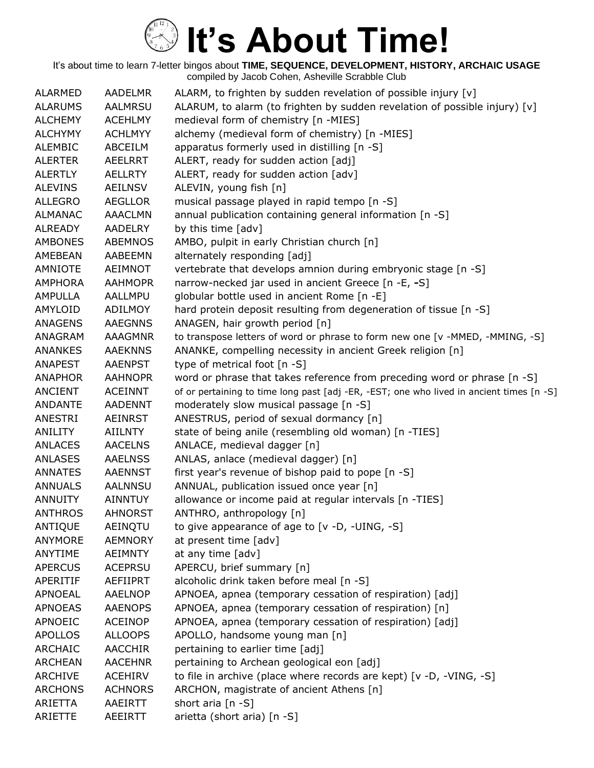| <b>ALARMED</b> | <b>AADELMR</b> | ALARM, to frighten by sudden revelation of possible injury [v]                           |
|----------------|----------------|------------------------------------------------------------------------------------------|
| <b>ALARUMS</b> | <b>AALMRSU</b> | ALARUM, to alarm (to frighten by sudden revelation of possible injury) [v]               |
| <b>ALCHEMY</b> | <b>ACEHLMY</b> | medieval form of chemistry [n -MIES]                                                     |
| <b>ALCHYMY</b> | <b>ACHLMYY</b> | alchemy (medieval form of chemistry) [n -MIES]                                           |
| <b>ALEMBIC</b> | ABCEILM        | apparatus formerly used in distilling [n -S]                                             |
| <b>ALERTER</b> | AEELRRT        | ALERT, ready for sudden action [adj]                                                     |
| <b>ALERTLY</b> | AELLRTY        | ALERT, ready for sudden action [adv]                                                     |
| <b>ALEVINS</b> | AEILNSV        | ALEVIN, young fish [n]                                                                   |
| <b>ALLEGRO</b> | <b>AEGLLOR</b> | musical passage played in rapid tempo [n -S]                                             |
| <b>ALMANAC</b> | <b>AAACLMN</b> | annual publication containing general information [n -S]                                 |
| <b>ALREADY</b> | <b>AADELRY</b> | by this time [adv]                                                                       |
| <b>AMBONES</b> | <b>ABEMNOS</b> | AMBO, pulpit in early Christian church [n]                                               |
| AMEBEAN        | AABEEMN        | alternately responding [adj]                                                             |
| AMNIOTE        | <b>AEIMNOT</b> | vertebrate that develops amnion during embryonic stage [n -S]                            |
| <b>AMPHORA</b> | <b>AAHMOPR</b> | narrow-necked jar used in ancient Greece [n -E, -S]                                      |
| AMPULLA        | AALLMPU        | globular bottle used in ancient Rome [n -E]                                              |
| AMYLOID        | ADILMOY        | hard protein deposit resulting from degeneration of tissue [n -S]                        |
| <b>ANAGENS</b> | <b>AAEGNNS</b> | ANAGEN, hair growth period [n]                                                           |
| ANAGRAM        | AAAGMNR        | to transpose letters of word or phrase to form new one [v -MMED, -MMING, -S]             |
| <b>ANANKES</b> | <b>AAEKNNS</b> | ANANKE, compelling necessity in ancient Greek religion [n]                               |
| <b>ANAPEST</b> | <b>AAENPST</b> | type of metrical foot $[n - S]$                                                          |
| <b>ANAPHOR</b> | <b>AAHNOPR</b> | word or phrase that takes reference from preceding word or phrase [n -S]                 |
| <b>ANCIENT</b> | <b>ACEINNT</b> | of or pertaining to time long past [adj -ER, -EST; one who lived in ancient times [n -S] |
| <b>ANDANTE</b> | <b>AADENNT</b> | moderately slow musical passage [n -S]                                                   |
| ANESTRI        | AEINRST        | ANESTRUS, period of sexual dormancy [n]                                                  |
| ANILITY        | <b>AIILNTY</b> | state of being anile (resembling old woman) [n -TIES]                                    |
| <b>ANLACES</b> | <b>AACELNS</b> | ANLACE, medieval dagger [n]                                                              |
| <b>ANLASES</b> | <b>AAELNSS</b> | ANLAS, anlace (medieval dagger) [n]                                                      |
| <b>ANNATES</b> | <b>AAENNST</b> | first year's revenue of bishop paid to pope [n -S]                                       |
| <b>ANNUALS</b> | <b>AALNNSU</b> | ANNUAL, publication issued once year [n]                                                 |
| <b>ANNUITY</b> | <b>AINNTUY</b> | allowance or income paid at regular intervals [n -TIES]                                  |
| <b>ANTHROS</b> | <b>AHNORST</b> | ANTHRO, anthropology [n]                                                                 |
| ANTIQUE        | AEINQTU        | to give appearance of age to [v -D, -UING, -S]                                           |
| <b>ANYMORE</b> | <b>AEMNORY</b> | at present time [adv]                                                                    |
| ANYTIME        | <b>AEIMNTY</b> | at any time [adv]                                                                        |
| <b>APERCUS</b> | <b>ACEPRSU</b> | APERCU, brief summary [n]                                                                |
| APERITIF       | AEFIIPRT       | alcoholic drink taken before meal [n -S]                                                 |
| <b>APNOEAL</b> | <b>AAELNOP</b> | APNOEA, apnea (temporary cessation of respiration) [adj]                                 |
| <b>APNOEAS</b> | <b>AAENOPS</b> | APNOEA, apnea (temporary cessation of respiration) [n]                                   |
| APNOEIC        | <b>ACEINOP</b> | APNOEA, apnea (temporary cessation of respiration) [adj]                                 |
| <b>APOLLOS</b> | <b>ALLOOPS</b> | APOLLO, handsome young man [n]                                                           |
| <b>ARCHAIC</b> | <b>AACCHIR</b> | pertaining to earlier time [adj]                                                         |
| <b>ARCHEAN</b> | <b>AACEHNR</b> | pertaining to Archean geological eon [adj]                                               |
| <b>ARCHIVE</b> | <b>ACEHIRV</b> | to file in archive (place where records are kept) [v -D, -VING, -S]                      |
| <b>ARCHONS</b> | <b>ACHNORS</b> | ARCHON, magistrate of ancient Athens [n]                                                 |
| ARIETTA        | AAEIRTT        | short aria [n -S]                                                                        |
| ARIETTE        | AEEIRTT        | arietta (short aria) [n -S]                                                              |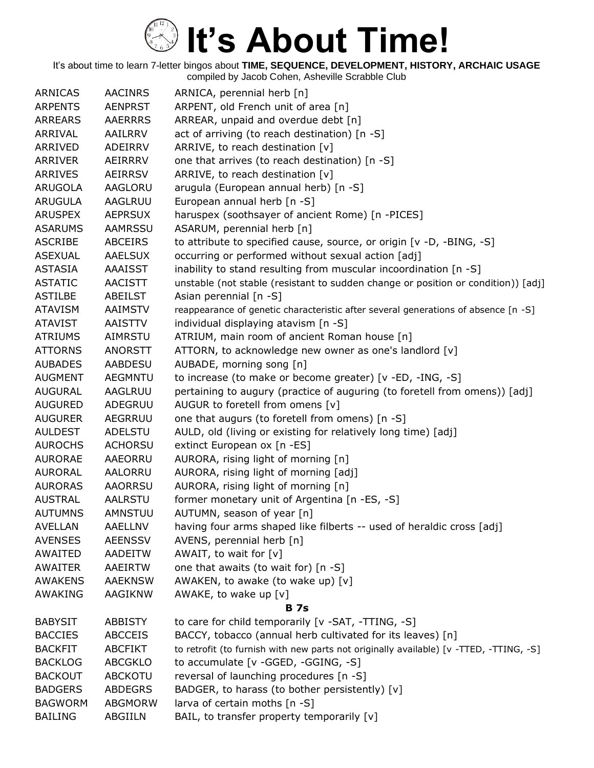| <b>ARNICAS</b> | <b>AACINRS</b> | ARNICA, perennial herb [n]                                                             |
|----------------|----------------|----------------------------------------------------------------------------------------|
| <b>ARPENTS</b> | <b>AENPRST</b> | ARPENT, old French unit of area [n]                                                    |
| <b>ARREARS</b> | <b>AAERRRS</b> | ARREAR, unpaid and overdue debt [n]                                                    |
| ARRIVAL        | AAILRRV        | act of arriving (to reach destination) [n -S]                                          |
| ARRIVED        | <b>ADEIRRV</b> | ARRIVE, to reach destination [v]                                                       |
| <b>ARRIVER</b> | AEIRRRV        | one that arrives (to reach destination) [n -S]                                         |
| <b>ARRIVES</b> | <b>AEIRRSV</b> | ARRIVE, to reach destination [v]                                                       |
| <b>ARUGOLA</b> | AAGLORU        | arugula (European annual herb) [n -S]                                                  |
| <b>ARUGULA</b> | AAGLRUU        | European annual herb [n -S]                                                            |
| <b>ARUSPEX</b> | <b>AEPRSUX</b> | haruspex (soothsayer of ancient Rome) [n -PICES]                                       |
| <b>ASARUMS</b> | <b>AAMRSSU</b> | ASARUM, perennial herb [n]                                                             |
| <b>ASCRIBE</b> | <b>ABCEIRS</b> | to attribute to specified cause, source, or origin [v -D, -BING, -S]                   |
| <b>ASEXUAL</b> | <b>AAELSUX</b> | occurring or performed without sexual action [adj]                                     |
| ASTASIA        | AAAISST        | inability to stand resulting from muscular incoordination [n -S]                       |
| <b>ASTATIC</b> | <b>AACISTT</b> | unstable (not stable (resistant to sudden change or position or condition)) [adj]      |
| <b>ASTILBE</b> | ABEILST        | Asian perennial $[n -S]$                                                               |
| <b>ATAVISM</b> | <b>AAIMSTV</b> | reappearance of genetic characteristic after several generations of absence [n -S]     |
| <b>ATAVIST</b> | AAISTTV        | individual displaying atavism [n -S]                                                   |
| <b>ATRIUMS</b> | AIMRSTU        | ATRIUM, main room of ancient Roman house [n]                                           |
| <b>ATTORNS</b> | <b>ANORSTT</b> | ATTORN, to acknowledge new owner as one's landlord [v]                                 |
| <b>AUBADES</b> | AABDESU        | AUBADE, morning song [n]                                                               |
| <b>AUGMENT</b> | <b>AEGMNTU</b> | to increase (to make or become greater) [v -ED, -ING, -S]                              |
| <b>AUGURAL</b> | AAGLRUU        | pertaining to augury (practice of auguring (to foretell from omens)) [adj]             |
| <b>AUGURED</b> | ADEGRUU        | AUGUR to foretell from omens [v]                                                       |
| <b>AUGURER</b> | <b>AEGRRUU</b> | one that augurs (to foretell from omens) [n -S]                                        |
| <b>AULDEST</b> | <b>ADELSTU</b> | AULD, old (living or existing for relatively long time) [adj]                          |
| <b>AUROCHS</b> | <b>ACHORSU</b> | extinct European ox [n -ES]                                                            |
| <b>AURORAE</b> | <b>AAEORRU</b> | AURORA, rising light of morning [n]                                                    |
| <b>AURORAL</b> | AALORRU        | AURORA, rising light of morning [adj]                                                  |
| <b>AURORAS</b> | AAORRSU        | AURORA, rising light of morning [n]                                                    |
| <b>AUSTRAL</b> | <b>AALRSTU</b> | former monetary unit of Argentina [n -ES, -S]                                          |
| <b>AUTUMNS</b> | AMNSTUU        | AUTUMN, season of year [n]                                                             |
| <b>AVELLAN</b> | <b>AAELLNV</b> | having four arms shaped like filberts -- used of heraldic cross [adj]                  |
| <b>AVENSES</b> | <b>AEENSSV</b> | AVENS, perennial herb [n]                                                              |
| AWAITED        | <b>AADEITW</b> | AWAIT, to wait for [v]                                                                 |
| <b>AWAITER</b> | AAEIRTW        | one that awaits (to wait for) [n -S]                                                   |
| <b>AWAKENS</b> | <b>AAEKNSW</b> | AWAKEN, to awake (to wake up) [v]                                                      |
| AWAKING        | AAGIKNW        | AWAKE, to wake up $[v]$                                                                |
|                |                | <b>B</b> 7s                                                                            |
| <b>BABYSIT</b> | <b>ABBISTY</b> | to care for child temporarily [v -SAT, -TTING, -S]                                     |
| <b>BACCIES</b> | <b>ABCCEIS</b> | BACCY, tobacco (annual herb cultivated for its leaves) [n]                             |
| <b>BACKFIT</b> | <b>ABCFIKT</b> | to retrofit (to furnish with new parts not originally available) [v -TTED, -TTING, -S] |
| <b>BACKLOG</b> | <b>ABCGKLO</b> | to accumulate [v -GGED, -GGING, -S]                                                    |
| <b>BACKOUT</b> | ABCKOTU        | reversal of launching procedures [n -S]                                                |
| <b>BADGERS</b> | <b>ABDEGRS</b> | BADGER, to harass (to bother persistently) [v]                                         |
| <b>BAGWORM</b> | <b>ABGMORW</b> | larva of certain moths [n -S]                                                          |
| <b>BAILING</b> | ABGIILN        | BAIL, to transfer property temporarily [v]                                             |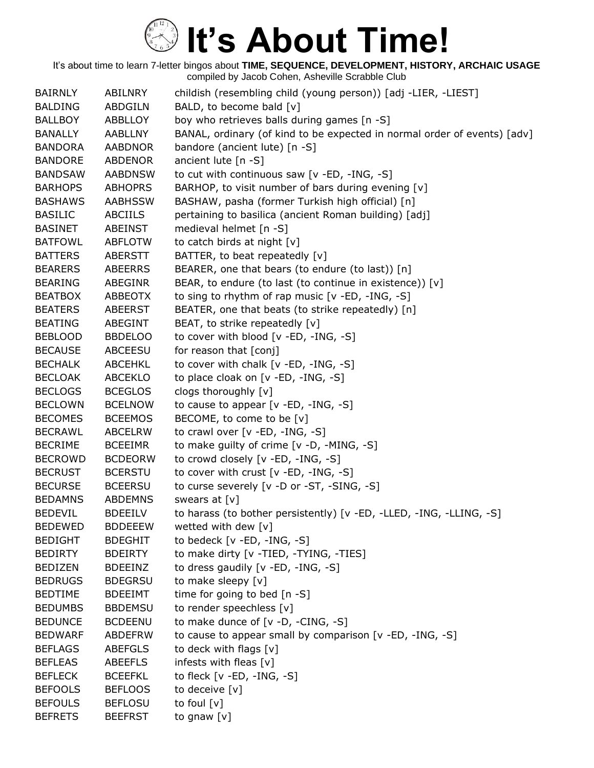| <b>BAIRNLY</b> | <b>ABILNRY</b> | childish (resembling child (young person)) [adj -LIER, -LIEST]           |
|----------------|----------------|--------------------------------------------------------------------------|
| <b>BALDING</b> | <b>ABDGILN</b> | BALD, to become bald [v]                                                 |
| <b>BALLBOY</b> | ABBLLOY        | boy who retrieves balls during games [n -S]                              |
| <b>BANALLY</b> | <b>AABLLNY</b> | BANAL, ordinary (of kind to be expected in normal order of events) [adv] |
| <b>BANDORA</b> | <b>AABDNOR</b> | bandore (ancient lute) [n -S]                                            |
| <b>BANDORE</b> | ABDENOR        | ancient lute [n -S]                                                      |
| <b>BANDSAW</b> | <b>AABDNSW</b> | to cut with continuous saw [v -ED, -ING, -S]                             |
| <b>BARHOPS</b> | <b>ABHOPRS</b> | BARHOP, to visit number of bars during evening [v]                       |
| <b>BASHAWS</b> | <b>AABHSSW</b> | BASHAW, pasha (former Turkish high official) [n]                         |
| <b>BASILIC</b> | <b>ABCIILS</b> | pertaining to basilica (ancient Roman building) [adj]                    |
| <b>BASINET</b> | ABEINST        | medieval helmet [n -S]                                                   |
| <b>BATFOWL</b> | <b>ABFLOTW</b> | to catch birds at night [v]                                              |
| <b>BATTERS</b> | ABERSTT        | BATTER, to beat repeatedly [v]                                           |
| <b>BEARERS</b> | ABEERRS        | BEARER, one that bears (to endure (to last)) [n]                         |
| <b>BEARING</b> | ABEGINR        | BEAR, to endure (to last (to continue in existence)) [v]                 |
| <b>BEATBOX</b> | ABBEOTX        | to sing to rhythm of rap music [v -ED, -ING, -S]                         |
| <b>BEATERS</b> | <b>ABEERST</b> | BEATER, one that beats (to strike repeatedly) [n]                        |
| <b>BEATING</b> | ABEGINT        | BEAT, to strike repeatedly [v]                                           |
| <b>BEBLOOD</b> | <b>BBDELOO</b> | to cover with blood [v -ED, -ING, -S]                                    |
| <b>BECAUSE</b> | <b>ABCEESU</b> | for reason that [conj]                                                   |
| <b>BECHALK</b> | <b>ABCEHKL</b> | to cover with chalk [v -ED, -ING, -S]                                    |
| <b>BECLOAK</b> | ABCEKLO        | to place cloak on [v -ED, -ING, -S]                                      |
| <b>BECLOGS</b> | <b>BCEGLOS</b> | clogs thoroughly [v]                                                     |
| <b>BECLOWN</b> | <b>BCELNOW</b> | to cause to appear $[v - ED, -ING, -S]$                                  |
| <b>BECOMES</b> | <b>BCEEMOS</b> | BECOME, to come to be [v]                                                |
| <b>BECRAWL</b> | <b>ABCELRW</b> | to crawl over [v -ED, -ING, -S]                                          |
| <b>BECRIME</b> | <b>BCEEIMR</b> | to make guilty of crime [v -D, -MING, -S]                                |
| <b>BECROWD</b> | <b>BCDEORW</b> | to crowd closely [v -ED, -ING, -S]                                       |
| <b>BECRUST</b> | <b>BCERSTU</b> | to cover with crust [v -ED, -ING, -S]                                    |
| <b>BECURSE</b> | <b>BCEERSU</b> | to curse severely [v -D or -ST, -SING, -S]                               |
| <b>BEDAMNS</b> | ABDEMNS        | swears at [v]                                                            |
| <b>BEDEVIL</b> | <b>BDEEILV</b> | to harass (to bother persistently) [v -ED, -LLED, -ING, -LLING, -S]      |
| <b>BEDEWED</b> | <b>BDDEEEW</b> | wetted with dew [v]                                                      |
| <b>BEDIGHT</b> | <b>BDEGHIT</b> | to bedeck [v -ED, -ING, -S]                                              |
| <b>BEDIRTY</b> | <b>BDEIRTY</b> | to make dirty [v - TIED, - TYING, - TIES]                                |
| <b>BEDIZEN</b> | <b>BDEEINZ</b> | to dress gaudily [v -ED, -ING, -S]                                       |
| <b>BEDRUGS</b> | <b>BDEGRSU</b> | to make sleepy [v]                                                       |
| <b>BEDTIME</b> | <b>BDEEIMT</b> | time for going to bed [n -S]                                             |
| <b>BEDUMBS</b> | <b>BBDEMSU</b> | to render speechless [v]                                                 |
| <b>BEDUNCE</b> | <b>BCDEENU</b> | to make dunce of [v -D, -CING, -S]                                       |
| <b>BEDWARF</b> | <b>ABDEFRW</b> | to cause to appear small by comparison [v -ED, -ING, -S]                 |
| <b>BEFLAGS</b> | <b>ABEFGLS</b> | to deck with flags [v]                                                   |
| <b>BEFLEAS</b> | <b>ABEEFLS</b> | infests with fleas [v]                                                   |
| <b>BEFLECK</b> | <b>BCEEFKL</b> | to fleck $[v - ED, -ING, -S]$                                            |
| <b>BEFOOLS</b> | <b>BEFLOOS</b> | to deceive [v]                                                           |
| <b>BEFOULS</b> | <b>BEFLOSU</b> | to foul $[v]$                                                            |
| <b>BEFRETS</b> | <b>BEEFRST</b> | to gnaw [v]                                                              |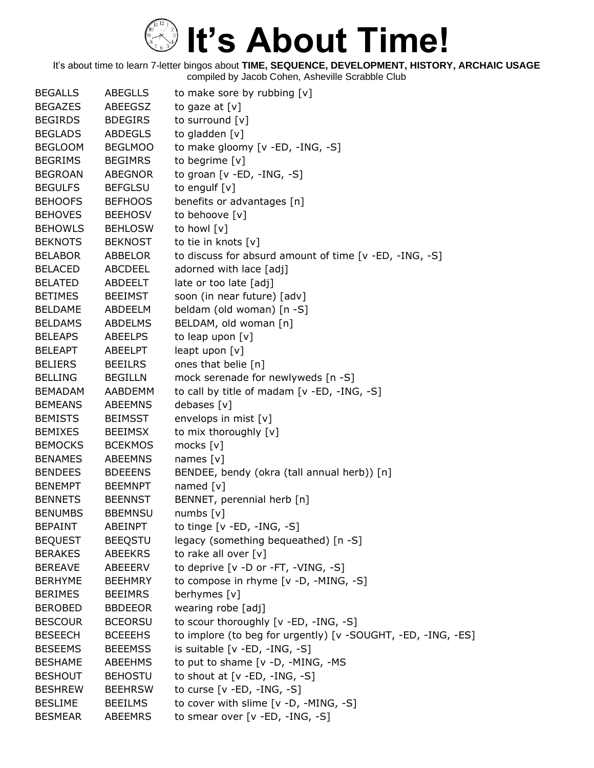| <b>BEGALLS</b> | <b>ABEGLLS</b> | to make sore by rubbing [v]                                  |
|----------------|----------------|--------------------------------------------------------------|
| <b>BEGAZES</b> | ABEEGSZ        | to gaze at $[v]$                                             |
| <b>BEGIRDS</b> | <b>BDEGIRS</b> | to surround [v]                                              |
| <b>BEGLADS</b> | <b>ABDEGLS</b> | to gladden [v]                                               |
| <b>BEGLOOM</b> | <b>BEGLMOO</b> | to make gloomy [v -ED, -ING, -S]                             |
| <b>BEGRIMS</b> | <b>BEGIMRS</b> | to begrime [v]                                               |
| <b>BEGROAN</b> | <b>ABEGNOR</b> | to groan [v -ED, -ING, -S]                                   |
| <b>BEGULFS</b> | <b>BEFGLSU</b> | to engulf [v]                                                |
| <b>BEHOOFS</b> | <b>BEFHOOS</b> | benefits or advantages [n]                                   |
| <b>BEHOVES</b> | <b>BEEHOSV</b> | to behoove [v]                                               |
| <b>BEHOWLS</b> | <b>BEHLOSW</b> | to howl [v]                                                  |
| <b>BEKNOTS</b> | <b>BEKNOST</b> | to tie in knots [v]                                          |
| <b>BELABOR</b> | ABBELOR        | to discuss for absurd amount of time [v -ED, -ING, -S]       |
| <b>BELACED</b> | <b>ABCDEEL</b> | adorned with lace [adj]                                      |
| <b>BELATED</b> | ABDEELT        | late or too late [adj]                                       |
| <b>BETIMES</b> | <b>BEEIMST</b> | soon (in near future) [adv]                                  |
| <b>BELDAME</b> | ABDEELM        | beldam (old woman) [n -S]                                    |
| <b>BELDAMS</b> | <b>ABDELMS</b> | BELDAM, old woman [n]                                        |
| <b>BELEAPS</b> | <b>ABEELPS</b> | to leap upon [v]                                             |
| <b>BELEAPT</b> | <b>ABEELPT</b> | leapt upon [v]                                               |
| <b>BELIERS</b> | <b>BEEILRS</b> | ones that belie [n]                                          |
| <b>BELLING</b> | <b>BEGILLN</b> | mock serenade for newlyweds [n -S]                           |
| <b>BEMADAM</b> | AABDEMM        | to call by title of madam [v -ED, -ING, -S]                  |
| <b>BEMEANS</b> | <b>ABEEMNS</b> | debases [v]                                                  |
| <b>BEMISTS</b> | <b>BEIMSST</b> | envelops in mist [v]                                         |
| <b>BEMIXES</b> | <b>BEEIMSX</b> | to mix thoroughly [v]                                        |
| <b>BEMOCKS</b> | <b>BCEKMOS</b> | mocks [v]                                                    |
| <b>BENAMES</b> | <b>ABEEMNS</b> | names $[v]$                                                  |
| <b>BENDEES</b> | <b>BDEEENS</b> | BENDEE, bendy (okra (tall annual herb)) [n]                  |
| <b>BENEMPT</b> | <b>BEEMNPT</b> | named $[v]$                                                  |
| <b>BENNETS</b> | <b>BEENNST</b> | BENNET, perennial herb [n]                                   |
| <b>BENUMBS</b> | <b>BBEMNSU</b> | numbs $[v]$                                                  |
| <b>BEPAINT</b> | <b>ABEINPT</b> | to tinge [v -ED, -ING, -S]                                   |
| <b>BEQUEST</b> | <b>BEEQSTU</b> | legacy (something bequeathed) [n -S]                         |
| <b>BERAKES</b> | <b>ABEEKRS</b> | to rake all over [v]                                         |
| <b>BEREAVE</b> | ABEEERV        | to deprive [v -D or -FT, -VING, -S]                          |
| <b>BERHYME</b> | <b>BEEHMRY</b> | to compose in rhyme [v -D, -MING, -S]                        |
| <b>BERIMES</b> | <b>BEEIMRS</b> | berhymes [v]                                                 |
| <b>BEROBED</b> | <b>BBDEEOR</b> | wearing robe [adj]                                           |
| <b>BESCOUR</b> | <b>BCEORSU</b> | to scour thoroughly [v -ED, -ING, -S]                        |
| <b>BESEECH</b> | <b>BCEEEHS</b> | to implore (to beg for urgently) [v -SOUGHT, -ED, -ING, -ES] |
| <b>BESEEMS</b> | <b>BEEEMSS</b> | is suitable [v -ED, -ING, -S]                                |
| <b>BESHAME</b> | <b>ABEEHMS</b> | to put to shame [v -D, -MING, -MS                            |
| <b>BESHOUT</b> | <b>BEHOSTU</b> | to shout at $[v - ED, -ING, -S]$                             |
| <b>BESHREW</b> | <b>BEEHRSW</b> | to curse $[v - ED, -ING, -S]$                                |
| <b>BESLIME</b> | <b>BEEILMS</b> | to cover with slime [v -D, -MING, -S]                        |
| <b>BESMEAR</b> | ABEEMRS        | to smear over [v -ED, -ING, -S]                              |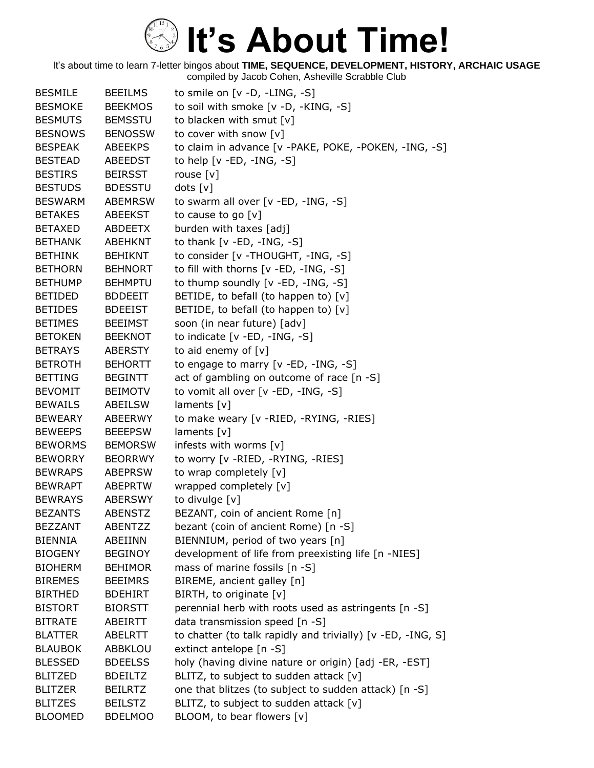| <b>BESMILE</b> | <b>BEEILMS</b> | to smile on $[v -D, -LING, -S]$                             |
|----------------|----------------|-------------------------------------------------------------|
| <b>BESMOKE</b> | <b>BEEKMOS</b> | to soil with smoke [v -D, -KING, -S]                        |
| <b>BESMUTS</b> | <b>BEMSSTU</b> | to blacken with smut $[v]$                                  |
| <b>BESNOWS</b> | <b>BENOSSW</b> | to cover with snow [v]                                      |
| <b>BESPEAK</b> | <b>ABEEKPS</b> | to claim in advance [v -PAKE, POKE, -POKEN, -ING, -S]       |
| <b>BESTEAD</b> | ABEEDST        | to help $[v - ED, -ING, -S]$                                |
| <b>BESTIRS</b> | <b>BEIRSST</b> | rouse $[v]$                                                 |
| <b>BESTUDS</b> | <b>BDESSTU</b> | dots [v]                                                    |
| <b>BESWARM</b> | <b>ABEMRSW</b> | to swarm all over [v -ED, -ING, -S]                         |
| <b>BETAKES</b> | <b>ABEEKST</b> | to cause to go [v]                                          |
| <b>BETAXED</b> | ABDEETX        | burden with taxes [adj]                                     |
| <b>BETHANK</b> | ABEHKNT        | to thank $[v - ED, -ING, -S]$                               |
| <b>BETHINK</b> | <b>BEHIKNT</b> | to consider [v - THOUGHT, -ING, -S]                         |
| <b>BETHORN</b> | <b>BEHNORT</b> | to fill with thorns [v -ED, -ING, -S]                       |
| <b>BETHUMP</b> | <b>BEHMPTU</b> | to thump soundly [v -ED, -ING, -S]                          |
| <b>BETIDED</b> | <b>BDDEEIT</b> | BETIDE, to befall (to happen to) $[v]$                      |
| <b>BETIDES</b> | <b>BDEEIST</b> | BETIDE, to befall (to happen to) $[v]$                      |
| <b>BETIMES</b> | <b>BEEIMST</b> | soon (in near future) [adv]                                 |
| <b>BETOKEN</b> | <b>BEEKNOT</b> | to indicate $[v - ED, -ING, -S]$                            |
| <b>BETRAYS</b> | <b>ABERSTY</b> | to aid enemy of $[v]$                                       |
| <b>BETROTH</b> | <b>BEHORTT</b> | to engage to marry [v -ED, -ING, -S]                        |
| <b>BETTING</b> | <b>BEGINTT</b> | act of gambling on outcome of race [n -S]                   |
| <b>BEVOMIT</b> | <b>BEIMOTV</b> | to vomit all over [v -ED, -ING, -S]                         |
| <b>BEWAILS</b> | ABEILSW        | laments $[v]$                                               |
| <b>BEWEARY</b> | ABEERWY        | to make weary [v - RIED, - RYING, - RIES]                   |
| <b>BEWEEPS</b> | <b>BEEEPSW</b> | laments $[v]$                                               |
| <b>BEWORMS</b> | <b>BEMORSW</b> | infests with worms [v]                                      |
| <b>BEWORRY</b> | <b>BEORRWY</b> | to worry [v -RIED, -RYING, -RIES]                           |
| <b>BEWRAPS</b> | <b>ABEPRSW</b> | to wrap completely [v]                                      |
| <b>BEWRAPT</b> | <b>ABEPRTW</b> | wrapped completely [v]                                      |
| <b>BEWRAYS</b> | <b>ABERSWY</b> | to divulge [v]                                              |
| <b>BEZANTS</b> | <b>ABENSTZ</b> | BEZANT, coin of ancient Rome [n]                            |
| <b>BEZZANT</b> | <b>ABENTZZ</b> | bezant (coin of ancient Rome) [n -S]                        |
| <b>BIENNIA</b> | ABEIINN        | BIENNIUM, period of two years [n]                           |
| <b>BIOGENY</b> | <b>BEGINOY</b> | development of life from preexisting life [n -NIES]         |
| <b>BIOHERM</b> | <b>BEHIMOR</b> | mass of marine fossils [n -S]                               |
| <b>BIREMES</b> | <b>BEEIMRS</b> | BIREME, ancient galley [n]                                  |
| <b>BIRTHED</b> | <b>BDEHIRT</b> | BIRTH, to originate [v]                                     |
| <b>BISTORT</b> | <b>BIORSTT</b> | perennial herb with roots used as astringents [n -S]        |
| <b>BITRATE</b> | ABEIRTT        | data transmission speed [n -S]                              |
| <b>BLATTER</b> | ABELRTT        | to chatter (to talk rapidly and trivially) [v -ED, -ING, S] |
| <b>BLAUBOK</b> | ABBKLOU        | extinct antelope [n -S]                                     |
| <b>BLESSED</b> | <b>BDEELSS</b> | holy (having divine nature or origin) [adj -ER, -EST]       |
| <b>BLITZED</b> | <b>BDEILTZ</b> | BLITZ, to subject to sudden attack [v]                      |
| <b>BLITZER</b> | <b>BEILRTZ</b> | one that blitzes (to subject to sudden attack) [n -S]       |
| <b>BLITZES</b> | <b>BEILSTZ</b> | BLITZ, to subject to sudden attack [v]                      |
| <b>BLOOMED</b> | <b>BDELMOO</b> | BLOOM, to bear flowers [v]                                  |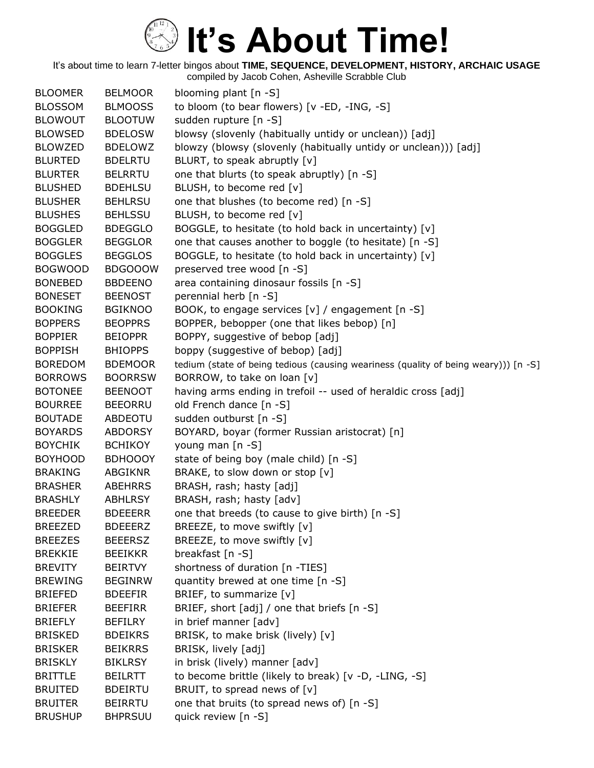| <b>BLOOMER</b> | <b>BELMOOR</b> | blooming plant $[n - S]$                                                            |
|----------------|----------------|-------------------------------------------------------------------------------------|
| <b>BLOSSOM</b> | <b>BLMOOSS</b> | to bloom (to bear flowers) [v -ED, -ING, -S]                                        |
| <b>BLOWOUT</b> | <b>BLOOTUW</b> | sudden rupture [n -S]                                                               |
| <b>BLOWSED</b> | <b>BDELOSW</b> | blowsy (slovenly (habitually untidy or unclean)) [adj]                              |
| <b>BLOWZED</b> | <b>BDELOWZ</b> | blowzy (blowsy (slovenly (habitually untidy or unclean))) [adj]                     |
| <b>BLURTED</b> | <b>BDELRTU</b> | BLURT, to speak abruptly [v]                                                        |
| <b>BLURTER</b> | <b>BELRRTU</b> | one that blurts (to speak abruptly) [n -S]                                          |
| <b>BLUSHED</b> | <b>BDEHLSU</b> | BLUSH, to become red [v]                                                            |
| <b>BLUSHER</b> | <b>BEHLRSU</b> | one that blushes (to become red) [n -S]                                             |
| <b>BLUSHES</b> | <b>BEHLSSU</b> | BLUSH, to become red [v]                                                            |
| <b>BOGGLED</b> | <b>BDEGGLO</b> | BOGGLE, to hesitate (to hold back in uncertainty) [v]                               |
| <b>BOGGLER</b> | <b>BEGGLOR</b> | one that causes another to boggle (to hesitate) [n -S]                              |
| <b>BOGGLES</b> | <b>BEGGLOS</b> | BOGGLE, to hesitate (to hold back in uncertainty) [v]                               |
| <b>BOGWOOD</b> | <b>BDGOOOW</b> | preserved tree wood [n -S]                                                          |
| <b>BONEBED</b> | <b>BBDEENO</b> | area containing dinosaur fossils [n -S]                                             |
| <b>BONESET</b> | <b>BEENOST</b> | perennial herb [n -S]                                                               |
| <b>BOOKING</b> | <b>BGIKNOO</b> | BOOK, to engage services [v] / engagement [n -S]                                    |
| <b>BOPPERS</b> | <b>BEOPPRS</b> | BOPPER, bebopper (one that likes bebop) [n]                                         |
| <b>BOPPIER</b> | <b>BEIOPPR</b> | BOPPY, suggestive of bebop [adj]                                                    |
| <b>BOPPISH</b> | <b>BHIOPPS</b> | boppy (suggestive of bebop) [adj]                                                   |
| <b>BOREDOM</b> | <b>BDEMOOR</b> | tedium (state of being tedious (causing weariness (quality of being weary))) [n -S] |
| <b>BORROWS</b> | <b>BOORRSW</b> | BORROW, to take on loan [v]                                                         |
| <b>BOTONEE</b> | <b>BEENOOT</b> | having arms ending in trefoil -- used of heraldic cross [adj]                       |
| <b>BOURREE</b> | <b>BEEORRU</b> | old French dance [n -S]                                                             |
| <b>BOUTADE</b> | ABDEOTU        | sudden outburst [n -S]                                                              |
| <b>BOYARDS</b> | <b>ABDORSY</b> | BOYARD, boyar (former Russian aristocrat) [n]                                       |
| <b>BOYCHIK</b> | <b>BCHIKOY</b> | young man [n -S]                                                                    |
| <b>BOYHOOD</b> | <b>BDHOOOY</b> | state of being boy (male child) [n -S]                                              |
| <b>BRAKING</b> | <b>ABGIKNR</b> | BRAKE, to slow down or stop [v]                                                     |
| <b>BRASHER</b> | <b>ABEHRRS</b> | BRASH, rash; hasty [adj]                                                            |
| <b>BRASHLY</b> | <b>ABHLRSY</b> | BRASH, rash; hasty [adv]                                                            |
| <b>BREEDER</b> | <b>BDEEERR</b> | one that breeds (to cause to give birth) [n -S]                                     |
| <b>BREEZED</b> | <b>BDEEERZ</b> | BREEZE, to move swiftly [v]                                                         |
| <b>BREEZES</b> | <b>BEEERSZ</b> | BREEZE, to move swiftly [v]                                                         |
| <b>BREKKIE</b> | <b>BEEIKKR</b> | breakfast [n -S]                                                                    |
| <b>BREVITY</b> | <b>BEIRTVY</b> | shortness of duration [n -TIES]                                                     |
| <b>BREWING</b> | <b>BEGINRW</b> | quantity brewed at one time [n -S]                                                  |
| <b>BRIEFED</b> | <b>BDEEFIR</b> | BRIEF, to summarize [v]                                                             |
| <b>BRIEFER</b> | <b>BEEFIRR</b> | BRIEF, short [adj] / one that briefs [n -S]                                         |
| <b>BRIEFLY</b> | <b>BEFILRY</b> | in brief manner [adv]                                                               |
| <b>BRISKED</b> | <b>BDEIKRS</b> | BRISK, to make brisk (lively) [v]                                                   |
| <b>BRISKER</b> | <b>BEIKRRS</b> | BRISK, lively [adj]                                                                 |
| <b>BRISKLY</b> | <b>BIKLRSY</b> | in brisk (lively) manner [adv]                                                      |
| <b>BRITTLE</b> | <b>BEILRTT</b> | to become brittle (likely to break) [v -D, -LING, -S]                               |
| <b>BRUITED</b> | <b>BDEIRTU</b> | BRUIT, to spread news of [v]                                                        |
| <b>BRUITER</b> | <b>BEIRRTU</b> | one that bruits (to spread news of) [n -S]                                          |
| <b>BRUSHUP</b> | <b>BHPRSUU</b> | quick review [n -S]                                                                 |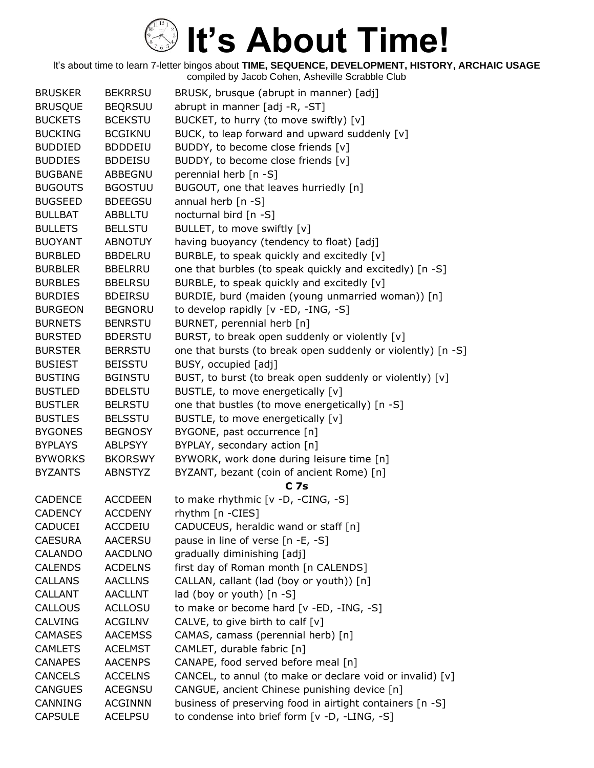| <b>BRUSKER</b> | <b>BEKRRSU</b> | BRUSK, brusque (abrupt in manner) [adj]                      |
|----------------|----------------|--------------------------------------------------------------|
| <b>BRUSQUE</b> | <b>BEQRSUU</b> | abrupt in manner [adj -R, -ST]                               |
| <b>BUCKETS</b> | <b>BCEKSTU</b> | BUCKET, to hurry (to move swiftly) [v]                       |
| <b>BUCKING</b> | <b>BCGIKNU</b> | BUCK, to leap forward and upward suddenly [v]                |
| <b>BUDDIED</b> | <b>BDDDEIU</b> | BUDDY, to become close friends [v]                           |
| <b>BUDDIES</b> | <b>BDDEISU</b> | BUDDY, to become close friends [v]                           |
| <b>BUGBANE</b> | ABBEGNU        | perennial herb [n -S]                                        |
| <b>BUGOUTS</b> | <b>BGOSTUU</b> | BUGOUT, one that leaves hurriedly [n]                        |
| <b>BUGSEED</b> | <b>BDEEGSU</b> | annual herb $[n - S]$                                        |
| <b>BULLBAT</b> | <b>ABBLLTU</b> | nocturnal bird [n -S]                                        |
| <b>BULLETS</b> | <b>BELLSTU</b> | BULLET, to move swiftly [v]                                  |
| <b>BUOYANT</b> | <b>ABNOTUY</b> | having buoyancy (tendency to float) [adj]                    |
| <b>BURBLED</b> | <b>BBDELRU</b> | BURBLE, to speak quickly and excitedly [v]                   |
| <b>BURBLER</b> | <b>BBELRRU</b> | one that burbles (to speak quickly and excitedly) [n -S]     |
| <b>BURBLES</b> | <b>BBELRSU</b> | BURBLE, to speak quickly and excitedly [v]                   |
| <b>BURDIES</b> | <b>BDEIRSU</b> | BURDIE, burd (maiden (young unmarried woman)) [n]            |
| <b>BURGEON</b> | <b>BEGNORU</b> | to develop rapidly [v -ED, -ING, -S]                         |
| <b>BURNETS</b> | <b>BENRSTU</b> | BURNET, perennial herb [n]                                   |
| <b>BURSTED</b> | <b>BDERSTU</b> | BURST, to break open suddenly or violently [v]               |
| <b>BURSTER</b> | <b>BERRSTU</b> | one that bursts (to break open suddenly or violently) [n -S] |
| <b>BUSIEST</b> | <b>BEISSTU</b> | BUSY, occupied [adj]                                         |
| <b>BUSTING</b> | <b>BGINSTU</b> | BUST, to burst (to break open suddenly or violently) [v]     |
| <b>BUSTLED</b> | <b>BDELSTU</b> | BUSTLE, to move energetically [v]                            |
| <b>BUSTLER</b> | <b>BELRSTU</b> | one that bustles (to move energetically) [n -S]              |
| <b>BUSTLES</b> | <b>BELSSTU</b> | BUSTLE, to move energetically [v]                            |
| <b>BYGONES</b> | <b>BEGNOSY</b> | BYGONE, past occurrence [n]                                  |
| <b>BYPLAYS</b> | <b>ABLPSYY</b> | BYPLAY, secondary action [n]                                 |
| <b>BYWORKS</b> | <b>BKORSWY</b> | BYWORK, work done during leisure time [n]                    |
| <b>BYZANTS</b> | <b>ABNSTYZ</b> | BYZANT, bezant (coin of ancient Rome) [n]                    |
|                |                | C <sub>7s</sub>                                              |
| <b>CADENCE</b> | <b>ACCDEEN</b> | to make rhythmic [v -D, -CING, -S]                           |
| <b>CADENCY</b> | <b>ACCDENY</b> | rhythm [n -CIES]                                             |
| <b>CADUCEI</b> | <b>ACCDEIU</b> | CADUCEUS, heraldic wand or staff [n]                         |
| <b>CAESURA</b> | <b>AACERSU</b> | pause in line of verse [n -E, -S]                            |
| CALANDO        | <b>AACDLNO</b> | gradually diminishing [adj]                                  |
| <b>CALENDS</b> | <b>ACDELNS</b> | first day of Roman month [n CALENDS]                         |
| <b>CALLANS</b> | <b>AACLLNS</b> | CALLAN, callant (lad (boy or youth)) [n]                     |
| <b>CALLANT</b> | <b>AACLLNT</b> | lad (boy or youth) $[n -S]$                                  |
| <b>CALLOUS</b> | <b>ACLLOSU</b> | to make or become hard [v -ED, -ING, -S]                     |
| CALVING        | <b>ACGILNV</b> | CALVE, to give birth to calf $[v]$                           |
| <b>CAMASES</b> | <b>AACEMSS</b> | CAMAS, camass (perennial herb) [n]                           |
| <b>CAMLETS</b> | <b>ACELMST</b> | CAMLET, durable fabric [n]                                   |
| <b>CANAPES</b> | <b>AACENPS</b> | CANAPE, food served before meal [n]                          |
| <b>CANCELS</b> | <b>ACCELNS</b> | CANCEL, to annul (to make or declare void or invalid) [v]    |
| <b>CANGUES</b> | <b>ACEGNSU</b> | CANGUE, ancient Chinese punishing device [n]                 |
| CANNING        | <b>ACGINNN</b> | business of preserving food in airtight containers [n -S]    |
| <b>CAPSULE</b> | <b>ACELPSU</b> | to condense into brief form [v -D, -LING, -S]                |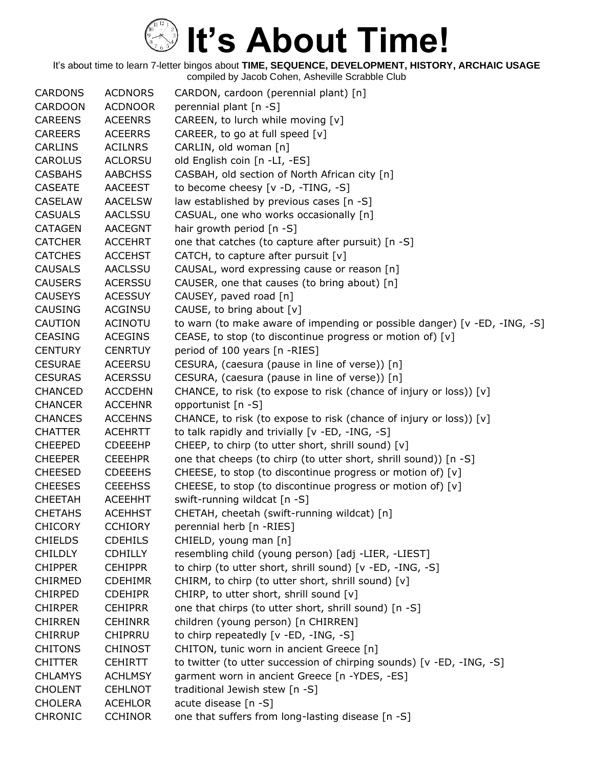| <b>CARDONS</b> | <b>ACDNORS</b> | CARDON, cardoon (perennial plant) [n]                                     |
|----------------|----------------|---------------------------------------------------------------------------|
| <b>CARDOON</b> | <b>ACDNOOR</b> | perennial plant [n -S]                                                    |
| <b>CAREENS</b> | <b>ACEENRS</b> | CAREEN, to lurch while moving [v]                                         |
| <b>CAREERS</b> | <b>ACEERRS</b> | CAREER, to go at full speed [v]                                           |
| <b>CARLINS</b> | <b>ACILNRS</b> | CARLIN, old woman [n]                                                     |
| <b>CAROLUS</b> | <b>ACLORSU</b> | old English coin [n -LI, -ES]                                             |
| <b>CASBAHS</b> | <b>AABCHSS</b> | CASBAH, old section of North African city [n]                             |
| <b>CASEATE</b> | AACEEST        | to become cheesy [v -D, -TING, -S]                                        |
| <b>CASELAW</b> | <b>AACELSW</b> | law established by previous cases [n -S]                                  |
| <b>CASUALS</b> | <b>AACLSSU</b> | CASUAL, one who works occasionally [n]                                    |
| <b>CATAGEN</b> | <b>AACEGNT</b> | hair growth period [n -S]                                                 |
| <b>CATCHER</b> | <b>ACCEHRT</b> | one that catches (to capture after pursuit) [n -S]                        |
| <b>CATCHES</b> | <b>ACCEHST</b> | CATCH, to capture after pursuit $[v]$                                     |
| <b>CAUSALS</b> | AACLSSU        | CAUSAL, word expressing cause or reason [n]                               |
| <b>CAUSERS</b> | <b>ACERSSU</b> | CAUSER, one that causes (to bring about) [n]                              |
| <b>CAUSEYS</b> | <b>ACESSUY</b> | CAUSEY, paved road [n]                                                    |
| <b>CAUSING</b> | <b>ACGINSU</b> | CAUSE, to bring about [v]                                                 |
| <b>CAUTION</b> | <b>ACINOTU</b> | to warn (to make aware of impending or possible danger) [v -ED, -ING, -S] |
| <b>CEASING</b> | <b>ACEGINS</b> | CEASE, to stop (to discontinue progress or motion of) [v]                 |
| <b>CENTURY</b> | <b>CENRTUY</b> | period of 100 years [n -RIES]                                             |
| <b>CESURAE</b> | <b>ACEERSU</b> | CESURA, (caesura (pause in line of verse)) [n]                            |
| <b>CESURAS</b> | <b>ACERSSU</b> | CESURA, (caesura (pause in line of verse)) [n]                            |
| <b>CHANCED</b> | <b>ACCDEHN</b> | CHANCE, to risk (to expose to risk (chance of injury or loss)) [v]        |
| <b>CHANCER</b> | <b>ACCEHNR</b> | opportunist [n -S]                                                        |
| <b>CHANCES</b> | <b>ACCEHNS</b> | CHANCE, to risk (to expose to risk (chance of injury or loss)) [v]        |
| <b>CHATTER</b> | <b>ACEHRTT</b> | to talk rapidly and trivially [v -ED, -ING, -S]                           |
| <b>CHEEPED</b> | <b>CDEEEHP</b> | CHEEP, to chirp (to utter short, shrill sound) [v]                        |
| <b>CHEEPER</b> | <b>CEEEHPR</b> | one that cheeps (to chirp (to utter short, shrill sound)) [n -S]          |
| <b>CHEESED</b> | <b>CDEEEHS</b> | CHEESE, to stop (to discontinue progress or motion of) [v]                |
| <b>CHEESES</b> | <b>CEEEHSS</b> | CHEESE, to stop (to discontinue progress or motion of) [v]                |
| <b>CHEETAH</b> | <b>ACEEHHT</b> | swift-running wildcat [n -S]                                              |
| <b>CHETAHS</b> | <b>ACEHHST</b> | CHETAH, cheetah (swift-running wildcat) [n]                               |
| <b>CHICORY</b> | <b>CCHIORY</b> | perennial herb [n -RIES]                                                  |
| <b>CHIELDS</b> | <b>CDEHILS</b> | CHIELD, young man [n]                                                     |
| <b>CHILDLY</b> | <b>CDHILLY</b> | resembling child (young person) [adj -LIER, -LIEST]                       |
| <b>CHIPPER</b> | <b>CEHIPPR</b> | to chirp (to utter short, shrill sound) [v -ED, -ING, -S]                 |
| <b>CHIRMED</b> | <b>CDEHIMR</b> | CHIRM, to chirp (to utter short, shrill sound) [v]                        |
| <b>CHIRPED</b> | <b>CDEHIPR</b> | CHIRP, to utter short, shrill sound [v]                                   |
| <b>CHIRPER</b> | <b>CEHIPRR</b> | one that chirps (to utter short, shrill sound) [n -S]                     |
| <b>CHIRREN</b> | <b>CEHINRR</b> | children (young person) [n CHIRREN]                                       |
| <b>CHIRRUP</b> | <b>CHIPRRU</b> | to chirp repeatedly [v -ED, -ING, -S]                                     |
| <b>CHITONS</b> | <b>CHINOST</b> | CHITON, tunic worn in ancient Greece [n]                                  |
| <b>CHITTER</b> | <b>CEHIRTT</b> | to twitter (to utter succession of chirping sounds) [v -ED, -ING, -S]     |
| <b>CHLAMYS</b> | <b>ACHLMSY</b> | garment worn in ancient Greece [n -YDES, -ES]                             |
| <b>CHOLENT</b> | <b>CEHLNOT</b> | traditional Jewish stew [n -S]                                            |
| <b>CHOLERA</b> | <b>ACEHLOR</b> | acute disease [n -S]                                                      |
| <b>CHRONIC</b> | <b>CCHINOR</b> | one that suffers from long-lasting disease [n -S]                         |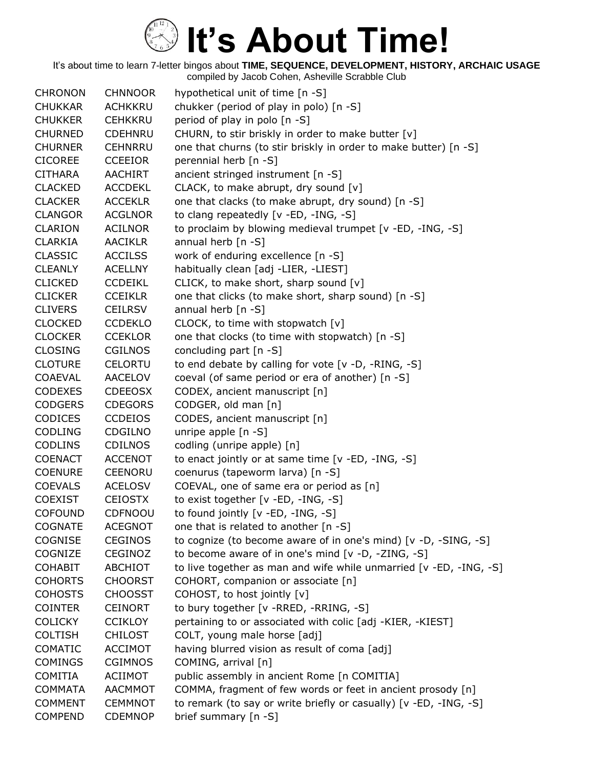| <b>CHRONON</b> | <b>CHNNOOR</b> | hypothetical unit of time [n -S]                                   |
|----------------|----------------|--------------------------------------------------------------------|
| <b>CHUKKAR</b> | <b>ACHKKRU</b> | chukker (period of play in polo) [n -S]                            |
| <b>CHUKKER</b> | <b>CEHKKRU</b> | period of play in polo [n -S]                                      |
| <b>CHURNED</b> | <b>CDEHNRU</b> | CHURN, to stir briskly in order to make butter [v]                 |
| <b>CHURNER</b> | <b>CEHNRRU</b> | one that churns (to stir briskly in order to make butter) [n -S]   |
| <b>CICOREE</b> | <b>CCEEIOR</b> | perennial herb [n -S]                                              |
| <b>CITHARA</b> | <b>AACHIRT</b> | ancient stringed instrument [n -S]                                 |
| <b>CLACKED</b> | <b>ACCDEKL</b> | CLACK, to make abrupt, dry sound [v]                               |
| <b>CLACKER</b> | <b>ACCEKLR</b> | one that clacks (to make abrupt, dry sound) [n -S]                 |
| <b>CLANGOR</b> | <b>ACGLNOR</b> | to clang repeatedly [v -ED, -ING, -S]                              |
| <b>CLARION</b> | <b>ACILNOR</b> | to proclaim by blowing medieval trumpet [v -ED, -ING, -S]          |
| <b>CLARKIA</b> | <b>AACIKLR</b> | annual herb $[n -S]$                                               |
| <b>CLASSIC</b> | <b>ACCILSS</b> | work of enduring excellence [n -S]                                 |
| <b>CLEANLY</b> | <b>ACELLNY</b> | habitually clean [adj -LIER, -LIEST]                               |
| <b>CLICKED</b> | <b>CCDEIKL</b> | CLICK, to make short, sharp sound [v]                              |
| <b>CLICKER</b> | <b>CCEIKLR</b> | one that clicks (to make short, sharp sound) [n -S]                |
| <b>CLIVERS</b> | <b>CEILRSV</b> | annual herb [n -S]                                                 |
| <b>CLOCKED</b> | <b>CCDEKLO</b> | CLOCK, to time with stopwatch [v]                                  |
| <b>CLOCKER</b> | <b>CCEKLOR</b> | one that clocks (to time with stopwatch) [n -S]                    |
| <b>CLOSING</b> | <b>CGILNOS</b> | concluding part [n -S]                                             |
| <b>CLOTURE</b> | <b>CELORTU</b> | to end debate by calling for vote [v -D, -RING, -S]                |
| <b>COAEVAL</b> | AACELOV        | coeval (of same period or era of another) [n -S]                   |
| <b>CODEXES</b> | <b>CDEEOSX</b> | CODEX, ancient manuscript [n]                                      |
| <b>CODGERS</b> | <b>CDEGORS</b> | CODGER, old man [n]                                                |
| <b>CODICES</b> | <b>CCDEIOS</b> | CODES, ancient manuscript [n]                                      |
| <b>CODLING</b> | CDGILNO        | unripe apple $[n - S]$                                             |
| <b>CODLINS</b> | CDILNOS        | codling (unripe apple) [n]                                         |
| <b>COENACT</b> | <b>ACCENOT</b> | to enact jointly or at same time [v -ED, -ING, -S]                 |
| <b>COENURE</b> | <b>CEENORU</b> | coenurus (tapeworm larva) [n -S]                                   |
| <b>COEVALS</b> | <b>ACELOSV</b> | COEVAL, one of same era or period as [n]                           |
| <b>COEXIST</b> | <b>CEIOSTX</b> | to exist together [v -ED, -ING, -S]                                |
| <b>COFOUND</b> | <b>CDFNOOU</b> | to found jointly [v -ED, -ING, -S]                                 |
| <b>COGNATE</b> | <b>ACEGNOT</b> | one that is related to another [n -S]                              |
| <b>COGNISE</b> | <b>CEGINOS</b> | to cognize (to become aware of in one's mind) [v -D, -SING, -S]    |
| COGNIZE        | <b>CEGINOZ</b> | to become aware of in one's mind [v -D, -ZING, -S]                 |
| <b>COHABIT</b> | ABCHIOT        | to live together as man and wife while unmarried [v -ED, -ING, -S] |
| <b>COHORTS</b> | <b>CHOORST</b> | COHORT, companion or associate [n]                                 |
| <b>COHOSTS</b> | <b>CHOOSST</b> | COHOST, to host jointly [v]                                        |
| <b>COINTER</b> | <b>CEINORT</b> | to bury together [v -RRED, -RRING, -S]                             |
| <b>COLICKY</b> | <b>CCIKLOY</b> | pertaining to or associated with colic [adj -KIER, -KIEST]         |
| <b>COLTISH</b> | <b>CHILOST</b> | COLT, young male horse [adj]                                       |
| COMATIC        | <b>ACCIMOT</b> | having blurred vision as result of coma [adj]                      |
| <b>COMINGS</b> | <b>CGIMNOS</b> | COMING, arrival [n]                                                |
| <b>COMITIA</b> | ACIIMOT        | public assembly in ancient Rome [n COMITIA]                        |
| <b>COMMATA</b> | AACMMOT        | COMMA, fragment of few words or feet in ancient prosody [n]        |
| <b>COMMENT</b> | <b>CEMMNOT</b> | to remark (to say or write briefly or casually) [v -ED, -ING, -S]  |
| <b>COMPEND</b> | <b>CDEMNOP</b> | brief summary [n -S]                                               |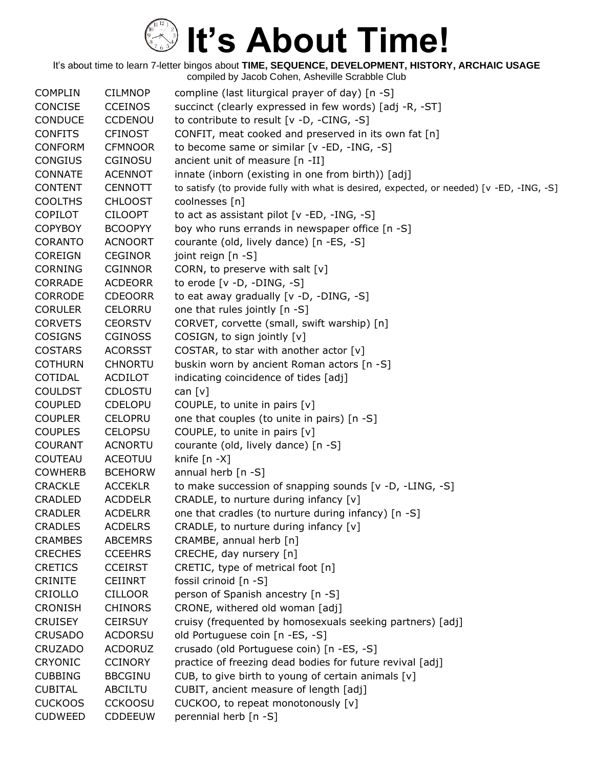| <b>COMPLIN</b> | <b>CILMNOP</b> | compline (last liturgical prayer of day) [n -S]                                           |
|----------------|----------------|-------------------------------------------------------------------------------------------|
| CONCISE        | <b>CCEINOS</b> | succinct (clearly expressed in few words) [adj -R, -ST]                                   |
| <b>CONDUCE</b> | <b>CCDENOU</b> | to contribute to result [v -D, -CING, -S]                                                 |
| <b>CONFITS</b> | <b>CFINOST</b> | CONFIT, meat cooked and preserved in its own fat [n]                                      |
| <b>CONFORM</b> | <b>CFMNOOR</b> | to become same or similar [v -ED, -ING, -S]                                               |
| <b>CONGIUS</b> | CGINOSU        | ancient unit of measure [n -II]                                                           |
| <b>CONNATE</b> | <b>ACENNOT</b> | innate (inborn (existing in one from birth)) [adj]                                        |
| <b>CONTENT</b> | <b>CENNOTT</b> | to satisfy (to provide fully with what is desired, expected, or needed) [v -ED, -ING, -S] |
| <b>COOLTHS</b> | <b>CHLOOST</b> | coolnesses [n]                                                                            |
| <b>COPILOT</b> | <b>CILOOPT</b> | to act as assistant pilot [v -ED, -ING, -S]                                               |
| <b>COPYBOY</b> | <b>BCOOPYY</b> | boy who runs errands in newspaper office [n -S]                                           |
| <b>CORANTO</b> | <b>ACNOORT</b> | courante (old, lively dance) [n -ES, -S]                                                  |
| <b>COREIGN</b> | <b>CEGINOR</b> | joint reign [n -S]                                                                        |
| <b>CORNING</b> | <b>CGINNOR</b> | CORN, to preserve with salt $[v]$                                                         |
| <b>CORRADE</b> | <b>ACDEORR</b> | to erode $[v -D, -DING, -S]$                                                              |
| <b>CORRODE</b> | <b>CDEOORR</b> | to eat away gradually [v -D, -DING, -S]                                                   |
| <b>CORULER</b> | CELORRU        | one that rules jointly [n -S]                                                             |
| <b>CORVETS</b> | <b>CEORSTV</b> | CORVET, corvette (small, swift warship) [n]                                               |
| <b>COSIGNS</b> | <b>CGINOSS</b> | COSIGN, to sign jointly [v]                                                               |
| <b>COSTARS</b> | <b>ACORSST</b> | COSTAR, to star with another actor [v]                                                    |
| <b>COTHURN</b> | <b>CHNORTU</b> | buskin worn by ancient Roman actors [n -S]                                                |
| COTIDAL        | <b>ACDILOT</b> | indicating coincidence of tides [adj]                                                     |
| <b>COULDST</b> | CDLOSTU        | can $[v]$                                                                                 |
| <b>COUPLED</b> | <b>CDELOPU</b> | COUPLE, to unite in pairs $[v]$                                                           |
| <b>COUPLER</b> | <b>CELOPRU</b> | one that couples (to unite in pairs) [n -S]                                               |
| <b>COUPLES</b> | <b>CELOPSU</b> | COUPLE, to unite in pairs [v]                                                             |
| <b>COURANT</b> | <b>ACNORTU</b> | courante (old, lively dance) [n -S]                                                       |
| <b>COUTEAU</b> | <b>ACEOTUU</b> | knife $[n - X]$                                                                           |
| <b>COWHERB</b> | <b>BCEHORW</b> | annual herb [n -S]                                                                        |
| <b>CRACKLE</b> | <b>ACCEKLR</b> | to make succession of snapping sounds [v -D, -LING, -S]                                   |
| <b>CRADLED</b> | <b>ACDDELR</b> | CRADLE, to nurture during infancy [v]                                                     |
| <b>CRADLER</b> | <b>ACDELRR</b> | one that cradles (to nurture during infancy) [n -S]                                       |
| <b>CRADLES</b> | <b>ACDELRS</b> | CRADLE, to nurture during infancy $[v]$                                                   |
| <b>CRAMBES</b> | <b>ABCEMRS</b> | CRAMBE, annual herb [n]                                                                   |
| <b>CRECHES</b> | <b>CCEEHRS</b> | CRECHE, day nursery [n]                                                                   |
| <b>CRETICS</b> | <b>CCEIRST</b> | CRETIC, type of metrical foot [n]                                                         |
| <b>CRINITE</b> | <b>CEIINRT</b> | fossil crinoid [n -S]                                                                     |
| CRIOLLO        | <b>CILLOOR</b> | person of Spanish ancestry [n -S]                                                         |
| <b>CRONISH</b> | <b>CHINORS</b> | CRONE, withered old woman [adj]                                                           |
| <b>CRUISEY</b> | <b>CEIRSUY</b> | cruisy (frequented by homosexuals seeking partners) [adj]                                 |
| <b>CRUSADO</b> | <b>ACDORSU</b> | old Portuguese coin [n -ES, -S]                                                           |
| <b>CRUZADO</b> | <b>ACDORUZ</b> | crusado (old Portuguese coin) [n -ES, -S]                                                 |
| <b>CRYONIC</b> | <b>CCINORY</b> | practice of freezing dead bodies for future revival [adj]                                 |
| <b>CUBBING</b> | <b>BBCGINU</b> | CUB, to give birth to young of certain animals [v]                                        |
| <b>CUBITAL</b> | ABCILTU        | CUBIT, ancient measure of length [adj]                                                    |
| <b>CUCKOOS</b> | <b>CCKOOSU</b> | CUCKOO, to repeat monotonously [v]                                                        |
| <b>CUDWEED</b> | <b>CDDEEUW</b> | perennial herb [n -S]                                                                     |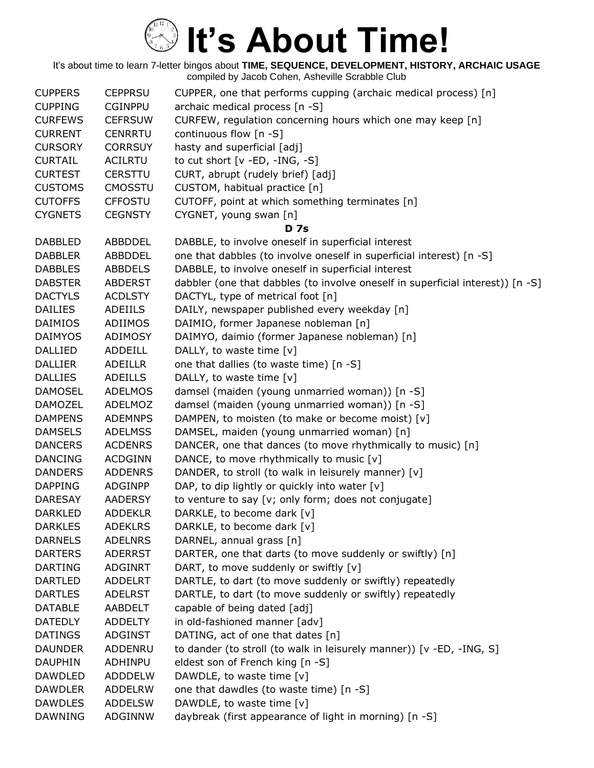| <b>CUPPERS</b> | <b>CEPPRSU</b> | CUPPER, one that performs cupping (archaic medical process) [n]                |
|----------------|----------------|--------------------------------------------------------------------------------|
| <b>CUPPING</b> | <b>CGINPPU</b> | archaic medical process [n -S]                                                 |
| <b>CURFEWS</b> | <b>CEFRSUW</b> | CURFEW, regulation concerning hours which one may keep [n]                     |
| <b>CURRENT</b> | <b>CENRRTU</b> | continuous flow [n -S]                                                         |
| <b>CURSORY</b> | <b>CORRSUY</b> | hasty and superficial [adj]                                                    |
| <b>CURTAIL</b> | <b>ACILRTU</b> | to cut short $[v - ED, -ING, -S]$                                              |
| <b>CURTEST</b> | <b>CERSTTU</b> | CURT, abrupt (rudely brief) [adj]                                              |
| <b>CUSTOMS</b> | <b>CMOSSTU</b> | CUSTOM, habitual practice [n]                                                  |
| <b>CUTOFFS</b> | <b>CFFOSTU</b> | CUTOFF, point at which something terminates [n]                                |
| <b>CYGNETS</b> | <b>CEGNSTY</b> | CYGNET, young swan [n]                                                         |
|                |                | <b>D</b> 7s                                                                    |
| <b>DABBLED</b> | ABBDDEL        | DABBLE, to involve oneself in superficial interest                             |
| <b>DABBLER</b> | ABBDDEL        | one that dabbles (to involve oneself in superficial interest) [n -S]           |
| <b>DABBLES</b> | <b>ABBDELS</b> | DABBLE, to involve oneself in superficial interest                             |
| <b>DABSTER</b> | <b>ABDERST</b> | dabbler (one that dabbles (to involve oneself in superficial interest)) [n -S] |
| <b>DACTYLS</b> | <b>ACDLSTY</b> | DACTYL, type of metrical foot [n]                                              |
| <b>DAILIES</b> | <b>ADEIILS</b> | DAILY, newspaper published every weekday [n]                                   |
| <b>DAIMIOS</b> | ADIIMOS        | DAIMIO, former Japanese nobleman [n]                                           |
| <b>DAIMYOS</b> | ADIMOSY        | DAIMYO, daimio (former Japanese nobleman) [n]                                  |
| <b>DALLIED</b> | <b>ADDEILL</b> | DALLY, to waste time [v]                                                       |
| <b>DALLIER</b> | <b>ADEILLR</b> | one that dallies (to waste time) [n -S]                                        |
| <b>DALLIES</b> | <b>ADEILLS</b> | DALLY, to waste time [v]                                                       |
| <b>DAMOSEL</b> | <b>ADELMOS</b> | damsel (maiden (young unmarried woman)) [n -S]                                 |
| <b>DAMOZEL</b> | ADELMOZ        | damsel (maiden (young unmarried woman)) [n -S]                                 |
| <b>DAMPENS</b> | <b>ADEMNPS</b> | DAMPEN, to moisten (to make or become moist) [v]                               |
| <b>DAMSELS</b> | <b>ADELMSS</b> | DAMSEL, maiden (young unmarried woman) [n]                                     |
| <b>DANCERS</b> | <b>ACDENRS</b> | DANCER, one that dances (to move rhythmically to music) [n]                    |
| <b>DANCING</b> | <b>ACDGINN</b> | DANCE, to move rhythmically to music [v]                                       |
| <b>DANDERS</b> | <b>ADDENRS</b> | DANDER, to stroll (to walk in leisurely manner) [v]                            |
| <b>DAPPING</b> | <b>ADGINPP</b> | DAP, to dip lightly or quickly into water [v]                                  |
| <b>DARESAY</b> | <b>AADERSY</b> | to venture to say [v; only form; does not conjugate]                           |
| <b>DARKLED</b> | <b>ADDEKLR</b> | DARKLE, to become dark [v]                                                     |
| <b>DARKLES</b> | <b>ADEKLRS</b> | DARKLE, to become dark [v]                                                     |
| <b>DARNELS</b> | <b>ADELNRS</b> | DARNEL, annual grass [n]                                                       |
| <b>DARTERS</b> | <b>ADERRST</b> | DARTER, one that darts (to move suddenly or swiftly) [n]                       |
| <b>DARTING</b> | <b>ADGINRT</b> | DART, to move suddenly or swiftly [v]                                          |
| <b>DARTLED</b> | <b>ADDELRT</b> | DARTLE, to dart (to move suddenly or swiftly) repeatedly                       |
| <b>DARTLES</b> | <b>ADELRST</b> | DARTLE, to dart (to move suddenly or swiftly) repeatedly                       |
| <b>DATABLE</b> | AABDELT        | capable of being dated [adj]                                                   |
| <b>DATEDLY</b> | <b>ADDELTY</b> | in old-fashioned manner [adv]                                                  |
| <b>DATINGS</b> | <b>ADGINST</b> | DATING, act of one that dates [n]                                              |
| <b>DAUNDER</b> | ADDENRU        | to dander (to stroll (to walk in leisurely manner)) [v -ED, -ING, S]           |
| <b>DAUPHIN</b> | ADHINPU        | eldest son of French king [n -S]                                               |
| <b>DAWDLED</b> | <b>ADDDELW</b> | DAWDLE, to waste time [v]                                                      |
| <b>DAWDLER</b> | <b>ADDELRW</b> | one that dawdles (to waste time) [n -S]                                        |
| <b>DAWDLES</b> | <b>ADDELSW</b> | DAWDLE, to waste time [v]                                                      |
| <b>DAWNING</b> | ADGINNW        | daybreak (first appearance of light in morning) [n -S]                         |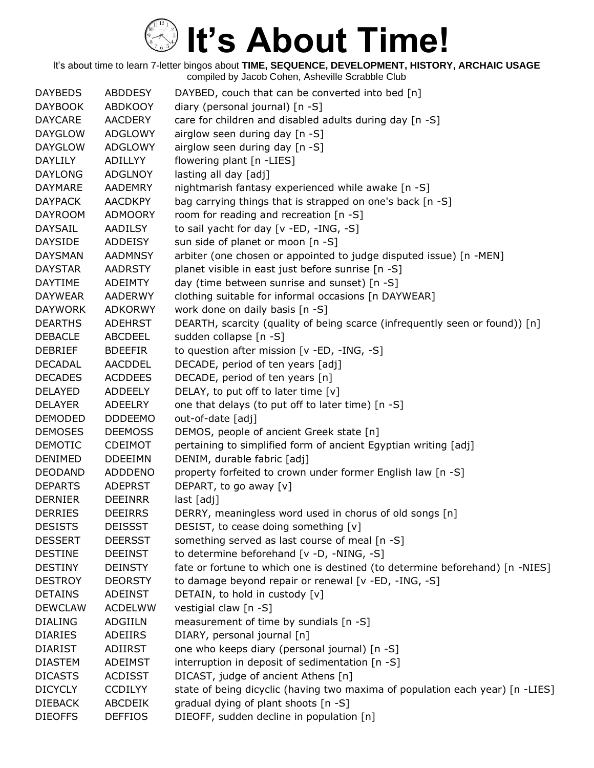| <b>DAYBEDS</b> |                | <b>ABDDESY</b> | DAYBED, couch that can be converted into bed [n]                              |
|----------------|----------------|----------------|-------------------------------------------------------------------------------|
|                | <b>DAYBOOK</b> | <b>ABDKOOY</b> | diary (personal journal) [n -S]                                               |
| <b>DAYCARE</b> |                | <b>AACDERY</b> | care for children and disabled adults during day [n -S]                       |
|                | <b>DAYGLOW</b> | <b>ADGLOWY</b> | airglow seen during day [n -S]                                                |
|                | <b>DAYGLOW</b> | ADGLOWY        | airglow seen during day [n -S]                                                |
| DAYLILY        |                | ADILLYY        | flowering plant [n -LIES]                                                     |
| <b>DAYLONG</b> |                | <b>ADGLNOY</b> | lasting all day [adj]                                                         |
| <b>DAYMARE</b> |                | AADEMRY        | nightmarish fantasy experienced while awake [n -S]                            |
| <b>DAYPACK</b> |                | <b>AACDKPY</b> | bag carrying things that is strapped on one's back [n -S]                     |
|                | <b>DAYROOM</b> | <b>ADMOORY</b> | room for reading and recreation [n -S]                                        |
| <b>DAYSAIL</b> |                | AADILSY        | to sail yacht for day [v -ED, -ING, -S]                                       |
| <b>DAYSIDE</b> |                | ADDEISY        | sun side of planet or moon [n -S]                                             |
|                | <b>DAYSMAN</b> | <b>AADMNSY</b> | arbiter (one chosen or appointed to judge disputed issue) [n -MEN]            |
| <b>DAYSTAR</b> |                | <b>AADRSTY</b> | planet visible in east just before sunrise [n -S]                             |
| <b>DAYTIME</b> |                | <b>ADEIMTY</b> | day (time between sunrise and sunset) [n -S]                                  |
|                | <b>DAYWEAR</b> | <b>AADERWY</b> | clothing suitable for informal occasions [n DAYWEAR]                          |
|                | <b>DAYWORK</b> | <b>ADKORWY</b> | work done on daily basis [n -S]                                               |
| <b>DEARTHS</b> |                | <b>ADEHRST</b> | DEARTH, scarcity (quality of being scarce (infrequently seen or found)) [n]   |
| <b>DEBACLE</b> |                | <b>ABCDEEL</b> | sudden collapse [n -S]                                                        |
| <b>DEBRIEF</b> |                | <b>BDEEFIR</b> | to question after mission [v -ED, -ING, -S]                                   |
| <b>DECADAL</b> |                | AACDDEL        | DECADE, period of ten years [adj]                                             |
| <b>DECADES</b> |                | <b>ACDDEES</b> | DECADE, period of ten years [n]                                               |
| <b>DELAYED</b> |                | <b>ADDEELY</b> | DELAY, to put off to later time [v]                                           |
| <b>DELAYER</b> |                | ADEELRY        | one that delays (to put off to later time) [n -S]                             |
|                | <b>DEMODED</b> | <b>DDDEEMO</b> | out-of-date [adj]                                                             |
|                | <b>DEMOSES</b> | <b>DEEMOSS</b> | DEMOS, people of ancient Greek state [n]                                      |
| <b>DEMOTIC</b> |                | <b>CDEIMOT</b> | pertaining to simplified form of ancient Egyptian writing [adj]               |
| <b>DENIMED</b> |                | <b>DDEEIMN</b> | DENIM, durable fabric [adj]                                                   |
|                | <b>DEODAND</b> | <b>ADDDENO</b> | property forfeited to crown under former English law [n -S]                   |
| <b>DEPARTS</b> |                | <b>ADEPRST</b> | DEPART, to go away [v]                                                        |
| <b>DERNIER</b> |                | <b>DEEINRR</b> | last [adj]                                                                    |
| <b>DERRIES</b> |                | <b>DEEIRRS</b> | DERRY, meaningless word used in chorus of old songs [n]                       |
| <b>DESISTS</b> |                | <b>DEISSST</b> | DESIST, to cease doing something [v]                                          |
| <b>DESSERT</b> |                | <b>DEERSST</b> | something served as last course of meal [n -S]                                |
| <b>DESTINE</b> |                | <b>DEEINST</b> | to determine beforehand [v -D, -NING, -S]                                     |
| <b>DESTINY</b> |                | <b>DEINSTY</b> | fate or fortune to which one is destined (to determine beforehand) [n -NIES]  |
| <b>DESTROY</b> |                | <b>DEORSTY</b> | to damage beyond repair or renewal [v -ED, -ING, -S]                          |
| <b>DETAINS</b> |                | <b>ADEINST</b> | DETAIN, to hold in custody [v]                                                |
|                | <b>DEWCLAW</b> | <b>ACDELWW</b> | vestigial claw [n -S]                                                         |
| <b>DIALING</b> |                | ADGIILN        | measurement of time by sundials [n -S]                                        |
| <b>DIARIES</b> |                | ADEIIRS        | DIARY, personal journal [n]                                                   |
| <b>DIARIST</b> |                | ADIIRST        | one who keeps diary (personal journal) [n -S]                                 |
| <b>DIASTEM</b> |                | <b>ADEIMST</b> | interruption in deposit of sedimentation [n -S]                               |
| <b>DICASTS</b> |                | <b>ACDISST</b> | DICAST, judge of ancient Athens [n]                                           |
| <b>DICYCLY</b> |                | <b>CCDILYY</b> | state of being dicyclic (having two maxima of population each year) [n -LIES] |
| <b>DIEBACK</b> |                | <b>ABCDEIK</b> | gradual dying of plant shoots [n -S]                                          |
| <b>DIEOFFS</b> |                | <b>DEFFIOS</b> | DIEOFF, sudden decline in population [n]                                      |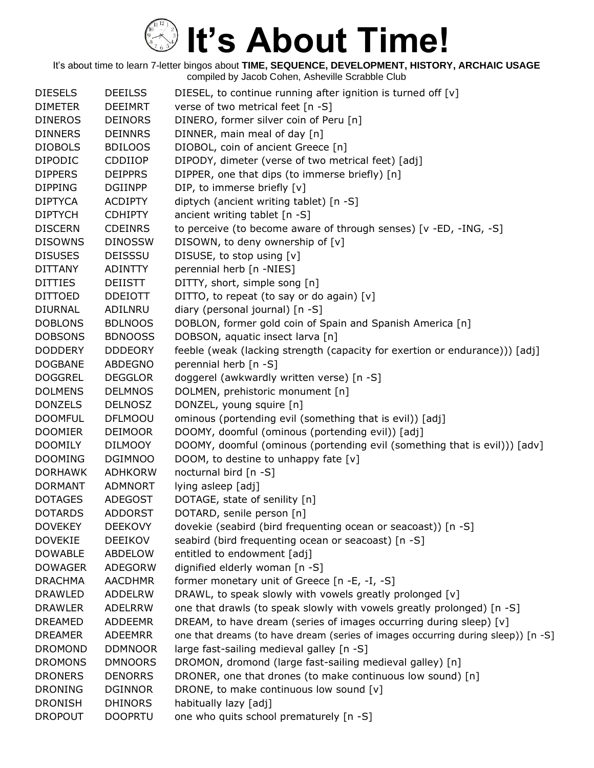| <b>DIESELS</b> | <b>DEEILSS</b> | DIESEL, to continue running after ignition is turned off [v]                     |
|----------------|----------------|----------------------------------------------------------------------------------|
| <b>DIMETER</b> | <b>DEEIMRT</b> | verse of two metrical feet [n -S]                                                |
| <b>DINEROS</b> | <b>DEINORS</b> | DINERO, former silver coin of Peru [n]                                           |
| <b>DINNERS</b> | <b>DEINNRS</b> | DINNER, main meal of day [n]                                                     |
| <b>DIOBOLS</b> | <b>BDILOOS</b> | DIOBOL, coin of ancient Greece [n]                                               |
| <b>DIPODIC</b> | <b>CDDIIOP</b> | DIPODY, dimeter (verse of two metrical feet) [adj]                               |
| <b>DIPPERS</b> | <b>DEIPPRS</b> | DIPPER, one that dips (to immerse briefly) [n]                                   |
| <b>DIPPING</b> | <b>DGIINPP</b> | DIP, to immerse briefly [v]                                                      |
| <b>DIPTYCA</b> | <b>ACDIPTY</b> | diptych (ancient writing tablet) [n -S]                                          |
| <b>DIPTYCH</b> | <b>CDHIPTY</b> | ancient writing tablet [n -S]                                                    |
| <b>DISCERN</b> | <b>CDEINRS</b> | to perceive (to become aware of through senses) [v -ED, -ING, -S]                |
| <b>DISOWNS</b> | <b>DINOSSW</b> | DISOWN, to deny ownership of [v]                                                 |
| <b>DISUSES</b> | <b>DEISSSU</b> | DISUSE, to stop using [v]                                                        |
| <b>DITTANY</b> | <b>ADINTTY</b> | perennial herb [n -NIES]                                                         |
| <b>DITTIES</b> | <b>DEIISTT</b> | DITTY, short, simple song [n]                                                    |
| <b>DITTOED</b> | <b>DDEIOTT</b> | DITTO, to repeat (to say or do again) [v]                                        |
| <b>DIURNAL</b> | ADILNRU        | diary (personal journal) [n -S]                                                  |
| <b>DOBLONS</b> | <b>BDLNOOS</b> | DOBLON, former gold coin of Spain and Spanish America [n]                        |
| <b>DOBSONS</b> | <b>BDNOOSS</b> | DOBSON, aquatic insect larva [n]                                                 |
| <b>DODDERY</b> | <b>DDDEORY</b> | feeble (weak (lacking strength (capacity for exertion or endurance))) [adj]      |
| <b>DOGBANE</b> | <b>ABDEGNO</b> | perennial herb [n -S]                                                            |
| <b>DOGGREL</b> | <b>DEGGLOR</b> | doggerel (awkwardly written verse) [n -S]                                        |
| <b>DOLMENS</b> | <b>DELMNOS</b> | DOLMEN, prehistoric monument [n]                                                 |
| <b>DONZELS</b> | <b>DELNOSZ</b> | DONZEL, young squire [n]                                                         |
| <b>DOOMFUL</b> | <b>DFLMOOU</b> | ominous (portending evil (something that is evil)) [adj]                         |
| <b>DOOMIER</b> | <b>DEIMOOR</b> | DOOMY, doomful (ominous (portending evil)) [adj]                                 |
| <b>DOOMILY</b> | <b>DILMOOY</b> | DOOMY, doomful (ominous (portending evil (something that is evil))) [adv]        |
| <b>DOOMING</b> | <b>DGIMNOO</b> | DOOM, to destine to unhappy fate [v]                                             |
| <b>DORHAWK</b> | <b>ADHKORW</b> | nocturnal bird [n -S]                                                            |
| <b>DORMANT</b> | <b>ADMNORT</b> | lying asleep [adj]                                                               |
| <b>DOTAGES</b> | <b>ADEGOST</b> | DOTAGE, state of senility [n]                                                    |
| <b>DOTARDS</b> | <b>ADDORST</b> | DOTARD, senile person [n]                                                        |
| <b>DOVEKEY</b> | <b>DEEKOVY</b> | dovekie (seabird (bird frequenting ocean or seacoast)) [n -S]                    |
| <b>DOVEKIE</b> | <b>DEEIKOV</b> | seabird (bird frequenting ocean or seacoast) [n -S]                              |
| <b>DOWABLE</b> | ABDELOW        | entitled to endowment [adj]                                                      |
| <b>DOWAGER</b> | ADEGORW        | dignified elderly woman [n -S]                                                   |
| <b>DRACHMA</b> | <b>AACDHMR</b> | former monetary unit of Greece [n -E, -I, -S]                                    |
| <b>DRAWLED</b> | <b>ADDELRW</b> | DRAWL, to speak slowly with vowels greatly prolonged [v]                         |
| <b>DRAWLER</b> | <b>ADELRRW</b> | one that drawls (to speak slowly with vowels greatly prolonged) [n -S]           |
| <b>DREAMED</b> | <b>ADDEEMR</b> | DREAM, to have dream (series of images occurring during sleep) [v]               |
| <b>DREAMER</b> | <b>ADEEMRR</b> | one that dreams (to have dream (series of images occurring during sleep)) [n -S] |
| <b>DROMOND</b> | <b>DDMNOOR</b> | large fast-sailing medieval galley [n -S]                                        |
| <b>DROMONS</b> | <b>DMNOORS</b> | DROMON, dromond (large fast-sailing medieval galley) [n]                         |
| <b>DRONERS</b> | <b>DENORRS</b> | DRONER, one that drones (to make continuous low sound) [n]                       |
| <b>DRONING</b> | <b>DGINNOR</b> | DRONE, to make continuous low sound [v]                                          |
| <b>DRONISH</b> | <b>DHINORS</b> | habitually lazy [adj]                                                            |
| <b>DROPOUT</b> | <b>DOOPRTU</b> | one who quits school prematurely [n -S]                                          |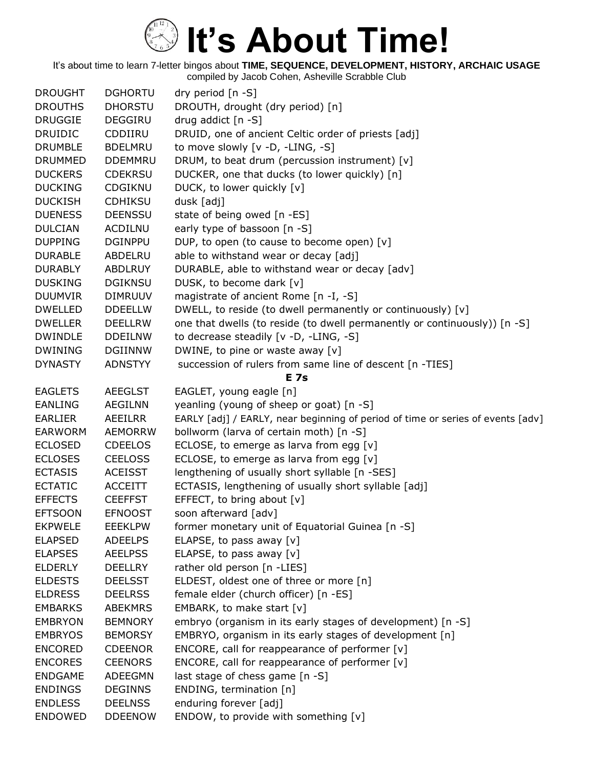| <b>DROUGHT</b> | <b>DGHORTU</b> | dry period [n -S]                                                               |
|----------------|----------------|---------------------------------------------------------------------------------|
| <b>DROUTHS</b> | <b>DHORSTU</b> | DROUTH, drought (dry period) [n]                                                |
| <b>DRUGGIE</b> | <b>DEGGIRU</b> | drug addict [n -S]                                                              |
| <b>DRUIDIC</b> | CDDIIRU        | DRUID, one of ancient Celtic order of priests [adj]                             |
| <b>DRUMBLE</b> | <b>BDELMRU</b> | to move slowly [v -D, -LING, -S]                                                |
| <b>DRUMMED</b> | <b>DDEMMRU</b> | DRUM, to beat drum (percussion instrument) [v]                                  |
| <b>DUCKERS</b> | <b>CDEKRSU</b> | DUCKER, one that ducks (to lower quickly) [n]                                   |
| <b>DUCKING</b> | <b>CDGIKNU</b> | DUCK, to lower quickly [v]                                                      |
| <b>DUCKISH</b> | <b>CDHIKSU</b> | dusk [adj]                                                                      |
| <b>DUENESS</b> | <b>DEENSSU</b> | state of being owed [n -ES]                                                     |
| <b>DULCIAN</b> | <b>ACDILNU</b> | early type of bassoon [n -S]                                                    |
| <b>DUPPING</b> | <b>DGINPPU</b> | DUP, to open (to cause to become open) [v]                                      |
| <b>DURABLE</b> | ABDELRU        | able to withstand wear or decay [adj]                                           |
| <b>DURABLY</b> | <b>ABDLRUY</b> | DURABLE, able to withstand wear or decay [adv]                                  |
| <b>DUSKING</b> | <b>DGIKNSU</b> | DUSK, to become dark [v]                                                        |
| <b>DUUMVIR</b> | <b>DIMRUUV</b> | magistrate of ancient Rome [n -I, -S]                                           |
| <b>DWELLED</b> | <b>DDEELLW</b> | DWELL, to reside (to dwell permanently or continuously) [v]                     |
| <b>DWELLER</b> | <b>DEELLRW</b> | one that dwells (to reside (to dwell permanently or continuously)) [n -S]       |
| <b>DWINDLE</b> | <b>DDEILNW</b> | to decrease steadily [v -D, -LING, -S]                                          |
| <b>DWINING</b> | <b>DGIINNW</b> | DWINE, to pine or waste away [v]                                                |
| <b>DYNASTY</b> | <b>ADNSTYY</b> | succession of rulers from same line of descent [n -TIES]                        |
|                |                | <b>E</b> 7s                                                                     |
| <b>EAGLETS</b> | <b>AEEGLST</b> | EAGLET, young eagle [n]                                                         |
| <b>EANLING</b> | <b>AEGILNN</b> | yeanling (young of sheep or goat) [n -S]                                        |
| <b>EARLIER</b> | AEEILRR        | EARLY [adj] / EARLY, near beginning of period of time or series of events [adv] |
| <b>EARWORM</b> | <b>AEMORRW</b> | bollworm (larva of certain moth) [n -S]                                         |
| <b>ECLOSED</b> | <b>CDEELOS</b> | ECLOSE, to emerge as larva from egg [v]                                         |
| <b>ECLOSES</b> | <b>CEELOSS</b> | ECLOSE, to emerge as larva from egg [v]                                         |
| <b>ECTASIS</b> | <b>ACEISST</b> | lengthening of usually short syllable [n -SES]                                  |
| <b>ECTATIC</b> | <b>ACCEITT</b> | ECTASIS, lengthening of usually short syllable [adj]                            |
| <b>EFFECTS</b> | <b>CEEFFST</b> | EFFECT, to bring about [v]                                                      |
| <b>EFTSOON</b> | <b>EFNOOST</b> | soon afterward [adv]                                                            |
| <b>EKPWELE</b> | <b>EEEKLPW</b> | former monetary unit of Equatorial Guinea [n -S]                                |
| <b>ELAPSED</b> | <b>ADEELPS</b> | ELAPSE, to pass away [v]                                                        |
| <b>ELAPSES</b> | <b>AEELPSS</b> | ELAPSE, to pass away [v]                                                        |
| <b>ELDERLY</b> | <b>DEELLRY</b> | rather old person [n -LIES]                                                     |
| <b>ELDESTS</b> | <b>DEELSST</b> | ELDEST, oldest one of three or more [n]                                         |
| <b>ELDRESS</b> | <b>DEELRSS</b> | female elder (church officer) [n -ES]                                           |
| <b>EMBARKS</b> | <b>ABEKMRS</b> | EMBARK, to make start [v]                                                       |
| <b>EMBRYON</b> | <b>BEMNORY</b> | embryo (organism in its early stages of development) [n -S]                     |
| <b>EMBRYOS</b> | <b>BEMORSY</b> | EMBRYO, organism in its early stages of development [n]                         |
| <b>ENCORED</b> | <b>CDEENOR</b> | ENCORE, call for reappearance of performer [v]                                  |
| <b>ENCORES</b> | <b>CEENORS</b> | ENCORE, call for reappearance of performer $[v]$                                |
| <b>ENDGAME</b> | <b>ADEEGMN</b> | last stage of chess game [n -S]                                                 |
| <b>ENDINGS</b> | <b>DEGINNS</b> | ENDING, termination [n]                                                         |
| <b>ENDLESS</b> | <b>DEELNSS</b> | enduring forever [adj]                                                          |
| <b>ENDOWED</b> | <b>DDEENOW</b> | ENDOW, to provide with something [v]                                            |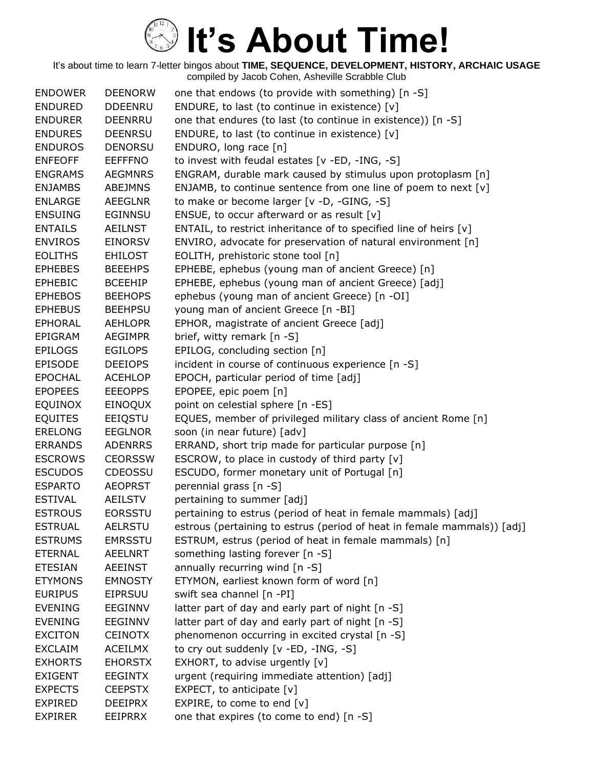| <b>ENDOWER</b> | <b>DEENORW</b> | one that endows (to provide with something) [n -S]                      |
|----------------|----------------|-------------------------------------------------------------------------|
| <b>ENDURED</b> | <b>DDEENRU</b> | ENDURE, to last (to continue in existence) [v]                          |
| <b>ENDURER</b> | DEENRRU        | one that endures (to last (to continue in existence)) [n -S]            |
| <b>ENDURES</b> | <b>DEENRSU</b> | ENDURE, to last (to continue in existence) [v]                          |
| <b>ENDUROS</b> | <b>DENORSU</b> | ENDURO, long race [n]                                                   |
| <b>ENFEOFF</b> | <b>EEFFFNO</b> | to invest with feudal estates [v -ED, -ING, -S]                         |
| <b>ENGRAMS</b> | <b>AEGMNRS</b> | ENGRAM, durable mark caused by stimulus upon protoplasm [n]             |
| <b>ENJAMBS</b> | <b>ABEJMNS</b> | ENJAMB, to continue sentence from one line of poem to next [v]          |
| <b>ENLARGE</b> | AEEGLNR        | to make or become larger [v -D, -GING, -S]                              |
| <b>ENSUING</b> | <b>EGINNSU</b> | ENSUE, to occur afterward or as result $[v]$                            |
| <b>ENTAILS</b> | AEILNST        | ENTAIL, to restrict inheritance of to specified line of heirs $[v]$     |
| <b>ENVIROS</b> | <b>EINORSV</b> | ENVIRO, advocate for preservation of natural environment [n]            |
| <b>EOLITHS</b> | <b>EHILOST</b> | EOLITH, prehistoric stone tool [n]                                      |
| <b>EPHEBES</b> | <b>BEEEHPS</b> | EPHEBE, ephebus (young man of ancient Greece) [n]                       |
| <b>EPHEBIC</b> | <b>BCEEHIP</b> | EPHEBE, ephebus (young man of ancient Greece) [adj]                     |
| <b>EPHEBOS</b> | <b>BEEHOPS</b> | ephebus (young man of ancient Greece) [n -OI]                           |
| <b>EPHEBUS</b> | <b>BEEHPSU</b> | young man of ancient Greece [n -BI]                                     |
| <b>EPHORAL</b> | <b>AEHLOPR</b> | EPHOR, magistrate of ancient Greece [adj]                               |
| EPIGRAM        | <b>AEGIMPR</b> | brief, witty remark [n -S]                                              |
| <b>EPILOGS</b> | <b>EGILOPS</b> | EPILOG, concluding section [n]                                          |
| <b>EPISODE</b> | <b>DEEIOPS</b> | incident in course of continuous experience [n -S]                      |
| <b>EPOCHAL</b> | <b>ACEHLOP</b> | EPOCH, particular period of time [adj]                                  |
| <b>EPOPEES</b> | <b>EEEOPPS</b> | EPOPEE, epic poem [n]                                                   |
| <b>EQUINOX</b> | EINOQUX        | point on celestial sphere [n -ES]                                       |
| <b>EQUITES</b> | EEIQSTU        | EQUES, member of privileged military class of ancient Rome [n]          |
| <b>ERELONG</b> | <b>EEGLNOR</b> | soon (in near future) [adv]                                             |
| <b>ERRANDS</b> | <b>ADENRRS</b> | ERRAND, short trip made for particular purpose [n]                      |
| <b>ESCROWS</b> | <b>CEORSSW</b> | ESCROW, to place in custody of third party [v]                          |
| <b>ESCUDOS</b> | <b>CDEOSSU</b> | ESCUDO, former monetary unit of Portugal [n]                            |
| <b>ESPARTO</b> | <b>AEOPRST</b> | perennial grass [n -S]                                                  |
| <b>ESTIVAL</b> | <b>AEILSTV</b> | pertaining to summer [adj]                                              |
| <b>ESTROUS</b> | <b>EORSSTU</b> | pertaining to estrus (period of heat in female mammals) [adj]           |
| <b>ESTRUAL</b> | <b>AELRSTU</b> | estrous (pertaining to estrus (period of heat in female mammals)) [adj] |
| <b>ESTRUMS</b> | <b>EMRSSTU</b> | ESTRUM, estrus (period of heat in female mammals) [n]                   |
| <b>ETERNAL</b> | <b>AEELNRT</b> | something lasting forever [n -S]                                        |
| <b>ETESIAN</b> | <b>AEEINST</b> | annually recurring wind [n -S]                                          |
| <b>ETYMONS</b> | <b>EMNOSTY</b> | ETYMON, earliest known form of word [n]                                 |
| <b>EURIPUS</b> | <b>EIPRSUU</b> | swift sea channel [n -PI]                                               |
| <b>EVENING</b> | <b>EEGINNV</b> | latter part of day and early part of night [n -S]                       |
| <b>EVENING</b> | <b>EEGINNV</b> | latter part of day and early part of night [n -S]                       |
| <b>EXCITON</b> | <b>CEINOTX</b> | phenomenon occurring in excited crystal [n -S]                          |
| <b>EXCLAIM</b> | <b>ACEILMX</b> | to cry out suddenly [v -ED, -ING, -S]                                   |
| <b>EXHORTS</b> | <b>EHORSTX</b> | EXHORT, to advise urgently [v]                                          |
| <b>EXIGENT</b> | <b>EEGINTX</b> | urgent (requiring immediate attention) [adj]                            |
| <b>EXPECTS</b> | <b>CEEPSTX</b> | EXPECT, to anticipate $[v]$                                             |
| <b>EXPIRED</b> | <b>DEEIPRX</b> | EXPIRE, to come to end $[v]$                                            |
| <b>EXPIRER</b> | EEIPRRX        | one that expires (to come to end) [n -S]                                |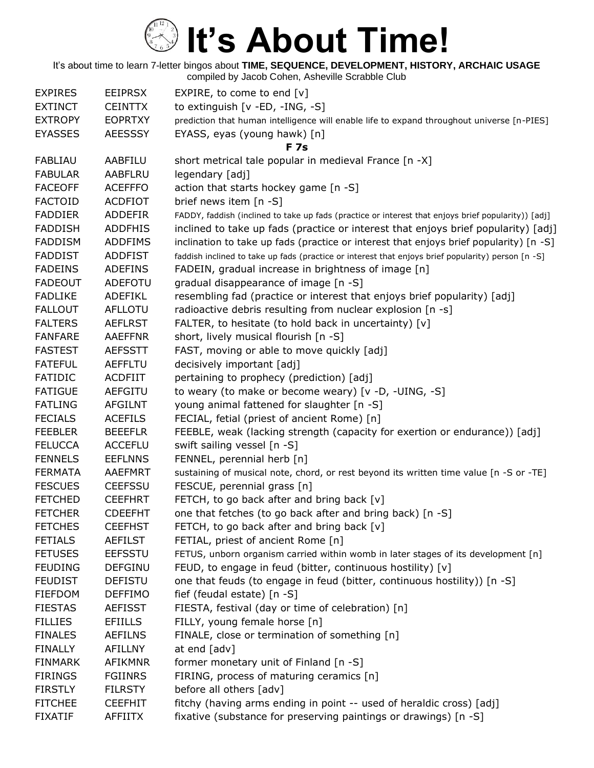| <b>EXPIRES</b> | <b>EEIPRSX</b> | EXPIRE, to come to end $[v]$                                                                        |
|----------------|----------------|-----------------------------------------------------------------------------------------------------|
| <b>EXTINCT</b> | <b>CEINTTX</b> | to extinguish [v -ED, -ING, -S]                                                                     |
| <b>EXTROPY</b> | <b>EOPRTXY</b> | prediction that human intelligence will enable life to expand throughout universe [n-PIES]          |
| <b>EYASSES</b> | <b>AEESSSY</b> | EYASS, eyas (young hawk) [n]                                                                        |
|                |                | <b>F7s</b>                                                                                          |
| <b>FABLIAU</b> | AABFILU        | short metrical tale popular in medieval France [n -X]                                               |
| <b>FABULAR</b> | AABFLRU        | legendary [adj]                                                                                     |
| <b>FACEOFF</b> | <b>ACEFFFO</b> | action that starts hockey game [n -S]                                                               |
| <b>FACTOID</b> | <b>ACDFIOT</b> | brief news item [n -S]                                                                              |
| <b>FADDIER</b> | <b>ADDEFIR</b> | FADDY, faddish (inclined to take up fads (practice or interest that enjoys brief popularity)) [adj] |
| <b>FADDISH</b> | <b>ADDFHIS</b> | inclined to take up fads (practice or interest that enjoys brief popularity) [adj]                  |
| <b>FADDISM</b> | <b>ADDFIMS</b> | inclination to take up fads (practice or interest that enjoys brief popularity) [n -S]              |
| <b>FADDIST</b> | <b>ADDFIST</b> | faddish inclined to take up fads (practice or interest that enjoys brief popularity) person [n -S]  |
| <b>FADEINS</b> | <b>ADEFINS</b> | FADEIN, gradual increase in brightness of image [n]                                                 |
| <b>FADEOUT</b> | ADEFOTU        | gradual disappearance of image [n -S]                                                               |
| <b>FADLIKE</b> | ADEFIKL        | resembling fad (practice or interest that enjoys brief popularity) [adj]                            |
| <b>FALLOUT</b> | <b>AFLLOTU</b> | radioactive debris resulting from nuclear explosion [n -s]                                          |
| <b>FALTERS</b> | <b>AEFLRST</b> | FALTER, to hesitate (to hold back in uncertainty) [v]                                               |
| <b>FANFARE</b> | <b>AAEFFNR</b> | short, lively musical flourish [n -S]                                                               |
| <b>FASTEST</b> | <b>AEFSSTT</b> | FAST, moving or able to move quickly [adj]                                                          |
| <b>FATEFUL</b> | <b>AEFFLTU</b> | decisively important [adj]                                                                          |
| <b>FATIDIC</b> | <b>ACDFIIT</b> | pertaining to prophecy (prediction) [adj]                                                           |
| <b>FATIGUE</b> | <b>AEFGITU</b> | to weary (to make or become weary) [v -D, -UING, -S]                                                |
| <b>FATLING</b> | <b>AFGILNT</b> | young animal fattened for slaughter [n -S]                                                          |
| <b>FECIALS</b> | <b>ACEFILS</b> | FECIAL, fetial (priest of ancient Rome) [n]                                                         |
| <b>FEEBLER</b> | <b>BEEEFLR</b> | FEEBLE, weak (lacking strength (capacity for exertion or endurance)) [adj]                          |
| <b>FELUCCA</b> | <b>ACCEFLU</b> | swift sailing vessel [n -S]                                                                         |
| <b>FENNELS</b> | <b>EEFLNNS</b> | FENNEL, perennial herb [n]                                                                          |
| <b>FERMATA</b> | <b>AAEFMRT</b> | sustaining of musical note, chord, or rest beyond its written time value [n -S or -TE]              |
| <b>FESCUES</b> | <b>CEEFSSU</b> | FESCUE, perennial grass [n]                                                                         |
| <b>FETCHED</b> | <b>CEEFHRT</b> | FETCH, to go back after and bring back [v]                                                          |
| <b>FETCHER</b> | <b>CDEEFHT</b> | one that fetches (to go back after and bring back) [n -S]                                           |
| <b>FETCHES</b> | <b>CEEFHST</b> | FETCH, to go back after and bring back [v]                                                          |
| <b>FETIALS</b> | <b>AEFILST</b> | FETIAL, priest of ancient Rome [n]                                                                  |
| <b>FETUSES</b> | <b>EEFSSTU</b> | FETUS, unborn organism carried within womb in later stages of its development [n]                   |
| <b>FEUDING</b> | <b>DEFGINU</b> | FEUD, to engage in feud (bitter, continuous hostility) [v]                                          |
| <b>FEUDIST</b> | <b>DEFISTU</b> | one that feuds (to engage in feud (bitter, continuous hostility)) [n -S]                            |
| <b>FIEFDOM</b> | <b>DEFFIMO</b> | fief (feudal estate) [n -S]                                                                         |
| <b>FIESTAS</b> | <b>AEFISST</b> | FIESTA, festival (day or time of celebration) [n]                                                   |
| <b>FILLIES</b> | <b>EFIILLS</b> | FILLY, young female horse [n]                                                                       |
| <b>FINALES</b> | <b>AEFILNS</b> | FINALE, close or termination of something [n]                                                       |
| <b>FINALLY</b> | <b>AFILLNY</b> | at end [adv]                                                                                        |
| <b>FINMARK</b> | <b>AFIKMNR</b> | former monetary unit of Finland [n -S]                                                              |
| <b>FIRINGS</b> | <b>FGIINRS</b> | FIRING, process of maturing ceramics [n]                                                            |
| <b>FIRSTLY</b> | <b>FILRSTY</b> | before all others [adv]                                                                             |
| <b>FITCHEE</b> | <b>CEEFHIT</b> | fitchy (having arms ending in point -- used of heraldic cross) [adj]                                |
| <b>FIXATIF</b> | <b>AFFIITX</b> | fixative (substance for preserving paintings or drawings) [n -S]                                    |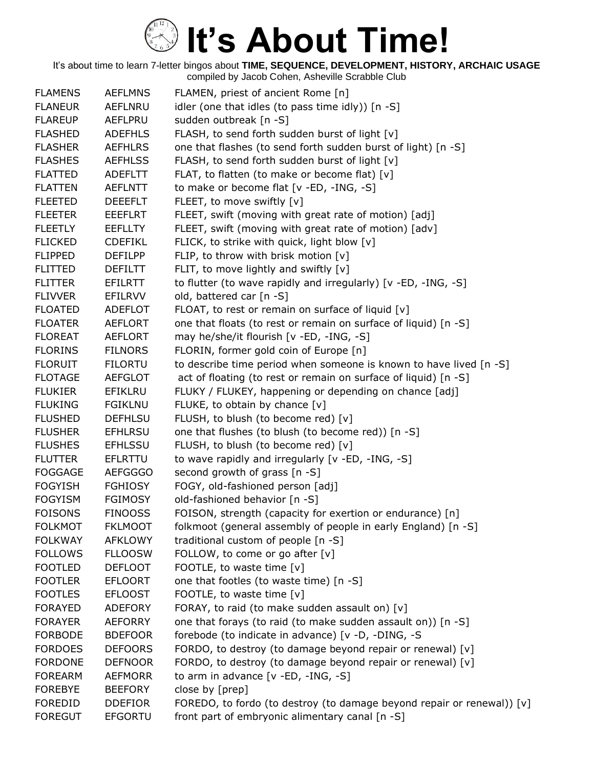| <b>FLAMENS</b> | <b>AEFLMNS</b> | FLAMEN, priest of ancient Rome [n]                                     |
|----------------|----------------|------------------------------------------------------------------------|
| <b>FLANEUR</b> | <b>AEFLNRU</b> | idler (one that idles (to pass time idly)) [n -S]                      |
| <b>FLAREUP</b> | AEFLPRU        | sudden outbreak [n -S]                                                 |
| <b>FLASHED</b> | <b>ADEFHLS</b> | FLASH, to send forth sudden burst of light [v]                         |
| <b>FLASHER</b> | <b>AEFHLRS</b> | one that flashes (to send forth sudden burst of light) [n -S]          |
| <b>FLASHES</b> | <b>AEFHLSS</b> | FLASH, to send forth sudden burst of light [v]                         |
| <b>FLATTED</b> | <b>ADEFLTT</b> | FLAT, to flatten (to make or become flat) [v]                          |
| <b>FLATTEN</b> | <b>AEFLNTT</b> | to make or become flat [v -ED, -ING, -S]                               |
| <b>FLEETED</b> | <b>DEEEFLT</b> | FLEET, to move swiftly [v]                                             |
| <b>FLEETER</b> | <b>EEEFLRT</b> | FLEET, swift (moving with great rate of motion) [adj]                  |
| <b>FLEETLY</b> | <b>EEFLLTY</b> | FLEET, swift (moving with great rate of motion) [adv]                  |
| <b>FLICKED</b> | <b>CDEFIKL</b> | FLICK, to strike with quick, light blow [v]                            |
| <b>FLIPPED</b> | <b>DEFILPP</b> | FLIP, to throw with brisk motion [v]                                   |
| <b>FLITTED</b> | <b>DEFILTT</b> | FLIT, to move lightly and swiftly $[v]$                                |
| <b>FLITTER</b> | <b>EFILRTT</b> | to flutter (to wave rapidly and irregularly) [v -ED, -ING, -S]         |
| <b>FLIVVER</b> | <b>EFILRVV</b> | old, battered car [n -S]                                               |
| <b>FLOATED</b> | <b>ADEFLOT</b> | FLOAT, to rest or remain on surface of liquid [v]                      |
| <b>FLOATER</b> | <b>AEFLORT</b> | one that floats (to rest or remain on surface of liquid) [n -S]        |
| <b>FLOREAT</b> | <b>AEFLORT</b> | may he/she/it flourish [v -ED, -ING, -S]                               |
| <b>FLORINS</b> | <b>FILNORS</b> | FLORIN, former gold coin of Europe [n]                                 |
| <b>FLORUIT</b> | <b>FILORTU</b> | to describe time period when someone is known to have lived [n -S]     |
| <b>FLOTAGE</b> | <b>AEFGLOT</b> | act of floating (to rest or remain on surface of liquid) [n -S]        |
| <b>FLUKIER</b> | EFIKLRU        | FLUKY / FLUKEY, happening or depending on chance [adj]                 |
| <b>FLUKING</b> | <b>FGIKLNU</b> | FLUKE, to obtain by chance [v]                                         |
| <b>FLUSHED</b> | <b>DEFHLSU</b> | FLUSH, to blush (to become red) [v]                                    |
| <b>FLUSHER</b> | EFHLRSU        | one that flushes (to blush (to become red)) [n -S]                     |
| <b>FLUSHES</b> | <b>EFHLSSU</b> | FLUSH, to blush (to become red) [v]                                    |
| <b>FLUTTER</b> | <b>EFLRTTU</b> | to wave rapidly and irregularly [v -ED, -ING, -S]                      |
| <b>FOGGAGE</b> | <b>AEFGGGO</b> | second growth of grass [n -S]                                          |
| <b>FOGYISH</b> | <b>FGHIOSY</b> | FOGY, old-fashioned person [adj]                                       |
| <b>FOGYISM</b> | <b>FGIMOSY</b> | old-fashioned behavior [n -S]                                          |
| <b>FOISONS</b> | <b>FINOOSS</b> | FOISON, strength (capacity for exertion or endurance) [n]              |
| <b>FOLKMOT</b> | <b>FKLMOOT</b> | folkmoot (general assembly of people in early England) [n -S]          |
| <b>FOLKWAY</b> | <b>AFKLOWY</b> | traditional custom of people [n -S]                                    |
| <b>FOLLOWS</b> | <b>FLLOOSW</b> | FOLLOW, to come or go after [v]                                        |
| <b>FOOTLED</b> | <b>DEFLOOT</b> | FOOTLE, to waste time [v]                                              |
| <b>FOOTLER</b> | <b>EFLOORT</b> | one that footles (to waste time) [n -S]                                |
| <b>FOOTLES</b> | <b>EFLOOST</b> | FOOTLE, to waste time [v]                                              |
| <b>FORAYED</b> | <b>ADEFORY</b> | FORAY, to raid (to make sudden assault on) [v]                         |
| <b>FORAYER</b> | <b>AEFORRY</b> | one that forays (to raid (to make sudden assault on)) [n -S]           |
| <b>FORBODE</b> | <b>BDEFOOR</b> | forebode (to indicate in advance) [v -D, -DING, -S                     |
| <b>FORDOES</b> | <b>DEFOORS</b> | FORDO, to destroy (to damage beyond repair or renewal) [v]             |
| <b>FORDONE</b> | <b>DEFNOOR</b> | FORDO, to destroy (to damage beyond repair or renewal) [v]             |
| <b>FOREARM</b> | <b>AEFMORR</b> | to arm in advance $[v - ED, -ING, -S]$                                 |
| <b>FOREBYE</b> | <b>BEEFORY</b> | close by [prep]                                                        |
| <b>FOREDID</b> | <b>DDEFIOR</b> | FOREDO, to fordo (to destroy (to damage beyond repair or renewal)) [v] |
| <b>FOREGUT</b> | <b>EFGORTU</b> | front part of embryonic alimentary canal [n -S]                        |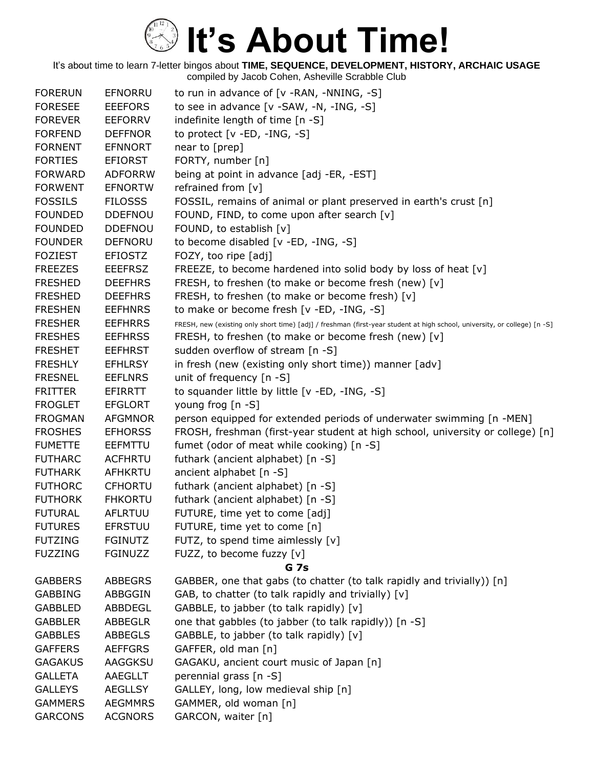| <b>FORERUN</b> | <b>EFNORRU</b> | to run in advance of [v -RAN, -NNING, -S]                                                                                 |
|----------------|----------------|---------------------------------------------------------------------------------------------------------------------------|
| <b>FORESEE</b> | <b>EEEFORS</b> | to see in advance [v -SAW, -N, -ING, -S]                                                                                  |
| <b>FOREVER</b> | <b>EEFORRV</b> | indefinite length of time [n -S]                                                                                          |
| <b>FORFEND</b> | <b>DEFFNOR</b> | to protect [v -ED, -ING, -S]                                                                                              |
| <b>FORNENT</b> | <b>EFNNORT</b> | near to [prep]                                                                                                            |
| <b>FORTIES</b> | EFIORST        | FORTY, number [n]                                                                                                         |
| <b>FORWARD</b> | <b>ADFORRW</b> | being at point in advance [adj -ER, -EST]                                                                                 |
| <b>FORWENT</b> | <b>EFNORTW</b> | refrained from $[v]$                                                                                                      |
| <b>FOSSILS</b> | <b>FILOSSS</b> | FOSSIL, remains of animal or plant preserved in earth's crust [n]                                                         |
| <b>FOUNDED</b> | <b>DDEFNOU</b> | FOUND, FIND, to come upon after search [v]                                                                                |
| <b>FOUNDED</b> | <b>DDEFNOU</b> | FOUND, to establish [v]                                                                                                   |
| <b>FOUNDER</b> | <b>DEFNORU</b> | to become disabled [v -ED, -ING, -S]                                                                                      |
| <b>FOZIEST</b> | <b>EFIOSTZ</b> | FOZY, too ripe [adj]                                                                                                      |
| <b>FREEZES</b> | <b>EEEFRSZ</b> | FREEZE, to become hardened into solid body by loss of heat [v]                                                            |
| <b>FRESHED</b> | <b>DEEFHRS</b> | FRESH, to freshen (to make or become fresh (new) [v]                                                                      |
| <b>FRESHED</b> | <b>DEEFHRS</b> | FRESH, to freshen (to make or become fresh) [v]                                                                           |
| <b>FRESHEN</b> | <b>EEFHNRS</b> | to make or become fresh [v -ED, -ING, -S]                                                                                 |
| <b>FRESHER</b> | <b>EEFHRRS</b> | FRESH, new (existing only short time) [adj] / freshman (first-year student at high school, university, or college) [n -S] |
| <b>FRESHES</b> | <b>EEFHRSS</b> | FRESH, to freshen (to make or become fresh (new) [v]                                                                      |
| <b>FRESHET</b> | <b>EEFHRST</b> | sudden overflow of stream [n -S]                                                                                          |
| <b>FRESHLY</b> | <b>EFHLRSY</b> | in fresh (new (existing only short time)) manner [adv]                                                                    |
| <b>FRESNEL</b> | <b>EEFLNRS</b> | unit of frequency [n -S]                                                                                                  |
| <b>FRITTER</b> | <b>EFIRRTT</b> | to squander little by little [v -ED, -ING, -S]                                                                            |
| <b>FROGLET</b> | <b>EFGLORT</b> | young frog [n -S]                                                                                                         |
| <b>FROGMAN</b> | <b>AFGMNOR</b> | person equipped for extended periods of underwater swimming [n -MEN]                                                      |
| <b>FROSHES</b> | <b>EFHORSS</b> | FROSH, freshman (first-year student at high school, university or college) [n]                                            |
| <b>FUMETTE</b> | <b>EEFMTTU</b> | fumet (odor of meat while cooking) [n -S]                                                                                 |
| <b>FUTHARC</b> | <b>ACFHRTU</b> | futhark (ancient alphabet) [n -S]                                                                                         |
| <b>FUTHARK</b> | AFHKRTU        | ancient alphabet [n -S]                                                                                                   |
| <b>FUTHORC</b> | <b>CFHORTU</b> | futhark (ancient alphabet) [n -S]                                                                                         |
| <b>FUTHORK</b> | <b>FHKORTU</b> | futhark (ancient alphabet) [n -S]                                                                                         |
| <b>FUTURAL</b> | AFLRTUU        | FUTURE, time yet to come [adj]                                                                                            |
| <b>FUTURES</b> | <b>EFRSTUU</b> | FUTURE, time yet to come [n]                                                                                              |
| <b>FUTZING</b> | <b>FGINUTZ</b> | FUTZ, to spend time aimlessly [v]                                                                                         |
| <b>FUZZING</b> | <b>FGINUZZ</b> | FUZZ, to become fuzzy [v]                                                                                                 |
|                |                | <b>G</b> 7s                                                                                                               |
| <b>GABBERS</b> | <b>ABBEGRS</b> | GABBER, one that gabs (to chatter (to talk rapidly and trivially)) [n]                                                    |
| <b>GABBING</b> | ABBGGIN        | GAB, to chatter (to talk rapidly and trivially) [v]                                                                       |
| <b>GABBLED</b> | ABBDEGL        | GABBLE, to jabber (to talk rapidly) [v]                                                                                   |
| <b>GABBLER</b> | <b>ABBEGLR</b> | one that gabbles (to jabber (to talk rapidly)) [n -S]                                                                     |
| <b>GABBLES</b> | <b>ABBEGLS</b> | GABBLE, to jabber (to talk rapidly) [v]                                                                                   |
| <b>GAFFERS</b> | <b>AEFFGRS</b> | GAFFER, old man [n]                                                                                                       |
| <b>GAGAKUS</b> | AAGGKSU        | GAGAKU, ancient court music of Japan [n]                                                                                  |
| <b>GALLETA</b> | AAEGLLT        | perennial grass [n -S]                                                                                                    |
| <b>GALLEYS</b> | <b>AEGLLSY</b> | GALLEY, long, low medieval ship [n]                                                                                       |
| <b>GAMMERS</b> | <b>AEGMMRS</b> | GAMMER, old woman [n]                                                                                                     |
| <b>GARCONS</b> | <b>ACGNORS</b> | GARCON, waiter [n]                                                                                                        |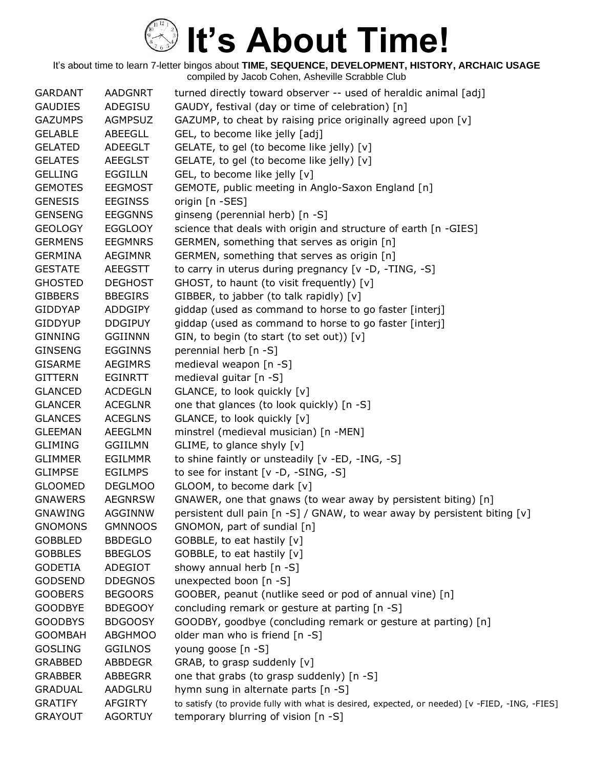| <b>AADGNRT</b> | turned directly toward observer -- used of heraldic animal [adj]                               |
|----------------|------------------------------------------------------------------------------------------------|
| ADEGISU        | GAUDY, festival (day or time of celebration) [n]                                               |
| <b>AGMPSUZ</b> | GAZUMP, to cheat by raising price originally agreed upon [v]                                   |
| ABEEGLL        | GEL, to become like jelly [adj]                                                                |
| <b>ADEEGLT</b> | GELATE, to gel (to become like jelly) [v]                                                      |
| AEEGLST        | GELATE, to gel (to become like jelly) [v]                                                      |
| <b>EGGILLN</b> | GEL, to become like jelly [v]                                                                  |
| <b>EEGMOST</b> | GEMOTE, public meeting in Anglo-Saxon England [n]                                              |
| <b>EEGINSS</b> | origin [n -SES]                                                                                |
| <b>EEGGNNS</b> | ginseng (perennial herb) [n -S]                                                                |
| <b>EGGLOOY</b> | science that deals with origin and structure of earth [n -GIES]                                |
| <b>EEGMNRS</b> | GERMEN, something that serves as origin [n]                                                    |
| AEGIMNR        | GERMEN, something that serves as origin [n]                                                    |
| <b>AEEGSTT</b> | to carry in uterus during pregnancy [v -D, -TING, -S]                                          |
| <b>DEGHOST</b> | GHOST, to haunt (to visit frequently) [v]                                                      |
| <b>BBEGIRS</b> | GIBBER, to jabber (to talk rapidly) [v]                                                        |
| <b>ADDGIPY</b> | giddap (used as command to horse to go faster [interj]                                         |
| <b>DDGIPUY</b> | giddap (used as command to horse to go faster [interj]                                         |
| <b>GGIINNN</b> | GIN, to begin (to start (to set out)) $[v]$                                                    |
| <b>EGGINNS</b> | perennial herb [n -S]                                                                          |
| AEGIMRS        | medieval weapon [n -S]                                                                         |
| <b>EGINRTT</b> | medieval guitar [n -S]                                                                         |
| <b>ACDEGLN</b> | GLANCE, to look quickly [v]                                                                    |
| <b>ACEGLNR</b> | one that glances (to look quickly) [n -S]                                                      |
| <b>ACEGLNS</b> | GLANCE, to look quickly [v]                                                                    |
| <b>AEEGLMN</b> | minstrel (medieval musician) [n -MEN]                                                          |
| GGIILMN        | GLIME, to glance shyly [v]                                                                     |
| <b>EGILMMR</b> | to shine faintly or unsteadily [v -ED, -ING, -S]                                               |
| <b>EGILMPS</b> | to see for instant $[v -D, -SING, -S]$                                                         |
| <b>DEGLMOO</b> | GLOOM, to become dark [v]                                                                      |
| <b>AEGNRSW</b> | GNAWER, one that gnaws (to wear away by persistent biting) [n]                                 |
| <b>AGGINNW</b> | persistent dull pain $[n - S]$ / GNAW, to wear away by persistent biting $[v]$                 |
| <b>GMNNOOS</b> | GNOMON, part of sundial [n]                                                                    |
| <b>BBDEGLO</b> | GOBBLE, to eat hastily [v]                                                                     |
| <b>BBEGLOS</b> | GOBBLE, to eat hastily [v]                                                                     |
| ADEGIOT        | showy annual herb [n -S]                                                                       |
| <b>DDEGNOS</b> | unexpected boon [n -S]                                                                         |
| <b>BEGOORS</b> | GOOBER, peanut (nutlike seed or pod of annual vine) [n]                                        |
| <b>BDEGOOY</b> | concluding remark or gesture at parting [n -S]                                                 |
| <b>BDGOOSY</b> | GOODBY, goodbye (concluding remark or gesture at parting) [n]                                  |
| <b>ABGHMOO</b> | older man who is friend [n -S]                                                                 |
| <b>GGILNOS</b> | young goose [n -S]                                                                             |
| <b>ABBDEGR</b> | GRAB, to grasp suddenly [v]                                                                    |
| ABBEGRR        | one that grabs (to grasp suddenly) [n -S]                                                      |
| AADGLRU        | hymn sung in alternate parts [n -S]                                                            |
| AFGIRTY        | to satisfy (to provide fully with what is desired, expected, or needed) [v -FIED, -ING, -FIES] |
| <b>AGORTUY</b> | temporary blurring of vision [n -S]                                                            |
|                |                                                                                                |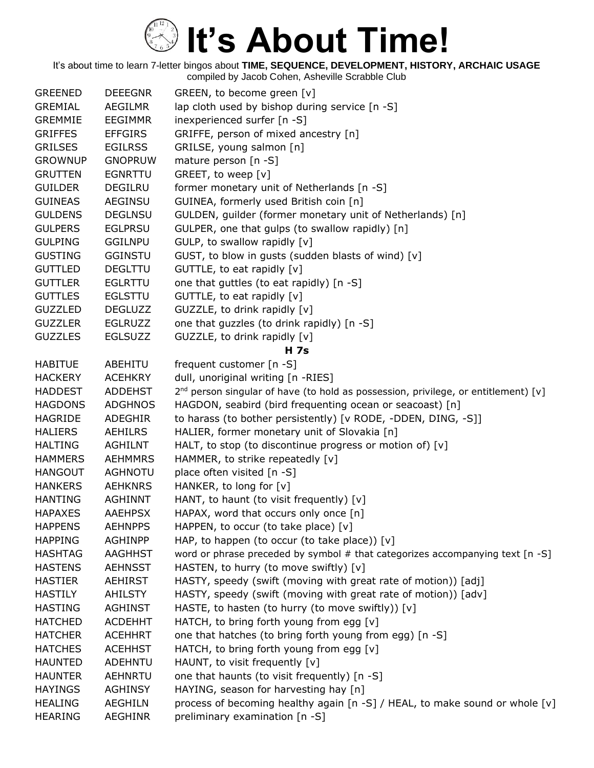| <b>GREENED</b> | <b>DEEEGNR</b> | GREEN, to become green [v]                                                              |
|----------------|----------------|-----------------------------------------------------------------------------------------|
| <b>GREMIAL</b> | <b>AEGILMR</b> | lap cloth used by bishop during service [n -S]                                          |
| <b>GREMMIE</b> | <b>EEGIMMR</b> | inexperienced surfer [n -S]                                                             |
| <b>GRIFFES</b> | <b>EFFGIRS</b> | GRIFFE, person of mixed ancestry [n]                                                    |
| <b>GRILSES</b> | <b>EGILRSS</b> | GRILSE, young salmon [n]                                                                |
| <b>GROWNUP</b> | <b>GNOPRUW</b> | mature person [n -S]                                                                    |
| <b>GRUTTEN</b> | <b>EGNRTTU</b> | GREET, to weep [v]                                                                      |
| <b>GUILDER</b> | <b>DEGILRU</b> | former monetary unit of Netherlands [n -S]                                              |
| <b>GUINEAS</b> | AEGINSU        | GUINEA, formerly used British coin [n]                                                  |
| <b>GULDENS</b> | <b>DEGLNSU</b> | GULDEN, guilder (former monetary unit of Netherlands) [n]                               |
| <b>GULPERS</b> | <b>EGLPRSU</b> | GULPER, one that gulps (to swallow rapidly) [n]                                         |
| <b>GULPING</b> | <b>GGILNPU</b> | GULP, to swallow rapidly [v]                                                            |
| <b>GUSTING</b> | <b>GGINSTU</b> | GUST, to blow in gusts (sudden blasts of wind) [v]                                      |
| <b>GUTTLED</b> | <b>DEGLTTU</b> | GUTTLE, to eat rapidly [v]                                                              |
| <b>GUTTLER</b> | <b>EGLRTTU</b> | one that guttles (to eat rapidly) [n -S]                                                |
| <b>GUTTLES</b> | <b>EGLSTTU</b> | GUTTLE, to eat rapidly [v]                                                              |
| <b>GUZZLED</b> | <b>DEGLUZZ</b> | GUZZLE, to drink rapidly [v]                                                            |
| <b>GUZZLER</b> | <b>EGLRUZZ</b> | one that guzzles (to drink rapidly) [n -S]                                              |
| <b>GUZZLES</b> | <b>EGLSUZZ</b> | GUZZLE, to drink rapidly [v]                                                            |
|                |                | <b>H</b> 7s                                                                             |
| <b>HABITUE</b> | ABEHITU        | frequent customer [n -S]                                                                |
| <b>HACKERY</b> | <b>ACEHKRY</b> | dull, unoriginal writing [n -RIES]                                                      |
| <b>HADDEST</b> | <b>ADDEHST</b> | $2^{nd}$ person singular of have (to hold as possession, privilege, or entitlement) [v] |
| <b>HAGDONS</b> | <b>ADGHNOS</b> | HAGDON, seabird (bird frequenting ocean or seacoast) [n]                                |
| <b>HAGRIDE</b> | ADEGHIR        | to harass (to bother persistently) [v RODE, -DDEN, DING, -S]]                           |
| <b>HALIERS</b> | <b>AEHILRS</b> | HALIER, former monetary unit of Slovakia [n]                                            |
| <b>HALTING</b> | <b>AGHILNT</b> | HALT, to stop (to discontinue progress or motion of) [v]                                |
| <b>HAMMERS</b> | <b>AEHMMRS</b> | HAMMER, to strike repeatedly [v]                                                        |
| <b>HANGOUT</b> | <b>AGHNOTU</b> | place often visited [n -S]                                                              |
| <b>HANKERS</b> | <b>AEHKNRS</b> | HANKER, to long for [v]                                                                 |
| <b>HANTING</b> | <b>AGHINNT</b> | HANT, to haunt (to visit frequently) [v]                                                |
| <b>HAPAXES</b> | <b>AAEHPSX</b> | HAPAX, word that occurs only once [n]                                                   |
| <b>HAPPENS</b> | <b>AEHNPPS</b> | HAPPEN, to occur (to take place) [v]                                                    |
| <b>HAPPING</b> | <b>AGHINPP</b> | HAP, to happen (to occur (to take place)) $[v]$                                         |
| <b>HASHTAG</b> | <b>AAGHHST</b> | word or phrase preceded by symbol # that categorizes accompanying text [n -S]           |
| <b>HASTENS</b> | <b>AEHNSST</b> | HASTEN, to hurry (to move swiftly) [v]                                                  |
| <b>HASTIER</b> | <b>AEHIRST</b> | HASTY, speedy (swift (moving with great rate of motion)) [adj]                          |
| <b>HASTILY</b> | <b>AHILSTY</b> | HASTY, speedy (swift (moving with great rate of motion)) [adv]                          |
| <b>HASTING</b> | <b>AGHINST</b> | HASTE, to hasten (to hurry (to move swiftly)) [v]                                       |
| <b>HATCHED</b> | <b>ACDEHHT</b> | HATCH, to bring forth young from egg [v]                                                |
| <b>HATCHER</b> | <b>ACEHHRT</b> | one that hatches (to bring forth young from egg) [n -S]                                 |
| <b>HATCHES</b> | <b>ACEHHST</b> | HATCH, to bring forth young from egg [v]                                                |
| <b>HAUNTED</b> | <b>ADEHNTU</b> | HAUNT, to visit frequently [v]                                                          |
| <b>HAUNTER</b> | AEHNRTU        | one that haunts (to visit frequently) [n -S]                                            |
| <b>HAYINGS</b> | <b>AGHINSY</b> | HAYING, season for harvesting hay [n]                                                   |
| <b>HEALING</b> | <b>AEGHILN</b> | process of becoming healthy again [n -S] / HEAL, to make sound or whole [v]             |
| <b>HEARING</b> | <b>AEGHINR</b> | preliminary examination [n -S]                                                          |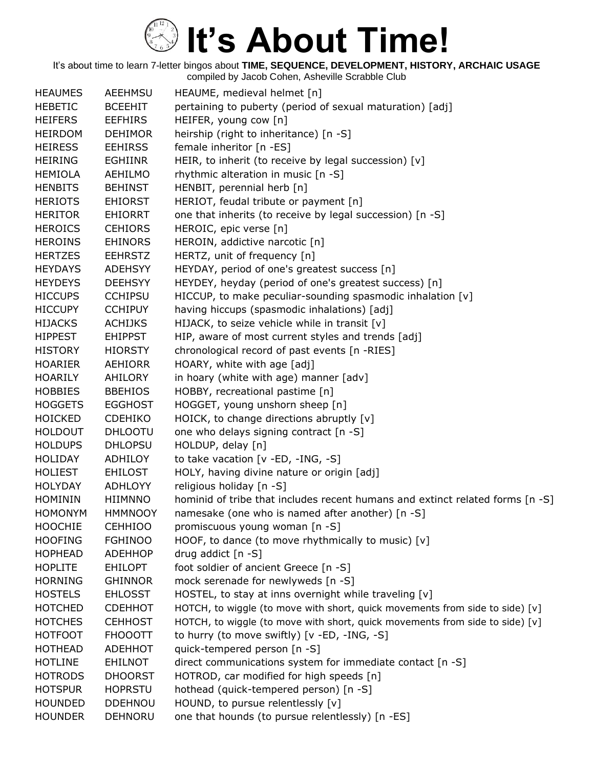| <b>HEAUMES</b> | AEEHMSU        | HEAUME, medieval helmet [n]                                                   |
|----------------|----------------|-------------------------------------------------------------------------------|
| <b>HEBETIC</b> | <b>BCEEHIT</b> | pertaining to puberty (period of sexual maturation) [adj]                     |
| <b>HEIFERS</b> | <b>EEFHIRS</b> | HEIFER, young cow [n]                                                         |
| <b>HEIRDOM</b> | <b>DEHIMOR</b> | heirship (right to inheritance) [n -S]                                        |
| <b>HEIRESS</b> | <b>EEHIRSS</b> | female inheritor [n -ES]                                                      |
| <b>HEIRING</b> | EGHIINR        | HEIR, to inherit (to receive by legal succession) [v]                         |
| <b>HEMIOLA</b> | AEHILMO        | rhythmic alteration in music [n -S]                                           |
| <b>HENBITS</b> | <b>BEHINST</b> | HENBIT, perennial herb [n]                                                    |
| <b>HERIOTS</b> | <b>EHIORST</b> | HERIOT, feudal tribute or payment [n]                                         |
| <b>HERITOR</b> | <b>EHIORRT</b> | one that inherits (to receive by legal succession) [n -S]                     |
| <b>HEROICS</b> | <b>CEHIORS</b> | HEROIC, epic verse [n]                                                        |
| <b>HEROINS</b> | <b>EHINORS</b> | HEROIN, addictive narcotic [n]                                                |
| <b>HERTZES</b> | <b>EEHRSTZ</b> | HERTZ, unit of frequency [n]                                                  |
| <b>HEYDAYS</b> | <b>ADEHSYY</b> | HEYDAY, period of one's greatest success [n]                                  |
| <b>HEYDEYS</b> | <b>DEEHSYY</b> | HEYDEY, heyday (period of one's greatest success) [n]                         |
| <b>HICCUPS</b> | <b>CCHIPSU</b> | HICCUP, to make peculiar-sounding spasmodic inhalation [v]                    |
| <b>HICCUPY</b> | <b>CCHIPUY</b> | having hiccups (spasmodic inhalations) [adj]                                  |
| <b>HIJACKS</b> | <b>ACHIJKS</b> | HIJACK, to seize vehicle while in transit [v]                                 |
| <b>HIPPEST</b> | <b>EHIPPST</b> | HIP, aware of most current styles and trends [adj]                            |
| <b>HISTORY</b> | <b>HIORSTY</b> | chronological record of past events [n -RIES]                                 |
| <b>HOARIER</b> | AEHIORR        | HOARY, white with age [adj]                                                   |
| <b>HOARILY</b> | AHILORY        | in hoary (white with age) manner [adv]                                        |
| <b>HOBBIES</b> | <b>BBEHIOS</b> | HOBBY, recreational pastime [n]                                               |
| <b>HOGGETS</b> | <b>EGGHOST</b> | HOGGET, young unshorn sheep [n]                                               |
| <b>HOICKED</b> | <b>CDEHIKO</b> | HOICK, to change directions abruptly [v]                                      |
| <b>HOLDOUT</b> | <b>DHLOOTU</b> | one who delays signing contract [n -S]                                        |
| <b>HOLDUPS</b> | <b>DHLOPSU</b> | HOLDUP, delay [n]                                                             |
| <b>HOLIDAY</b> | ADHILOY        | to take vacation [v -ED, -ING, -S]                                            |
| <b>HOLIEST</b> | <b>EHILOST</b> | HOLY, having divine nature or origin [adj]                                    |
| <b>HOLYDAY</b> | <b>ADHLOYY</b> | religious holiday [n -S]                                                      |
| <b>HOMININ</b> | <b>HIIMNNO</b> | hominid of tribe that includes recent humans and extinct related forms [n -S] |
| <b>HOMONYM</b> | <b>HMMNOOY</b> | namesake (one who is named after another) [n -S]                              |
| <b>HOOCHIE</b> | <b>CEHHIOO</b> | promiscuous young woman [n -S]                                                |
| <b>HOOFING</b> | <b>FGHINOO</b> | HOOF, to dance (to move rhythmically to music) $[v]$                          |
| <b>HOPHEAD</b> | <b>ADEHHOP</b> | drug addict $[n - S]$                                                         |
| <b>HOPLITE</b> | <b>EHILOPT</b> | foot soldier of ancient Greece [n -S]                                         |
| <b>HORNING</b> | <b>GHINNOR</b> | mock serenade for newlyweds [n -S]                                            |
| <b>HOSTELS</b> | <b>EHLOSST</b> | HOSTEL, to stay at inns overnight while traveling [v]                         |
| <b>HOTCHED</b> | <b>CDEHHOT</b> | HOTCH, to wiggle (to move with short, quick movements from side to side) [v]  |
| <b>HOTCHES</b> | <b>CEHHOST</b> | HOTCH, to wiggle (to move with short, quick movements from side to side) [v]  |
| <b>HOTFOOT</b> | <b>FHOOOTT</b> | to hurry (to move swiftly) [v -ED, -ING, -S]                                  |
| <b>HOTHEAD</b> | <b>ADEHHOT</b> | quick-tempered person [n -S]                                                  |
| <b>HOTLINE</b> | <b>EHILNOT</b> | direct communications system for immediate contact [n -S]                     |
| <b>HOTRODS</b> | <b>DHOORST</b> | HOTROD, car modified for high speeds [n]                                      |
| <b>HOTSPUR</b> | <b>HOPRSTU</b> | hothead (quick-tempered person) [n -S]                                        |
| <b>HOUNDED</b> | <b>DDEHNOU</b> | HOUND, to pursue relentlessly [v]                                             |
| <b>HOUNDER</b> | <b>DEHNORU</b> | one that hounds (to pursue relentlessly) [n -ES]                              |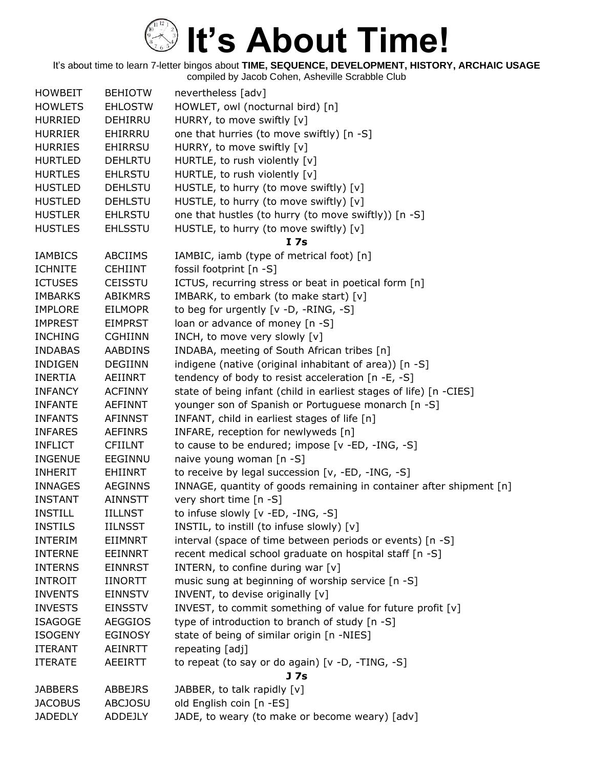| <b>HOWBEIT</b> | <b>BEHIOTW</b> | nevertheless [adv]                                                  |
|----------------|----------------|---------------------------------------------------------------------|
| <b>HOWLETS</b> | <b>EHLOSTW</b> | HOWLET, owl (nocturnal bird) [n]                                    |
| <b>HURRIED</b> | <b>DEHIRRU</b> | HURRY, to move swiftly [v]                                          |
| <b>HURRIER</b> | EHIRRRU        | one that hurries (to move swiftly) [n -S]                           |
| <b>HURRIES</b> | <b>EHIRRSU</b> | HURRY, to move swiftly [v]                                          |
| <b>HURTLED</b> | <b>DEHLRTU</b> | HURTLE, to rush violently [v]                                       |
| <b>HURTLES</b> | <b>EHLRSTU</b> | HURTLE, to rush violently [v]                                       |
| <b>HUSTLED</b> | <b>DEHLSTU</b> | HUSTLE, to hurry (to move swiftly) [v]                              |
| <b>HUSTLED</b> | <b>DEHLSTU</b> | HUSTLE, to hurry (to move swiftly) [v]                              |
| <b>HUSTLER</b> | <b>EHLRSTU</b> | one that hustles (to hurry (to move swiftly)) [n -S]                |
| <b>HUSTLES</b> | <b>EHLSSTU</b> | HUSTLE, to hurry (to move swiftly) [v]                              |
|                |                | I <sub>7s</sub>                                                     |
| <b>IAMBICS</b> | <b>ABCIIMS</b> | IAMBIC, iamb (type of metrical foot) [n]                            |
| <b>ICHNITE</b> | <b>CEHIINT</b> | fossil footprint [n -S]                                             |
| <b>ICTUSES</b> | <b>CEISSTU</b> | ICTUS, recurring stress or beat in poetical form [n]                |
| <b>IMBARKS</b> | <b>ABIKMRS</b> | IMBARK, to embark (to make start) [v]                               |
| <b>IMPLORE</b> | <b>EILMOPR</b> | to beg for urgently $[v -D, -RING, -S]$                             |
| <b>IMPREST</b> | <b>EIMPRST</b> | loan or advance of money [n -S]                                     |
| <b>INCHING</b> | <b>CGHIINN</b> | INCH, to move very slowly [v]                                       |
| <b>INDABAS</b> | <b>AABDINS</b> | INDABA, meeting of South African tribes [n]                         |
| <b>INDIGEN</b> | <b>DEGIINN</b> | indigene (native (original inhabitant of area)) [n -S]              |
| <b>INERTIA</b> | AEIINRT        | tendency of body to resist acceleration [n -E, -S]                  |
| <b>INFANCY</b> | <b>ACFINNY</b> | state of being infant (child in earliest stages of life) [n -CIES]  |
| <b>INFANTE</b> | <b>AEFINNT</b> | younger son of Spanish or Portuguese monarch [n -S]                 |
| <b>INFANTS</b> | <b>AFINNST</b> | INFANT, child in earliest stages of life [n]                        |
| <b>INFARES</b> | <b>AEFINRS</b> | INFARE, reception for newlyweds [n]                                 |
| <b>INFLICT</b> | <b>CFIILNT</b> | to cause to be endured; impose [v -ED, -ING, -S]                    |
| <b>INGENUE</b> | EEGINNU        | naive young woman [n -S]                                            |
| <b>INHERIT</b> | EHIINRT        | to receive by legal succession [v, -ED, -ING, -S]                   |
| <b>INNAGES</b> | <b>AEGINNS</b> | INNAGE, quantity of goods remaining in container after shipment [n] |
| <b>INSTANT</b> | <b>AINNSTT</b> | very short time [n -S]                                              |
| <b>INSTILL</b> | <b>IILLNST</b> | to infuse slowly [v -ED, -ING, -S]                                  |
| <b>INSTILS</b> | <b>IILNSST</b> | INSTIL, to instill (to infuse slowly) [v]                           |
| <b>INTERIM</b> | <b>EIIMNRT</b> | interval (space of time between periods or events) [n -S]           |
| <b>INTERNE</b> | <b>EEINNRT</b> | recent medical school graduate on hospital staff [n -S]             |
| <b>INTERNS</b> | <b>EINNRST</b> | INTERN, to confine during war [v]                                   |
| <b>INTROIT</b> | <b>IINORTT</b> | music sung at beginning of worship service [n -S]                   |
| <b>INVENTS</b> | <b>EINNSTV</b> | INVENT, to devise originally [v]                                    |
| <b>INVESTS</b> | <b>EINSSTV</b> | INVEST, to commit something of value for future profit [v]          |
| <b>ISAGOGE</b> | <b>AEGGIOS</b> | type of introduction to branch of study [n -S]                      |
| <b>ISOGENY</b> | <b>EGINOSY</b> | state of being of similar origin [n -NIES]                          |
| <b>ITERANT</b> | AEINRTT        | repeating [adj]                                                     |
| <b>ITERATE</b> | <b>AEEIRTT</b> | to repeat (to say or do again) [v -D, -TING, -S]                    |
|                |                | J 7s                                                                |
| <b>JABBERS</b> | <b>ABBEJRS</b> | JABBER, to talk rapidly [v]                                         |
| <b>JACOBUS</b> | <b>ABCJOSU</b> | old English coin [n -ES]                                            |
| <b>JADEDLY</b> | ADDEJLY        | JADE, to weary (to make or become weary) [adv]                      |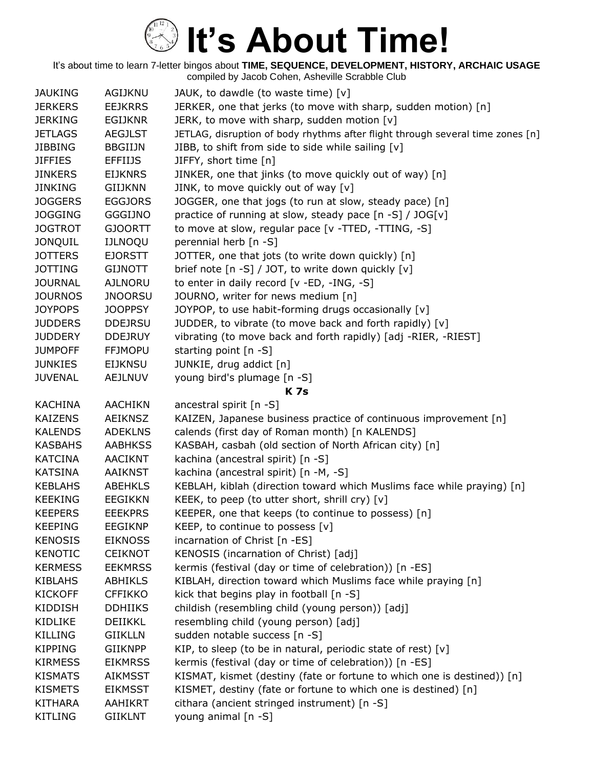| <b>JAUKING</b> | AGIJKNU        | JAUK, to dawdle (to waste time) [v]                                            |
|----------------|----------------|--------------------------------------------------------------------------------|
| <b>JERKERS</b> | <b>EEJKRRS</b> | JERKER, one that jerks (to move with sharp, sudden motion) [n]                 |
| <b>JERKING</b> | <b>EGIJKNR</b> | JERK, to move with sharp, sudden motion [v]                                    |
| <b>JETLAGS</b> | <b>AEGJLST</b> | JETLAG, disruption of body rhythms after flight through several time zones [n] |
| <b>JIBBING</b> | <b>BBGIIJN</b> | JIBB, to shift from side to side while sailing [v]                             |
| <b>JIFFIES</b> | <b>EFFIIJS</b> | JIFFY, short time [n]                                                          |
| <b>JINKERS</b> | <b>EIJKNRS</b> | JINKER, one that jinks (to move quickly out of way) [n]                        |
| <b>JINKING</b> | <b>GIIJKNN</b> | JINK, to move quickly out of way [v]                                           |
| <b>JOGGERS</b> | <b>EGGJORS</b> | JOGGER, one that jogs (to run at slow, steady pace) [n]                        |
| <b>JOGGING</b> | <b>GGGIJNO</b> | practice of running at slow, steady pace [n -S] / JOG[v]                       |
| <b>JOGTROT</b> | <b>GJOORTT</b> | to move at slow, regular pace [v -TTED, -TTING, -S]                            |
| <b>JONQUIL</b> | <b>IJLNOQU</b> | perennial herb [n -S]                                                          |
| <b>JOTTERS</b> | <b>EJORSTT</b> | JOTTER, one that jots (to write down quickly) [n]                              |
| <b>JOTTING</b> | <b>GIJNOTT</b> | brief note [n -S] / JOT, to write down quickly [v]                             |
| <b>JOURNAL</b> | <b>AJLNORU</b> | to enter in daily record [v -ED, -ING, -S]                                     |
| <b>JOURNOS</b> | <b>JNOORSU</b> | JOURNO, writer for news medium [n]                                             |
| <b>JOYPOPS</b> | <b>JOOPPSY</b> | JOYPOP, to use habit-forming drugs occasionally [v]                            |
| <b>JUDDERS</b> | <b>DDEJRSU</b> | JUDDER, to vibrate (to move back and forth rapidly) [v]                        |
| <b>JUDDERY</b> | <b>DDEJRUY</b> | vibrating (to move back and forth rapidly) [adj -RIER, -RIEST]                 |
| <b>JUMPOFF</b> | <b>FFJMOPU</b> | starting point $[n - S]$                                                       |
| <b>JUNKIES</b> | <b>EIJKNSU</b> | JUNKIE, drug addict [n]                                                        |
| <b>JUVENAL</b> | <b>AEJLNUV</b> | young bird's plumage [n -S]                                                    |
|                |                | <b>K7s</b>                                                                     |
| <b>KACHINA</b> | <b>AACHIKN</b> | ancestral spirit [n -S]                                                        |
| <b>KAIZENS</b> | <b>AEIKNSZ</b> | KAIZEN, Japanese business practice of continuous improvement [n]               |
| <b>KALENDS</b> | <b>ADEKLNS</b> | calends (first day of Roman month) [n KALENDS]                                 |
| <b>KASBAHS</b> | <b>AABHKSS</b> | KASBAH, casbah (old section of North African city) [n]                         |
| <b>KATCINA</b> | <b>AACIKNT</b> | kachina (ancestral spirit) [n -S]                                              |
| <b>KATSINA</b> | <b>AAIKNST</b> | kachina (ancestral spirit) [n -M, -S]                                          |
| <b>KEBLAHS</b> | <b>ABEHKLS</b> | KEBLAH, kiblah (direction toward which Muslims face while praying) [n]         |
| <b>KEEKING</b> | <b>EEGIKKN</b> | KEEK, to peep (to utter short, shrill cry) $[v]$                               |
| <b>KEEPERS</b> | <b>EEEKPRS</b> | KEEPER, one that keeps (to continue to possess) [n]                            |
| <b>KEEPING</b> | <b>EEGIKNP</b> | KEEP, to continue to possess $[v]$                                             |
| <b>KENOSIS</b> | <b>EIKNOSS</b> | incarnation of Christ [n -ES]                                                  |
| <b>KENOTIC</b> | <b>CEIKNOT</b> | KENOSIS (incarnation of Christ) [adj]                                          |
| <b>KERMESS</b> | <b>EEKMRSS</b> | kermis (festival (day or time of celebration)) [n -ES]                         |
| <b>KIBLAHS</b> | ABHIKLS        | KIBLAH, direction toward which Muslims face while praying [n]                  |
| <b>KICKOFF</b> | <b>CFFIKKO</b> | kick that begins play in football [n -S]                                       |
| <b>KIDDISH</b> | <b>DDHIIKS</b> | childish (resembling child (young person)) [adj]                               |
| KIDLIKE        | DEIIKKL        | resembling child (young person) [adj]                                          |
| <b>KILLING</b> | <b>GIIKLLN</b> | sudden notable success [n -S]                                                  |
| <b>KIPPING</b> | <b>GIIKNPP</b> | KIP, to sleep (to be in natural, periodic state of rest) [v]                   |
| <b>KIRMESS</b> | <b>EIKMRSS</b> | kermis (festival (day or time of celebration)) [n -ES]                         |
| <b>KISMATS</b> | <b>AIKMSST</b> | KISMAT, kismet (destiny (fate or fortune to which one is destined)) [n]        |
| <b>KISMETS</b> | <b>EIKMSST</b> | KISMET, destiny (fate or fortune to which one is destined) [n]                 |
| <b>KITHARA</b> | AAHIKRT        | cithara (ancient stringed instrument) [n -S]                                   |
| <b>KITLING</b> | <b>GIIKLNT</b> | young animal [n -S]                                                            |
|                |                |                                                                                |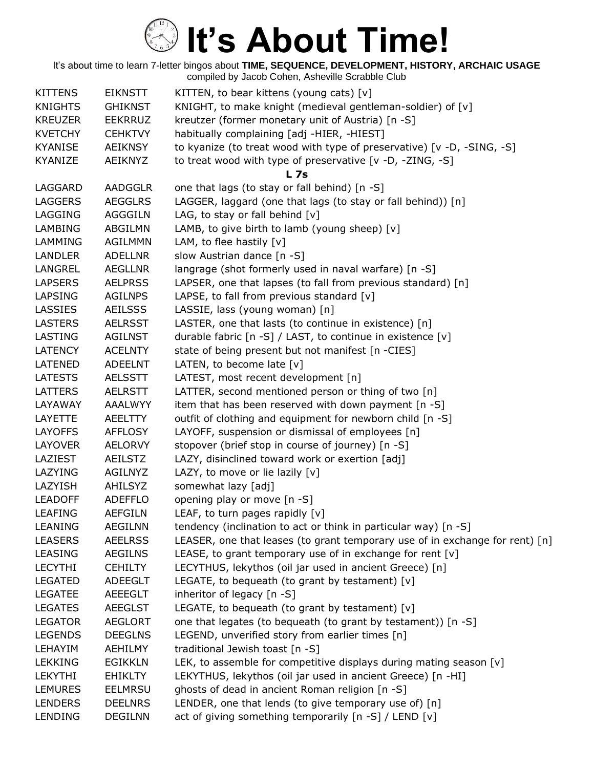| <b>KITTENS</b> | <b>EIKNSTT</b> | KITTEN, to bear kittens (young cats) $[v]$                                   |
|----------------|----------------|------------------------------------------------------------------------------|
| <b>KNIGHTS</b> | <b>GHIKNST</b> | KNIGHT, to make knight (medieval gentleman-soldier) of [v]                   |
| <b>KREUZER</b> | <b>EEKRRUZ</b> | kreutzer (former monetary unit of Austria) [n -S]                            |
| <b>KVETCHY</b> | <b>CEHKTVY</b> | habitually complaining [adj -HIER, -HIEST]                                   |
| <b>KYANISE</b> | <b>AEIKNSY</b> | to kyanize (to treat wood with type of preservative) [v -D, -SING, -S]       |
| KYANIZE        | AEIKNYZ        | to treat wood with type of preservative [v -D, -ZING, -S]                    |
|                |                | <b>L</b> 7s                                                                  |
| LAGGARD        | <b>AADGGLR</b> | one that lags (to stay or fall behind) [n -S]                                |
| <b>LAGGERS</b> | <b>AEGGLRS</b> | LAGGER, laggard (one that lags (to stay or fall behind)) [n]                 |
| LAGGING        | <b>AGGGILN</b> | LAG, to stay or fall behind $[v]$                                            |
| <b>LAMBING</b> | ABGILMN        | LAMB, to give birth to lamb (young sheep) [v]                                |
| LAMMING        | <b>AGILMMN</b> | LAM, to flee hastily $[v]$                                                   |
| LANDLER        | <b>ADELLNR</b> | slow Austrian dance [n -S]                                                   |
| LANGREL        | AEGLLNR        | langrage (shot formerly used in naval warfare) [n -S]                        |
| <b>LAPSERS</b> | <b>AELPRSS</b> | LAPSER, one that lapses (to fall from previous standard) [n]                 |
| LAPSING        | <b>AGILNPS</b> | LAPSE, to fall from previous standard $[v]$                                  |
| <b>LASSIES</b> | <b>AEILSSS</b> | LASSIE, lass (young woman) [n]                                               |
| <b>LASTERS</b> | <b>AELRSST</b> | LASTER, one that lasts (to continue in existence) [n]                        |
| LASTING        | <b>AGILNST</b> | durable fabric [n -S] / LAST, to continue in existence [v]                   |
| <b>LATENCY</b> | <b>ACELNTY</b> | state of being present but not manifest [n -CIES]                            |
| LATENED        | <b>ADEELNT</b> | LATEN, to become late $[v]$                                                  |
| <b>LATESTS</b> | <b>AELSSTT</b> | LATEST, most recent development [n]                                          |
| <b>LATTERS</b> | <b>AELRSTT</b> | LATTER, second mentioned person or thing of two [n]                          |
| LAYAWAY        | <b>AAALWYY</b> | item that has been reserved with down payment [n -S]                         |
| LAYETTE        | <b>AEELTTY</b> | outfit of clothing and equipment for newborn child [n -S]                    |
| <b>LAYOFFS</b> | <b>AFFLOSY</b> | LAYOFF, suspension or dismissal of employees [n]                             |
| LAYOVER        | <b>AELORVY</b> | stopover (brief stop in course of journey) [n -S]                            |
| LAZIEST        | <b>AEILSTZ</b> | LAZY, disinclined toward work or exertion [adj]                              |
| <b>LAZYING</b> | AGILNYZ        | LAZY, to move or lie lazily [v]                                              |
| LAZYISH        | <b>AHILSYZ</b> | somewhat lazy [adj]                                                          |
| <b>LEADOFF</b> | <b>ADEFFLO</b> | opening play or move [n -S]                                                  |
| <b>LEAFING</b> | <b>AEFGILN</b> | LEAF, to turn pages rapidly $[v]$                                            |
| <b>LEANING</b> | <b>AEGILNN</b> | tendency (inclination to act or think in particular way) [n -S]              |
| <b>LEASERS</b> | <b>AEELRSS</b> | LEASER, one that leases (to grant temporary use of in exchange for rent) [n] |
| <b>LEASING</b> | <b>AEGILNS</b> | LEASE, to grant temporary use of in exchange for rent [v]                    |
| <b>LECYTHI</b> | <b>CEHILTY</b> | LECYTHUS, lekythos (oil jar used in ancient Greece) [n]                      |
| <b>LEGATED</b> | <b>ADEEGLT</b> | LEGATE, to bequeath (to grant by testament) [v]                              |
| <b>LEGATEE</b> | <b>AEEEGLT</b> | inheritor of legacy [n -S]                                                   |
| <b>LEGATES</b> | <b>AEEGLST</b> | LEGATE, to bequeath (to grant by testament) $[v]$                            |
| <b>LEGATOR</b> | <b>AEGLORT</b> | one that legates (to bequeath (to grant by testament)) [n -S]                |
| <b>LEGENDS</b> | <b>DEEGLNS</b> | LEGEND, unverified story from earlier times [n]                              |
| LEHAYIM        | <b>AEHILMY</b> | traditional Jewish toast [n -S]                                              |
| <b>LEKKING</b> | <b>EGIKKLN</b> | LEK, to assemble for competitive displays during mating season [v]           |
| <b>LEKYTHI</b> | <b>EHIKLTY</b> | LEKYTHUS, lekythos (oil jar used in ancient Greece) [n -HI]                  |
| <b>LEMURES</b> | <b>EELMRSU</b> | ghosts of dead in ancient Roman religion [n -S]                              |
| <b>LENDERS</b> | <b>DEELNRS</b> | LENDER, one that lends (to give temporary use of) [n]                        |
| LENDING        | <b>DEGILNN</b> | act of giving something temporarily [n -S] / LEND [v]                        |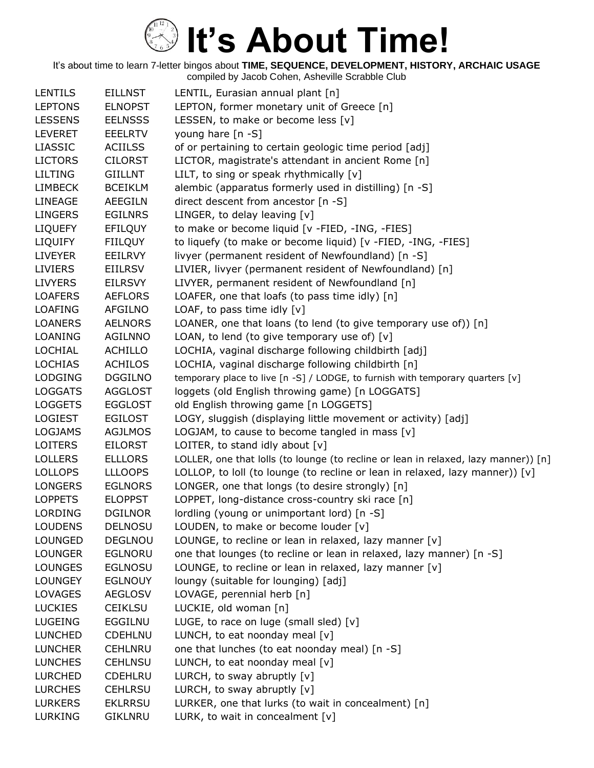| <b>LENTILS</b> | <b>EILLNST</b> | LENTIL, Eurasian annual plant [n]                                                   |
|----------------|----------------|-------------------------------------------------------------------------------------|
| <b>LEPTONS</b> | <b>ELNOPST</b> | LEPTON, former monetary unit of Greece [n]                                          |
| <b>LESSENS</b> | <b>EELNSSS</b> | LESSEN, to make or become less [v]                                                  |
| <b>LEVERET</b> | <b>EEELRTV</b> | young hare $[n -S]$                                                                 |
| <b>LIASSIC</b> | <b>ACIILSS</b> | of or pertaining to certain geologic time period [adj]                              |
| <b>LICTORS</b> | <b>CILORST</b> | LICTOR, magistrate's attendant in ancient Rome [n]                                  |
| <b>LILTING</b> | <b>GIILLNT</b> | LILT, to sing or speak rhythmically [v]                                             |
| <b>LIMBECK</b> | <b>BCEIKLM</b> | alembic (apparatus formerly used in distilling) [n -S]                              |
| LINEAGE        | <b>AEEGILN</b> | direct descent from ancestor [n -S]                                                 |
| <b>LINGERS</b> | <b>EGILNRS</b> | LINGER, to delay leaving [v]                                                        |
| <b>LIQUEFY</b> | <b>EFILQUY</b> | to make or become liquid [v -FIED, -ING, -FIES]                                     |
| <b>LIQUIFY</b> | <b>FIILQUY</b> | to liquefy (to make or become liquid) [v -FIED, -ING, -FIES]                        |
| <b>LIVEYER</b> | EEILRVY        | livyer (permanent resident of Newfoundland) [n -S]                                  |
| <b>LIVIERS</b> | EIILRSV        | LIVIER, livyer (permanent resident of Newfoundland) [n]                             |
| <b>LIVYERS</b> | <b>EILRSVY</b> | LIVYER, permanent resident of Newfoundland [n]                                      |
| <b>LOAFERS</b> | <b>AEFLORS</b> | LOAFER, one that loafs (to pass time idly) [n]                                      |
| <b>LOAFING</b> | <b>AFGILNO</b> | LOAF, to pass time idly [v]                                                         |
| <b>LOANERS</b> | <b>AELNORS</b> | LOANER, one that loans (to lend (to give temporary use of)) [n]                     |
| LOANING        | <b>AGILNNO</b> | LOAN, to lend (to give temporary use of) $[v]$                                      |
| LOCHIAL        | <b>ACHILLO</b> | LOCHIA, vaginal discharge following childbirth [adj]                                |
| <b>LOCHIAS</b> | <b>ACHILOS</b> | LOCHIA, vaginal discharge following childbirth [n]                                  |
| <b>LODGING</b> | <b>DGGILNO</b> | temporary place to live [n -S] / LODGE, to furnish with temporary quarters [v]      |
| <b>LOGGATS</b> | <b>AGGLOST</b> | loggets (old English throwing game) [n LOGGATS]                                     |
| <b>LOGGETS</b> | <b>EGGLOST</b> | old English throwing game [n LOGGETS]                                               |
| <b>LOGIEST</b> | <b>EGILOST</b> | LOGY, sluggish (displaying little movement or activity) [adj]                       |
| <b>LOGJAMS</b> | <b>AGJLMOS</b> | LOGJAM, to cause to become tangled in mass $[v]$                                    |
| <b>LOITERS</b> | <b>EILORST</b> | LOITER, to stand idly about $[v]$                                                   |
| <b>LOLLERS</b> | <b>ELLLORS</b> | LOLLER, one that lolls (to lounge (to recline or lean in relaxed, lazy manner)) [n] |
| <b>LOLLOPS</b> | <b>LLLOOPS</b> | LOLLOP, to loll (to lounge (to recline or lean in relaxed, lazy manner)) [v]        |
| <b>LONGERS</b> | <b>EGLNORS</b> | LONGER, one that longs (to desire strongly) [n]                                     |
| <b>LOPPETS</b> | <b>ELOPPST</b> | LOPPET, long-distance cross-country ski race [n]                                    |
| <b>LORDING</b> | <b>DGILNOR</b> | lordling (young or unimportant lord) [n -S]                                         |
| <b>LOUDENS</b> | <b>DELNOSU</b> | LOUDEN, to make or become louder $[v]$                                              |
| <b>LOUNGED</b> | DEGLNOU        | LOUNGE, to recline or lean in relaxed, lazy manner [v]                              |
| <b>LOUNGER</b> | <b>EGLNORU</b> | one that lounges (to recline or lean in relaxed, lazy manner) [n -S]                |
| <b>LOUNGES</b> | <b>EGLNOSU</b> | LOUNGE, to recline or lean in relaxed, lazy manner [v]                              |
| <b>LOUNGEY</b> | <b>EGLNOUY</b> | loungy (suitable for lounging) [adj]                                                |
| <b>LOVAGES</b> | <b>AEGLOSV</b> | LOVAGE, perennial herb [n]                                                          |
| <b>LUCKIES</b> | <b>CEIKLSU</b> | LUCKIE, old woman [n]                                                               |
| <b>LUGEING</b> | EGGILNU        | LUGE, to race on luge (small sled) [v]                                              |
| <b>LUNCHED</b> | <b>CDEHLNU</b> | LUNCH, to eat noonday meal [v]                                                      |
| <b>LUNCHER</b> | <b>CEHLNRU</b> | one that lunches (to eat noonday meal) [n -S]                                       |
| <b>LUNCHES</b> | <b>CEHLNSU</b> | LUNCH, to eat noonday meal $[v]$                                                    |
| <b>LURCHED</b> | <b>CDEHLRU</b> | LURCH, to sway abruptly $[v]$                                                       |
| <b>LURCHES</b> | <b>CEHLRSU</b> | LURCH, to sway abruptly $[v]$                                                       |
| <b>LURKERS</b> | <b>EKLRRSU</b> | LURKER, one that lurks (to wait in concealment) [n]                                 |
| LURKING        | <b>GIKLNRU</b> | LURK, to wait in concealment [v]                                                    |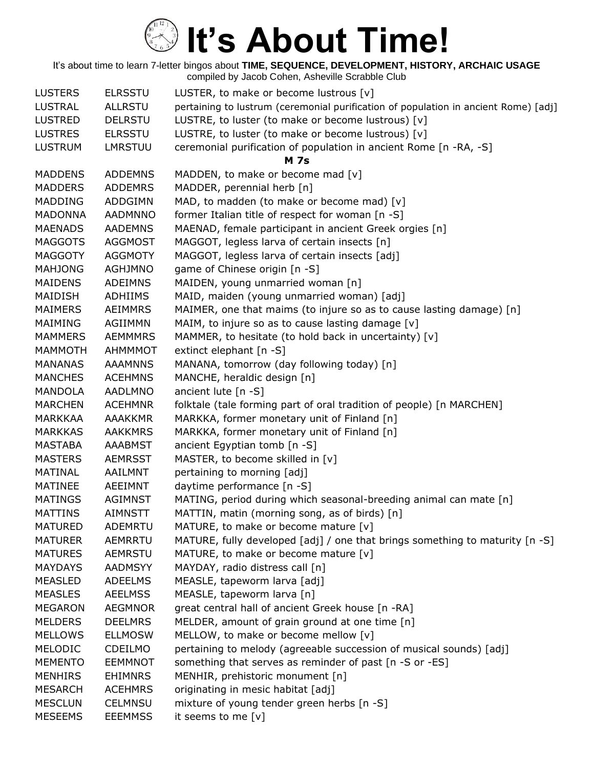| <b>LUSTERS</b> | <b>ELRSSTU</b> | LUSTER, to make or become lustrous $[v]$                                            |
|----------------|----------------|-------------------------------------------------------------------------------------|
| <b>LUSTRAL</b> | <b>ALLRSTU</b> | pertaining to lustrum (ceremonial purification of population in ancient Rome) [adj] |
| <b>LUSTRED</b> | <b>DELRSTU</b> | LUSTRE, to luster (to make or become lustrous) [v]                                  |
| <b>LUSTRES</b> | <b>ELRSSTU</b> | LUSTRE, to luster (to make or become lustrous) [v]                                  |
| <b>LUSTRUM</b> | <b>LMRSTUU</b> | ceremonial purification of population in ancient Rome [n -RA, -S]                   |
|                |                | <b>M</b> 7s                                                                         |
| <b>MADDENS</b> | <b>ADDEMNS</b> | MADDEN, to make or become mad [v]                                                   |
| <b>MADDERS</b> | <b>ADDEMRS</b> | MADDER, perennial herb [n]                                                          |
| <b>MADDING</b> | ADDGIMN        | MAD, to madden (to make or become mad) [v]                                          |
| <b>MADONNA</b> | <b>AADMNNO</b> | former Italian title of respect for woman [n -S]                                    |
| <b>MAENADS</b> | <b>AADEMNS</b> | MAENAD, female participant in ancient Greek orgies [n]                              |
| <b>MAGGOTS</b> | <b>AGGMOST</b> | MAGGOT, legless larva of certain insects [n]                                        |
| <b>MAGGOTY</b> | <b>AGGMOTY</b> | MAGGOT, legless larva of certain insects [adj]                                      |
| <b>MAHJONG</b> | <b>AGHJMNO</b> | game of Chinese origin [n -S]                                                       |
| <b>MAIDENS</b> | <b>ADEIMNS</b> | MAIDEN, young unmarried woman [n]                                                   |
| MAIDISH        | ADHIIMS        | MAID, maiden (young unmarried woman) [adj]                                          |
| <b>MAIMERS</b> | <b>AEIMMRS</b> | MAIMER, one that maims (to injure so as to cause lasting damage) [n]                |
| MAIMING        | <b>AGIIMMN</b> | MAIM, to injure so as to cause lasting damage [v]                                   |
| <b>MAMMERS</b> | <b>AEMMMRS</b> | MAMMER, to hesitate (to hold back in uncertainty) [v]                               |
| MAMMOTH        | <b>AHMMMOT</b> | extinct elephant [n -S]                                                             |
| <b>MANANAS</b> | <b>AAAMNNS</b> | MANANA, tomorrow (day following today) [n]                                          |
| <b>MANCHES</b> | <b>ACEHMNS</b> | MANCHE, heraldic design [n]                                                         |
| <b>MANDOLA</b> | <b>AADLMNO</b> | ancient lute $[n - S]$                                                              |
| <b>MARCHEN</b> | <b>ACEHMNR</b> | folktale (tale forming part of oral tradition of people) [n MARCHEN]                |
| <b>MARKKAA</b> | <b>AAAKKMR</b> | MARKKA, former monetary unit of Finland [n]                                         |
| <b>MARKKAS</b> | <b>AAKKMRS</b> | MARKKA, former monetary unit of Finland [n]                                         |
| MASTABA        | AAABMST        | ancient Egyptian tomb [n -S]                                                        |
| <b>MASTERS</b> | <b>AEMRSST</b> | MASTER, to become skilled in [v]                                                    |
| <b>MATINAL</b> | AAILMNT        | pertaining to morning [adj]                                                         |
| <b>MATINEE</b> | AEEIMNT        | daytime performance [n -S]                                                          |
| <b>MATINGS</b> | <b>AGIMNST</b> | MATING, period during which seasonal-breeding animal can mate [n]                   |
| <b>MATTINS</b> | <b>AIMNSTT</b> | MATTIN, matin (morning song, as of birds) [n]                                       |
| <b>MATURED</b> | ADEMRTU        | MATURE, to make or become mature [v]                                                |
| <b>MATURER</b> | <b>AEMRRTU</b> | MATURE, fully developed [adj] / one that brings something to maturity [n -S]        |
| <b>MATURES</b> | <b>AEMRSTU</b> | MATURE, to make or become mature [v]                                                |
| <b>MAYDAYS</b> | AADMSYY        | MAYDAY, radio distress call [n]                                                     |
| MEASLED        | <b>ADEELMS</b> | MEASLE, tapeworm larva [adj]                                                        |
| <b>MEASLES</b> | <b>AEELMSS</b> | MEASLE, tapeworm larva [n]                                                          |
| <b>MEGARON</b> | <b>AEGMNOR</b> | great central hall of ancient Greek house [n -RA]                                   |
| <b>MELDERS</b> | <b>DEELMRS</b> | MELDER, amount of grain ground at one time [n]                                      |
| <b>MELLOWS</b> | <b>ELLMOSW</b> | MELLOW, to make or become mellow [v]                                                |
| MELODIC        | CDEILMO        | pertaining to melody (agreeable succession of musical sounds) [adj]                 |
| <b>MEMENTO</b> | <b>EEMMNOT</b> | something that serves as reminder of past [n -S or -ES]                             |
| <b>MENHIRS</b> | <b>EHIMNRS</b> | MENHIR, prehistoric monument [n]                                                    |
| <b>MESARCH</b> | <b>ACEHMRS</b> | originating in mesic habitat [adj]                                                  |
| <b>MESCLUN</b> | <b>CELMNSU</b> | mixture of young tender green herbs [n -S]                                          |
| <b>MESEEMS</b> | <b>EEEMMSS</b> | it seems to me [v]                                                                  |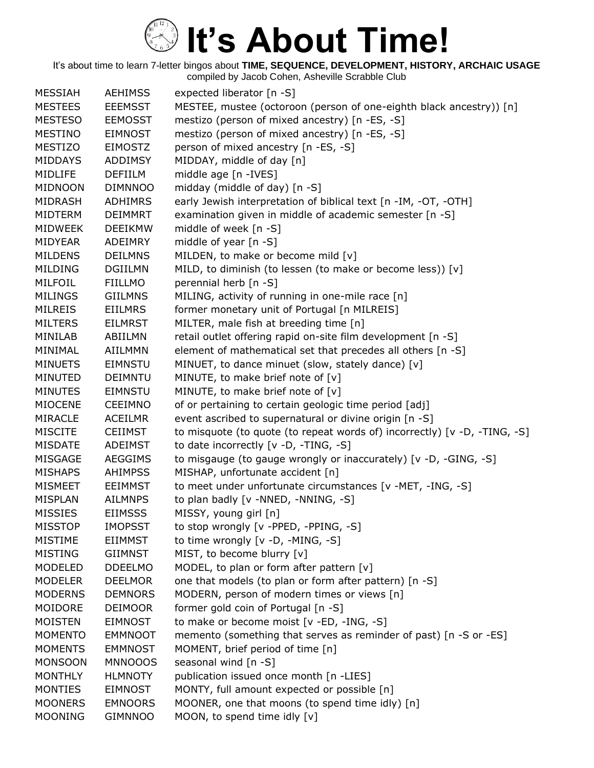| <b>MESSIAH</b> | <b>AEHIMSS</b> | expected liberator [n -S]                                                 |
|----------------|----------------|---------------------------------------------------------------------------|
| <b>MESTEES</b> | <b>EEEMSST</b> | MESTEE, mustee (octoroon (person of one-eighth black ancestry)) [n]       |
| <b>MESTESO</b> | <b>EEMOSST</b> | mestizo (person of mixed ancestry) [n -ES, -S]                            |
| <b>MESTINO</b> | <b>EIMNOST</b> | mestizo (person of mixed ancestry) [n -ES, -S]                            |
| <b>MESTIZO</b> | <b>EIMOSTZ</b> | person of mixed ancestry [n -ES, -S]                                      |
| <b>MIDDAYS</b> | <b>ADDIMSY</b> | MIDDAY, middle of day [n]                                                 |
| MIDLIFE        | <b>DEFIILM</b> | middle age [n -IVES]                                                      |
| <b>MIDNOON</b> | <b>DIMNNOO</b> | midday (middle of day) [n -S]                                             |
| MIDRASH        | <b>ADHIMRS</b> | early Jewish interpretation of biblical text [n -IM, -OT, -OTH]           |
| <b>MIDTERM</b> | <b>DEIMMRT</b> | examination given in middle of academic semester [n -S]                   |
| <b>MIDWEEK</b> | <b>DEEIKMW</b> | middle of week [n -S]                                                     |
| <b>MIDYEAR</b> | ADEIMRY        | middle of year $[n - S]$                                                  |
| <b>MILDENS</b> | <b>DEILMNS</b> | MILDEN, to make or become mild [v]                                        |
| <b>MILDING</b> | <b>DGIILMN</b> | MILD, to diminish (to lessen (to make or become less)) [v]                |
| MILFOIL        | <b>FIILLMO</b> | perennial herb [n -S]                                                     |
| <b>MILINGS</b> | <b>GIILMNS</b> | MILING, activity of running in one-mile race [n]                          |
| <b>MILREIS</b> | <b>EIILMRS</b> | former monetary unit of Portugal [n MILREIS]                              |
| <b>MILTERS</b> | <b>EILMRST</b> | MILTER, male fish at breeding time [n]                                    |
| MINILAB        | ABIILMN        | retail outlet offering rapid on-site film development [n -S]              |
| MINIMAL        | <b>AIILMMN</b> | element of mathematical set that precedes all others [n -S]               |
| <b>MINUETS</b> | <b>EIMNSTU</b> | MINUET, to dance minuet (slow, stately dance) [v]                         |
| <b>MINUTED</b> | DEIMNTU        | MINUTE, to make brief note of [v]                                         |
| <b>MINUTES</b> | <b>EIMNSTU</b> | MINUTE, to make brief note of [v]                                         |
| <b>MIOCENE</b> | <b>CEEIMNO</b> | of or pertaining to certain geologic time period [adj]                    |
| <b>MIRACLE</b> | <b>ACEILMR</b> | event ascribed to supernatural or divine origin [n -S]                    |
| <b>MISCITE</b> | <b>CEIIMST</b> | to misquote (to quote (to repeat words of) incorrectly) [v -D, -TING, -S] |
| <b>MISDATE</b> | ADEIMST        | to date incorrectly [v -D, -TING, -S]                                     |
| MISGAGE        | <b>AEGGIMS</b> | to misgauge (to gauge wrongly or inaccurately) [v -D, -GING, -S]          |
| <b>MISHAPS</b> | <b>AHIMPSS</b> | MISHAP, unfortunate accident [n]                                          |
| <b>MISMEET</b> | <b>EEIMMST</b> | to meet under unfortunate circumstances [v -MET, -ING, -S]                |
| <b>MISPLAN</b> | <b>AILMNPS</b> | to plan badly [v -NNED, -NNING, -S]                                       |
| <b>MISSIES</b> | <b>EIIMSSS</b> | MISSY, young girl [n]                                                     |
| <b>MISSTOP</b> | <b>IMOPSST</b> | to stop wrongly [v -PPED, -PPING, -S]                                     |
| <b>MISTIME</b> | <b>EIIMMST</b> | to time wrongly [v -D, -MING, -S]                                         |
| <b>MISTING</b> | <b>GIIMNST</b> | MIST, to become blurry [v]                                                |
| MODELED        | <b>DDEELMO</b> | MODEL, to plan or form after pattern [v]                                  |
| <b>MODELER</b> | <b>DEELMOR</b> | one that models (to plan or form after pattern) [n -S]                    |
| <b>MODERNS</b> | <b>DEMNORS</b> | MODERN, person of modern times or views [n]                               |
| MOIDORE        | <b>DEIMOOR</b> | former gold coin of Portugal [n -S]                                       |
| <b>MOISTEN</b> | <b>EIMNOST</b> | to make or become moist [v -ED, -ING, -S]                                 |
| <b>MOMENTO</b> | <b>EMMNOOT</b> | memento (something that serves as reminder of past) [n -S or -ES]         |
| <b>MOMENTS</b> | <b>EMMNOST</b> | MOMENT, brief period of time [n]                                          |
| <b>MONSOON</b> | <b>MNNOOOS</b> | seasonal wind [n -S]                                                      |
| <b>MONTHLY</b> | <b>HLMNOTY</b> | publication issued once month [n -LIES]                                   |
| <b>MONTIES</b> | <b>EIMNOST</b> | MONTY, full amount expected or possible [n]                               |
| <b>MOONERS</b> | <b>EMNOORS</b> | MOONER, one that moons (to spend time idly) [n]                           |
| <b>MOONING</b> | <b>GIMNNOO</b> | MOON, to spend time idly [v]                                              |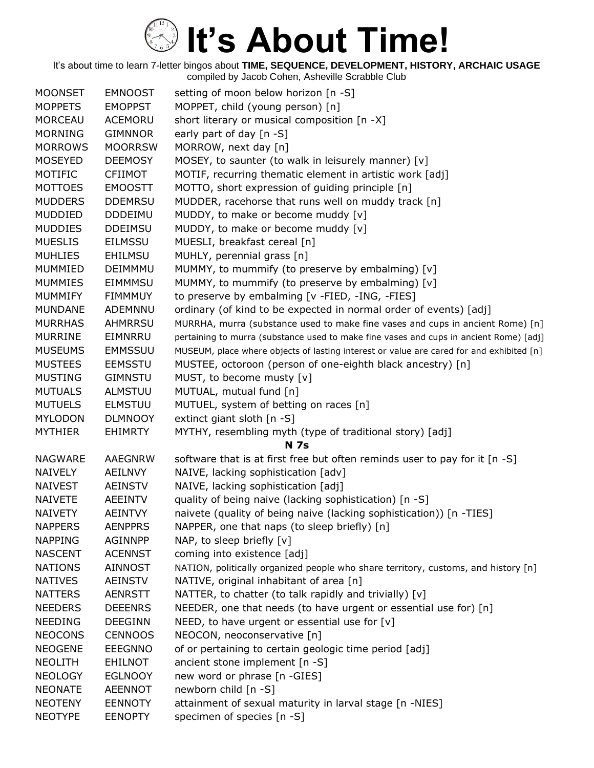| <b>MOONSET</b> | <b>EMNOOST</b> | setting of moon below horizon [n -S]                                                     |
|----------------|----------------|------------------------------------------------------------------------------------------|
| <b>MOPPETS</b> | <b>EMOPPST</b> | MOPPET, child (young person) [n]                                                         |
| <b>MORCEAU</b> | <b>ACEMORU</b> | short literary or musical composition [n -X]                                             |
| <b>MORNING</b> | <b>GIMNNOR</b> | early part of day [n -S]                                                                 |
| <b>MORROWS</b> | <b>MOORRSW</b> | MORROW, next day [n]                                                                     |
| <b>MOSEYED</b> | <b>DEEMOSY</b> | MOSEY, to saunter (to walk in leisurely manner) [v]                                      |
| MOTIFIC        | <b>CFIIMOT</b> | MOTIF, recurring thematic element in artistic work [adj]                                 |
| <b>MOTTOES</b> | <b>EMOOSTT</b> | MOTTO, short expression of guiding principle [n]                                         |
| <b>MUDDERS</b> | <b>DDEMRSU</b> | MUDDER, racehorse that runs well on muddy track [n]                                      |
| <b>MUDDIED</b> | <b>DDDEIMU</b> | MUDDY, to make or become muddy [v]                                                       |
| <b>MUDDIES</b> | <b>DDEIMSU</b> | MUDDY, to make or become muddy [v]                                                       |
| <b>MUESLIS</b> | <b>EILMSSU</b> | MUESLI, breakfast cereal [n]                                                             |
| <b>MUHLIES</b> | <b>EHILMSU</b> | MUHLY, perennial grass [n]                                                               |
| <b>MUMMIED</b> | DEIMMMU        | MUMMY, to mummify (to preserve by embalming) [v]                                         |
| <b>MUMMIES</b> | <b>EIMMMSU</b> | MUMMY, to mummify (to preserve by embalming) [v]                                         |
| <b>MUMMIFY</b> | <b>FIMMMUY</b> | to preserve by embalming [v -FIED, -ING, -FIES]                                          |
| <b>MUNDANE</b> | ADEMNNU        | ordinary (of kind to be expected in normal order of events) [adj]                        |
| <b>MURRHAS</b> | <b>AHMRRSU</b> | MURRHA, murra (substance used to make fine vases and cups in ancient Rome) [n]           |
| <b>MURRINE</b> | EIMNRRU        | pertaining to murra (substance used to make fine vases and cups in ancient Rome) [adj]   |
| <b>MUSEUMS</b> | <b>EMMSSUU</b> | MUSEUM, place where objects of lasting interest or value are cared for and exhibited [n] |
| <b>MUSTEES</b> | <b>EEMSSTU</b> | MUSTEE, octoroon (person of one-eighth black ancestry) [n]                               |
| <b>MUSTING</b> | <b>GIMNSTU</b> | MUST, to become musty [v]                                                                |
| <b>MUTUALS</b> | <b>ALMSTUU</b> | MUTUAL, mutual fund [n]                                                                  |
| <b>MUTUELS</b> | <b>ELMSTUU</b> | MUTUEL, system of betting on races [n]                                                   |
| <b>MYLODON</b> | <b>DLMNOOY</b> | extinct giant sloth [n -S]                                                               |
| <b>MYTHIER</b> | <b>EHIMRTY</b> | MYTHY, resembling myth (type of traditional story) [adj]                                 |
|                |                | <b>N</b> 7s                                                                              |
| <b>NAGWARE</b> | <b>AAEGNRW</b> | software that is at first free but often reminds user to pay for it [n -S]               |
| <b>NAIVELY</b> | <b>AEILNVY</b> | NAIVE, lacking sophistication [adv]                                                      |
| <b>NAIVEST</b> | <b>AEINSTV</b> | NAIVE, lacking sophistication [adj]                                                      |
| <b>NAIVETE</b> | <b>AEEINTV</b> | quality of being naive (lacking sophistication) [n -S]                                   |
| <b>NAIVETY</b> | <b>AEINTVY</b> | naivete (quality of being naive (lacking sophistication)) [n -TIES]                      |
| <b>NAPPERS</b> | <b>AENPPRS</b> | NAPPER, one that naps (to sleep briefly) [n]                                             |
| <b>NAPPING</b> | <b>AGINNPP</b> | NAP, to sleep briefly [v]                                                                |
| <b>NASCENT</b> | <b>ACENNST</b> | coming into existence [adj]                                                              |
| <b>NATIONS</b> | AINNOST        | NATION, politically organized people who share territory, customs, and history [n]       |
| <b>NATIVES</b> | <b>AEINSTV</b> | NATIVE, original inhabitant of area [n]                                                  |
| <b>NATTERS</b> | <b>AENRSTT</b> | NATTER, to chatter (to talk rapidly and trivially) [v]                                   |
| <b>NEEDERS</b> | <b>DEEENRS</b> | NEEDER, one that needs (to have urgent or essential use for) [n]                         |
| <b>NEEDING</b> | <b>DEEGINN</b> | NEED, to have urgent or essential use for [v]                                            |
| <b>NEOCONS</b> | <b>CENNOOS</b> | NEOCON, neoconservative [n]                                                              |
| <b>NEOGENE</b> | <b>EEEGNNO</b> | of or pertaining to certain geologic time period [adj]                                   |
| <b>NEOLITH</b> | <b>EHILNOT</b> | ancient stone implement [n -S]                                                           |
| <b>NEOLOGY</b> | <b>EGLNOOY</b> | new word or phrase [n -GIES]                                                             |
| <b>NEONATE</b> | <b>AEENNOT</b> | newborn child [n -S]                                                                     |
| <b>NEOTENY</b> | <b>EENNOTY</b> | attainment of sexual maturity in larval stage [n -NIES]                                  |
| <b>NEOTYPE</b> | <b>EENOPTY</b> | specimen of species [n -S]                                                               |
|                |                |                                                                                          |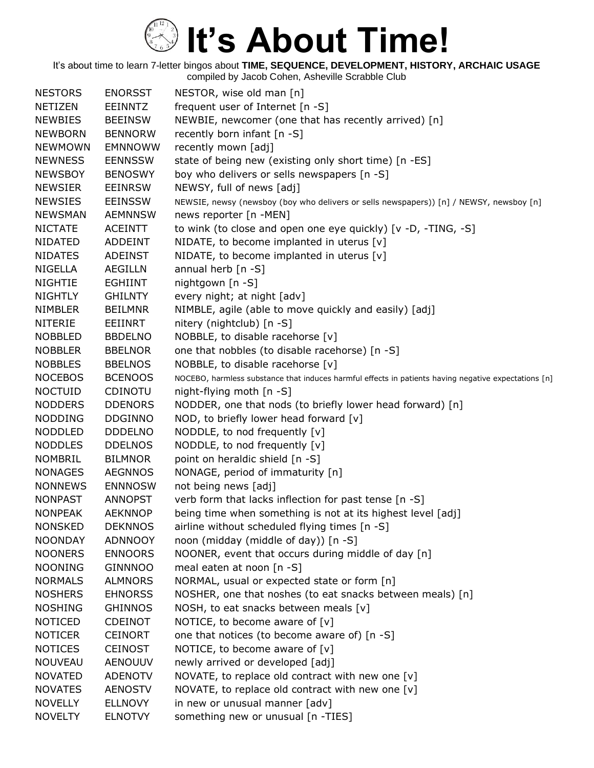| <b>NESTORS</b> | <b>ENORSST</b> | NESTOR, wise old man [n]                                                                             |
|----------------|----------------|------------------------------------------------------------------------------------------------------|
| <b>NETIZEN</b> | <b>EEINNTZ</b> | frequent user of Internet [n -S]                                                                     |
| <b>NEWBIES</b> | <b>BEEINSW</b> | NEWBIE, newcomer (one that has recently arrived) [n]                                                 |
| <b>NEWBORN</b> | <b>BENNORW</b> | recently born infant [n -S]                                                                          |
| <b>NEWMOWN</b> | <b>EMNNOWW</b> | recently mown [adj]                                                                                  |
| <b>NEWNESS</b> | <b>EENNSSW</b> | state of being new (existing only short time) [n -ES]                                                |
| <b>NEWSBOY</b> | <b>BENOSWY</b> | boy who delivers or sells newspapers [n -S]                                                          |
| <b>NEWSIER</b> | <b>EEINRSW</b> | NEWSY, full of news [adj]                                                                            |
| <b>NEWSIES</b> | <b>EEINSSW</b> | NEWSIE, newsy (newsboy (boy who delivers or sells newspapers)) [n] / NEWSY, newsboy [n]              |
| <b>NEWSMAN</b> | <b>AEMNNSW</b> | news reporter [n -MEN]                                                                               |
| <b>NICTATE</b> | <b>ACEINTT</b> | to wink (to close and open one eye quickly) [v -D, -TING, -S]                                        |
| <b>NIDATED</b> | ADDEINT        | NIDATE, to become implanted in uterus [v]                                                            |
| <b>NIDATES</b> | <b>ADEINST</b> | NIDATE, to become implanted in uterus [v]                                                            |
| NIGELLA        | AEGILLN        | annual herb [n -S]                                                                                   |
| <b>NIGHTIE</b> | <b>EGHIINT</b> | nightgown [n -S]                                                                                     |
| <b>NIGHTLY</b> | <b>GHILNTY</b> | every night; at night [adv]                                                                          |
| <b>NIMBLER</b> | <b>BEILMNR</b> | NIMBLE, agile (able to move quickly and easily) [adj]                                                |
| <b>NITERIE</b> | EEIINRT        | nitery (nightclub) [n -S]                                                                            |
| <b>NOBBLED</b> | <b>BBDELNO</b> | NOBBLE, to disable racehorse [v]                                                                     |
| <b>NOBBLER</b> | <b>BBELNOR</b> | one that nobbles (to disable racehorse) [n -S]                                                       |
| <b>NOBBLES</b> | <b>BBELNOS</b> | NOBBLE, to disable racehorse [v]                                                                     |
| <b>NOCEBOS</b> | <b>BCENOOS</b> | NOCEBO, harmless substance that induces harmful effects in patients having negative expectations [n] |
| <b>NOCTUID</b> | CDINOTU        | night-flying moth $[n - S]$                                                                          |
| <b>NODDERS</b> | <b>DDENORS</b> | NODDER, one that nods (to briefly lower head forward) [n]                                            |
| <b>NODDING</b> | <b>DDGINNO</b> | NOD, to briefly lower head forward [v]                                                               |
| <b>NODDLED</b> | <b>DDDELNO</b> | NODDLE, to nod frequently [v]                                                                        |
| <b>NODDLES</b> | <b>DDELNOS</b> | NODDLE, to nod frequently [v]                                                                        |
| <b>NOMBRIL</b> | <b>BILMNOR</b> | point on heraldic shield [n -S]                                                                      |
| <b>NONAGES</b> | <b>AEGNNOS</b> | NONAGE, period of immaturity [n]                                                                     |
| <b>NONNEWS</b> | <b>ENNNOSW</b> | not being news [adj]                                                                                 |
| <b>NONPAST</b> | <b>ANNOPST</b> | verb form that lacks inflection for past tense [n -S]                                                |
| <b>NONPEAK</b> | <b>AEKNNOP</b> | being time when something is not at its highest level [adj]                                          |
| <b>NONSKED</b> | <b>DEKNNOS</b> | airline without scheduled flying times [n -S]                                                        |
| <b>NOONDAY</b> | <b>ADNNOOY</b> | noon (midday (middle of day)) [n -S]                                                                 |
| <b>NOONERS</b> | <b>ENNOORS</b> | NOONER, event that occurs during middle of day [n]                                                   |
| <b>NOONING</b> | <b>GINNNOO</b> | meal eaten at noon [n -S]                                                                            |
| <b>NORMALS</b> | <b>ALMNORS</b> | NORMAL, usual or expected state or form [n]                                                          |
| <b>NOSHERS</b> | <b>EHNORSS</b> | NOSHER, one that noshes (to eat snacks between meals) [n]                                            |
| <b>NOSHING</b> | <b>GHINNOS</b> | NOSH, to eat snacks between meals [v]                                                                |
| <b>NOTICED</b> | <b>CDEINOT</b> | NOTICE, to become aware of $[v]$                                                                     |
| <b>NOTICER</b> | <b>CEINORT</b> | one that notices (to become aware of) [n -S]                                                         |
| <b>NOTICES</b> | <b>CEINOST</b> | NOTICE, to become aware of $[v]$                                                                     |
| <b>NOUVEAU</b> | <b>AENOUUV</b> | newly arrived or developed [adj]                                                                     |
| <b>NOVATED</b> | <b>ADENOTV</b> | NOVATE, to replace old contract with new one $[v]$                                                   |
| <b>NOVATES</b> | <b>AENOSTV</b> | NOVATE, to replace old contract with new one [v]                                                     |
| <b>NOVELLY</b> | <b>ELLNOVY</b> | in new or unusual manner [adv]                                                                       |
| <b>NOVELTY</b> | <b>ELNOTVY</b> | something new or unusual [n -TIES]                                                                   |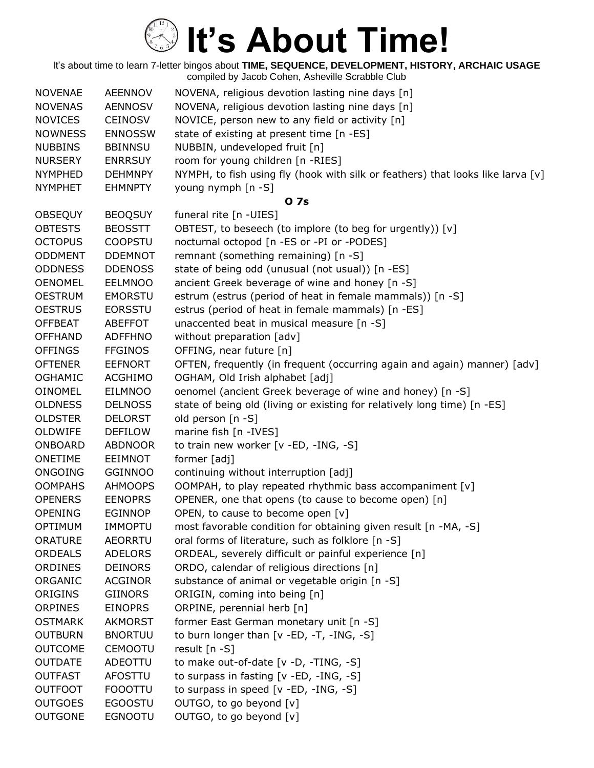| <b>NOVENAE</b> | <b>AEENNOV</b> | NOVENA, religious devotion lasting nine days [n]                                |
|----------------|----------------|---------------------------------------------------------------------------------|
| <b>NOVENAS</b> | <b>AENNOSV</b> | NOVENA, religious devotion lasting nine days [n]                                |
| <b>NOVICES</b> | <b>CEINOSV</b> | NOVICE, person new to any field or activity [n]                                 |
| <b>NOWNESS</b> | <b>ENNOSSW</b> | state of existing at present time [n -ES]                                       |
| <b>NUBBINS</b> | <b>BBINNSU</b> | NUBBIN, undeveloped fruit [n]                                                   |
| <b>NURSERY</b> | <b>ENRRSUY</b> | room for young children [n -RIES]                                               |
| <b>NYMPHED</b> | <b>DEHMNPY</b> | NYMPH, to fish using fly (hook with silk or feathers) that looks like larva [v] |
| <b>NYMPHET</b> | <b>EHMNPTY</b> | young nymph [n -S]                                                              |
|                |                | 0 7s                                                                            |
| <b>OBSEQUY</b> | <b>BEOQSUY</b> | funeral rite [n -UIES]                                                          |
| <b>OBTESTS</b> | <b>BEOSSTT</b> | OBTEST, to beseech (to implore (to beg for urgently)) [v]                       |
| <b>OCTOPUS</b> | <b>COOPSTU</b> | nocturnal octopod [n -ES or -PI or -PODES]                                      |
| <b>ODDMENT</b> | <b>DDEMNOT</b> | remnant (something remaining) [n -S]                                            |
| <b>ODDNESS</b> | <b>DDENOSS</b> | state of being odd (unusual (not usual)) [n -ES]                                |
| <b>OENOMEL</b> | <b>EELMNOO</b> | ancient Greek beverage of wine and honey [n -S]                                 |
| <b>OESTRUM</b> | <b>EMORSTU</b> | estrum (estrus (period of heat in female mammals)) [n -S]                       |
| <b>OESTRUS</b> | <b>EORSSTU</b> | estrus (period of heat in female mammals) [n -ES]                               |
| <b>OFFBEAT</b> | <b>ABEFFOT</b> | unaccented beat in musical measure [n -S]                                       |
| <b>OFFHAND</b> | <b>ADFFHNO</b> | without preparation [adv]                                                       |
| <b>OFFINGS</b> | <b>FFGINOS</b> | OFFING, near future [n]                                                         |
| <b>OFTENER</b> | <b>EEFNORT</b> | OFTEN, frequently (in frequent (occurring again and again) manner) [adv]        |
| <b>OGHAMIC</b> | <b>ACGHIMO</b> | OGHAM, Old Irish alphabet [adj]                                                 |
| <b>OINOMEL</b> | <b>EILMNOO</b> | oenomel (ancient Greek beverage of wine and honey) [n -S]                       |
| <b>OLDNESS</b> | <b>DELNOSS</b> | state of being old (living or existing for relatively long time) [n -ES]        |
| <b>OLDSTER</b> | <b>DELORST</b> | old person [n -S]                                                               |
| OLDWIFE        | <b>DEFILOW</b> | marine fish [n -IVES]                                                           |
| ONBOARD        | <b>ABDNOOR</b> | to train new worker [v -ED, -ING, -S]                                           |
| <b>ONETIME</b> | <b>EEIMNOT</b> | former [adj]                                                                    |
| ONGOING        | <b>GGINNOO</b> | continuing without interruption [adj]                                           |
| <b>OOMPAHS</b> | <b>AHMOOPS</b> | OOMPAH, to play repeated rhythmic bass accompaniment [v]                        |
| <b>OPENERS</b> | <b>EENOPRS</b> | OPENER, one that opens (to cause to become open) [n]                            |
| <b>OPENING</b> | <b>EGINNOP</b> | OPEN, to cause to become open [v]                                               |
| OPTIMUM        | IMMOPTU        | most favorable condition for obtaining given result [n -MA, -S]                 |
| <b>ORATURE</b> | <b>AEORRTU</b> | oral forms of literature, such as folklore [n -S]                               |
| <b>ORDEALS</b> | <b>ADELORS</b> | ORDEAL, severely difficult or painful experience [n]                            |
| ORDINES        | <b>DEINORS</b> | ORDO, calendar of religious directions [n]                                      |
| ORGANIC        | <b>ACGINOR</b> | substance of animal or vegetable origin [n -S]                                  |
| ORIGINS        | <b>GIINORS</b> | ORIGIN, coming into being [n]                                                   |
| <b>ORPINES</b> | <b>EINOPRS</b> | ORPINE, perennial herb [n]                                                      |
| <b>OSTMARK</b> | AKMORST        | former East German monetary unit [n -S]                                         |
| <b>OUTBURN</b> | <b>BNORTUU</b> | to burn longer than $[v - ED, -T, -ING, -S]$                                    |
| <b>OUTCOME</b> | <b>CEMOOTU</b> | result $[n - S]$                                                                |
| <b>OUTDATE</b> | ADEOTTU        | to make out-of-date $[v -D, -TING, -S]$                                         |
| <b>OUTFAST</b> | <b>AFOSTTU</b> | to surpass in fasting [v -ED, -ING, -S]                                         |
| <b>OUTFOOT</b> | <b>FOOOTTU</b> | to surpass in speed [v -ED, -ING, -S]                                           |
| <b>OUTGOES</b> | <b>EGOOSTU</b> | OUTGO, to go beyond [v]                                                         |
| <b>OUTGONE</b> | <b>EGNOOTU</b> | OUTGO, to go beyond [v]                                                         |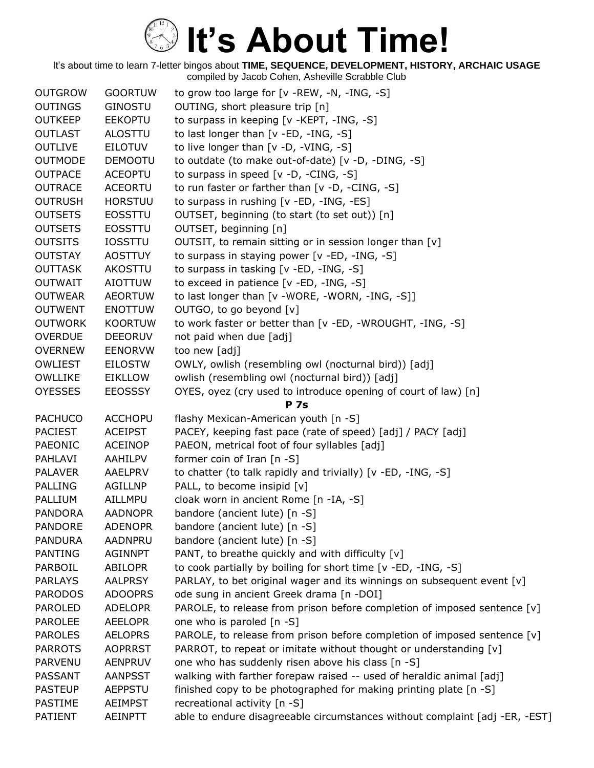| <b>OUTGROW</b>                   | <b>GOORTUW</b>                   | to grow too large for [v -REW, -N, -ING, -S]                                                                                                  |
|----------------------------------|----------------------------------|-----------------------------------------------------------------------------------------------------------------------------------------------|
| <b>OUTINGS</b>                   | <b>GINOSTU</b>                   | OUTING, short pleasure trip [n]                                                                                                               |
| <b>OUTKEEP</b>                   | <b>EEKOPTU</b>                   | to surpass in keeping [v -KEPT, -ING, -S]                                                                                                     |
| <b>OUTLAST</b>                   | <b>ALOSTTU</b>                   | to last longer than $[v - ED, -ING, -S]$                                                                                                      |
| <b>OUTLIVE</b>                   | <b>EILOTUV</b>                   | to live longer than $[v -D, -VING, -S]$                                                                                                       |
| <b>OUTMODE</b>                   | <b>DEMOOTU</b>                   | to outdate (to make out-of-date) [v -D, -DING, -S]                                                                                            |
| <b>OUTPACE</b>                   | <b>ACEOPTU</b>                   | to surpass in speed [v -D, -CING, -S]                                                                                                         |
| <b>OUTRACE</b>                   | <b>ACEORTU</b>                   | to run faster or farther than [v -D, -CING, -S]                                                                                               |
| <b>OUTRUSH</b>                   | <b>HORSTUU</b>                   | to surpass in rushing [v -ED, -ING, -ES]                                                                                                      |
| <b>OUTSETS</b>                   | <b>EOSSTTU</b>                   | OUTSET, beginning (to start (to set out)) [n]                                                                                                 |
| <b>OUTSETS</b>                   | <b>EOSSTTU</b>                   | OUTSET, beginning [n]                                                                                                                         |
| <b>OUTSITS</b>                   | <b>IOSSTTU</b>                   | OUTSIT, to remain sitting or in session longer than [v]                                                                                       |
| <b>OUTSTAY</b>                   | <b>AOSTTUY</b>                   | to surpass in staying power [v -ED, -ING, -S]                                                                                                 |
| <b>OUTTASK</b>                   | AKOSTTU                          | to surpass in tasking [v -ED, -ING, -S]                                                                                                       |
| <b>OUTWAIT</b>                   | <b>AIOTTUW</b>                   | to exceed in patience [v -ED, -ING, -S]                                                                                                       |
| <b>OUTWEAR</b>                   | <b>AEORTUW</b>                   | to last longer than [v -WORE, -WORN, -ING, -S]]                                                                                               |
| <b>OUTWENT</b>                   | <b>ENOTTUW</b>                   | OUTGO, to go beyond [v]                                                                                                                       |
| <b>OUTWORK</b>                   | <b>KOORTUW</b>                   | to work faster or better than [v -ED, -WROUGHT, -ING, -S]                                                                                     |
| <b>OVERDUE</b>                   | <b>DEEORUV</b>                   | not paid when due [adj]                                                                                                                       |
| <b>OVERNEW</b>                   | <b>EENORVW</b>                   | too new [adj]                                                                                                                                 |
| <b>OWLIEST</b>                   | <b>EILOSTW</b>                   | OWLY, owlish (resembling owl (nocturnal bird)) [adj]                                                                                          |
| <b>OWLLIKE</b>                   | <b>EIKLLOW</b>                   | owlish (resembling owl (nocturnal bird)) [adj]                                                                                                |
| <b>OYESSES</b>                   | <b>EEOSSSY</b>                   | OYES, oyez (cry used to introduce opening of court of law) [n]                                                                                |
|                                  |                                  | <b>P</b> 7s                                                                                                                                   |
| <b>PACHUCO</b>                   | <b>ACCHOPU</b>                   | flashy Mexican-American youth [n -S]                                                                                                          |
| <b>PACIEST</b>                   | <b>ACEIPST</b>                   | PACEY, keeping fast pace (rate of speed) [adj] / PACY [adj]                                                                                   |
| PAEONIC                          | <b>ACEINOP</b>                   | PAEON, metrical foot of four syllables [adj]                                                                                                  |
| PAHLAVI                          | AAHILPV                          | former coin of Iran $[n - S]$                                                                                                                 |
| <b>PALAVER</b>                   | AAELPRV                          | to chatter (to talk rapidly and trivially) [v -ED, -ING, -S]                                                                                  |
| PALLING                          | AGILLNP                          | PALL, to become insipid [v]                                                                                                                   |
| <b>PALLIUM</b>                   | AILLMPU                          | cloak worn in ancient Rome [n -IA, -S]                                                                                                        |
| <b>PANDORA</b>                   | <b>AADNOPR</b>                   | bandore (ancient lute) [n -S]                                                                                                                 |
| <b>PANDORE</b>                   | <b>ADENOPR</b>                   | bandore (ancient lute) [n -S]                                                                                                                 |
| <b>PANDURA</b>                   | <b>AADNPRU</b>                   | bandore (ancient lute) [n -S]                                                                                                                 |
| <b>PANTING</b>                   | <b>AGINNPT</b>                   | PANT, to breathe quickly and with difficulty [v]                                                                                              |
| PARBOIL                          | <b>ABILOPR</b><br><b>AALPRSY</b> | to cook partially by boiling for short time [v -ED, -ING, -S]                                                                                 |
| <b>PARLAYS</b><br><b>PARODOS</b> | <b>ADOOPRS</b>                   | PARLAY, to bet original wager and its winnings on subsequent event [v]<br>ode sung in ancient Greek drama [n -DOI]                            |
| <b>PAROLED</b>                   | <b>ADELOPR</b>                   | PAROLE, to release from prison before completion of imposed sentence [v]                                                                      |
| <b>PAROLEE</b>                   | <b>AEELOPR</b>                   | one who is paroled [n -S]                                                                                                                     |
| <b>PAROLES</b>                   | <b>AELOPRS</b>                   |                                                                                                                                               |
| <b>PARROTS</b>                   | <b>AOPRRST</b>                   | PAROLE, to release from prison before completion of imposed sentence [v]<br>PARROT, to repeat or imitate without thought or understanding [v] |
| PARVENU                          | <b>AENPRUV</b>                   | one who has suddenly risen above his class [n -S]                                                                                             |
| PASSANT                          | <b>AANPSST</b>                   | walking with farther forepaw raised -- used of heraldic animal [adj]                                                                          |
| <b>PASTEUP</b>                   | <b>AEPPSTU</b>                   | finished copy to be photographed for making printing plate [n -S]                                                                             |
| <b>PASTIME</b>                   | <b>AEIMPST</b>                   | recreational activity [n -S]                                                                                                                  |
| <b>PATIENT</b>                   | <b>AEINPTT</b>                   | able to endure disagreeable circumstances without complaint [adj -ER, -EST]                                                                   |
|                                  |                                  |                                                                                                                                               |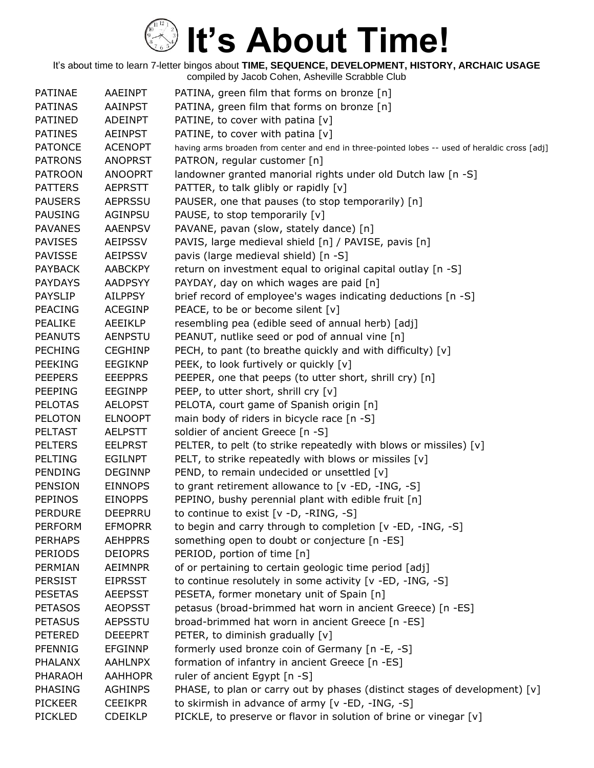| <b>PATINAE</b> | AAEINPT        | PATINA, green film that forms on bronze [n]                                                    |
|----------------|----------------|------------------------------------------------------------------------------------------------|
| <b>PATINAS</b> | <b>AAINPST</b> | PATINA, green film that forms on bronze [n]                                                    |
| <b>PATINED</b> | <b>ADEINPT</b> | PATINE, to cover with patina [v]                                                               |
| <b>PATINES</b> | AEINPST        | PATINE, to cover with patina [v]                                                               |
| <b>PATONCE</b> | <b>ACENOPT</b> | having arms broaden from center and end in three-pointed lobes -- used of heraldic cross [adj] |
| <b>PATRONS</b> | <b>ANOPRST</b> | PATRON, regular customer [n]                                                                   |
| <b>PATROON</b> | <b>ANOOPRT</b> | landowner granted manorial rights under old Dutch law [n -S]                                   |
| <b>PATTERS</b> | <b>AEPRSTT</b> | PATTER, to talk glibly or rapidly [v]                                                          |
| <b>PAUSERS</b> | <b>AEPRSSU</b> | PAUSER, one that pauses (to stop temporarily) [n]                                              |
| <b>PAUSING</b> | <b>AGINPSU</b> | PAUSE, to stop temporarily [v]                                                                 |
| <b>PAVANES</b> | <b>AAENPSV</b> | PAVANE, pavan (slow, stately dance) [n]                                                        |
| <b>PAVISES</b> | <b>AEIPSSV</b> | PAVIS, large medieval shield [n] / PAVISE, pavis [n]                                           |
| <b>PAVISSE</b> | <b>AEIPSSV</b> | pavis (large medieval shield) [n -S]                                                           |
| <b>PAYBACK</b> | <b>AABCKPY</b> | return on investment equal to original capital outlay [n -S]                                   |
| <b>PAYDAYS</b> | <b>AADPSYY</b> | PAYDAY, day on which wages are paid [n]                                                        |
| <b>PAYSLIP</b> | <b>AILPPSY</b> | brief record of employee's wages indicating deductions [n -S]                                  |
| <b>PEACING</b> | <b>ACEGINP</b> | PEACE, to be or become silent [v]                                                              |
| <b>PEALIKE</b> | <b>AEEIKLP</b> | resembling pea (edible seed of annual herb) [adj]                                              |
| <b>PEANUTS</b> | <b>AENPSTU</b> | PEANUT, nutlike seed or pod of annual vine [n]                                                 |
| <b>PECHING</b> | <b>CEGHINP</b> | PECH, to pant (to breathe quickly and with difficulty) [v]                                     |
| <b>PEEKING</b> | <b>EEGIKNP</b> | PEEK, to look furtively or quickly [v]                                                         |
| <b>PEEPERS</b> | <b>EEEPPRS</b> | PEEPER, one that peeps (to utter short, shrill cry) [n]                                        |
| <b>PEEPING</b> | <b>EEGINPP</b> | PEEP, to utter short, shrill cry [v]                                                           |
| <b>PELOTAS</b> | <b>AELOPST</b> | PELOTA, court game of Spanish origin [n]                                                       |
| <b>PELOTON</b> | <b>ELNOOPT</b> | main body of riders in bicycle race [n -S]                                                     |
| <b>PELTAST</b> | <b>AELPSTT</b> | soldier of ancient Greece [n -S]                                                               |
| <b>PELTERS</b> | <b>EELPRST</b> | PELTER, to pelt (to strike repeatedly with blows or missiles) [v]                              |
| <b>PELTING</b> | <b>EGILNPT</b> | PELT, to strike repeatedly with blows or missiles [v]                                          |
| <b>PENDING</b> | <b>DEGINNP</b> | PEND, to remain undecided or unsettled [v]                                                     |
| <b>PENSION</b> | <b>EINNOPS</b> | to grant retirement allowance to [v -ED, -ING, -S]                                             |
| <b>PEPINOS</b> | <b>EINOPPS</b> | PEPINO, bushy perennial plant with edible fruit [n]                                            |
| <b>PERDURE</b> | DEEPRRU        | to continue to exist [v -D, -RING, -S]                                                         |
| <b>PERFORM</b> | <b>EFMOPRR</b> | to begin and carry through to completion [v -ED, -ING, -S]                                     |
| <b>PERHAPS</b> | <b>AEHPPRS</b> | something open to doubt or conjecture [n -ES]                                                  |
| <b>PERIODS</b> | <b>DEIOPRS</b> | PERIOD, portion of time [n]                                                                    |
| PERMIAN        | <b>AEIMNPR</b> | of or pertaining to certain geologic time period [adj]                                         |
| PERSIST        | <b>EIPRSST</b> | to continue resolutely in some activity [v -ED, -ING, -S]                                      |
| <b>PESETAS</b> | <b>AEEPSST</b> | PESETA, former monetary unit of Spain [n]                                                      |
| <b>PETASOS</b> | <b>AEOPSST</b> | petasus (broad-brimmed hat worn in ancient Greece) [n -ES]                                     |
| <b>PETASUS</b> | <b>AEPSSTU</b> | broad-brimmed hat worn in ancient Greece [n -ES]                                               |
| <b>PETERED</b> | <b>DEEEPRT</b> | PETER, to diminish gradually [v]                                                               |
| PFENNIG        | <b>EFGINNP</b> | formerly used bronze coin of Germany [n -E, -S]                                                |
| <b>PHALANX</b> | <b>AAHLNPX</b> | formation of infantry in ancient Greece [n -ES]                                                |
| PHARAOH        | <b>AAHHOPR</b> | ruler of ancient Egypt [n -S]                                                                  |
| PHASING        | <b>AGHINPS</b> | PHASE, to plan or carry out by phases (distinct stages of development) $[v]$                   |
| <b>PICKEER</b> | <b>CEEIKPR</b> | to skirmish in advance of army [v -ED, -ING, -S]                                               |
| <b>PICKLED</b> | <b>CDEIKLP</b> | PICKLE, to preserve or flavor in solution of brine or vinegar [v]                              |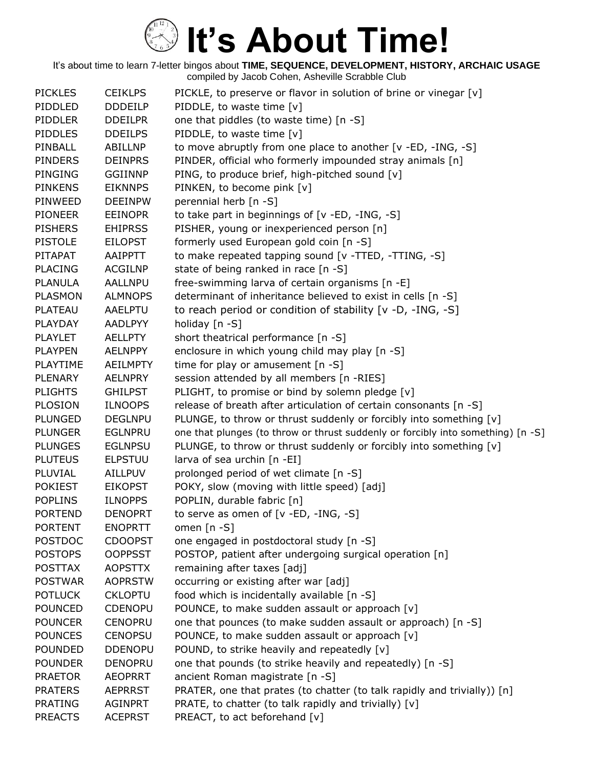| <b>PICKLES</b> | <b>CEIKLPS</b>  | PICKLE, to preserve or flavor in solution of brine or vinegar [v]                |
|----------------|-----------------|----------------------------------------------------------------------------------|
| PIDDLED        | <b>DDDEILP</b>  | PIDDLE, to waste time [v]                                                        |
| <b>PIDDLER</b> | <b>DDEILPR</b>  | one that piddles (to waste time) [n -S]                                          |
| <b>PIDDLES</b> | <b>DDEILPS</b>  | PIDDLE, to waste time [v]                                                        |
| PINBALL        | <b>ABILLNP</b>  | to move abruptly from one place to another [v -ED, -ING, -S]                     |
| <b>PINDERS</b> | <b>DEINPRS</b>  | PINDER, official who formerly impounded stray animals [n]                        |
| <b>PINGING</b> | <b>GGIINNP</b>  | PING, to produce brief, high-pitched sound [v]                                   |
| <b>PINKENS</b> | <b>EIKNNPS</b>  | PINKEN, to become pink [v]                                                       |
| PINWEED        | <b>DEEINPW</b>  | perennial herb [n -S]                                                            |
| <b>PIONEER</b> | <b>EEINOPR</b>  | to take part in beginnings of [v -ED, -ING, -S]                                  |
| <b>PISHERS</b> | <b>EHIPRSS</b>  | PISHER, young or inexperienced person [n]                                        |
| <b>PISTOLE</b> | <b>EILOPST</b>  | formerly used European gold coin [n -S]                                          |
| PITAPAT        | AAIPPTT         | to make repeated tapping sound [v -TTED, -TTING, -S]                             |
| <b>PLACING</b> | <b>ACGILNP</b>  | state of being ranked in race [n -S]                                             |
| <b>PLANULA</b> | <b>AALLNPU</b>  | free-swimming larva of certain organisms [n -E]                                  |
| <b>PLASMON</b> | <b>ALMNOPS</b>  | determinant of inheritance believed to exist in cells [n -S]                     |
| <b>PLATEAU</b> | AAELPTU         | to reach period or condition of stability [v -D, -ING, -S]                       |
| PLAYDAY        | <b>AADLPYY</b>  | holiday [n -S]                                                                   |
| <b>PLAYLET</b> | <b>AELLPTY</b>  | short theatrical performance [n -S]                                              |
| <b>PLAYPEN</b> | <b>AELNPPY</b>  | enclosure in which young child may play [n -S]                                   |
| PLAYTIME       | <b>AEILMPTY</b> | time for play or amusement [n -S]                                                |
| <b>PLENARY</b> | <b>AELNPRY</b>  | session attended by all members [n -RIES]                                        |
| <b>PLIGHTS</b> | <b>GHILPST</b>  | PLIGHT, to promise or bind by solemn pledge [v]                                  |
| <b>PLOSION</b> | <b>ILNOOPS</b>  | release of breath after articulation of certain consonants [n -S]                |
| <b>PLUNGED</b> | <b>DEGLNPU</b>  | PLUNGE, to throw or thrust suddenly or forcibly into something [v]               |
| <b>PLUNGER</b> | <b>EGLNPRU</b>  | one that plunges (to throw or thrust suddenly or forcibly into something) [n -S] |
| <b>PLUNGES</b> | <b>EGLNPSU</b>  | PLUNGE, to throw or thrust suddenly or forcibly into something [v]               |
| <b>PLUTEUS</b> | <b>ELPSTUU</b>  | larva of sea urchin [n -EI]                                                      |
| PLUVIAL        | AILLPUV         | prolonged period of wet climate [n -S]                                           |
| <b>POKIEST</b> | <b>EIKOPST</b>  | POKY, slow (moving with little speed) [adj]                                      |
| <b>POPLINS</b> | <b>ILNOPPS</b>  | POPLIN, durable fabric [n]                                                       |
| <b>PORTEND</b> | <b>DENOPRT</b>  | to serve as omen of [v -ED, -ING, -S]                                            |
| <b>PORTENT</b> | <b>ENOPRTT</b>  | omen $[n - S]$                                                                   |
| <b>POSTDOC</b> | <b>CDOOPST</b>  | one engaged in postdoctoral study [n -S]                                         |
| <b>POSTOPS</b> | <b>OOPPSST</b>  | POSTOP, patient after undergoing surgical operation [n]                          |
| <b>POSTTAX</b> | <b>AOPSTTX</b>  | remaining after taxes [adj]                                                      |
| <b>POSTWAR</b> | <b>AOPRSTW</b>  | occurring or existing after war [adj]                                            |
| <b>POTLUCK</b> | <b>CKLOPTU</b>  | food which is incidentally available [n -S]                                      |
| <b>POUNCED</b> | <b>CDENOPU</b>  | POUNCE, to make sudden assault or approach [v]                                   |
| <b>POUNCER</b> | <b>CENOPRU</b>  | one that pounces (to make sudden assault or approach) [n -S]                     |
| <b>POUNCES</b> | <b>CENOPSU</b>  | POUNCE, to make sudden assault or approach [v]                                   |
| <b>POUNDED</b> | <b>DDENOPU</b>  | POUND, to strike heavily and repeatedly [v]                                      |
| <b>POUNDER</b> | <b>DENOPRU</b>  | one that pounds (to strike heavily and repeatedly) [n -S]                        |
| <b>PRAETOR</b> | <b>AEOPRRT</b>  | ancient Roman magistrate [n -S]                                                  |
| <b>PRATERS</b> | <b>AEPRRST</b>  | PRATER, one that prates (to chatter (to talk rapidly and trivially)) [n]         |
| <b>PRATING</b> | <b>AGINPRT</b>  | PRATE, to chatter (to talk rapidly and trivially) [v]                            |
| <b>PREACTS</b> | <b>ACEPRST</b>  | PREACT, to act beforehand [v]                                                    |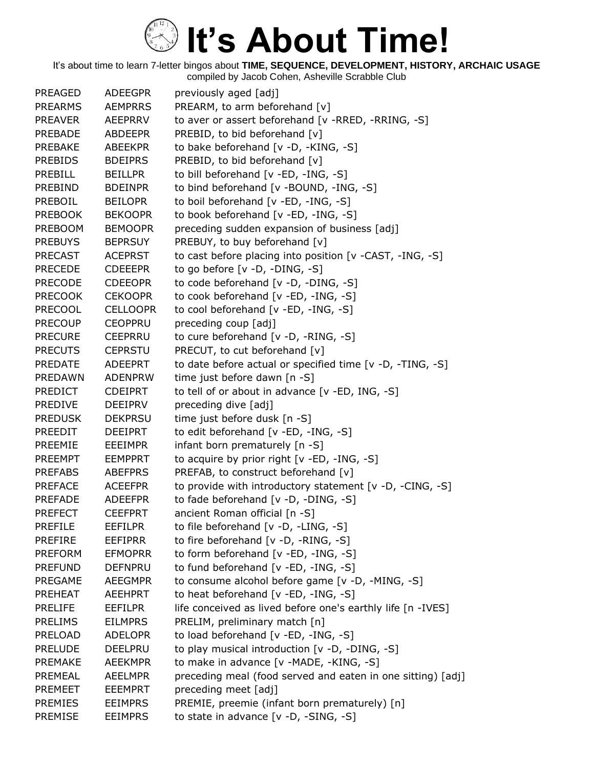It's about time to learn 7-letter bingos about **TIME, SEQUENCE, DEVELOPMENT, HISTORY, ARCHAIC USAGE**

compiled by Jacob Cohen, Asheville Scrabble Club

| <b>PREAGED</b> | <b>ADEEGPR</b>  | previously aged [adj]                                       |
|----------------|-----------------|-------------------------------------------------------------|
| <b>PREARMS</b> | <b>AEMPRRS</b>  | PREARM, to arm beforehand [v]                               |
| <b>PREAVER</b> | AEEPRRV         | to aver or assert beforehand [v -RRED, -RRING, -S]          |
| <b>PREBADE</b> | <b>ABDEEPR</b>  | PREBID, to bid beforehand [v]                               |
| PREBAKE        | <b>ABEEKPR</b>  | to bake beforehand [v -D, -KING, -S]                        |
| <b>PREBIDS</b> | <b>BDEIPRS</b>  | PREBID, to bid beforehand [v]                               |
| PREBILL        | <b>BEILLPR</b>  | to bill beforehand [v -ED, -ING, -S]                        |
| <b>PREBIND</b> | <b>BDEINPR</b>  | to bind beforehand [v -BOUND, -ING, -S]                     |
| PREBOIL        | <b>BEILOPR</b>  | to boil beforehand [v -ED, -ING, -S]                        |
| <b>PREBOOK</b> | <b>BEKOOPR</b>  | to book beforehand [v -ED, -ING, -S]                        |
| <b>PREBOOM</b> | <b>BEMOOPR</b>  | preceding sudden expansion of business [adj]                |
| <b>PREBUYS</b> | <b>BEPRSUY</b>  | PREBUY, to buy beforehand [v]                               |
| <b>PRECAST</b> | <b>ACEPRST</b>  | to cast before placing into position [v -CAST, -ING, -S]    |
| <b>PRECEDE</b> | <b>CDEEEPR</b>  | to go before [v -D, -DING, -S]                              |
| <b>PRECODE</b> | <b>CDEEOPR</b>  | to code beforehand [v -D, -DING, -S]                        |
| <b>PRECOOK</b> | <b>CEKOOPR</b>  | to cook beforehand [v -ED, -ING, -S]                        |
| <b>PRECOOL</b> | <b>CELLOOPR</b> | to cool beforehand [v -ED, -ING, -S]                        |
| <b>PRECOUP</b> | <b>CEOPPRU</b>  | preceding coup [adj]                                        |
| <b>PRECURE</b> | <b>CEEPRRU</b>  | to cure beforehand [v -D, -RING, -S]                        |
| <b>PRECUTS</b> | <b>CEPRSTU</b>  | PRECUT, to cut beforehand [v]                               |
| PREDATE        | <b>ADEEPRT</b>  | to date before actual or specified time [v -D, -TING, -S]   |
| PREDAWN        | <b>ADENPRW</b>  | time just before dawn [n -S]                                |
| <b>PREDICT</b> | <b>CDEIPRT</b>  | to tell of or about in advance [v -ED, ING, -S]             |
| PREDIVE        | DEEIPRV         | preceding dive [adj]                                        |
| <b>PREDUSK</b> | <b>DEKPRSU</b>  | time just before dusk [n -S]                                |
| <b>PREEDIT</b> | <b>DEEIPRT</b>  | to edit beforehand [v -ED, -ING, -S]                        |
| PREEMIE        | <b>EEEIMPR</b>  | infant born prematurely [n -S]                              |
| <b>PREEMPT</b> | <b>EEMPPRT</b>  | to acquire by prior right [v -ED, -ING, -S]                 |
| <b>PREFABS</b> | <b>ABEFPRS</b>  | PREFAB, to construct beforehand [v]                         |
| <b>PREFACE</b> | <b>ACEEFPR</b>  | to provide with introductory statement [v -D, -CING, -S]    |
| <b>PREFADE</b> | <b>ADEEFPR</b>  | to fade beforehand [v -D, -DING, -S]                        |
| <b>PREFECT</b> | <b>CEEFPRT</b>  | ancient Roman official [n -S]                               |
| <b>PREFILE</b> | <b>EEFILPR</b>  | to file beforehand [v -D, -LING, -S]                        |
| <b>PREFIRE</b> | <b>EEFIPRR</b>  | to fire beforehand [v -D, -RING, -S]                        |
| <b>PREFORM</b> | <b>EFMOPRR</b>  | to form beforehand [v -ED, -ING, -S]                        |
| <b>PREFUND</b> | <b>DEFNPRU</b>  | to fund beforehand [v -ED, -ING, -S]                        |
| PREGAME        | <b>AEEGMPR</b>  | to consume alcohol before game [v -D, -MING, -S]            |
| PREHEAT        | <b>AEEHPRT</b>  | to heat beforehand [v -ED, -ING, -S]                        |
| <b>PRELIFE</b> | <b>EEFILPR</b>  | life conceived as lived before one's earthly life [n -IVES] |
| <b>PRELIMS</b> | <b>EILMPRS</b>  | PRELIM, preliminary match [n]                               |
| PRELOAD        | <b>ADELOPR</b>  | to load beforehand [v -ED, -ING, -S]                        |
| <b>PRELUDE</b> | <b>DEELPRU</b>  | to play musical introduction [v -D, -DING, -S]              |
| <b>PREMAKE</b> | <b>AEEKMPR</b>  | to make in advance [v -MADE, -KING, -S]                     |
| PREMEAL        | <b>AEELMPR</b>  | preceding meal (food served and eaten in one sitting) [adj] |
| <b>PREMEET</b> | <b>EEEMPRT</b>  | preceding meet [adj]                                        |
| <b>PREMIES</b> | <b>EEIMPRS</b>  | PREMIE, preemie (infant born prematurely) [n]               |
| PREMISE        | <b>EEIMPRS</b>  | to state in advance [v -D, -SING, -S]                       |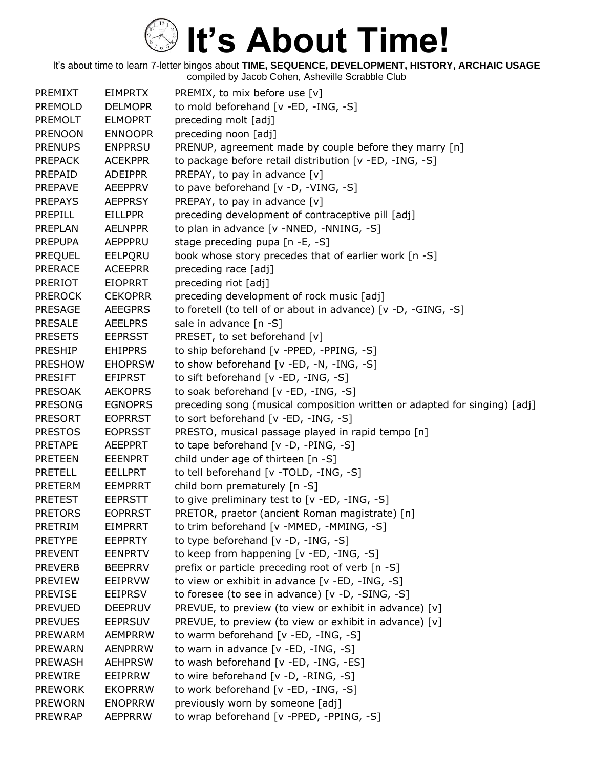| PREMIXT        | <b>EIMPRTX</b> | PREMIX, to mix before use [v]                                             |
|----------------|----------------|---------------------------------------------------------------------------|
| PREMOLD        | <b>DELMOPR</b> | to mold beforehand [v -ED, -ING, -S]                                      |
| <b>PREMOLT</b> | <b>ELMOPRT</b> | preceding molt [adj]                                                      |
| <b>PRENOON</b> | <b>ENNOOPR</b> | preceding noon [adj]                                                      |
| <b>PRENUPS</b> | <b>ENPPRSU</b> | PRENUP, agreement made by couple before they marry [n]                    |
| <b>PREPACK</b> | <b>ACEKPPR</b> | to package before retail distribution [v -ED, -ING, -S]                   |
| PREPAID        | <b>ADEIPPR</b> | PREPAY, to pay in advance [v]                                             |
| <b>PREPAVE</b> | <b>AEEPPRV</b> | to pave beforehand [v -D, -VING, -S]                                      |
| <b>PREPAYS</b> | <b>AEPPRSY</b> | PREPAY, to pay in advance [v]                                             |
| <b>PREPILL</b> | <b>EILLPPR</b> | preceding development of contraceptive pill [adj]                         |
| <b>PREPLAN</b> | <b>AELNPPR</b> | to plan in advance [v -NNED, -NNING, -S]                                  |
| <b>PREPUPA</b> | AEPPPRU        | stage preceding pupa [n -E, -S]                                           |
| <b>PREQUEL</b> | EELPQRU        | book whose story precedes that of earlier work [n -S]                     |
| <b>PRERACE</b> | <b>ACEEPRR</b> | preceding race [adj]                                                      |
| <b>PRERIOT</b> | <b>EIOPRRT</b> | preceding riot [adj]                                                      |
| <b>PREROCK</b> | <b>CEKOPRR</b> | preceding development of rock music [adj]                                 |
| <b>PRESAGE</b> | <b>AEEGPRS</b> | to foretell (to tell of or about in advance) [v -D, -GING, -S]            |
| <b>PRESALE</b> | <b>AEELPRS</b> | sale in advance [n -S]                                                    |
| <b>PRESETS</b> | <b>EEPRSST</b> | PRESET, to set beforehand [v]                                             |
| PRESHIP        | <b>EHIPPRS</b> | to ship beforehand [v -PPED, -PPING, -S]                                  |
| <b>PRESHOW</b> | <b>EHOPRSW</b> | to show beforehand [v -ED, -N, -ING, -S]                                  |
| <b>PRESIFT</b> | <b>EFIPRST</b> | to sift beforehand [v -ED, -ING, -S]                                      |
| <b>PRESOAK</b> | <b>AEKOPRS</b> | to soak beforehand [v -ED, -ING, -S]                                      |
| <b>PRESONG</b> | <b>EGNOPRS</b> | preceding song (musical composition written or adapted for singing) [adj] |
| <b>PRESORT</b> | <b>EOPRRST</b> | to sort beforehand [v -ED, -ING, -S]                                      |
| <b>PRESTOS</b> | <b>EOPRSST</b> | PRESTO, musical passage played in rapid tempo [n]                         |
| <b>PRETAPE</b> | <b>AEEPPRT</b> | to tape beforehand [v -D, -PING, -S]                                      |
| <b>PRETEEN</b> | <b>EEENPRT</b> | child under age of thirteen [n -S]                                        |
| <b>PRETELL</b> | <b>EELLPRT</b> | to tell beforehand [v -TOLD, -ING, -S]                                    |
| <b>PRETERM</b> | <b>EEMPRRT</b> | child born prematurely [n -S]                                             |
| <b>PRETEST</b> | <b>EEPRSTT</b> | to give preliminary test to [v -ED, -ING, -S]                             |
| <b>PRETORS</b> | <b>EOPRRST</b> | PRETOR, praetor (ancient Roman magistrate) [n]                            |
| PRETRIM        | EIMPRRT        | to trim beforehand [v -MMED, -MMING, -S]                                  |
| <b>PRETYPE</b> | <b>EEPPRTY</b> | to type beforehand [v -D, -ING, -S]                                       |
| <b>PREVENT</b> | <b>EENPRTV</b> | to keep from happening [v -ED, -ING, -S]                                  |
| <b>PREVERB</b> | <b>BEEPRRV</b> | prefix or particle preceding root of verb [n -S]                          |
| <b>PREVIEW</b> | EEIPRVW        | to view or exhibit in advance [v -ED, -ING, -S]                           |
| <b>PREVISE</b> | <b>EEIPRSV</b> | to foresee (to see in advance) [v -D, -SING, -S]                          |
| <b>PREVUED</b> | <b>DEEPRUV</b> | PREVUE, to preview (to view or exhibit in advance) [v]                    |
| <b>PREVUES</b> | <b>EEPRSUV</b> | PREVUE, to preview (to view or exhibit in advance) [v]                    |
| <b>PREWARM</b> | <b>AEMPRRW</b> | to warm beforehand [v -ED, -ING, -S]                                      |
| <b>PREWARN</b> | <b>AENPRRW</b> | to warn in advance [v -ED, -ING, -S]                                      |
| <b>PREWASH</b> | <b>AEHPRSW</b> | to wash beforehand [v -ED, -ING, -ES]                                     |
| <b>PREWIRE</b> | EEIPRRW        | to wire beforehand [v -D, -RING, -S]                                      |
| <b>PREWORK</b> | <b>EKOPRRW</b> | to work beforehand [v -ED, -ING, -S]                                      |
| <b>PREWORN</b> | <b>ENOPRRW</b> | previously worn by someone [adj]                                          |
| <b>PREWRAP</b> | <b>AEPPRRW</b> | to wrap beforehand [v -PPED, -PPING, -S]                                  |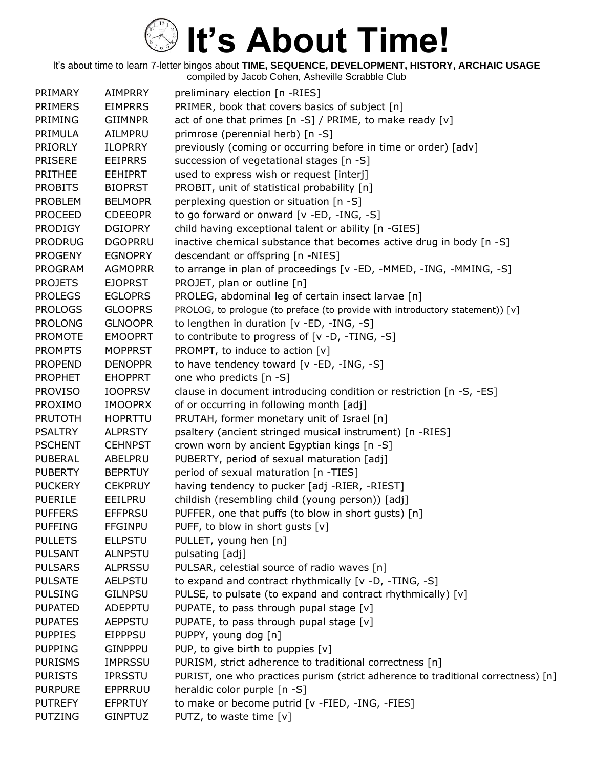| PRIMARY        | <b>AIMPRRY</b> | preliminary election [n -RIES]                                                     |
|----------------|----------------|------------------------------------------------------------------------------------|
| <b>PRIMERS</b> | <b>EIMPRRS</b> | PRIMER, book that covers basics of subject [n]                                     |
| <b>PRIMING</b> | <b>GIIMNPR</b> | act of one that primes [n -S] / PRIME, to make ready [v]                           |
| PRIMULA        | <b>AILMPRU</b> | primrose (perennial herb) [n -S]                                                   |
| <b>PRIORLY</b> | <b>ILOPRRY</b> | previously (coming or occurring before in time or order) [adv]                     |
| <b>PRISERE</b> | <b>EEIPRRS</b> | succession of vegetational stages [n -S]                                           |
| <b>PRITHEE</b> | <b>EEHIPRT</b> | used to express wish or request [interj]                                           |
| <b>PROBITS</b> | <b>BIOPRST</b> | PROBIT, unit of statistical probability [n]                                        |
| <b>PROBLEM</b> | <b>BELMOPR</b> | perplexing question or situation [n -S]                                            |
| <b>PROCEED</b> | <b>CDEEOPR</b> | to go forward or onward [v -ED, -ING, -S]                                          |
| <b>PRODIGY</b> | <b>DGIOPRY</b> | child having exceptional talent or ability [n -GIES]                               |
| <b>PRODRUG</b> | <b>DGOPRRU</b> | inactive chemical substance that becomes active drug in body [n -S]                |
| <b>PROGENY</b> | <b>EGNOPRY</b> | descendant or offspring [n -NIES]                                                  |
| <b>PROGRAM</b> | <b>AGMOPRR</b> | to arrange in plan of proceedings [v -ED, -MMED, -ING, -MMING, -S]                 |
| <b>PROJETS</b> | <b>EJOPRST</b> | PROJET, plan or outline [n]                                                        |
| <b>PROLEGS</b> | <b>EGLOPRS</b> | PROLEG, abdominal leg of certain insect larvae [n]                                 |
| <b>PROLOGS</b> | <b>GLOOPRS</b> | PROLOG, to prologue (to preface (to provide with introductory statement)) [v]      |
| <b>PROLONG</b> | <b>GLNOOPR</b> | to lengthen in duration [v -ED, -ING, -S]                                          |
| <b>PROMOTE</b> | <b>EMOOPRT</b> | to contribute to progress of [v -D, -TING, -S]                                     |
| <b>PROMPTS</b> | <b>MOPPRST</b> | PROMPT, to induce to action [v]                                                    |
| <b>PROPEND</b> | <b>DENOPPR</b> | to have tendency toward [v -ED, -ING, -S]                                          |
| <b>PROPHET</b> | <b>EHOPPRT</b> | one who predicts [n -S]                                                            |
| <b>PROVISO</b> | <b>IOOPRSV</b> | clause in document introducing condition or restriction [n -S, -ES]                |
| PROXIMO        | <b>IMOOPRX</b> | of or occurring in following month [adj]                                           |
| <b>PRUTOTH</b> | <b>HOPRTTU</b> | PRUTAH, former monetary unit of Israel [n]                                         |
| <b>PSALTRY</b> | <b>ALPRSTY</b> | psaltery (ancient stringed musical instrument) [n -RIES]                           |
| <b>PSCHENT</b> | <b>CEHNPST</b> | crown worn by ancient Egyptian kings [n -S]                                        |
| <b>PUBERAL</b> | ABELPRU        | PUBERTY, period of sexual maturation [adj]                                         |
| <b>PUBERTY</b> | <b>BEPRTUY</b> | period of sexual maturation [n -TIES]                                              |
| <b>PUCKERY</b> | <b>CEKPRUY</b> | having tendency to pucker [adj -RIER, -RIEST]                                      |
| <b>PUERILE</b> | EEILPRU        | childish (resembling child (young person)) [adj]                                   |
| <b>PUFFERS</b> | <b>EFFPRSU</b> | PUFFER, one that puffs (to blow in short gusts) [n]                                |
| <b>PUFFING</b> | <b>FFGINPU</b> | PUFF, to blow in short gusts [v]                                                   |
| <b>PULLETS</b> | <b>ELLPSTU</b> | PULLET, young hen [n]                                                              |
| <b>PULSANT</b> | <b>ALNPSTU</b> | pulsating [adj]                                                                    |
| <b>PULSARS</b> | <b>ALPRSSU</b> | PULSAR, celestial source of radio waves [n]                                        |
| <b>PULSATE</b> | <b>AELPSTU</b> | to expand and contract rhythmically [v -D, -TING, -S]                              |
| <b>PULSING</b> | <b>GILNPSU</b> | PULSE, to pulsate (to expand and contract rhythmically) [v]                        |
| <b>PUPATED</b> | ADEPPTU        | PUPATE, to pass through pupal stage [v]                                            |
| <b>PUPATES</b> | <b>AEPPSTU</b> | PUPATE, to pass through pupal stage [v]                                            |
| <b>PUPPIES</b> | <b>EIPPPSU</b> | PUPPY, young dog [n]                                                               |
| <b>PUPPING</b> | <b>GINPPPU</b> | PUP, to give birth to puppies [v]                                                  |
| <b>PURISMS</b> | <b>IMPRSSU</b> | PURISM, strict adherence to traditional correctness [n]                            |
| <b>PURISTS</b> | <b>IPRSSTU</b> | PURIST, one who practices purism (strict adherence to traditional correctness) [n] |
| <b>PURPURE</b> | EPPRRUU        | heraldic color purple [n -S]                                                       |
| <b>PUTREFY</b> | <b>EFPRTUY</b> | to make or become putrid [v -FIED, -ING, -FIES]                                    |
| <b>PUTZING</b> | <b>GINPTUZ</b> | PUTZ, to waste time [v]                                                            |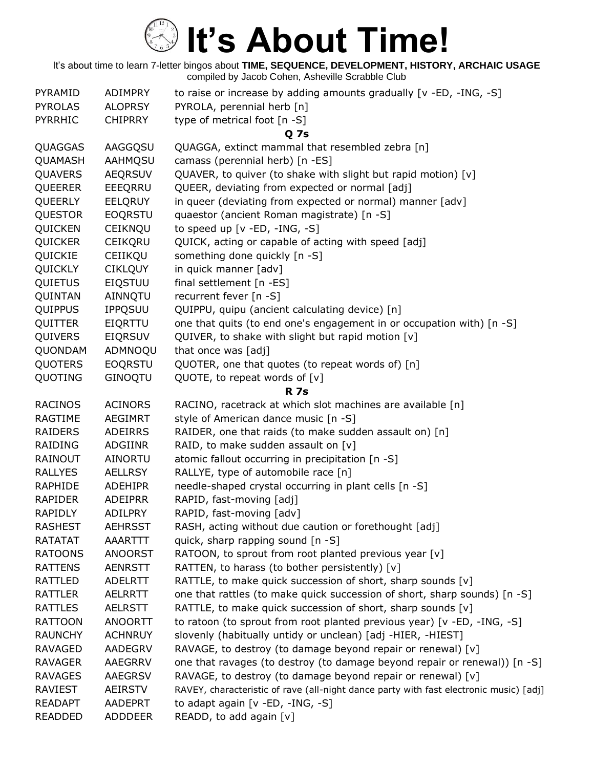| PYRAMID        | <b>ADIMPRY</b> | to raise or increase by adding amounts gradually $[v - ED, -ING, -S]$                  |
|----------------|----------------|----------------------------------------------------------------------------------------|
| <b>PYROLAS</b> | <b>ALOPRSY</b> | PYROLA, perennial herb [n]                                                             |
| <b>PYRRHIC</b> | <b>CHIPRRY</b> | type of metrical foot [n -S]                                                           |
|                |                | <b>Q</b> 7s                                                                            |
| QUAGGAS        | AAGGQSU        | QUAGGA, extinct mammal that resembled zebra [n]                                        |
| QUAMASH        | AAHMQSU        | camass (perennial herb) [n -ES]                                                        |
| QUAVERS        | <b>AEQRSUV</b> | QUAVER, to quiver (to shake with slight but rapid motion) [v]                          |
| <b>QUEERER</b> | EEEQRRU        | QUEER, deviating from expected or normal [adj]                                         |
| QUEERLY        | <b>EELQRUY</b> | in queer (deviating from expected or normal) manner [adv]                              |
| <b>QUESTOR</b> | <b>EOQRSTU</b> | quaestor (ancient Roman magistrate) [n -S]                                             |
| QUICKEN        | CEIKNQU        | to speed up [v -ED, -ING, -S]                                                          |
| QUICKER        | CEIKQRU        | QUICK, acting or capable of acting with speed [adj]                                    |
| QUICKIE        | CEIIKQU        | something done quickly [n -S]                                                          |
| QUICKLY        | <b>CIKLQUY</b> | in quick manner [adv]                                                                  |
| <b>QUIETUS</b> | <b>EIQSTUU</b> | final settlement [n -ES]                                                               |
| QUINTAN        | AINNQTU        | recurrent fever [n -S]                                                                 |
| QUIPPUS        | <b>IPPQSUU</b> | QUIPPU, quipu (ancient calculating device) [n]                                         |
| QUITTER        | EIQRTTU        | one that quits (to end one's engagement in or occupation with) [n -S]                  |
| QUIVERS        | <b>EIQRSUV</b> | QUIVER, to shake with slight but rapid motion [v]                                      |
| QUONDAM        | ADMNOQU        | that once was [adj]                                                                    |
| <b>QUOTERS</b> | <b>EOQRSTU</b> | QUOTER, one that quotes (to repeat words of) [n]                                       |
| QUOTING        | <b>GINOQTU</b> | QUOTE, to repeat words of $[v]$                                                        |
|                |                | <b>R</b> 7s                                                                            |
| <b>RACINOS</b> | <b>ACINORS</b> | RACINO, racetrack at which slot machines are available [n]                             |
| RAGTIME        | <b>AEGIMRT</b> | style of American dance music [n -S]                                                   |
| <b>RAIDERS</b> | <b>ADEIRRS</b> | RAIDER, one that raids (to make sudden assault on) [n]                                 |
| RAIDING        | ADGIINR        | RAID, to make sudden assault on [v]                                                    |
| RAINOUT        | <b>AINORTU</b> | atomic fallout occurring in precipitation [n -S]                                       |
| <b>RALLYES</b> | <b>AELLRSY</b> | RALLYE, type of automobile race [n]                                                    |
| RAPHIDE        | <b>ADEHIPR</b> | needle-shaped crystal occurring in plant cells [n -S]                                  |
| <b>RAPIDER</b> | <b>ADEIPRR</b> | RAPID, fast-moving [adj]                                                               |
| <b>RAPIDLY</b> | <b>ADILPRY</b> | RAPID, fast-moving [adv]                                                               |
| <b>RASHEST</b> | <b>AEHRSST</b> | RASH, acting without due caution or forethought [adj]                                  |
| <b>RATATAT</b> | AAARTTT        | quick, sharp rapping sound [n -S]                                                      |
| <b>RATOONS</b> | <b>ANOORST</b> | RATOON, to sprout from root planted previous year [v]                                  |
| <b>RATTENS</b> | <b>AENRSTT</b> | RATTEN, to harass (to bother persistently) [v]                                         |
| <b>RATTLED</b> | <b>ADELRTT</b> | RATTLE, to make quick succession of short, sharp sounds [v]                            |
| <b>RATTLER</b> | <b>AELRRTT</b> | one that rattles (to make quick succession of short, sharp sounds) [n -S]              |
| <b>RATTLES</b> | <b>AELRSTT</b> | RATTLE, to make quick succession of short, sharp sounds [v]                            |
| <b>RATTOON</b> | <b>ANOORTT</b> | to ratoon (to sprout from root planted previous year) [v -ED, -ING, -S]                |
| <b>RAUNCHY</b> | <b>ACHNRUY</b> | slovenly (habitually untidy or unclean) [adj -HIER, -HIEST]                            |
| <b>RAVAGED</b> | <b>AADEGRV</b> | RAVAGE, to destroy (to damage beyond repair or renewal) [v]                            |
| <b>RAVAGER</b> | AAEGRRV        | one that ravages (to destroy (to damage beyond repair or renewal)) [n -S]              |
| <b>RAVAGES</b> | <b>AAEGRSV</b> | RAVAGE, to destroy (to damage beyond repair or renewal) [v]                            |
| <b>RAVIEST</b> | <b>AEIRSTV</b> | RAVEY, characteristic of rave (all-night dance party with fast electronic music) [adj] |
| <b>READAPT</b> | <b>AADEPRT</b> | to adapt again [v -ED, -ING, -S]                                                       |
| <b>READDED</b> | <b>ADDDEER</b> | READD, to add again [v]                                                                |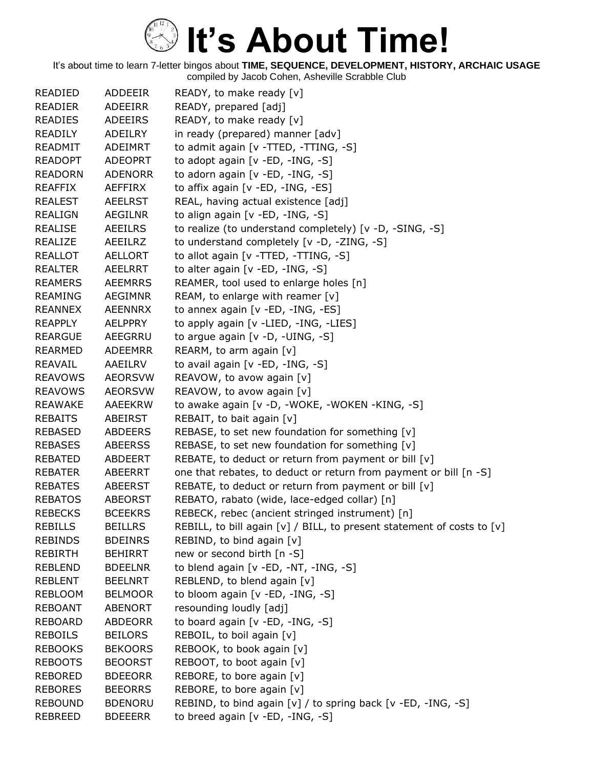| <b>READIED</b> | <b>ADDEEIR</b> | READY, to make ready [v]                                               |
|----------------|----------------|------------------------------------------------------------------------|
| <b>READIER</b> | ADEEIRR        | READY, prepared [adj]                                                  |
| <b>READIES</b> | <b>ADEEIRS</b> | READY, to make ready [v]                                               |
| READILY        | ADEILRY        | in ready (prepared) manner [adv]                                       |
| <b>READMIT</b> | <b>ADEIMRT</b> | to admit again [v -TTED, -TTING, -S]                                   |
| <b>READOPT</b> | <b>ADEOPRT</b> | to adopt again $[v - ED, -ING, -S]$                                    |
| <b>READORN</b> | <b>ADENORR</b> | to adorn again [v -ED, -ING, -S]                                       |
| <b>REAFFIX</b> | <b>AEFFIRX</b> | to affix again [v -ED, -ING, -ES]                                      |
| <b>REALEST</b> | <b>AEELRST</b> | REAL, having actual existence [adj]                                    |
| <b>REALIGN</b> | <b>AEGILNR</b> | to align again [v -ED, -ING, -S]                                       |
| <b>REALISE</b> | <b>AEEILRS</b> | to realize (to understand completely) [v -D, -SING, -S]                |
| <b>REALIZE</b> | AEEILRZ        | to understand completely [v -D, -ZING, -S]                             |
| <b>REALLOT</b> | <b>AELLORT</b> | to allot again [v -TTED, -TTING, -S]                                   |
| <b>REALTER</b> | AEELRRT        | to alter again [v -ED, -ING, -S]                                       |
| <b>REAMERS</b> | <b>AEEMRRS</b> | REAMER, tool used to enlarge holes [n]                                 |
| <b>REAMING</b> | AEGIMNR        | REAM, to enlarge with reamer $[v]$                                     |
| <b>REANNEX</b> | AEENNRX        | to annex again [v -ED, -ING, -ES]                                      |
| <b>REAPPLY</b> | AELPPRY        | to apply again [v -LIED, -ING, -LIES]                                  |
| <b>REARGUE</b> | AEEGRRU        | to argue again [v -D, -UING, -S]                                       |
| <b>REARMED</b> | <b>ADEEMRR</b> | REARM, to arm again $[v]$                                              |
| REAVAIL        | AAEILRV        | to avail again [v -ED, -ING, -S]                                       |
| <b>REAVOWS</b> | <b>AEORSVW</b> | REAVOW, to avow again [v]                                              |
| <b>REAVOWS</b> | <b>AEORSVW</b> | REAVOW, to avow again [v]                                              |
| <b>REAWAKE</b> | AAEEKRW        | to awake again [v -D, -WOKE, -WOKEN -KING, -S]                         |
| <b>REBAITS</b> | ABEIRST        | REBAIT, to bait again [v]                                              |
| <b>REBASED</b> | <b>ABDEERS</b> | REBASE, to set new foundation for something [v]                        |
| <b>REBASES</b> | <b>ABEERSS</b> | REBASE, to set new foundation for something [v]                        |
| <b>REBATED</b> | <b>ABDEERT</b> | REBATE, to deduct or return from payment or bill $[v]$                 |
| <b>REBATER</b> | ABEERRT        | one that rebates, to deduct or return from payment or bill [n -S]      |
| <b>REBATES</b> | ABEERST        | REBATE, to deduct or return from payment or bill [v]                   |
| <b>REBATOS</b> | <b>ABEORST</b> | REBATO, rabato (wide, lace-edged collar) [n]                           |
| <b>REBECKS</b> | <b>BCEEKRS</b> | REBECK, rebec (ancient stringed instrument) [n]                        |
| <b>REBILLS</b> | <b>BEILLRS</b> | REBILL, to bill again [v] / BILL, to present statement of costs to [v] |
| <b>REBINDS</b> | <b>BDEINRS</b> | REBIND, to bind again [v]                                              |
| <b>REBIRTH</b> | <b>BEHIRRT</b> | new or second birth [n -S]                                             |
| REBLEND        | <b>BDEELNR</b> | to blend again [v -ED, -NT, -ING, -S]                                  |
| <b>REBLENT</b> | <b>BEELNRT</b> | REBLEND, to blend again [v]                                            |
| <b>REBLOOM</b> | <b>BELMOOR</b> | to bloom again [v -ED, -ING, -S]                                       |
| <b>REBOANT</b> | ABENORT        | resounding loudly [adj]                                                |
| <b>REBOARD</b> | <b>ABDEORR</b> | to board again [v -ED, -ING, -S]                                       |
| <b>REBOILS</b> | <b>BEILORS</b> | REBOIL, to boil again [v]                                              |
| <b>REBOOKS</b> | <b>BEKOORS</b> | REBOOK, to book again [v]                                              |
| <b>REBOOTS</b> | <b>BEOORST</b> | REBOOT, to boot again [v]                                              |
| <b>REBORED</b> | <b>BDEEORR</b> | REBORE, to bore again [v]                                              |
| <b>REBORES</b> | <b>BEEORRS</b> | REBORE, to bore again [v]                                              |
| <b>REBOUND</b> | <b>BDENORU</b> | REBIND, to bind again [v] / to spring back [v -ED, -ING, -S]           |
| <b>REBREED</b> | <b>BDEEERR</b> | to breed again [v -ED, -ING, -S]                                       |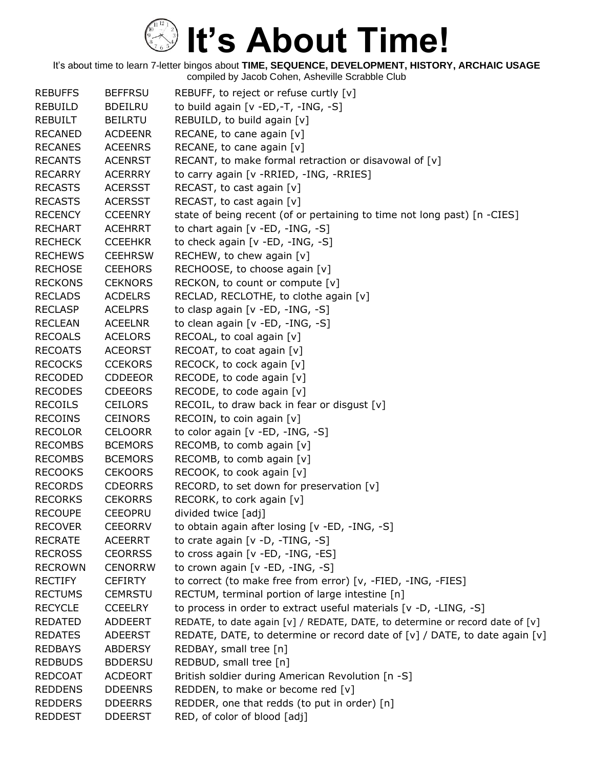| <b>REBUFFS</b> | <b>BEFFRSU</b> | REBUFF, to reject or refuse curtly $[v]$                                         |
|----------------|----------------|----------------------------------------------------------------------------------|
| <b>REBUILD</b> | <b>BDEILRU</b> | to build again [v -ED,-T, -ING, -S]                                              |
| <b>REBUILT</b> | <b>BEILRTU</b> | REBUILD, to build again [v]                                                      |
| <b>RECANED</b> | <b>ACDEENR</b> | RECANE, to cane again [v]                                                        |
| <b>RECANES</b> | <b>ACEENRS</b> | RECANE, to cane again [v]                                                        |
| <b>RECANTS</b> | <b>ACENRST</b> | RECANT, to make formal retraction or disavowal of [v]                            |
| <b>RECARRY</b> | <b>ACERRRY</b> | to carry again [v - RRIED, -ING, - RRIES]                                        |
| <b>RECASTS</b> | <b>ACERSST</b> | RECAST, to cast again [v]                                                        |
| <b>RECASTS</b> | <b>ACERSST</b> | RECAST, to cast again [v]                                                        |
| <b>RECENCY</b> | <b>CCEENRY</b> | state of being recent (of or pertaining to time not long past) [n -CIES]         |
| <b>RECHART</b> | <b>ACEHRRT</b> | to chart again [v -ED, -ING, -S]                                                 |
| <b>RECHECK</b> | <b>CCEEHKR</b> | to check again [v -ED, -ING, -S]                                                 |
| <b>RECHEWS</b> | <b>CEEHRSW</b> | RECHEW, to chew again [v]                                                        |
| <b>RECHOSE</b> | <b>CEEHORS</b> | RECHOOSE, to choose again [v]                                                    |
| <b>RECKONS</b> | <b>CEKNORS</b> | RECKON, to count or compute [v]                                                  |
| <b>RECLADS</b> | <b>ACDELRS</b> | RECLAD, RECLOTHE, to clothe again [v]                                            |
| <b>RECLASP</b> | <b>ACELPRS</b> | to clasp again [v -ED, -ING, -S]                                                 |
| <b>RECLEAN</b> | <b>ACEELNR</b> | to clean again [v -ED, -ING, -S]                                                 |
| <b>RECOALS</b> | <b>ACELORS</b> | RECOAL, to coal again [v]                                                        |
| <b>RECOATS</b> | <b>ACEORST</b> | RECOAT, to coat again [v]                                                        |
| <b>RECOCKS</b> | <b>CCEKORS</b> | RECOCK, to cock again [v]                                                        |
| <b>RECODED</b> | <b>CDDEEOR</b> | RECODE, to code again [v]                                                        |
| <b>RECODES</b> | <b>CDEEORS</b> | RECODE, to code again [v]                                                        |
| <b>RECOILS</b> | <b>CEILORS</b> | RECOIL, to draw back in fear or disgust [v]                                      |
| <b>RECOINS</b> | <b>CEINORS</b> | RECOIN, to coin again [v]                                                        |
| <b>RECOLOR</b> | <b>CELOORR</b> | to color again [v -ED, -ING, -S]                                                 |
| <b>RECOMBS</b> | <b>BCEMORS</b> | RECOMB, to comb again [v]                                                        |
| <b>RECOMBS</b> | <b>BCEMORS</b> | RECOMB, to comb again [v]                                                        |
| <b>RECOOKS</b> | <b>CEKOORS</b> | RECOOK, to cook again [v]                                                        |
| <b>RECORDS</b> | <b>CDEORRS</b> | RECORD, to set down for preservation [v]                                         |
| <b>RECORKS</b> | <b>CEKORRS</b> | RECORK, to cork again [v]                                                        |
| <b>RECOUPE</b> | <b>CEEOPRU</b> | divided twice [adj]                                                              |
| <b>RECOVER</b> | <b>CEEORRV</b> | to obtain again after losing [v -ED, -ING, -S]                                   |
| <b>RECRATE</b> | <b>ACEERRT</b> | to crate again [v -D, -TING, -S]                                                 |
| <b>RECROSS</b> | <b>CEORRSS</b> | to cross again [v - ED, - ING, - ES]                                             |
| <b>RECROWN</b> | <b>CENORRW</b> | to crown again [v -ED, -ING, -S]                                                 |
| <b>RECTIFY</b> | <b>CEFIRTY</b> | to correct (to make free from error) [v, -FIED, -ING, -FIES]                     |
| <b>RECTUMS</b> | <b>CEMRSTU</b> | RECTUM, terminal portion of large intestine [n]                                  |
| <b>RECYCLE</b> | <b>CCEELRY</b> | to process in order to extract useful materials [v -D, -LING, -S]                |
| <b>REDATED</b> | <b>ADDEERT</b> | REDATE, to date again $[v] /$ REDATE, DATE, to determine or record date of $[v]$ |
| <b>REDATES</b> | <b>ADEERST</b> | REDATE, DATE, to determine or record date of $[v]$ / DATE, to date again $[v]$   |
| <b>REDBAYS</b> | <b>ABDERSY</b> | REDBAY, small tree [n]                                                           |
| <b>REDBUDS</b> | <b>BDDERSU</b> | REDBUD, small tree [n]                                                           |
| <b>REDCOAT</b> | <b>ACDEORT</b> | British soldier during American Revolution [n -S]                                |
| <b>REDDENS</b> | <b>DDEENRS</b> | REDDEN, to make or become red [v]                                                |
| <b>REDDERS</b> | <b>DDEERRS</b> | REDDER, one that redds (to put in order) [n]                                     |
| <b>REDDEST</b> | <b>DDEERST</b> | RED, of color of blood [adj]                                                     |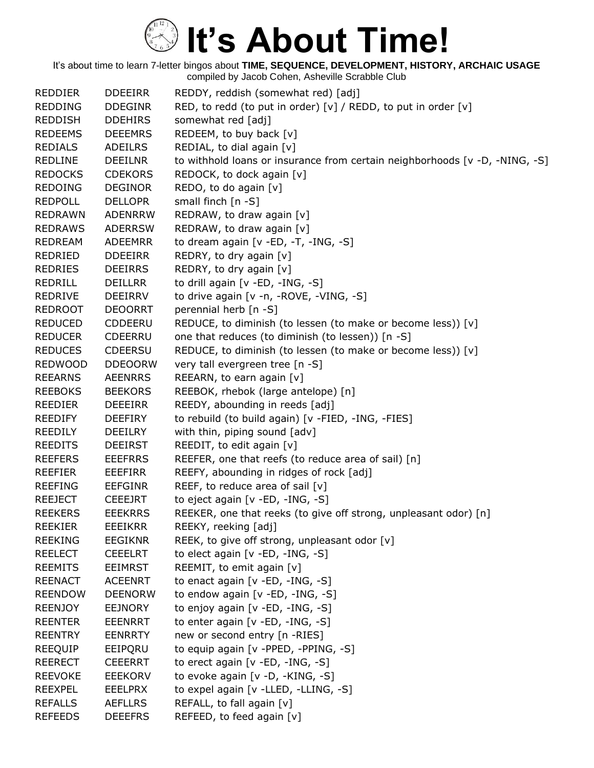| <b>REDDIER</b> | <b>DDEEIRR</b> | REDDY, reddish (somewhat red) [adj]                                            |
|----------------|----------------|--------------------------------------------------------------------------------|
| <b>REDDING</b> | <b>DDEGINR</b> | RED, to redd (to put in order) $[v]$ / REDD, to put in order $[v]$             |
| <b>REDDISH</b> | <b>DDEHIRS</b> | somewhat red [adj]                                                             |
| <b>REDEEMS</b> | <b>DEEEMRS</b> | REDEEM, to buy back [v]                                                        |
| <b>REDIALS</b> | <b>ADEILRS</b> | REDIAL, to dial again [v]                                                      |
| <b>REDLINE</b> | <b>DEEILNR</b> | to withhold loans or insurance from certain neighborhoods $[v - D, -NING, -S]$ |
| <b>REDOCKS</b> | <b>CDEKORS</b> | REDOCK, to dock again [v]                                                      |
| <b>REDOING</b> | <b>DEGINOR</b> | REDO, to do again [v]                                                          |
| <b>REDPOLL</b> | <b>DELLOPR</b> | small finch [n -S]                                                             |
| <b>REDRAWN</b> | <b>ADENRRW</b> | REDRAW, to draw again [v]                                                      |
| <b>REDRAWS</b> | <b>ADERRSW</b> | REDRAW, to draw again [v]                                                      |
| <b>REDREAM</b> | <b>ADEEMRR</b> | to dream again $[v - ED, -T, -ING, -S]$                                        |
| REDRIED        | <b>DDEEIRR</b> | REDRY, to dry again [v]                                                        |
| <b>REDRIES</b> | <b>DEEIRRS</b> | REDRY, to dry again [v]                                                        |
| REDRILL        | <b>DEILLRR</b> | to drill again [v -ED, -ING, -S]                                               |
| <b>REDRIVE</b> | <b>DEEIRRV</b> | to drive again [v -n, -ROVE, -VING, -S]                                        |
| <b>REDROOT</b> | <b>DEOORRT</b> | perennial herb [n -S]                                                          |
| <b>REDUCED</b> | <b>CDDEERU</b> | REDUCE, to diminish (to lessen (to make or become less)) [v]                   |
| <b>REDUCER</b> | <b>CDEERRU</b> | one that reduces (to diminish (to lessen)) [n -S]                              |
| <b>REDUCES</b> | <b>CDEERSU</b> | REDUCE, to diminish (to lessen (to make or become less)) [v]                   |
| <b>REDWOOD</b> | <b>DDEOORW</b> | very tall evergreen tree [n -S]                                                |
| <b>REEARNS</b> | <b>AEENRRS</b> | REEARN, to earn again [v]                                                      |
| <b>REEBOKS</b> | <b>BEEKORS</b> | REEBOK, rhebok (large antelope) [n]                                            |
| <b>REEDIER</b> | <b>DEEEIRR</b> | REEDY, abounding in reeds [adj]                                                |
| <b>REEDIFY</b> | <b>DEEFIRY</b> | to rebuild (to build again) [v -FIED, -ING, -FIES]                             |
| <b>REEDILY</b> | DEEILRY        | with thin, piping sound [adv]                                                  |
| <b>REEDITS</b> | <b>DEEIRST</b> | REEDIT, to edit again [v]                                                      |
| <b>REEFERS</b> | <b>EEEFRRS</b> | REEFER, one that reefs (to reduce area of sail) [n]                            |
| <b>REEFIER</b> | EEEFIRR        | REEFY, abounding in ridges of rock [adj]                                       |
| <b>REEFING</b> | <b>EEFGINR</b> | REEF, to reduce area of sail [v]                                               |
| <b>REEJECT</b> | <b>CEEEJRT</b> | to eject again [v -ED, -ING, -S]                                               |
| <b>REEKERS</b> | <b>EEEKRRS</b> | REEKER, one that reeks (to give off strong, unpleasant odor) [n]               |
| <b>REEKIER</b> | EEEIKRR        | REEKY, reeking [adj]                                                           |
| <b>REEKING</b> | <b>EEGIKNR</b> | REEK, to give off strong, unpleasant odor [v]                                  |
| <b>REELECT</b> | <b>CEEELRT</b> | to elect again [v -ED, -ING, -S]                                               |
| <b>REEMITS</b> | <b>EEIMRST</b> | REEMIT, to emit again [v]                                                      |
| <b>REENACT</b> | <b>ACEENRT</b> | to enact again [v -ED, -ING, -S]                                               |
| <b>REENDOW</b> | <b>DEENORW</b> | to endow again [v -ED, -ING, -S]                                               |
| <b>REENJOY</b> | <b>EEJNORY</b> | to enjoy again [v -ED, -ING, -S]                                               |
| <b>REENTER</b> | <b>EEENRRT</b> | to enter again [v -ED, -ING, -S]                                               |
| <b>REENTRY</b> | <b>EENRRTY</b> | new or second entry [n -RIES]                                                  |
| <b>REEQUIP</b> | EEIPQRU        | to equip again [v -PPED, -PPING, -S]                                           |
| <b>REERECT</b> | <b>CEEERRT</b> | to erect again [v -ED, -ING, -S]                                               |
| <b>REEVOKE</b> | <b>EEEKORV</b> | to evoke again [v -D, -KING, -S]                                               |
| <b>REEXPEL</b> | <b>EEELPRX</b> | to expel again [v -LLED, -LLING, -S]                                           |
| <b>REFALLS</b> | <b>AEFLLRS</b> | REFALL, to fall again [v]                                                      |
| <b>REFEEDS</b> | <b>DEEEFRS</b> | REFEED, to feed again [v]                                                      |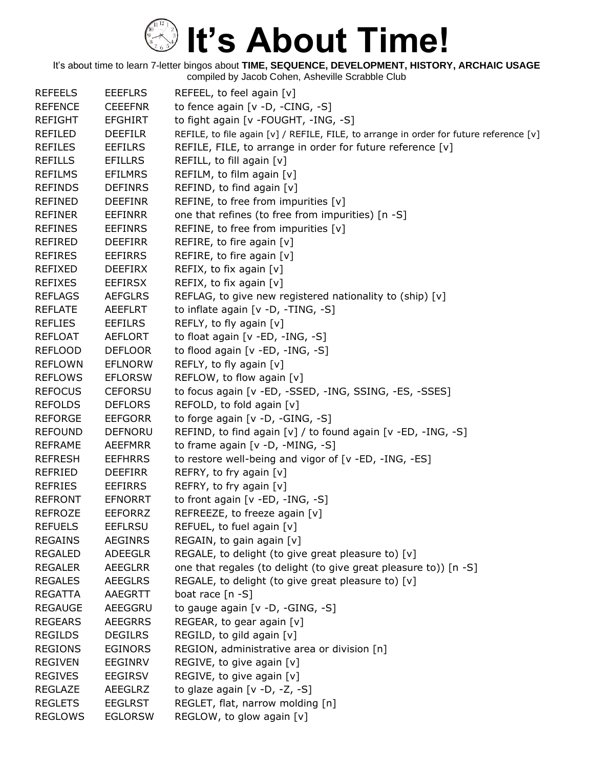| <b>REFEELS</b> | <b>EEEFLRS</b> | REFEEL, to feel again [v]                                                              |
|----------------|----------------|----------------------------------------------------------------------------------------|
| <b>REFENCE</b> | <b>CEEEFNR</b> | to fence again [v -D, -CING, -S]                                                       |
| <b>REFIGHT</b> | <b>EFGHIRT</b> | to fight again [v -FOUGHT, -ING, -S]                                                   |
| <b>REFILED</b> | <b>DEEFILR</b> | REFILE, to file again [v] / REFILE, FILE, to arrange in order for future reference [v] |
| <b>REFILES</b> | <b>EEFILRS</b> | REFILE, FILE, to arrange in order for future reference [v]                             |
| <b>REFILLS</b> | <b>EFILLRS</b> | REFILL, to fill again [v]                                                              |
| <b>REFILMS</b> | <b>EFILMRS</b> | REFILM, to film again [v]                                                              |
| <b>REFINDS</b> | <b>DEFINRS</b> | REFIND, to find again [v]                                                              |
| <b>REFINED</b> | <b>DEEFINR</b> | REFINE, to free from impurities [v]                                                    |
| <b>REFINER</b> | <b>EEFINRR</b> | one that refines (to free from impurities) [n -S]                                      |
| <b>REFINES</b> | <b>EEFINRS</b> | REFINE, to free from impurities [v]                                                    |
| REFIRED        | <b>DEEFIRR</b> | REFIRE, to fire again [v]                                                              |
| <b>REFIRES</b> | <b>EEFIRRS</b> | REFIRE, to fire again [v]                                                              |
| <b>REFIXED</b> | <b>DEEFIRX</b> | REFIX, to fix again [v]                                                                |
| <b>REFIXES</b> | <b>EEFIRSX</b> | REFIX, to fix again [v]                                                                |
| <b>REFLAGS</b> | <b>AEFGLRS</b> | REFLAG, to give new registered nationality to (ship) [v]                               |
| <b>REFLATE</b> | <b>AEEFLRT</b> | to inflate again [v -D, -TING, -S]                                                     |
| <b>REFLIES</b> | <b>EEFILRS</b> | REFLY, to fly again [v]                                                                |
| <b>REFLOAT</b> | <b>AEFLORT</b> | to float again $[v - ED, -ING, -S]$                                                    |
| <b>REFLOOD</b> | <b>DEFLOOR</b> | to flood again [v -ED, -ING, -S]                                                       |
| <b>REFLOWN</b> | <b>EFLNORW</b> | REFLY, to fly again [v]                                                                |
| <b>REFLOWS</b> | <b>EFLORSW</b> | REFLOW, to flow again [v]                                                              |
| <b>REFOCUS</b> | <b>CEFORSU</b> | to focus again [v -ED, -SSED, -ING, SSING, -ES, -SSES]                                 |
| <b>REFOLDS</b> | <b>DEFLORS</b> | REFOLD, to fold again [v]                                                              |
| <b>REFORGE</b> | <b>EEFGORR</b> | to forge again [v -D, -GING, -S]                                                       |
| <b>REFOUND</b> | <b>DEFNORU</b> | REFIND, to find again [v] / to found again [v -ED, -ING, -S]                           |
| <b>REFRAME</b> | AEEFMRR        | to frame again $[v -D, -MING, -S]$                                                     |
| <b>REFRESH</b> | <b>EEFHRRS</b> | to restore well-being and vigor of [v -ED, -ING, -ES]                                  |
| REFRIED        | <b>DEEFIRR</b> | REFRY, to fry again [v]                                                                |
| <b>REFRIES</b> | <b>EEFIRRS</b> | REFRY, to fry again [v]                                                                |
| <b>REFRONT</b> | <b>EFNORRT</b> | to front again [v -ED, -ING, -S]                                                       |
| <b>REFROZE</b> | <b>EEFORRZ</b> | REFREEZE, to freeze again [v]                                                          |
| <b>REFUELS</b> | <b>EEFLRSU</b> | REFUEL, to fuel again [v]                                                              |
| <b>REGAINS</b> | <b>AEGINRS</b> | REGAIN, to gain again [v]                                                              |
| <b>REGALED</b> | <b>ADEEGLR</b> | REGALE, to delight (to give great pleasure to) [v]                                     |
| <b>REGALER</b> | <b>AEEGLRR</b> | one that regales (to delight (to give great pleasure to)) [n -S]                       |
| <b>REGALES</b> | <b>AEEGLRS</b> | REGALE, to delight (to give great pleasure to) [v]                                     |
| <b>REGATTA</b> | <b>AAEGRTT</b> | boat race $[n -S]$                                                                     |
| <b>REGAUGE</b> | AEEGGRU        | to gauge again [v -D, -GING, -S]                                                       |
| <b>REGEARS</b> | <b>AEEGRRS</b> | REGEAR, to gear again [v]                                                              |
| <b>REGILDS</b> | <b>DEGILRS</b> | REGILD, to gild again [v]                                                              |
| <b>REGIONS</b> | <b>EGINORS</b> | REGION, administrative area or division [n]                                            |
| <b>REGIVEN</b> | <b>EEGINRV</b> | REGIVE, to give again [v]                                                              |
| <b>REGIVES</b> | <b>EEGIRSV</b> | REGIVE, to give again [v]                                                              |
| <b>REGLAZE</b> | <b>AEEGLRZ</b> | to glaze again $[v -D, -Z, -S]$                                                        |
| <b>REGLETS</b> | <b>EEGLRST</b> | REGLET, flat, narrow molding [n]                                                       |
| <b>REGLOWS</b> | <b>EGLORSW</b> | REGLOW, to glow again [v]                                                              |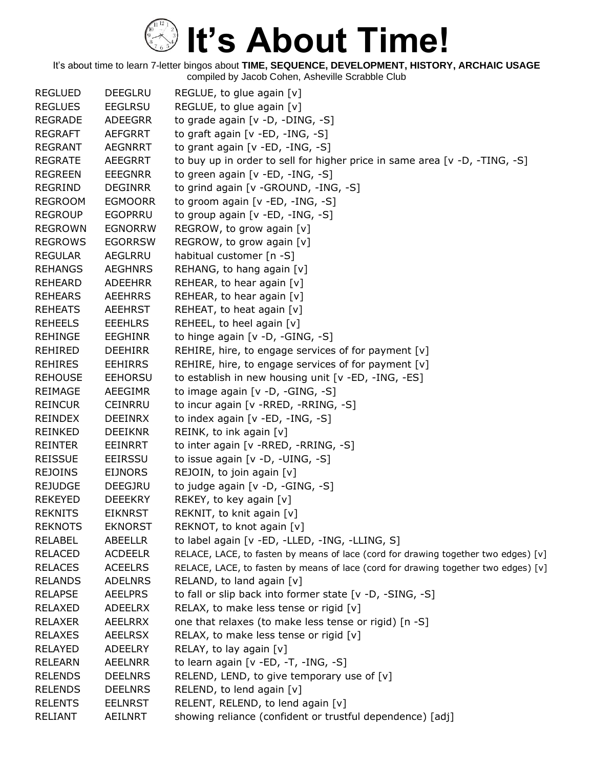| <b>REGLUED</b> | <b>DEEGLRU</b> | REGLUE, to glue again [v]                                                          |
|----------------|----------------|------------------------------------------------------------------------------------|
| <b>REGLUES</b> | <b>EEGLRSU</b> | REGLUE, to glue again [v]                                                          |
| <b>REGRADE</b> | <b>ADEEGRR</b> | to grade again [v -D, -DING, -S]                                                   |
| <b>REGRAFT</b> | <b>AEFGRRT</b> | to graft again [v -ED, -ING, -S]                                                   |
| <b>REGRANT</b> | <b>AEGNRRT</b> | to grant again $[v - ED, -ING, -S]$                                                |
| <b>REGRATE</b> | <b>AEEGRRT</b> | to buy up in order to sell for higher price in same area [ $v$ -D, -TING, -S]      |
| <b>REGREEN</b> | <b>EEEGNRR</b> | to green again [v -ED, -ING, -S]                                                   |
| <b>REGRIND</b> | <b>DEGINRR</b> | to grind again [v - GROUND, -ING, -S]                                              |
| <b>REGROOM</b> | <b>EGMOORR</b> | to groom again [v -ED, -ING, -S]                                                   |
| <b>REGROUP</b> | <b>EGOPRRU</b> | to group again [v -ED, -ING, -S]                                                   |
| <b>REGROWN</b> | <b>EGNORRW</b> | REGROW, to grow again [v]                                                          |
| <b>REGROWS</b> | <b>EGORRSW</b> | REGROW, to grow again [v]                                                          |
| <b>REGULAR</b> | AEGLRRU        | habitual customer [n -S]                                                           |
| <b>REHANGS</b> | <b>AEGHNRS</b> | REHANG, to hang again [v]                                                          |
| <b>REHEARD</b> | <b>ADEEHRR</b> | REHEAR, to hear again $[v]$                                                        |
| <b>REHEARS</b> | <b>AEEHRRS</b> | REHEAR, to hear again $[v]$                                                        |
| <b>REHEATS</b> | <b>AEEHRST</b> | REHEAT, to heat again $[v]$                                                        |
| <b>REHEELS</b> | <b>EEEHLRS</b> | REHEEL, to heel again [v]                                                          |
| <b>REHINGE</b> | <b>EEGHINR</b> | to hinge again [v -D, -GING, -S]                                                   |
| <b>REHIRED</b> | <b>DEEHIRR</b> | REHIRE, hire, to engage services of for payment [v]                                |
| <b>REHIRES</b> | <b>EEHIRRS</b> | REHIRE, hire, to engage services of for payment [v]                                |
| <b>REHOUSE</b> | <b>EEHORSU</b> | to establish in new housing unit [v -ED, -ING, -ES]                                |
| <b>REIMAGE</b> | <b>AEEGIMR</b> | to image again [v -D, -GING, -S]                                                   |
| <b>REINCUR</b> | <b>CEINRRU</b> | to incur again [v - RRED, - RRING, - S]                                            |
| <b>REINDEX</b> | <b>DEEINRX</b> | to index again [v -ED, -ING, -S]                                                   |
| <b>REINKED</b> | <b>DEEIKNR</b> | REINK, to ink again [v]                                                            |
| REINTER        | EEINRRT        | to inter again [v - RRED, - RRING, - S]                                            |
| <b>REISSUE</b> | <b>EEIRSSU</b> | to issue again [v -D, -UING, -S]                                                   |
| <b>REJOINS</b> | <b>EIJNORS</b> | REJOIN, to join again [v]                                                          |
| <b>REJUDGE</b> | <b>DEEGJRU</b> | to judge again $[v -D, -GING, -S]$                                                 |
| <b>REKEYED</b> | <b>DEEEKRY</b> | REKEY, to key again [v]                                                            |
| <b>REKNITS</b> | <b>EIKNRST</b> | REKNIT, to knit again [v]                                                          |
| <b>REKNOTS</b> | EKNORST        | REKNOT, to knot again [v]                                                          |
| <b>RELABEL</b> | ABEELLR        | to label again [v -ED, -LLED, -ING, -LLING, S]                                     |
| <b>RELACED</b> | <b>ACDEELR</b> | RELACE, LACE, to fasten by means of lace (cord for drawing together two edges) [v] |
| <b>RELACES</b> | <b>ACEELRS</b> | RELACE, LACE, to fasten by means of lace (cord for drawing together two edges) [v] |
| <b>RELANDS</b> | <b>ADELNRS</b> | RELAND, to land again [v]                                                          |
| <b>RELAPSE</b> | <b>AEELPRS</b> | to fall or slip back into former state [v -D, -SING, -S]                           |
| RELAXED        | <b>ADEELRX</b> | RELAX, to make less tense or rigid [v]                                             |
| <b>RELAXER</b> | <b>AEELRRX</b> | one that relaxes (to make less tense or rigid) [n -S]                              |
| <b>RELAXES</b> | <b>AEELRSX</b> | RELAX, to make less tense or rigid [v]                                             |
| <b>RELAYED</b> | <b>ADEELRY</b> | RELAY, to lay again [v]                                                            |
| <b>RELEARN</b> | AEELNRR        | to learn again [ $v$ -ED, -T, -ING, -S]                                            |
| <b>RELENDS</b> | <b>DEELNRS</b> | RELEND, LEND, to give temporary use of [v]                                         |
| <b>RELENDS</b> | <b>DEELNRS</b> | RELEND, to lend again [v]                                                          |
| <b>RELENTS</b> | <b>EELNRST</b> | RELENT, RELEND, to lend again [v]                                                  |
| <b>RELIANT</b> | <b>AEILNRT</b> | showing reliance (confident or trustful dependence) [adj]                          |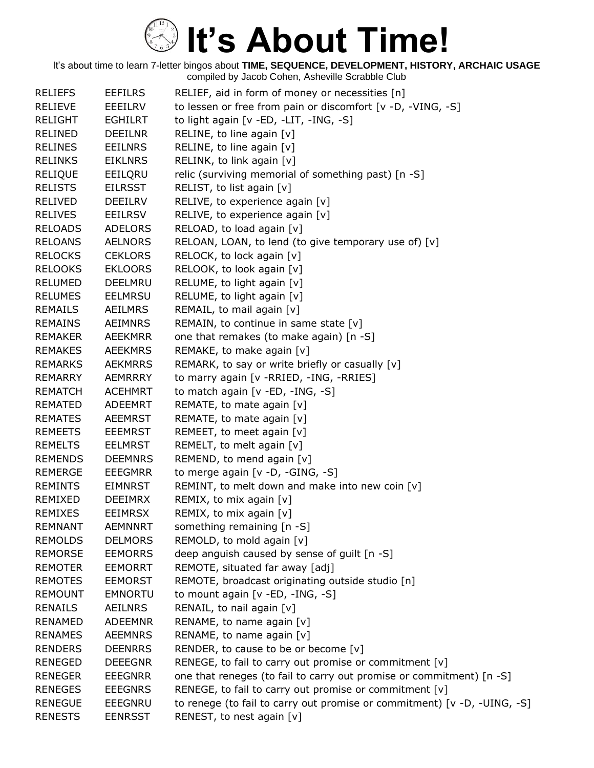| <b>RELIEFS</b> | <b>EEFILRS</b> | RELIEF, aid in form of money or necessities [n]                          |
|----------------|----------------|--------------------------------------------------------------------------|
| <b>RELIEVE</b> | <b>EEEILRV</b> | to lessen or free from pain or discomfort [v -D, -VING, -S]              |
| <b>RELIGHT</b> | <b>EGHILRT</b> | to light again [v -ED, -LIT, -ING, -S]                                   |
| <b>RELINED</b> | <b>DEEILNR</b> | RELINE, to line again [v]                                                |
| <b>RELINES</b> | <b>EEILNRS</b> | RELINE, to line again $[v]$                                              |
| <b>RELINKS</b> | <b>EIKLNRS</b> | RELINK, to link again [v]                                                |
| <b>RELIQUE</b> | EEILQRU        | relic (surviving memorial of something past) [n -S]                      |
| <b>RELISTS</b> | <b>EILRSST</b> | RELIST, to list again [v]                                                |
| <b>RELIVED</b> | <b>DEEILRV</b> | RELIVE, to experience again [v]                                          |
| <b>RELIVES</b> | <b>EEILRSV</b> | RELIVE, to experience again [v]                                          |
| <b>RELOADS</b> | <b>ADELORS</b> | RELOAD, to load again [v]                                                |
| <b>RELOANS</b> | <b>AELNORS</b> | RELOAN, LOAN, to lend (to give temporary use of) [v]                     |
| <b>RELOCKS</b> | <b>CEKLORS</b> | RELOCK, to lock again [v]                                                |
| <b>RELOOKS</b> | <b>EKLOORS</b> | RELOOK, to look again [v]                                                |
| <b>RELUMED</b> | <b>DEELMRU</b> | RELUME, to light again [v]                                               |
| <b>RELUMES</b> | <b>EELMRSU</b> | RELUME, to light again [v]                                               |
| <b>REMAILS</b> | <b>AEILMRS</b> | REMAIL, to mail again [v]                                                |
| <b>REMAINS</b> | <b>AEIMNRS</b> | REMAIN, to continue in same state [v]                                    |
| <b>REMAKER</b> | <b>AEEKMRR</b> | one that remakes (to make again) [n -S]                                  |
| <b>REMAKES</b> | <b>AEEKMRS</b> | REMAKE, to make again [v]                                                |
| <b>REMARKS</b> | <b>AEKMRRS</b> | REMARK, to say or write briefly or casually [v]                          |
| <b>REMARRY</b> | <b>AEMRRRY</b> | to marry again [v - RRIED, - ING, - RRIES]                               |
| <b>REMATCH</b> | <b>ACEHMRT</b> | to match again [v -ED, -ING, -S]                                         |
| <b>REMATED</b> | ADEEMRT        | REMATE, to mate again [v]                                                |
| <b>REMATES</b> | <b>AEEMRST</b> | REMATE, to mate again [v]                                                |
| <b>REMEETS</b> | <b>EEEMRST</b> | REMEET, to meet again [v]                                                |
| <b>REMELTS</b> | <b>EELMRST</b> | REMELT, to melt again [v]                                                |
| <b>REMENDS</b> | <b>DEEMNRS</b> | REMEND, to mend again [v]                                                |
| <b>REMERGE</b> | <b>EEEGMRR</b> | to merge again [v -D, -GING, -S]                                         |
| <b>REMINTS</b> | <b>EIMNRST</b> | REMINT, to melt down and make into new coin [v]                          |
| REMIXED        | <b>DEEIMRX</b> | REMIX, to mix again [v]                                                  |
| <b>REMIXES</b> | <b>EEIMRSX</b> | REMIX, to mix again [v]                                                  |
| <b>REMNANT</b> | <b>AEMNNRT</b> | something remaining [n -S]                                               |
| <b>REMOLDS</b> | <b>DELMORS</b> | REMOLD, to mold again [v]                                                |
| <b>REMORSE</b> | <b>EEMORRS</b> | deep anguish caused by sense of guilt [n -S]                             |
| <b>REMOTER</b> | <b>EEMORRT</b> | REMOTE, situated far away [adj]                                          |
| <b>REMOTES</b> | <b>EEMORST</b> | REMOTE, broadcast originating outside studio [n]                         |
| <b>REMOUNT</b> | <b>EMNORTU</b> | to mount again [v -ED, -ING, -S]                                         |
| <b>RENAILS</b> | <b>AEILNRS</b> | RENAIL, to nail again [v]                                                |
| <b>RENAMED</b> | <b>ADEEMNR</b> | RENAME, to name again [v]                                                |
| <b>RENAMES</b> | <b>AEEMNRS</b> | RENAME, to name again [v]                                                |
| <b>RENDERS</b> | <b>DEENRRS</b> | RENDER, to cause to be or become [v]                                     |
| <b>RENEGED</b> | <b>DEEEGNR</b> | RENEGE, to fail to carry out promise or commitment [v]                   |
| <b>RENEGER</b> | <b>EEEGNRR</b> | one that reneges (to fail to carry out promise or commitment) [n -S]     |
| <b>RENEGES</b> | <b>EEEGNRS</b> | RENEGE, to fail to carry out promise or commitment [v]                   |
| <b>RENEGUE</b> | <b>EEEGNRU</b> | to renege (to fail to carry out promise or commitment) [v -D, -UING, -S] |
| <b>RENESTS</b> | <b>EENRSST</b> | RENEST, to nest again [v]                                                |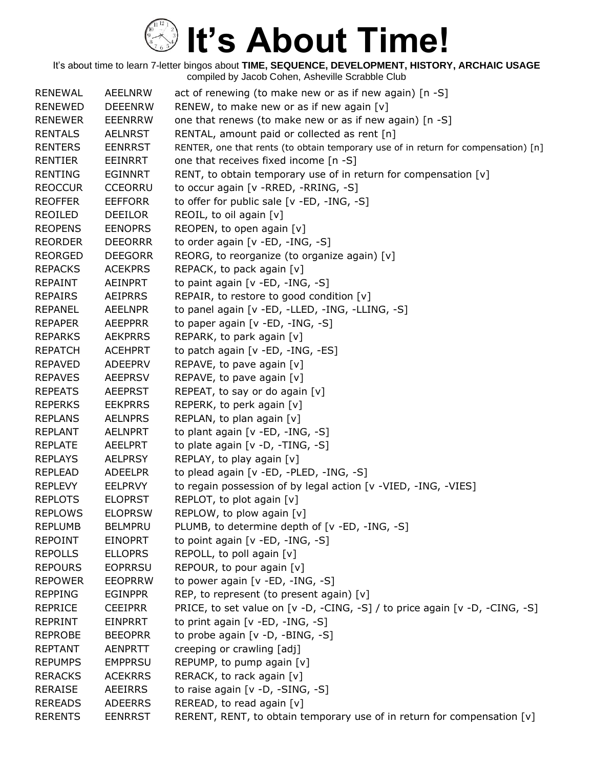| <b>RENEWAL</b> | <b>AEELNRW</b> | act of renewing (to make new or as if new again) [n -S]                            |
|----------------|----------------|------------------------------------------------------------------------------------|
| <b>RENEWED</b> | <b>DEEENRW</b> | RENEW, to make new or as if new again [v]                                          |
| <b>RENEWER</b> | <b>EEENRRW</b> | one that renews (to make new or as if new again) [n -S]                            |
| <b>RENTALS</b> | <b>AELNRST</b> | RENTAL, amount paid or collected as rent [n]                                       |
| <b>RENTERS</b> | <b>EENRRST</b> | RENTER, one that rents (to obtain temporary use of in return for compensation) [n] |
| <b>RENTIER</b> | EEINRRT        | one that receives fixed income [n -S]                                              |
| <b>RENTING</b> | <b>EGINNRT</b> | RENT, to obtain temporary use of in return for compensation [v]                    |
| <b>REOCCUR</b> | <b>CCEORRU</b> | to occur again [v - RRED, - RRING, - S]                                            |
| <b>REOFFER</b> | <b>EEFFORR</b> | to offer for public sale [v -ED, -ING, -S]                                         |
| REOILED        | <b>DEEILOR</b> | REOIL, to oil again [v]                                                            |
| <b>REOPENS</b> | <b>EENOPRS</b> | REOPEN, to open again [v]                                                          |
| <b>REORDER</b> | <b>DEEORRR</b> | to order again [v -ED, -ING, -S]                                                   |
| <b>REORGED</b> | <b>DEEGORR</b> | REORG, to reorganize (to organize again) [v]                                       |
| <b>REPACKS</b> | <b>ACEKPRS</b> | REPACK, to pack again [v]                                                          |
| <b>REPAINT</b> | AEINPRT        | to paint again [v -ED, -ING, -S]                                                   |
| <b>REPAIRS</b> | AEIPRRS        | REPAIR, to restore to good condition [v]                                           |
| <b>REPANEL</b> | <b>AEELNPR</b> | to panel again [v -ED, -LLED, -ING, -LLING, -S]                                    |
| <b>REPAPER</b> | <b>AEEPPRR</b> | to paper again [v -ED, -ING, -S]                                                   |
| <b>REPARKS</b> | <b>AEKPRRS</b> | REPARK, to park again [v]                                                          |
| <b>REPATCH</b> | <b>ACEHPRT</b> | to patch again [v -ED, -ING, -ES]                                                  |
| <b>REPAVED</b> | <b>ADEEPRV</b> | REPAVE, to pave again [v]                                                          |
| <b>REPAVES</b> | <b>AEEPRSV</b> | REPAVE, to pave again [v]                                                          |
| <b>REPEATS</b> | <b>AEEPRST</b> | REPEAT, to say or do again [v]                                                     |
| <b>REPERKS</b> | <b>EEKPRRS</b> | REPERK, to perk again [v]                                                          |
| <b>REPLANS</b> | <b>AELNPRS</b> | REPLAN, to plan again [v]                                                          |
| <b>REPLANT</b> | <b>AELNPRT</b> | to plant again [v -ED, -ING, -S]                                                   |
| <b>REPLATE</b> | AEELPRT        | to plate again [v -D, -TING, -S]                                                   |
| <b>REPLAYS</b> | <b>AELPRSY</b> | REPLAY, to play again [v]                                                          |
| <b>REPLEAD</b> | <b>ADEELPR</b> | to plead again [v -ED, -PLED, -ING, -S]                                            |
| <b>REPLEVY</b> | <b>EELPRVY</b> | to regain possession of by legal action [v -VIED, -ING, -VIES]                     |
| <b>REPLOTS</b> | <b>ELOPRST</b> | REPLOT, to plot again [v]                                                          |
| <b>REPLOWS</b> | <b>ELOPRSW</b> | REPLOW, to plow again $[v]$                                                        |
| <b>REPLUMB</b> | <b>BELMPRU</b> | PLUMB, to determine depth of [v -ED, -ING, -S]                                     |
| <b>REPOINT</b> | <b>EINOPRT</b> | to point again [v -ED, -ING, -S]                                                   |
| <b>REPOLLS</b> | <b>ELLOPRS</b> | REPOLL, to poll again [v]                                                          |
| <b>REPOURS</b> | <b>EOPRRSU</b> | REPOUR, to pour again [v]                                                          |
| <b>REPOWER</b> | <b>EEOPRRW</b> | to power again [v -ED, -ING, -S]                                                   |
| <b>REPPING</b> | <b>EGINPPR</b> | REP, to represent (to present again) [v]                                           |
| <b>REPRICE</b> | <b>CEEIPRR</b> | PRICE, to set value on [v -D, -CING, -S] / to price again [v -D, -CING, -S]        |
| <b>REPRINT</b> | <b>EINPRRT</b> | to print again [v -ED, -ING, -S]                                                   |
| <b>REPROBE</b> | <b>BEEOPRR</b> | to probe again [v -D, -BING, -S]                                                   |
| <b>REPTANT</b> | <b>AENPRTT</b> | creeping or crawling [adj]                                                         |
| <b>REPUMPS</b> | <b>EMPPRSU</b> | REPUMP, to pump again [v]                                                          |
| <b>RERACKS</b> | <b>ACEKRRS</b> | RERACK, to rack again [v]                                                          |
| <b>RERAISE</b> | <b>AEEIRRS</b> | to raise again $[v -D, -SING, -S]$                                                 |
| <b>REREADS</b> | <b>ADEERRS</b> | REREAD, to read again [v]                                                          |
| <b>RERENTS</b> | <b>EENRRST</b> | RERENT, RENT, to obtain temporary use of in return for compensation [v]            |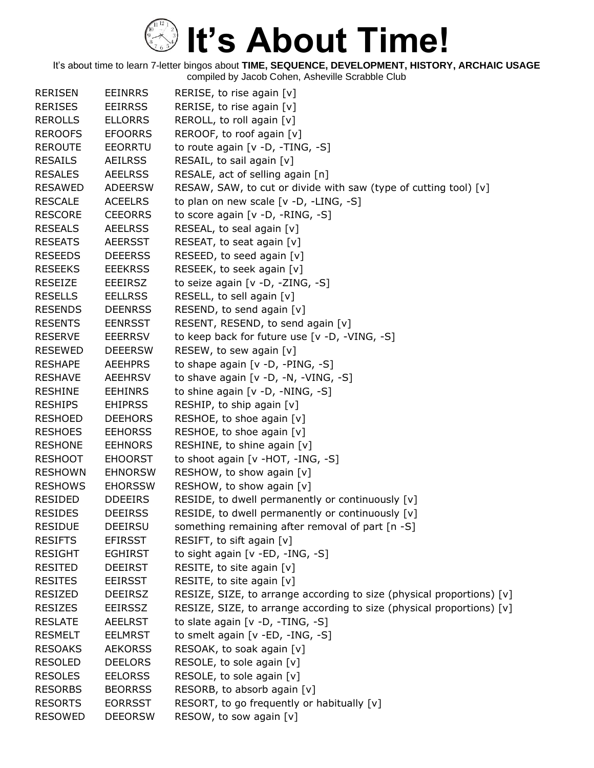| <b>RERISEN</b> | <b>EEINRRS</b> | RERISE, to rise again $[v]$                                           |
|----------------|----------------|-----------------------------------------------------------------------|
| <b>RERISES</b> | <b>EEIRRSS</b> | RERISE, to rise again [v]                                             |
| <b>REROLLS</b> | <b>ELLORRS</b> | REROLL, to roll again [v]                                             |
| <b>REROOFS</b> | <b>EFOORRS</b> | REROOF, to roof again [v]                                             |
| <b>REROUTE</b> | <b>EEORRTU</b> | to route again [v -D, -TING, -S]                                      |
| <b>RESAILS</b> | <b>AEILRSS</b> | RESAIL, to sail again [v]                                             |
| <b>RESALES</b> | <b>AEELRSS</b> | RESALE, act of selling again [n]                                      |
| <b>RESAWED</b> | <b>ADEERSW</b> | RESAW, SAW, to cut or divide with saw (type of cutting tool) [v]      |
| <b>RESCALE</b> | <b>ACEELRS</b> | to plan on new scale $[v -D, -LING, -S]$                              |
| <b>RESCORE</b> | <b>CEEORRS</b> | to score again [v -D, -RING, -S]                                      |
| <b>RESEALS</b> | <b>AEELRSS</b> | RESEAL, to seal again [v]                                             |
| <b>RESEATS</b> | <b>AEERSST</b> | RESEAT, to seat again [v]                                             |
| <b>RESEEDS</b> | <b>DEEERSS</b> | RESEED, to seed again [v]                                             |
| <b>RESEEKS</b> | <b>EEEKRSS</b> | RESEEK, to seek again [v]                                             |
| <b>RESEIZE</b> | <b>EEEIRSZ</b> | to seize again [v -D, -ZING, -S]                                      |
| <b>RESELLS</b> | <b>EELLRSS</b> | RESELL, to sell again [v]                                             |
| <b>RESENDS</b> | <b>DEENRSS</b> | RESEND, to send again [v]                                             |
| <b>RESENTS</b> | <b>EENRSST</b> | RESENT, RESEND, to send again [v]                                     |
| <b>RESERVE</b> | <b>EEERRSV</b> | to keep back for future use [v -D, -VING, -S]                         |
| <b>RESEWED</b> | <b>DEEERSW</b> | RESEW, to sew again [v]                                               |
| <b>RESHAPE</b> | <b>AEEHPRS</b> | to shape again $[v -D, -PING, -S]$                                    |
| <b>RESHAVE</b> | AEEHRSV        | to shave again [v -D, -N, -VING, -S]                                  |
| <b>RESHINE</b> | <b>EEHINRS</b> | to shine again [v -D, -NING, -S]                                      |
| <b>RESHIPS</b> | <b>EHIPRSS</b> | RESHIP, to ship again [v]                                             |
| <b>RESHOED</b> | <b>DEEHORS</b> | RESHOE, to shoe again [v]                                             |
| <b>RESHOES</b> | <b>EEHORSS</b> | RESHOE, to shoe again [v]                                             |
| <b>RESHONE</b> | <b>EEHNORS</b> | RESHINE, to shine again [v]                                           |
| <b>RESHOOT</b> | <b>EHOORST</b> | to shoot again [v -HOT, -ING, -S]                                     |
| <b>RESHOWN</b> | <b>EHNORSW</b> | RESHOW, to show again [v]                                             |
| <b>RESHOWS</b> | <b>EHORSSW</b> | RESHOW, to show again [v]                                             |
| <b>RESIDED</b> | <b>DDEEIRS</b> | RESIDE, to dwell permanently or continuously [v]                      |
| <b>RESIDES</b> | <b>DEEIRSS</b> | RESIDE, to dwell permanently or continuously [v]                      |
| <b>RESIDUE</b> | <b>DEEIRSU</b> | something remaining after removal of part [n -S]                      |
| <b>RESIFTS</b> | <b>EFIRSST</b> | RESIFT, to sift again [v]                                             |
| <b>RESIGHT</b> | <b>EGHIRST</b> | to sight again [v -ED, -ING, -S]                                      |
| <b>RESITED</b> | <b>DEEIRST</b> | RESITE, to site again [v]                                             |
| <b>RESITES</b> | <b>EEIRSST</b> | RESITE, to site again [v]                                             |
| <b>RESIZED</b> | <b>DEEIRSZ</b> | RESIZE, SIZE, to arrange according to size (physical proportions) [v] |
| <b>RESIZES</b> | <b>EEIRSSZ</b> | RESIZE, SIZE, to arrange according to size (physical proportions) [v] |
| <b>RESLATE</b> | <b>AEELRST</b> | to slate again $[v - D, -TING, -S]$                                   |
| <b>RESMELT</b> | <b>EELMRST</b> | to smelt again [v -ED, -ING, -S]                                      |
| <b>RESOAKS</b> | <b>AEKORSS</b> | RESOAK, to soak again [v]                                             |
| <b>RESOLED</b> | <b>DEELORS</b> | RESOLE, to sole again [v]                                             |
| <b>RESOLES</b> | <b>EELORSS</b> | RESOLE, to sole again [v]                                             |
| <b>RESORBS</b> | <b>BEORRSS</b> | RESORB, to absorb again [v]                                           |
| <b>RESORTS</b> | <b>EORRSST</b> | RESORT, to go frequently or habitually [v]                            |
| <b>RESOWED</b> | <b>DEEORSW</b> | RESOW, to sow again [v]                                               |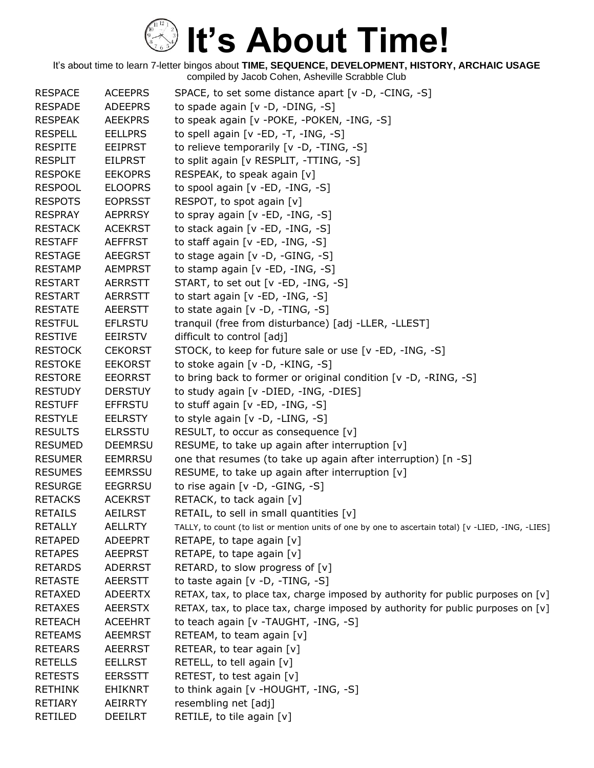| <b>RESPACE</b> | <b>ACEEPRS</b> | SPACE, to set some distance apart [v -D, -CING, -S]                                                |
|----------------|----------------|----------------------------------------------------------------------------------------------------|
| <b>RESPADE</b> | <b>ADEEPRS</b> | to spade again $[v -D, -DING, -S]$                                                                 |
| <b>RESPEAK</b> | <b>AEEKPRS</b> | to speak again [v -POKE, -POKEN, -ING, -S]                                                         |
| <b>RESPELL</b> | <b>EELLPRS</b> | to spell again [ $v$ -ED, -T, -ING, -S]                                                            |
| <b>RESPITE</b> | <b>EEIPRST</b> | to relieve temporarily [v -D, -TING, -S]                                                           |
| <b>RESPLIT</b> | <b>EILPRST</b> | to split again [v RESPLIT, -TTING, -S]                                                             |
| <b>RESPOKE</b> | <b>EEKOPRS</b> | RESPEAK, to speak again [v]                                                                        |
| <b>RESPOOL</b> | <b>ELOOPRS</b> | to spool again [v -ED, -ING, -S]                                                                   |
| <b>RESPOTS</b> | <b>EOPRSST</b> | RESPOT, to spot again [v]                                                                          |
| <b>RESPRAY</b> | <b>AEPRRSY</b> | to spray again [v -ED, -ING, -S]                                                                   |
| <b>RESTACK</b> | <b>ACEKRST</b> | to stack again [v -ED, -ING, -S]                                                                   |
| <b>RESTAFF</b> | <b>AEFFRST</b> | to staff again $[v - ED, -ING, -S]$                                                                |
| <b>RESTAGE</b> | <b>AEEGRST</b> | to stage again [v -D, -GING, -S]                                                                   |
| <b>RESTAMP</b> | <b>AEMPRST</b> | to stamp again [v -ED, -ING, -S]                                                                   |
| <b>RESTART</b> | <b>AERRSTT</b> | START, to set out [v -ED, -ING, -S]                                                                |
| <b>RESTART</b> | <b>AERRSTT</b> | to start again $[v - ED, -ING, -S]$                                                                |
| <b>RESTATE</b> | <b>AEERSTT</b> | to state again [v -D, -TING, -S]                                                                   |
| <b>RESTFUL</b> | <b>EFLRSTU</b> | tranquil (free from disturbance) [adj -LLER, -LLEST]                                               |
| <b>RESTIVE</b> | <b>EEIRSTV</b> | difficult to control [adj]                                                                         |
| <b>RESTOCK</b> | <b>CEKORST</b> | STOCK, to keep for future sale or use [v -ED, -ING, -S]                                            |
| <b>RESTOKE</b> | <b>EEKORST</b> | to stoke again [v -D, -KING, -S]                                                                   |
| <b>RESTORE</b> | <b>EEORRST</b> | to bring back to former or original condition [v -D, -RING, -S]                                    |
| <b>RESTUDY</b> | <b>DERSTUY</b> | to study again [v -DIED, -ING, -DIES]                                                              |
| <b>RESTUFF</b> | <b>EFFRSTU</b> | to stuff again [v -ED, -ING, -S]                                                                   |
| <b>RESTYLE</b> | <b>EELRSTY</b> | to style again [v -D, -LING, -S]                                                                   |
| <b>RESULTS</b> | <b>ELRSSTU</b> | RESULT, to occur as consequence $[v]$                                                              |
| <b>RESUMED</b> | <b>DEEMRSU</b> | RESUME, to take up again after interruption [v]                                                    |
| <b>RESUMER</b> | <b>EEMRRSU</b> | one that resumes (to take up again after interruption) [n -S]                                      |
| <b>RESUMES</b> | <b>EEMRSSU</b> | RESUME, to take up again after interruption [v]                                                    |
| <b>RESURGE</b> | <b>EEGRRSU</b> | to rise again $[v -D, -GING, -S]$                                                                  |
| <b>RETACKS</b> | <b>ACEKRST</b> | RETACK, to tack again [v]                                                                          |
| <b>RETAILS</b> | <b>AEILRST</b> | RETAIL, to sell in small quantities [v]                                                            |
| <b>RETALLY</b> | <b>AELLRTY</b> | TALLY, to count (to list or mention units of one by one to ascertain total) [v -LIED, -ING, -LIES] |
| <b>RETAPED</b> | <b>ADEEPRT</b> | RETAPE, to tape again $[v]$                                                                        |
| <b>RETAPES</b> | <b>AEEPRST</b> | RETAPE, to tape again $[v]$                                                                        |
| <b>RETARDS</b> | <b>ADERRST</b> | RETARD, to slow progress of [v]                                                                    |
| <b>RETASTE</b> | AEERSTT        | to taste again [v -D, -TING, -S]                                                                   |
| <b>RETAXED</b> | <b>ADEERTX</b> | RETAX, tax, to place tax, charge imposed by authority for public purposes on $[v]$                 |
| <b>RETAXES</b> | <b>AEERSTX</b> | RETAX, tax, to place tax, charge imposed by authority for public purposes on [v]                   |
| <b>RETEACH</b> | <b>ACEEHRT</b> | to teach again [v -TAUGHT, -ING, -S]                                                               |
| <b>RETEAMS</b> | <b>AEEMRST</b> | RETEAM, to team again [v]                                                                          |
| <b>RETEARS</b> | <b>AEERRST</b> | RETEAR, to tear again $[v]$                                                                        |
| <b>RETELLS</b> | EELLRST        | RETELL, to tell again [v]                                                                          |
| <b>RETESTS</b> | <b>EERSSTT</b> | RETEST, to test again [v]                                                                          |
| <b>RETHINK</b> | <b>EHIKNRT</b> | to think again [v -HOUGHT, -ING, -S]                                                               |
| <b>RETIARY</b> | AEIRRTY        | resembling net [adj]                                                                               |
| RETILED        | <b>DEEILRT</b> | RETILE, to tile again [v]                                                                          |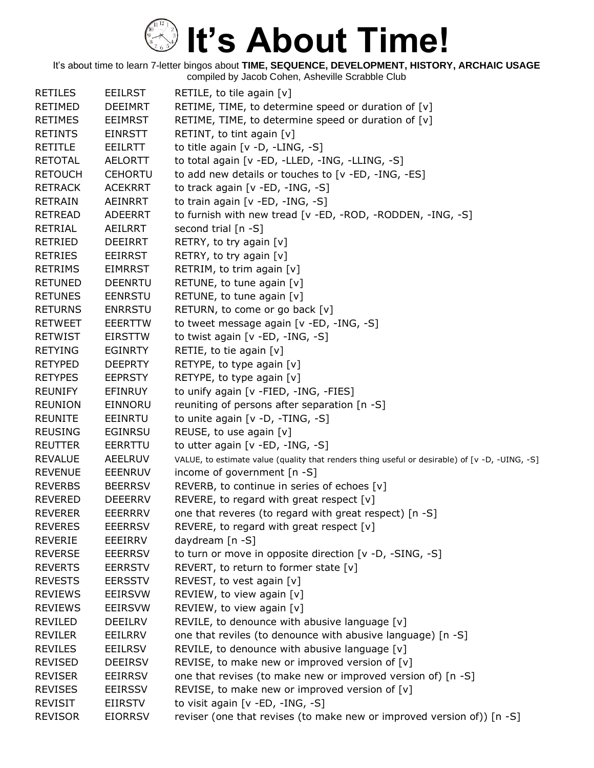| <b>RETILES</b> | <b>EEILRST</b> | RETILE, to tile again $[v]$                                                                    |
|----------------|----------------|------------------------------------------------------------------------------------------------|
| <b>RETIMED</b> | <b>DEEIMRT</b> | RETIME, TIME, to determine speed or duration of [v]                                            |
| <b>RETIMES</b> | EEIMRST        | RETIME, TIME, to determine speed or duration of $[v]$                                          |
| <b>RETINTS</b> | <b>EINRSTT</b> | RETINT, to tint again $[v]$                                                                    |
| <b>RETITLE</b> | <b>EEILRTT</b> | to title again $[v -D, -LING, -S]$                                                             |
| <b>RETOTAL</b> | <b>AELORTT</b> | to total again [v -ED, -LLED, -ING, -LLING, -S]                                                |
| <b>RETOUCH</b> | <b>CEHORTU</b> | to add new details or touches to [v -ED, -ING, -ES]                                            |
| <b>RETRACK</b> | <b>ACEKRRT</b> | to track again [v -ED, -ING, -S]                                                               |
| <b>RETRAIN</b> | AEINRRT        | to train again [v -ED, -ING, -S]                                                               |
| <b>RETREAD</b> | <b>ADEERRT</b> | to furnish with new tread [v -ED, -ROD, -RODDEN, -ING, -S]                                     |
| <b>RETRIAL</b> | AEILRRT        | second trial [n -S]                                                                            |
| <b>RETRIED</b> | <b>DEEIRRT</b> | RETRY, to try again [v]                                                                        |
| <b>RETRIES</b> | <b>EEIRRST</b> | RETRY, to try again [v]                                                                        |
| <b>RETRIMS</b> | <b>EIMRRST</b> | RETRIM, to trim again [v]                                                                      |
| <b>RETUNED</b> | <b>DEENRTU</b> | RETUNE, to tune again [v]                                                                      |
| <b>RETUNES</b> | <b>EENRSTU</b> | RETUNE, to tune again [v]                                                                      |
| <b>RETURNS</b> | <b>ENRRSTU</b> | RETURN, to come or go back [v]                                                                 |
| <b>RETWEET</b> | <b>EEERTTW</b> | to tweet message again [v -ED, -ING, -S]                                                       |
| <b>RETWIST</b> | <b>EIRSTTW</b> | to twist again [v -ED, -ING, -S]                                                               |
| <b>RETYING</b> | <b>EGINRTY</b> | RETIE, to tie again $[v]$                                                                      |
| <b>RETYPED</b> | <b>DEEPRTY</b> | RETYPE, to type again [v]                                                                      |
| <b>RETYPES</b> | <b>EEPRSTY</b> | RETYPE, to type again [v]                                                                      |
| <b>REUNIFY</b> | <b>EFINRUY</b> | to unify again [v -FIED, -ING, -FIES]                                                          |
| <b>REUNION</b> | <b>EINNORU</b> | reuniting of persons after separation [n -S]                                                   |
| <b>REUNITE</b> | <b>EEINRTU</b> | to unite again [v -D, -TING, -S]                                                               |
| <b>REUSING</b> | <b>EGINRSU</b> | REUSE, to use again [v]                                                                        |
| <b>REUTTER</b> | EERRTTU        | to utter again $[v - ED, -ING, -S]$                                                            |
| <b>REVALUE</b> | <b>AEELRUV</b> | VALUE, to estimate value (quality that renders thing useful or desirable) of [v -D, -UING, -S] |
| <b>REVENUE</b> | <b>EEENRUV</b> | income of government $[n - S]$                                                                 |
| <b>REVERBS</b> | <b>BEERRSV</b> | REVERB, to continue in series of echoes [v]                                                    |
| <b>REVERED</b> | <b>DEEERRV</b> | REVERE, to regard with great respect [v]                                                       |
| <b>REVERER</b> | <b>EEERRRV</b> | one that reveres (to regard with great respect) [n -S]                                         |
| <b>REVERES</b> | <b>EEERRSV</b> | REVERE, to regard with great respect $[v]$                                                     |
| <b>REVERIE</b> | EEEIRRV        | daydream [n -S]                                                                                |
| <b>REVERSE</b> | <b>EEERRSV</b> | to turn or move in opposite direction [v -D, -SING, -S]                                        |
| <b>REVERTS</b> | <b>EERRSTV</b> | REVERT, to return to former state $[v]$                                                        |
| <b>REVESTS</b> | <b>EERSSTV</b> | REVEST, to vest again [v]                                                                      |
| <b>REVIEWS</b> | <b>EEIRSVW</b> | REVIEW, to view again [v]                                                                      |
| <b>REVIEWS</b> | <b>EEIRSVW</b> | REVIEW, to view again [v]                                                                      |
| REVILED        | <b>DEEILRV</b> | REVILE, to denounce with abusive language [v]                                                  |
| <b>REVILER</b> | EEILRRV        | one that reviles (to denounce with abusive language) [n -S]                                    |
| <b>REVILES</b> | <b>EEILRSV</b> | REVILE, to denounce with abusive language [v]                                                  |
| <b>REVISED</b> | <b>DEEIRSV</b> | REVISE, to make new or improved version of $[v]$                                               |
| <b>REVISER</b> | <b>EEIRRSV</b> | one that revises (to make new or improved version of) [n -S]                                   |
| <b>REVISES</b> | <b>EEIRSSV</b> | REVISE, to make new or improved version of $[v]$                                               |
| <b>REVISIT</b> | EIIRSTV        | to visit again $[v - ED, -ING, -S]$                                                            |
| <b>REVISOR</b> | <b>EIORRSV</b> | reviser (one that revises (to make new or improved version of)) [n -S]                         |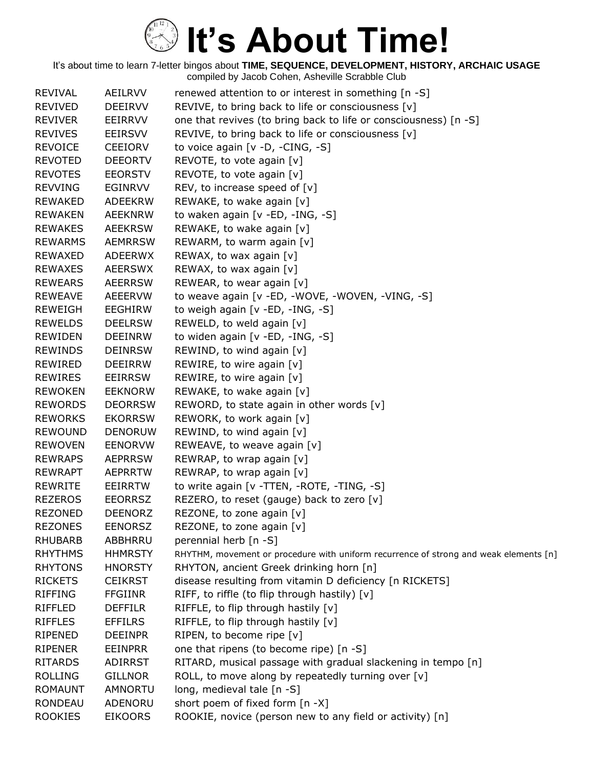| REVIVAL        | AEILRVV        | renewed attention to or interest in something [n -S]                                  |
|----------------|----------------|---------------------------------------------------------------------------------------|
| <b>REVIVED</b> | <b>DEEIRVV</b> | REVIVE, to bring back to life or consciousness [v]                                    |
| <b>REVIVER</b> | EEIRRVV        | one that revives (to bring back to life or consciousness) [n -S]                      |
| <b>REVIVES</b> | EEIRSVV        | REVIVE, to bring back to life or consciousness [v]                                    |
| <b>REVOICE</b> | <b>CEEIORV</b> | to voice again $[v -D, -CING, -S]$                                                    |
| <b>REVOTED</b> | <b>DEEORTV</b> | REVOTE, to vote again [v]                                                             |
| <b>REVOTES</b> | <b>EEORSTV</b> | REVOTE, to vote again [v]                                                             |
| <b>REVVING</b> | <b>EGINRVV</b> | REV, to increase speed of [v]                                                         |
| <b>REWAKED</b> | <b>ADEEKRW</b> | REWAKE, to wake again [v]                                                             |
| <b>REWAKEN</b> | AEEKNRW        | to waken again [v -ED, -ING, -S]                                                      |
| <b>REWAKES</b> | <b>AEEKRSW</b> | REWAKE, to wake again [v]                                                             |
| <b>REWARMS</b> | <b>AEMRRSW</b> | REWARM, to warm again [v]                                                             |
| REWAXED        | <b>ADEERWX</b> | REWAX, to wax again [v]                                                               |
| REWAXES        | <b>AEERSWX</b> | REWAX, to wax again [v]                                                               |
| <b>REWEARS</b> | <b>AEERRSW</b> | REWEAR, to wear again [v]                                                             |
| <b>REWEAVE</b> | AEEERVW        | to weave again [v -ED, -WOVE, -WOVEN, -VING, -S]                                      |
| <b>REWEIGH</b> | <b>EEGHIRW</b> | to weigh again [v -ED, -ING, -S]                                                      |
| <b>REWELDS</b> | <b>DEELRSW</b> | REWELD, to weld again [v]                                                             |
| REWIDEN        | <b>DEEINRW</b> | to widen again [v -ED, -ING, -S]                                                      |
| <b>REWINDS</b> | <b>DEINRSW</b> | REWIND, to wind again [v]                                                             |
| REWIRED        | <b>DEEIRRW</b> | REWIRE, to wire again [v]                                                             |
| REWIRES        | <b>EEIRRSW</b> | REWIRE, to wire again $[v]$                                                           |
| <b>REWOKEN</b> | <b>EEKNORW</b> | REWAKE, to wake again [v]                                                             |
| <b>REWORDS</b> | <b>DEORRSW</b> | REWORD, to state again in other words $[v]$                                           |
| <b>REWORKS</b> | <b>EKORRSW</b> | REWORK, to work again [v]                                                             |
| <b>REWOUND</b> | <b>DENORUW</b> | REWIND, to wind again [v]                                                             |
| <b>REWOVEN</b> | <b>EENORVW</b> | REWEAVE, to weave again [v]                                                           |
| <b>REWRAPS</b> | <b>AEPRRSW</b> | REWRAP, to wrap again [v]                                                             |
| <b>REWRAPT</b> | <b>AEPRRTW</b> | REWRAP, to wrap again [v]                                                             |
| <b>REWRITE</b> | EEIRRTW        | to write again [v -TTEN, -ROTE, -TING, -S]                                            |
| <b>REZEROS</b> | <b>EEORRSZ</b> | REZERO, to reset (gauge) back to zero [v]                                             |
| <b>REZONED</b> | <b>DEENORZ</b> | REZONE, to zone again [v]                                                             |
| <b>REZONES</b> | <b>EENORSZ</b> | REZONE, to zone again [v]                                                             |
| <b>RHUBARB</b> | <b>ABBHRRU</b> | perennial herb [n -S]                                                                 |
| <b>RHYTHMS</b> | <b>HHMRSTY</b> | RHYTHM, movement or procedure with uniform recurrence of strong and weak elements [n] |
| <b>RHYTONS</b> | <b>HNORSTY</b> | RHYTON, ancient Greek drinking horn [n]                                               |
| <b>RICKETS</b> | <b>CEIKRST</b> | disease resulting from vitamin D deficiency [n RICKETS]                               |
| <b>RIFFING</b> | <b>FFGIINR</b> | RIFF, to riffle (to flip through hastily) $[v]$                                       |
| RIFFLED        | <b>DEFFILR</b> | RIFFLE, to flip through hastily [v]                                                   |
| <b>RIFFLES</b> | <b>EFFILRS</b> | RIFFLE, to flip through hastily [v]                                                   |
| RIPENED        | <b>DEEINPR</b> | RIPEN, to become ripe [v]                                                             |
| <b>RIPENER</b> | <b>EEINPRR</b> | one that ripens (to become ripe) [n -S]                                               |
| <b>RITARDS</b> | ADIRRST        | RITARD, musical passage with gradual slackening in tempo [n]                          |
| <b>ROLLING</b> | <b>GILLNOR</b> | ROLL, to move along by repeatedly turning over [v]                                    |
| <b>ROMAUNT</b> | AMNORTU        | long, medieval tale [n -S]                                                            |
| <b>RONDEAU</b> | ADENORU        | short poem of fixed form [n -X]                                                       |
| <b>ROOKIES</b> | <b>EIKOORS</b> | ROOKIE, novice (person new to any field or activity) [n]                              |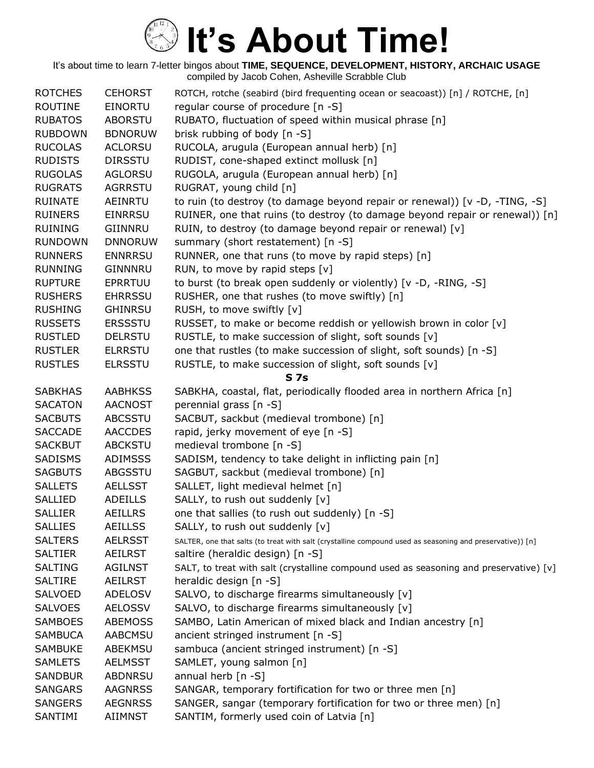| <b>ROTCHES</b> | <b>CEHORST</b> | ROTCH, rotche (seabird (bird frequenting ocean or seacoast)) [n] / ROTCHE, [n]                            |
|----------------|----------------|-----------------------------------------------------------------------------------------------------------|
| <b>ROUTINE</b> | <b>EINORTU</b> | regular course of procedure [n -S]                                                                        |
| <b>RUBATOS</b> | <b>ABORSTU</b> | RUBATO, fluctuation of speed within musical phrase [n]                                                    |
| <b>RUBDOWN</b> | <b>BDNORUW</b> | brisk rubbing of body [n -S]                                                                              |
| <b>RUCOLAS</b> | <b>ACLORSU</b> | RUCOLA, arugula (European annual herb) [n]                                                                |
| <b>RUDISTS</b> | <b>DIRSSTU</b> | RUDIST, cone-shaped extinct mollusk [n]                                                                   |
| <b>RUGOLAS</b> | <b>AGLORSU</b> | RUGOLA, arugula (European annual herb) [n]                                                                |
| <b>RUGRATS</b> | <b>AGRRSTU</b> | RUGRAT, young child [n]                                                                                   |
| <b>RUINATE</b> | AEINRTU        | to ruin (to destroy (to damage beyond repair or renewal)) [v -D, -TING, -S]                               |
| <b>RUINERS</b> | <b>EINRRSU</b> | RUINER, one that ruins (to destroy (to damage beyond repair or renewal)) [n]                              |
| <b>RUINING</b> | GIINNRU        | RUIN, to destroy (to damage beyond repair or renewal) [v]                                                 |
| <b>RUNDOWN</b> | <b>DNNORUW</b> | summary (short restatement) [n -S]                                                                        |
| <b>RUNNERS</b> | <b>ENNRRSU</b> | RUNNER, one that runs (to move by rapid steps) [n]                                                        |
| <b>RUNNING</b> | GINNNRU        | RUN, to move by rapid steps [v]                                                                           |
| <b>RUPTURE</b> | EPRRTUU        | to burst (to break open suddenly or violently) [v -D, -RING, -S]                                          |
| <b>RUSHERS</b> | <b>EHRRSSU</b> | RUSHER, one that rushes (to move swiftly) [n]                                                             |
| <b>RUSHING</b> | <b>GHINRSU</b> | RUSH, to move swiftly [v]                                                                                 |
| <b>RUSSETS</b> | <b>ERSSSTU</b> | RUSSET, to make or become reddish or yellowish brown in color [v]                                         |
| <b>RUSTLED</b> | <b>DELRSTU</b> | RUSTLE, to make succession of slight, soft sounds [v]                                                     |
| <b>RUSTLER</b> | <b>ELRRSTU</b> | one that rustles (to make succession of slight, soft sounds) [n -S]                                       |
| <b>RUSTLES</b> | <b>ELRSSTU</b> | RUSTLE, to make succession of slight, soft sounds [v]                                                     |
|                |                | <b>S7s</b>                                                                                                |
| <b>SABKHAS</b> | <b>AABHKSS</b> | SABKHA, coastal, flat, periodically flooded area in northern Africa [n]                                   |
| <b>SACATON</b> | <b>AACNOST</b> | perennial grass [n -S]                                                                                    |
| <b>SACBUTS</b> | <b>ABCSSTU</b> | SACBUT, sackbut (medieval trombone) [n]                                                                   |
| <b>SACCADE</b> | <b>AACCDES</b> | rapid, jerky movement of eye [n -S]                                                                       |
| <b>SACKBUT</b> | ABCKSTU        | medieval trombone [n -S]                                                                                  |
| SADISMS        | <b>ADIMSSS</b> | SADISM, tendency to take delight in inflicting pain [n]                                                   |
| <b>SAGBUTS</b> | <b>ABGSSTU</b> | SAGBUT, sackbut (medieval trombone) [n]                                                                   |
| <b>SALLETS</b> | <b>AELLSST</b> | SALLET, light medieval helmet [n]                                                                         |
| SALLIED        | ADEILLS        | SALLY, to rush out suddenly [v]                                                                           |
| <b>SALLIER</b> | <b>AEILLRS</b> | one that sallies (to rush out suddenly) [n -S]                                                            |
| <b>SALLIES</b> | <b>AEILLSS</b> | SALLY, to rush out suddenly [v]                                                                           |
| <b>SALTERS</b> | <b>AELRSST</b> | SALTER, one that salts (to treat with salt (crystalline compound used as seasoning and preservative)) [n] |
| <b>SALTIER</b> | <b>AEILRST</b> | saltire (heraldic design) [n -S]                                                                          |
| <b>SALTING</b> | <b>AGILNST</b> | SALT, to treat with salt (crystalline compound used as seasoning and preservative) [v]                    |
| <b>SALTIRE</b> | AEILRST        | heraldic design [n -S]                                                                                    |
| <b>SALVOED</b> | <b>ADELOSV</b> | SALVO, to discharge firearms simultaneously [v]                                                           |
| <b>SALVOES</b> | <b>AELOSSV</b> | SALVO, to discharge firearms simultaneously [v]                                                           |
| <b>SAMBOES</b> | <b>ABEMOSS</b> | SAMBO, Latin American of mixed black and Indian ancestry [n]                                              |
| <b>SAMBUCA</b> | <b>AABCMSU</b> | ancient stringed instrument [n -S]                                                                        |
| <b>SAMBUKE</b> | ABEKMSU        | sambuca (ancient stringed instrument) [n -S]                                                              |
| <b>SAMLETS</b> | <b>AELMSST</b> | SAMLET, young salmon [n]                                                                                  |
| <b>SANDBUR</b> | <b>ABDNRSU</b> | annual herb [n -S]                                                                                        |
| <b>SANGARS</b> | <b>AAGNRSS</b> | SANGAR, temporary fortification for two or three men [n]                                                  |
| <b>SANGERS</b> | <b>AEGNRSS</b> | SANGER, sangar (temporary fortification for two or three men) [n]                                         |
| SANTIMI        | AIIMNST        | SANTIM, formerly used coin of Latvia [n]                                                                  |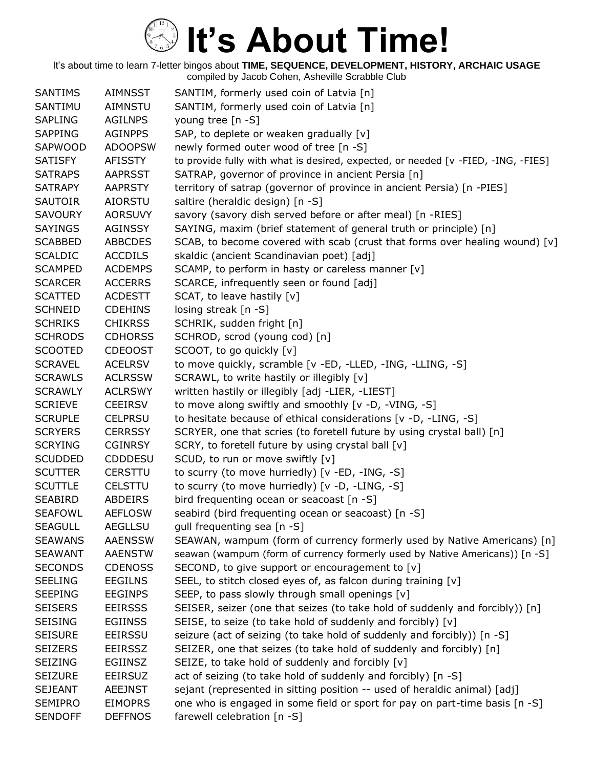| <b>SANTIMS</b> | <b>AIMNSST</b> | SANTIM, formerly used coin of Latvia [n]                                          |
|----------------|----------------|-----------------------------------------------------------------------------------|
| SANTIMU        | <b>AIMNSTU</b> | SANTIM, formerly used coin of Latvia [n]                                          |
| <b>SAPLING</b> | <b>AGILNPS</b> | young tree [n -S]                                                                 |
| <b>SAPPING</b> | <b>AGINPPS</b> | SAP, to deplete or weaken gradually [v]                                           |
| SAPWOOD        | <b>ADOOPSW</b> | newly formed outer wood of tree [n -S]                                            |
| <b>SATISFY</b> | <b>AFISSTY</b> | to provide fully with what is desired, expected, or needed [v -FIED, -ING, -FIES] |
| <b>SATRAPS</b> | <b>AAPRSST</b> | SATRAP, governor of province in ancient Persia [n]                                |
| <b>SATRAPY</b> | <b>AAPRSTY</b> | territory of satrap (governor of province in ancient Persia) [n -PIES]            |
| <b>SAUTOIR</b> | AIORSTU        | saltire (heraldic design) [n -S]                                                  |
| <b>SAVOURY</b> | <b>AORSUVY</b> | savory (savory dish served before or after meal) [n -RIES]                        |
| <b>SAYINGS</b> | <b>AGINSSY</b> | SAYING, maxim (brief statement of general truth or principle) [n]                 |
| <b>SCABBED</b> | <b>ABBCDES</b> | SCAB, to become covered with scab (crust that forms over healing wound) [v]       |
| <b>SCALDIC</b> | <b>ACCDILS</b> | skaldic (ancient Scandinavian poet) [adj]                                         |
| <b>SCAMPED</b> | <b>ACDEMPS</b> | SCAMP, to perform in hasty or careless manner [v]                                 |
| <b>SCARCER</b> | <b>ACCERRS</b> | SCARCE, infrequently seen or found [adj]                                          |
| <b>SCATTED</b> | <b>ACDESTT</b> | SCAT, to leave hastily [v]                                                        |
| <b>SCHNEID</b> | <b>CDEHINS</b> | losing streak $[n -S]$                                                            |
| <b>SCHRIKS</b> | <b>CHIKRSS</b> | SCHRIK, sudden fright [n]                                                         |
| <b>SCHRODS</b> | <b>CDHORSS</b> | SCHROD, scrod (young cod) [n]                                                     |
| <b>SCOOTED</b> | <b>CDEOOST</b> | SCOOT, to go quickly [v]                                                          |
| <b>SCRAVEL</b> | <b>ACELRSV</b> | to move quickly, scramble [v -ED, -LLED, -ING, -LLING, -S]                        |
| <b>SCRAWLS</b> | <b>ACLRSSW</b> | SCRAWL, to write hastily or illegibly [v]                                         |
| <b>SCRAWLY</b> | <b>ACLRSWY</b> | written hastily or illegibly [adj -LIER, -LIEST]                                  |
| <b>SCRIEVE</b> | <b>CEEIRSV</b> | to move along swiftly and smoothly [v -D, -VING, -S]                              |
| <b>SCRUPLE</b> | <b>CELPRSU</b> | to hesitate because of ethical considerations [v -D, -LING, -S]                   |
| <b>SCRYERS</b> | <b>CERRSSY</b> | SCRYER, one that scries (to foretell future by using crystal ball) [n]            |
| <b>SCRYING</b> | <b>CGINRSY</b> | SCRY, to foretell future by using crystal ball [v]                                |
| <b>SCUDDED</b> | <b>CDDDESU</b> | SCUD, to run or move swiftly [v]                                                  |
| <b>SCUTTER</b> | <b>CERSTTU</b> | to scurry (to move hurriedly) [v -ED, -ING, -S]                                   |
| <b>SCUTTLE</b> | <b>CELSTTU</b> | to scurry (to move hurriedly) [v -D, -LING, -S]                                   |
| <b>SEABIRD</b> | ABDEIRS        | bird frequenting ocean or seacoast [n -S]                                         |
| <b>SEAFOWL</b> | <b>AEFLOSW</b> | seabird (bird frequenting ocean or seacoast) [n -S]                               |
| <b>SEAGULL</b> | AEGLLSU        | gull frequenting sea [n -S]                                                       |
| <b>SEAWANS</b> | <b>AAENSSW</b> | SEAWAN, wampum (form of currency formerly used by Native Americans) [n]           |
| <b>SEAWANT</b> | <b>AAENSTW</b> | seawan (wampum (form of currency formerly used by Native Americans)) [n -S]       |
| <b>SECONDS</b> | <b>CDENOSS</b> | SECOND, to give support or encouragement to [v]                                   |
| <b>SEELING</b> | <b>EEGILNS</b> | SEEL, to stitch closed eyes of, as falcon during training [v]                     |
| <b>SEEPING</b> | <b>EEGINPS</b> | SEEP, to pass slowly through small openings [v]                                   |
| <b>SEISERS</b> | <b>EEIRSSS</b> | SEISER, seizer (one that seizes (to take hold of suddenly and forcibly)) [n]      |
| <b>SEISING</b> | <b>EGIINSS</b> | SEISE, to seize (to take hold of suddenly and forcibly) [v]                       |
| <b>SEISURE</b> | <b>EEIRSSU</b> | seizure (act of seizing (to take hold of suddenly and forcibly)) [n -S]           |
| <b>SEIZERS</b> | EEIRSSZ        | SEIZER, one that seizes (to take hold of suddenly and forcibly) [n]               |
| <b>SEIZING</b> | EGIINSZ        | SEIZE, to take hold of suddenly and forcibly [v]                                  |
| <b>SEIZURE</b> | <b>EEIRSUZ</b> | act of seizing (to take hold of suddenly and forcibly) [n -S]                     |
| <b>SEJEANT</b> | <b>AEEJNST</b> | sejant (represented in sitting position -- used of heraldic animal) [adj]         |
| <b>SEMIPRO</b> | <b>EIMOPRS</b> | one who is engaged in some field or sport for pay on part-time basis [n -S]       |
| <b>SENDOFF</b> | <b>DEFFNOS</b> | farewell celebration [n -S]                                                       |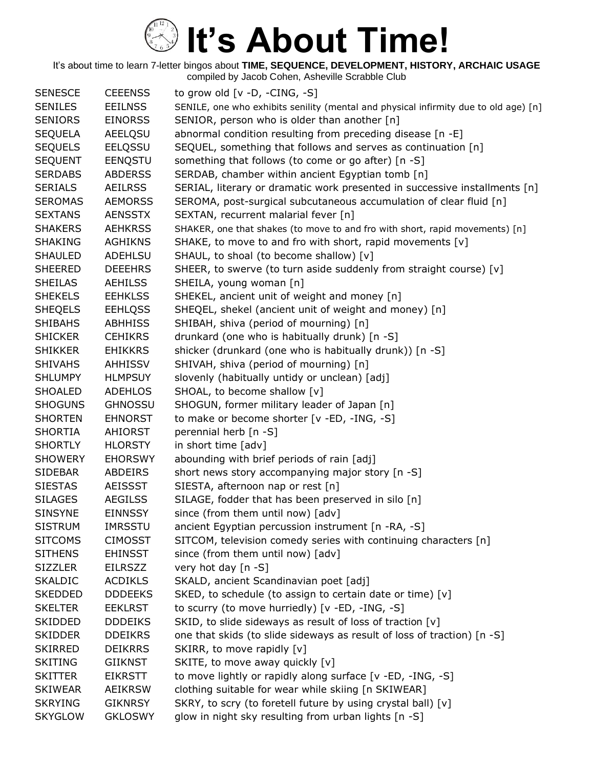| <b>SENESCE</b> | <b>CEEENSS</b> | to grow old $[v -D, -CING, -S]$                                                      |
|----------------|----------------|--------------------------------------------------------------------------------------|
| <b>SENILES</b> | <b>EEILNSS</b> | SENILE, one who exhibits senility (mental and physical infirmity due to old age) [n] |
| <b>SENIORS</b> | <b>EINORSS</b> | SENIOR, person who is older than another [n]                                         |
| <b>SEQUELA</b> | <b>AEELQSU</b> | abnormal condition resulting from preceding disease [n -E]                           |
| <b>SEQUELS</b> | EELQSSU        | SEQUEL, something that follows and serves as continuation [n]                        |
| <b>SEQUENT</b> | EENQSTU        | something that follows (to come or go after) [n -S]                                  |
| <b>SERDABS</b> | <b>ABDERSS</b> | SERDAB, chamber within ancient Egyptian tomb [n]                                     |
| <b>SERIALS</b> | <b>AEILRSS</b> | SERIAL, literary or dramatic work presented in successive installments [n]           |
| <b>SEROMAS</b> | <b>AEMORSS</b> | SEROMA, post-surgical subcutaneous accumulation of clear fluid [n]                   |
| <b>SEXTANS</b> | <b>AENSSTX</b> | SEXTAN, recurrent malarial fever [n]                                                 |
| <b>SHAKERS</b> | <b>AEHKRSS</b> | SHAKER, one that shakes (to move to and fro with short, rapid movements) [n]         |
| <b>SHAKING</b> | <b>AGHIKNS</b> | SHAKE, to move to and fro with short, rapid movements [v]                            |
| <b>SHAULED</b> | <b>ADEHLSU</b> | SHAUL, to shoal (to become shallow) [v]                                              |
| <b>SHEERED</b> | <b>DEEEHRS</b> | SHEER, to swerve (to turn aside suddenly from straight course) [v]                   |
| <b>SHEILAS</b> | <b>AEHILSS</b> | SHEILA, young woman [n]                                                              |
| <b>SHEKELS</b> | <b>EEHKLSS</b> | SHEKEL, ancient unit of weight and money [n]                                         |
| <b>SHEQELS</b> | <b>EEHLQSS</b> | SHEQEL, shekel (ancient unit of weight and money) [n]                                |
| <b>SHIBAHS</b> | <b>ABHHISS</b> | SHIBAH, shiva (period of mourning) [n]                                               |
| <b>SHICKER</b> | <b>CEHIKRS</b> | drunkard (one who is habitually drunk) [n -S]                                        |
| <b>SHIKKER</b> | <b>EHIKKRS</b> | shicker (drunkard (one who is habitually drunk)) [n -S]                              |
| <b>SHIVAHS</b> | <b>AHHISSV</b> | SHIVAH, shiva (period of mourning) [n]                                               |
| <b>SHLUMPY</b> | <b>HLMPSUY</b> | slovenly (habitually untidy or unclean) [adj]                                        |
| <b>SHOALED</b> | <b>ADEHLOS</b> | SHOAL, to become shallow [v]                                                         |
| <b>SHOGUNS</b> | <b>GHNOSSU</b> | SHOGUN, former military leader of Japan [n]                                          |
| <b>SHORTEN</b> | <b>EHNORST</b> | to make or become shorter [v -ED, -ING, -S]                                          |
| <b>SHORTIA</b> | <b>AHIORST</b> | perennial herb [n -S]                                                                |
| <b>SHORTLY</b> | <b>HLORSTY</b> | in short time [adv]                                                                  |
| <b>SHOWERY</b> | <b>EHORSWY</b> | abounding with brief periods of rain [adj]                                           |
| <b>SIDEBAR</b> | ABDEIRS        | short news story accompanying major story [n -S]                                     |
| <b>SIESTAS</b> | <b>AEISSST</b> | SIESTA, afternoon nap or rest [n]                                                    |
| <b>SILAGES</b> | <b>AEGILSS</b> | SILAGE, fodder that has been preserved in silo [n]                                   |
| <b>SINSYNE</b> | <b>EINNSSY</b> | since (from them until now) [adv]                                                    |
| <b>SISTRUM</b> | IMRSSTU        | ancient Egyptian percussion instrument [n -RA, -S]                                   |
| <b>SITCOMS</b> | <b>CIMOSST</b> | SITCOM, television comedy series with continuing characters [n]                      |
| <b>SITHENS</b> | <b>EHINSST</b> | since (from them until now) [adv]                                                    |
| <b>SIZZLER</b> | EILRSZZ        | very hot day [n -S]                                                                  |
| <b>SKALDIC</b> | <b>ACDIKLS</b> | SKALD, ancient Scandinavian poet [adj]                                               |
| <b>SKEDDED</b> | <b>DDDEEKS</b> | SKED, to schedule (to assign to certain date or time) [v]                            |
| <b>SKELTER</b> | <b>EEKLRST</b> | to scurry (to move hurriedly) [v -ED, -ING, -S]                                      |
| SKIDDED        | <b>DDDEIKS</b> | SKID, to slide sideways as result of loss of traction [v]                            |
| <b>SKIDDER</b> | <b>DDEIKRS</b> | one that skids (to slide sideways as result of loss of traction) [n -S]              |
| <b>SKIRRED</b> | <b>DEIKRRS</b> | SKIRR, to move rapidly [v]                                                           |
| <b>SKITING</b> | GIIKNST        | SKITE, to move away quickly [v]                                                      |
| <b>SKITTER</b> | <b>EIKRSTT</b> | to move lightly or rapidly along surface [v -ED, -ING, -S]                           |
| <b>SKIWEAR</b> | <b>AEIKRSW</b> | clothing suitable for wear while skiing [n SKIWEAR]                                  |
| <b>SKRYING</b> | <b>GIKNRSY</b> | SKRY, to scry (to foretell future by using crystal ball) [v]                         |
| <b>SKYGLOW</b> | <b>GKLOSWY</b> | glow in night sky resulting from urban lights [n -S]                                 |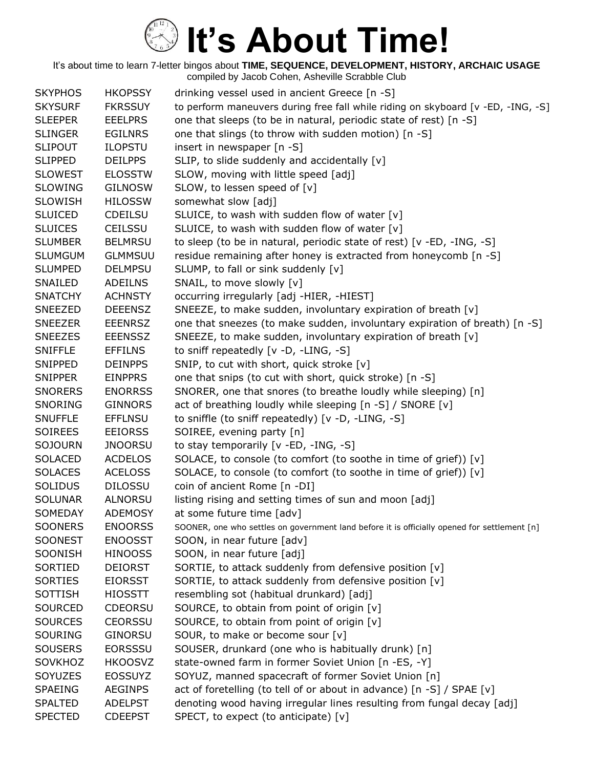| <b>SKYPHOS</b> | <b>HKOPSSY</b> | drinking vessel used in ancient Greece [n -S]                                                |
|----------------|----------------|----------------------------------------------------------------------------------------------|
| <b>SKYSURF</b> | <b>FKRSSUY</b> | to perform maneuvers during free fall while riding on skyboard [v -ED, -ING, -S]             |
| <b>SLEEPER</b> | <b>EEELPRS</b> | one that sleeps (to be in natural, periodic state of rest) [n -S]                            |
| <b>SLINGER</b> | <b>EGILNRS</b> | one that slings (to throw with sudden motion) [n -S]                                         |
| <b>SLIPOUT</b> | <b>ILOPSTU</b> | insert in newspaper [n -S]                                                                   |
| <b>SLIPPED</b> | <b>DEILPPS</b> | SLIP, to slide suddenly and accidentally [v]                                                 |
| <b>SLOWEST</b> | <b>ELOSSTW</b> | SLOW, moving with little speed [adj]                                                         |
| <b>SLOWING</b> | <b>GILNOSW</b> | SLOW, to lessen speed of [v]                                                                 |
| <b>SLOWISH</b> | <b>HILOSSW</b> | somewhat slow [adj]                                                                          |
| <b>SLUICED</b> | <b>CDEILSU</b> | SLUICE, to wash with sudden flow of water [v]                                                |
| <b>SLUICES</b> | <b>CEILSSU</b> | SLUICE, to wash with sudden flow of water [v]                                                |
| <b>SLUMBER</b> | <b>BELMRSU</b> | to sleep (to be in natural, periodic state of rest) [v -ED, -ING, -S]                        |
| <b>SLUMGUM</b> | <b>GLMMSUU</b> | residue remaining after honey is extracted from honeycomb [n -S]                             |
| <b>SLUMPED</b> | <b>DELMPSU</b> | SLUMP, to fall or sink suddenly [v]                                                          |
| SNAILED        | <b>ADEILNS</b> | SNAIL, to move slowly [v]                                                                    |
| <b>SNATCHY</b> | <b>ACHNSTY</b> | occurring irregularly [adj -HIER, -HIEST]                                                    |
| <b>SNEEZED</b> | <b>DEEENSZ</b> | SNEEZE, to make sudden, involuntary expiration of breath [v]                                 |
| <b>SNEEZER</b> | <b>EEENRSZ</b> | one that sneezes (to make sudden, involuntary expiration of breath) [n -S]                   |
| <b>SNEEZES</b> | <b>EEENSSZ</b> | SNEEZE, to make sudden, involuntary expiration of breath [v]                                 |
| <b>SNIFFLE</b> | <b>EFFILNS</b> | to sniff repeatedly [v -D, -LING, -S]                                                        |
| <b>SNIPPED</b> | <b>DEINPPS</b> | SNIP, to cut with short, quick stroke [v]                                                    |
| <b>SNIPPER</b> | <b>EINPPRS</b> | one that snips (to cut with short, quick stroke) [n -S]                                      |
| <b>SNORERS</b> | <b>ENORRSS</b> | SNORER, one that snores (to breathe loudly while sleeping) [n]                               |
| <b>SNORING</b> | <b>GINNORS</b> | act of breathing loudly while sleeping [n -S] / SNORE [v]                                    |
| <b>SNUFFLE</b> | <b>EFFLNSU</b> | to sniffle (to sniff repeatedly) [v -D, -LING, -S]                                           |
| <b>SOIREES</b> | <b>EEIORSS</b> | SOIREE, evening party [n]                                                                    |
| <b>SOJOURN</b> | <b>JNOORSU</b> | to stay temporarily [v -ED, -ING, -S]                                                        |
| <b>SOLACED</b> | <b>ACDELOS</b> | SOLACE, to console (to comfort (to soothe in time of grief)) [v]                             |
| <b>SOLACES</b> | <b>ACELOSS</b> | SOLACE, to console (to comfort (to soothe in time of grief)) [v]                             |
| <b>SOLIDUS</b> | <b>DILOSSU</b> | coin of ancient Rome [n -DI]                                                                 |
| <b>SOLUNAR</b> | <b>ALNORSU</b> | listing rising and setting times of sun and moon [adj]                                       |
| SOMEDAY        | <b>ADEMOSY</b> | at some future time [adv]                                                                    |
| <b>SOONERS</b> | <b>ENOORSS</b> | SOONER, one who settles on government land before it is officially opened for settlement [n] |
| <b>SOONEST</b> | <b>ENOOSST</b> | SOON, in near future [adv]                                                                   |
| SOONISH        | <b>HINOOSS</b> | SOON, in near future [adj]                                                                   |
| SORTIED        | <b>DEIORST</b> | SORTIE, to attack suddenly from defensive position [v]                                       |
| <b>SORTIES</b> | <b>EIORSST</b> | SORTIE, to attack suddenly from defensive position [v]                                       |
| <b>SOTTISH</b> | <b>HIOSSTT</b> | resembling sot (habitual drunkard) [adj]                                                     |
| <b>SOURCED</b> | <b>CDEORSU</b> | SOURCE, to obtain from point of origin [v]                                                   |
| <b>SOURCES</b> | <b>CEORSSU</b> | SOURCE, to obtain from point of origin [v]                                                   |
| <b>SOURING</b> | <b>GINORSU</b> | SOUR, to make or become sour [v]                                                             |
| <b>SOUSERS</b> | <b>EORSSSU</b> | SOUSER, drunkard (one who is habitually drunk) [n]                                           |
| SOVKHOZ        | <b>HKOOSVZ</b> | state-owned farm in former Soviet Union [n -ES, -Y]                                          |
| SOYUZES        | <b>EOSSUYZ</b> | SOYUZ, manned spacecraft of former Soviet Union [n]                                          |
| <b>SPAEING</b> | <b>AEGINPS</b> | act of foretelling (to tell of or about in advance) [n -S] / SPAE [v]                        |
| <b>SPALTED</b> | <b>ADELPST</b> | denoting wood having irregular lines resulting from fungal decay [adj]                       |
| <b>SPECTED</b> | <b>CDEEPST</b> | SPECT, to expect (to anticipate) [v]                                                         |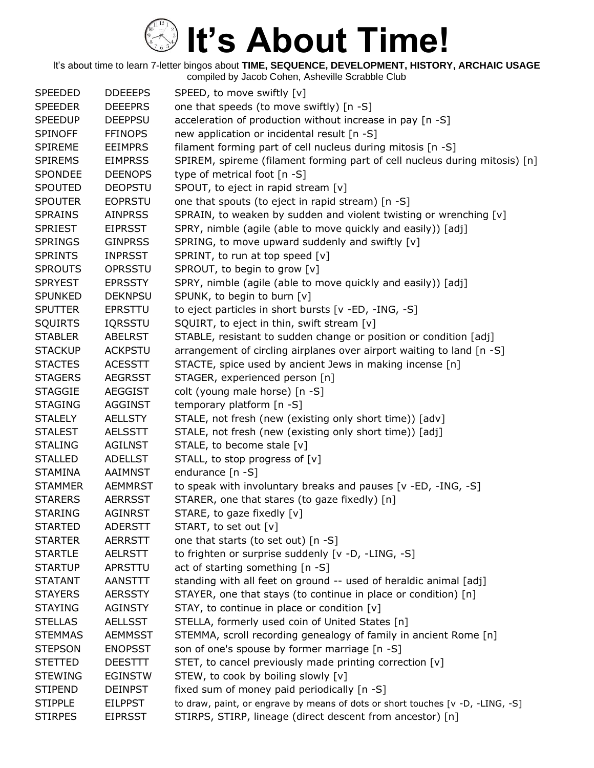| <b>SPEEDED</b> | <b>DDEEEPS</b> | SPEED, to move swiftly [v]                                                     |
|----------------|----------------|--------------------------------------------------------------------------------|
| <b>SPEEDER</b> | <b>DEEEPRS</b> | one that speeds (to move swiftly) [n -S]                                       |
| <b>SPEEDUP</b> | <b>DEEPPSU</b> | acceleration of production without increase in pay [n -S]                      |
| <b>SPINOFF</b> | <b>FFINOPS</b> | new application or incidental result [n -S]                                    |
| <b>SPIREME</b> | <b>EEIMPRS</b> | filament forming part of cell nucleus during mitosis [n -S]                    |
| <b>SPIREMS</b> | <b>EIMPRSS</b> | SPIREM, spireme (filament forming part of cell nucleus during mitosis) [n]     |
| <b>SPONDEE</b> | <b>DEENOPS</b> | type of metrical foot $[n - S]$                                                |
| <b>SPOUTED</b> | <b>DEOPSTU</b> | SPOUT, to eject in rapid stream [v]                                            |
| <b>SPOUTER</b> | <b>EOPRSTU</b> | one that spouts (to eject in rapid stream) [n -S]                              |
| <b>SPRAINS</b> | <b>AINPRSS</b> | SPRAIN, to weaken by sudden and violent twisting or wrenching [v]              |
| <b>SPRIEST</b> | <b>EIPRSST</b> | SPRY, nimble (agile (able to move quickly and easily)) [adj]                   |
| <b>SPRINGS</b> | <b>GINPRSS</b> | SPRING, to move upward suddenly and swiftly [v]                                |
| <b>SPRINTS</b> | <b>INPRSST</b> | SPRINT, to run at top speed [v]                                                |
| <b>SPROUTS</b> | OPRSSTU        | SPROUT, to begin to grow [v]                                                   |
| <b>SPRYEST</b> | <b>EPRSSTY</b> | SPRY, nimble (agile (able to move quickly and easily)) [adj]                   |
| <b>SPUNKED</b> | <b>DEKNPSU</b> | SPUNK, to begin to burn [v]                                                    |
| <b>SPUTTER</b> | <b>EPRSTTU</b> | to eject particles in short bursts [v -ED, -ING, -S]                           |
| <b>SQUIRTS</b> | <b>IQRSSTU</b> | SQUIRT, to eject in thin, swift stream [v]                                     |
| <b>STABLER</b> | <b>ABELRST</b> | STABLE, resistant to sudden change or position or condition [adj]              |
| <b>STACKUP</b> | <b>ACKPSTU</b> | arrangement of circling airplanes over airport waiting to land [n -S]          |
| <b>STACTES</b> | <b>ACESSTT</b> | STACTE, spice used by ancient Jews in making incense [n]                       |
| <b>STAGERS</b> | <b>AEGRSST</b> | STAGER, experienced person [n]                                                 |
| <b>STAGGIE</b> | <b>AEGGIST</b> | colt (young male horse) [n -S]                                                 |
| <b>STAGING</b> | <b>AGGINST</b> | temporary platform [n -S]                                                      |
| <b>STALELY</b> | <b>AELLSTY</b> | STALE, not fresh (new (existing only short time)) [adv]                        |
| <b>STALEST</b> | <b>AELSSTT</b> | STALE, not fresh (new (existing only short time)) [adj]                        |
| <b>STALING</b> | <b>AGILNST</b> | STALE, to become stale [v]                                                     |
| <b>STALLED</b> | <b>ADELLST</b> | STALL, to stop progress of [v]                                                 |
| <b>STAMINA</b> | <b>AAIMNST</b> | endurance [n -S]                                                               |
| <b>STAMMER</b> | <b>AEMMRST</b> | to speak with involuntary breaks and pauses [v -ED, -ING, -S]                  |
| <b>STARERS</b> | <b>AERRSST</b> | STARER, one that stares (to gaze fixedly) [n]                                  |
| <b>STARING</b> | <b>AGINRST</b> | STARE, to gaze fixedly [v]                                                     |
| <b>STARTED</b> | <b>ADERSTT</b> | START, to set out [v]                                                          |
| <b>STARTER</b> | <b>AERRSTT</b> | one that starts (to set out) [n -S]                                            |
| <b>STARTLE</b> | <b>AELRSTT</b> | to frighten or surprise suddenly [v -D, -LING, -S]                             |
| <b>STARTUP</b> | APRSTTU        | act of starting something [n -S]                                               |
| <b>STATANT</b> | <b>AANSTTT</b> | standing with all feet on ground -- used of heraldic animal [adj]              |
| <b>STAYERS</b> | <b>AERSSTY</b> | STAYER, one that stays (to continue in place or condition) [n]                 |
| <b>STAYING</b> | <b>AGINSTY</b> | STAY, to continue in place or condition [v]                                    |
| <b>STELLAS</b> | <b>AELLSST</b> | STELLA, formerly used coin of United States [n]                                |
| <b>STEMMAS</b> | <b>AEMMSST</b> | STEMMA, scroll recording genealogy of family in ancient Rome [n]               |
| <b>STEPSON</b> | <b>ENOPSST</b> | son of one's spouse by former marriage [n -S]                                  |
| <b>STETTED</b> | <b>DEESTTT</b> | STET, to cancel previously made printing correction [v]                        |
| <b>STEWING</b> | <b>EGINSTW</b> | STEW, to cook by boiling slowly [v]                                            |
| <b>STIPEND</b> | <b>DEINPST</b> | fixed sum of money paid periodically [n -S]                                    |
| <b>STIPPLE</b> | <b>EILPPST</b> | to draw, paint, or engrave by means of dots or short touches [v -D, -LING, -S] |
| <b>STIRPES</b> | <b>EIPRSST</b> | STIRPS, STIRP, lineage (direct descent from ancestor) [n]                      |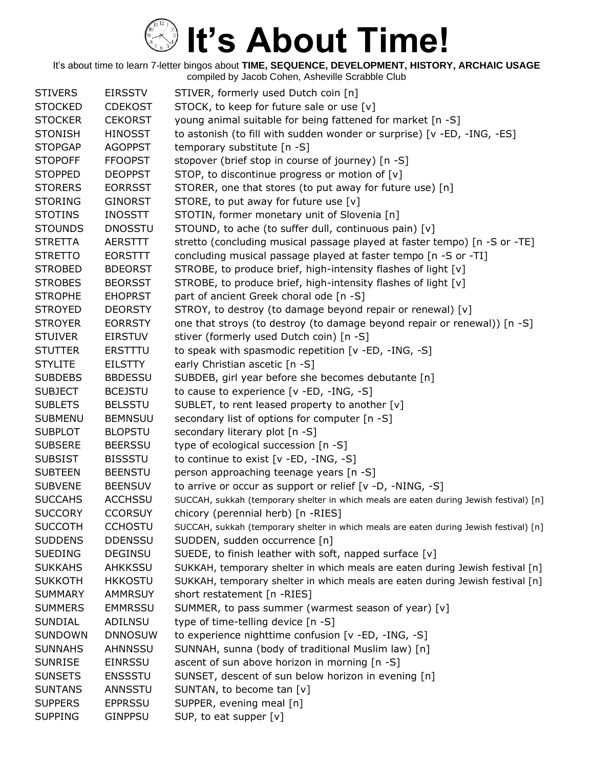| <b>STIVERS</b> | <b>EIRSSTV</b> | STIVER, formerly used Dutch coin [n]                                                   |
|----------------|----------------|----------------------------------------------------------------------------------------|
| <b>STOCKED</b> | <b>CDEKOST</b> | STOCK, to keep for future sale or use [v]                                              |
| <b>STOCKER</b> | <b>CEKORST</b> | young animal suitable for being fattened for market [n -S]                             |
| <b>STONISH</b> | <b>HINOSST</b> | to astonish (to fill with sudden wonder or surprise) [v -ED, -ING, -ES]                |
| <b>STOPGAP</b> | <b>AGOPPST</b> | temporary substitute [n -S]                                                            |
| <b>STOPOFF</b> | <b>FFOOPST</b> | stopover (brief stop in course of journey) [n -S]                                      |
| <b>STOPPED</b> | <b>DEOPPST</b> | STOP, to discontinue progress or motion of [v]                                         |
| <b>STORERS</b> | <b>EORRSST</b> | STORER, one that stores (to put away for future use) [n]                               |
| <b>STORING</b> | <b>GINORST</b> | STORE, to put away for future use [v]                                                  |
| <b>STOTINS</b> | <b>INOSSTT</b> | STOTIN, former monetary unit of Slovenia [n]                                           |
| <b>STOUNDS</b> | <b>DNOSSTU</b> | STOUND, to ache (to suffer dull, continuous pain) [v]                                  |
| <b>STRETTA</b> | <b>AERSTTT</b> | stretto (concluding musical passage played at faster tempo) [n -S or -TE]              |
| <b>STRETTO</b> | <b>EORSTTT</b> | concluding musical passage played at faster tempo [n -S or -TI]                        |
| <b>STROBED</b> | <b>BDEORST</b> | STROBE, to produce brief, high-intensity flashes of light [v]                          |
| <b>STROBES</b> | <b>BEORSST</b> | STROBE, to produce brief, high-intensity flashes of light [v]                          |
| <b>STROPHE</b> | <b>EHOPRST</b> | part of ancient Greek choral ode [n -S]                                                |
| <b>STROYED</b> | <b>DEORSTY</b> | STROY, to destroy (to damage beyond repair or renewal) [v]                             |
| <b>STROYER</b> | <b>EORRSTY</b> | one that stroys (to destroy (to damage beyond repair or renewal)) [n -S]               |
| <b>STUIVER</b> | <b>EIRSTUV</b> | stiver (formerly used Dutch coin) [n -S]                                               |
| <b>STUTTER</b> | <b>ERSTTTU</b> | to speak with spasmodic repetition [v -ED, -ING, -S]                                   |
| <b>STYLITE</b> | EILSTTY        | early Christian ascetic [n -S]                                                         |
| <b>SUBDEBS</b> | <b>BBDESSU</b> | SUBDEB, girl year before she becomes debutante [n]                                     |
| <b>SUBJECT</b> | <b>BCEJSTU</b> | to cause to experience [v -ED, -ING, -S]                                               |
| <b>SUBLETS</b> | <b>BELSSTU</b> | SUBLET, to rent leased property to another [v]                                         |
| <b>SUBMENU</b> | <b>BEMNSUU</b> | secondary list of options for computer [n -S]                                          |
| <b>SUBPLOT</b> | <b>BLOPSTU</b> | secondary literary plot [n -S]                                                         |
| <b>SUBSERE</b> | <b>BEERSSU</b> | type of ecological succession [n -S]                                                   |
| <b>SUBSIST</b> | <b>BISSSTU</b> | to continue to exist [v -ED, -ING, -S]                                                 |
| <b>SUBTEEN</b> | <b>BEENSTU</b> | person approaching teenage years [n -S]                                                |
| <b>SUBVENE</b> | <b>BEENSUV</b> | to arrive or occur as support or relief [v -D, -NING, -S]                              |
| <b>SUCCAHS</b> | <b>ACCHSSU</b> | SUCCAH, sukkah (temporary shelter in which meals are eaten during Jewish festival) [n] |
| <b>SUCCORY</b> | <b>CCORSUY</b> | chicory (perennial herb) [n -RIES]                                                     |
| <b>SUCCOTH</b> | <b>CCHOSTU</b> | SUCCAH, sukkah (temporary shelter in which meals are eaten during Jewish festival) [n] |
| <b>SUDDENS</b> | <b>DDENSSU</b> | SUDDEN, sudden occurrence [n]                                                          |
| <b>SUEDING</b> | <b>DEGINSU</b> | SUEDE, to finish leather with soft, napped surface [v]                                 |
| <b>SUKKAHS</b> | AHKKSSU        | SUKKAH, temporary shelter in which meals are eaten during Jewish festival [n]          |
| <b>SUKKOTH</b> | <b>HKKOSTU</b> | SUKKAH, temporary shelter in which meals are eaten during Jewish festival [n]          |
| <b>SUMMARY</b> | <b>AMMRSUY</b> | short restatement [n -RIES]                                                            |
| <b>SUMMERS</b> | <b>EMMRSSU</b> | SUMMER, to pass summer (warmest season of year) [v]                                    |
| <b>SUNDIAL</b> | ADILNSU        | type of time-telling device [n -S]                                                     |
| <b>SUNDOWN</b> | <b>DNNOSUW</b> | to experience nighttime confusion [v -ED, -ING, -S]                                    |
| <b>SUNNAHS</b> | AHNNSSU        | SUNNAH, sunna (body of traditional Muslim law) [n]                                     |
| <b>SUNRISE</b> | <b>EINRSSU</b> | ascent of sun above horizon in morning [n -S]                                          |
| <b>SUNSETS</b> | <b>ENSSSTU</b> | SUNSET, descent of sun below horizon in evening [n]                                    |
| <b>SUNTANS</b> | ANNSSTU        | SUNTAN, to become tan [v]                                                              |
| <b>SUPPERS</b> | <b>EPPRSSU</b> | SUPPER, evening meal [n]                                                               |
| <b>SUPPING</b> | <b>GINPPSU</b> | SUP, to eat supper [v]                                                                 |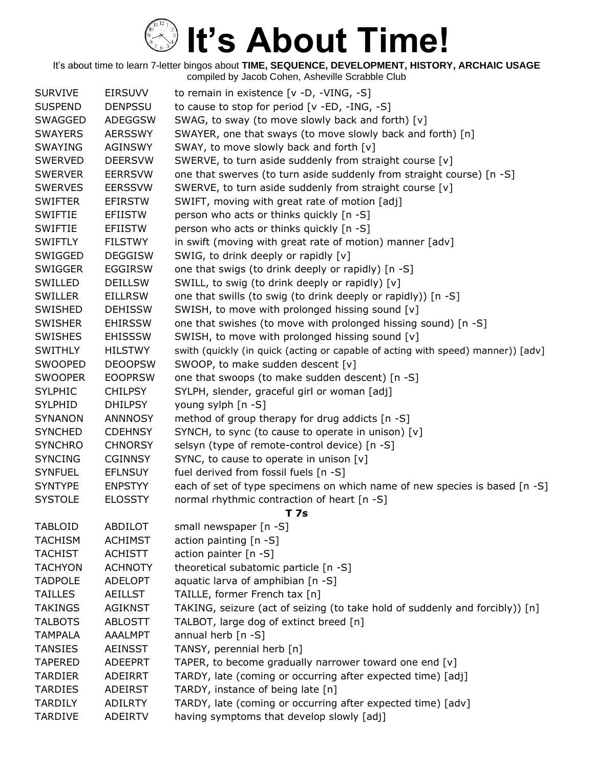| <b>SURVIVE</b> | <b>EIRSUVV</b> | to remain in existence [v -D, -VING, -S]                                         |
|----------------|----------------|----------------------------------------------------------------------------------|
| <b>SUSPEND</b> | <b>DENPSSU</b> | to cause to stop for period [v -ED, -ING, -S]                                    |
| <b>SWAGGED</b> | <b>ADEGGSW</b> | SWAG, to sway (to move slowly back and forth) [v]                                |
| <b>SWAYERS</b> | <b>AERSSWY</b> | SWAYER, one that sways (to move slowly back and forth) [n]                       |
| SWAYING        | <b>AGINSWY</b> | SWAY, to move slowly back and forth [v]                                          |
| <b>SWERVED</b> | <b>DEERSVW</b> | SWERVE, to turn aside suddenly from straight course [v]                          |
| <b>SWERVER</b> | <b>EERRSVW</b> | one that swerves (to turn aside suddenly from straight course) [n -S]            |
| <b>SWERVES</b> | <b>EERSSVW</b> | SWERVE, to turn aside suddenly from straight course [v]                          |
| <b>SWIFTER</b> | <b>EFIRSTW</b> | SWIFT, moving with great rate of motion [adj]                                    |
| SWIFTIE        | <b>EFIISTW</b> | person who acts or thinks quickly [n -S]                                         |
| <b>SWIFTIE</b> | <b>EFIISTW</b> | person who acts or thinks quickly [n -S]                                         |
| <b>SWIFTLY</b> | <b>FILSTWY</b> | in swift (moving with great rate of motion) manner [adv]                         |
| SWIGGED        | <b>DEGGISW</b> | SWIG, to drink deeply or rapidly [v]                                             |
| <b>SWIGGER</b> | <b>EGGIRSW</b> | one that swigs (to drink deeply or rapidly) [n -S]                               |
| SWILLED        | <b>DEILLSW</b> | SWILL, to swig (to drink deeply or rapidly) [v]                                  |
| <b>SWILLER</b> | <b>EILLRSW</b> | one that swills (to swig (to drink deeply or rapidly)) [n -S]                    |
| SWISHED        | <b>DEHISSW</b> | SWISH, to move with prolonged hissing sound [v]                                  |
| <b>SWISHER</b> | <b>EHIRSSW</b> | one that swishes (to move with prolonged hissing sound) [n -S]                   |
| <b>SWISHES</b> | <b>EHISSSW</b> | SWISH, to move with prolonged hissing sound [v]                                  |
| <b>SWITHLY</b> | <b>HILSTWY</b> | swith (quickly (in quick (acting or capable of acting with speed) manner)) [adv] |
| SWOOPED        | <b>DEOOPSW</b> | SWOOP, to make sudden descent [v]                                                |
| <b>SWOOPER</b> | <b>EOOPRSW</b> | one that swoops (to make sudden descent) [n -S]                                  |
| <b>SYLPHIC</b> | <b>CHILPSY</b> | SYLPH, slender, graceful girl or woman [adj]                                     |
| <b>SYLPHID</b> | <b>DHILPSY</b> | young sylph [n -S]                                                               |
| <b>SYNANON</b> | <b>ANNNOSY</b> | method of group therapy for drug addicts [n -S]                                  |
| <b>SYNCHED</b> | <b>CDEHNSY</b> | SYNCH, to sync (to cause to operate in unison) [v]                               |
| <b>SYNCHRO</b> | <b>CHNORSY</b> | selsyn (type of remote-control device) [n -S]                                    |
| <b>SYNCING</b> | <b>CGINNSY</b> | SYNC, to cause to operate in unison [v]                                          |
| <b>SYNFUEL</b> | <b>EFLNSUY</b> | fuel derived from fossil fuels [n -S]                                            |
| <b>SYNTYPE</b> | <b>ENPSTYY</b> | each of set of type specimens on which name of new species is based [n -S]       |
| <b>SYSTOLE</b> | <b>ELOSSTY</b> | normal rhythmic contraction of heart [n -S]                                      |
|                |                | <b>T7s</b>                                                                       |
| <b>TABLOID</b> | ABDILOT        | small newspaper [n -S]                                                           |
| <b>TACHISM</b> | <b>ACHIMST</b> | action painting [n -S]                                                           |
| <b>TACHIST</b> | <b>ACHISTT</b> | action painter $[n - S]$                                                         |
| <b>TACHYON</b> | <b>ACHNOTY</b> | theoretical subatomic particle [n -S]                                            |
| <b>TADPOLE</b> | ADELOPT        | aquatic larva of amphibian [n -S]                                                |
| <b>TAILLES</b> | <b>AEILLST</b> | TAILLE, former French tax [n]                                                    |
| TAKINGS        | <b>AGIKNST</b> | TAKING, seizure (act of seizing (to take hold of suddenly and forcibly)) [n]     |
| <b>TALBOTS</b> | <b>ABLOSTT</b> | TALBOT, large dog of extinct breed [n]                                           |
| <b>TAMPALA</b> | <b>AAALMPT</b> | annual herb $[n - S]$                                                            |
| TANSIES        | <b>AEINSST</b> | TANSY, perennial herb [n]                                                        |
| <b>TAPERED</b> | ADEEPRT        | TAPER, to become gradually narrower toward one end [v]                           |
| <b>TARDIER</b> | ADEIRRT        | TARDY, late (coming or occurring after expected time) [adj]                      |
| <b>TARDIES</b> | <b>ADEIRST</b> | TARDY, instance of being late [n]                                                |
| <b>TARDILY</b> | <b>ADILRTY</b> | TARDY, late (coming or occurring after expected time) [adv]                      |
| <b>TARDIVE</b> | ADEIRTV        | having symptoms that develop slowly [adj]                                        |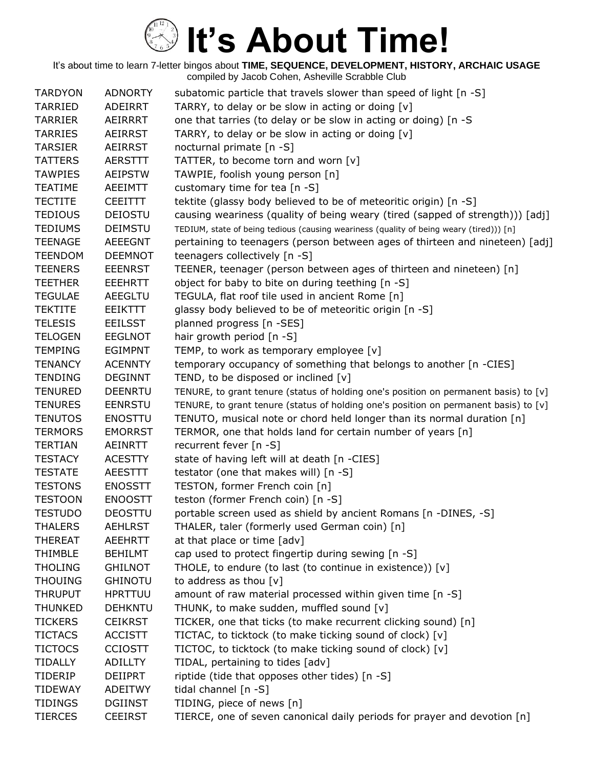| <b>TARDYON</b> | <b>ADNORTY</b> | subatomic particle that travels slower than speed of light [n -S]                       |
|----------------|----------------|-----------------------------------------------------------------------------------------|
| <b>TARRIED</b> | ADEIRRT        | TARRY, to delay or be slow in acting or doing [v]                                       |
| <b>TARRIER</b> | AEIRRRT        | one that tarries (to delay or be slow in acting or doing) [n -S                         |
| <b>TARRIES</b> | AEIRRST        | TARRY, to delay or be slow in acting or doing [v]                                       |
| <b>TARSIER</b> | <b>AEIRRST</b> | nocturnal primate [n -S]                                                                |
| <b>TATTERS</b> | <b>AERSTTT</b> | TATTER, to become torn and worn [v]                                                     |
| <b>TAWPIES</b> | <b>AEIPSTW</b> | TAWPIE, foolish young person [n]                                                        |
| <b>TEATIME</b> | AEEIMTT        | customary time for tea [n -S]                                                           |
| <b>TECTITE</b> | <b>CEEITTT</b> | tektite (glassy body believed to be of meteoritic origin) [n -S]                        |
| <b>TEDIOUS</b> | <b>DEIOSTU</b> | causing weariness (quality of being weary (tired (sapped of strength))) [adj]           |
| <b>TEDIUMS</b> | <b>DEIMSTU</b> | TEDIUM, state of being tedious (causing weariness (quality of being weary (tired))) [n] |
| <b>TEENAGE</b> | <b>AEEEGNT</b> | pertaining to teenagers (person between ages of thirteen and nineteen) [adj]            |
| <b>TEENDOM</b> | <b>DEEMNOT</b> | teenagers collectively [n -S]                                                           |
| <b>TEENERS</b> | <b>EEENRST</b> | TEENER, teenager (person between ages of thirteen and nineteen) [n]                     |
| <b>TEETHER</b> | <b>EEEHRTT</b> | object for baby to bite on during teething [n -S]                                       |
| <b>TEGULAE</b> | AEEGLTU        | TEGULA, flat roof tile used in ancient Rome [n]                                         |
| <b>TEKTITE</b> | <b>EEIKTTT</b> | glassy body believed to be of meteoritic origin [n -S]                                  |
| <b>TELESIS</b> | <b>EEILSST</b> | planned progress [n -SES]                                                               |
| <b>TELOGEN</b> | <b>EEGLNOT</b> | hair growth period $[n - S]$                                                            |
| <b>TEMPING</b> | <b>EGIMPNT</b> | TEMP, to work as temporary employee [v]                                                 |
| <b>TENANCY</b> | <b>ACENNTY</b> | temporary occupancy of something that belongs to another [n -CIES]                      |
| <b>TENDING</b> | <b>DEGINNT</b> | TEND, to be disposed or inclined [v]                                                    |
| <b>TENURED</b> | <b>DEENRTU</b> | TENURE, to grant tenure (status of holding one's position on permanent basis) to [v]    |
| <b>TENURES</b> | <b>EENRSTU</b> | TENURE, to grant tenure (status of holding one's position on permanent basis) to [v]    |
| <b>TENUTOS</b> | <b>ENOSTTU</b> | TENUTO, musical note or chord held longer than its normal duration [n]                  |
| <b>TERMORS</b> | <b>EMORRST</b> | TERMOR, one that holds land for certain number of years [n]                             |
| <b>TERTIAN</b> | AEINRTT        | recurrent fever [n -S]                                                                  |
| <b>TESTACY</b> | <b>ACESTTY</b> | state of having left will at death [n -CIES]                                            |
| <b>TESTATE</b> | <b>AEESTTT</b> | testator (one that makes will) [n -S]                                                   |
| <b>TESTONS</b> | <b>ENOSSTT</b> | TESTON, former French coin [n]                                                          |
| <b>TESTOON</b> | <b>ENOOSTT</b> | teston (former French coin) [n -S]                                                      |
| <b>TESTUDO</b> | <b>DEOSTTU</b> | portable screen used as shield by ancient Romans [n -DINES, -S]                         |
| THALERS        | <b>AEHLRST</b> | THALER, taler (formerly used German coin) [n]                                           |
| <b>THEREAT</b> | <b>AEEHRTT</b> | at that place or time [adv]                                                             |
| <b>THIMBLE</b> | <b>BEHILMT</b> | cap used to protect fingertip during sewing [n -S]                                      |
| <b>THOLING</b> | <b>GHILNOT</b> | THOLE, to endure (to last (to continue in existence)) $[v]$                             |
| <b>THOUING</b> | <b>GHINOTU</b> | to address as thou $[v]$                                                                |
| <b>THRUPUT</b> | <b>HPRTTUU</b> | amount of raw material processed within given time [n -S]                               |
| <b>THUNKED</b> | <b>DEHKNTU</b> | THUNK, to make sudden, muffled sound [v]                                                |
| <b>TICKERS</b> | <b>CEIKRST</b> | TICKER, one that ticks (to make recurrent clicking sound) [n]                           |
| <b>TICTACS</b> | <b>ACCISTT</b> | TICTAC, to ticktock (to make ticking sound of clock) [v]                                |
| <b>TICTOCS</b> | <b>CCIOSTT</b> | TICTOC, to ticktock (to make ticking sound of clock) [v]                                |
| TIDALLY        | ADILLTY        | TIDAL, pertaining to tides [adv]                                                        |
| TIDERIP        | <b>DEIIPRT</b> | riptide (tide that opposes other tides) [n -S]                                          |
| <b>TIDEWAY</b> | <b>ADEITWY</b> | tidal channel [n -S]                                                                    |
| <b>TIDINGS</b> | <b>DGIINST</b> | TIDING, piece of news [n]                                                               |
| <b>TIERCES</b> | <b>CEEIRST</b> | TIERCE, one of seven canonical daily periods for prayer and devotion [n]                |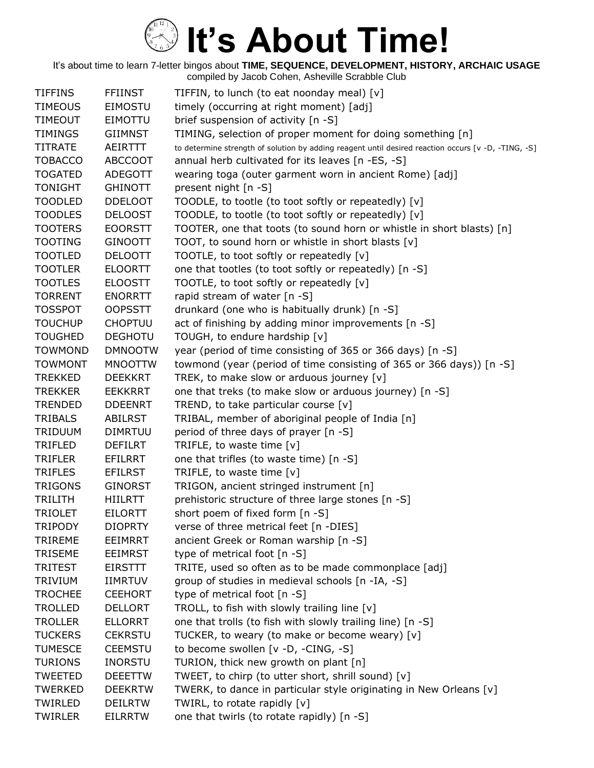| <b>TIFFINS</b> | <b>FFIINST</b> | TIFFIN, to lunch (to eat noonday meal) [v]                                                          |
|----------------|----------------|-----------------------------------------------------------------------------------------------------|
| <b>TIMEOUS</b> | EIMOSTU        | timely (occurring at right moment) [adj]                                                            |
| <b>TIMEOUT</b> | <b>EIMOTTU</b> | brief suspension of activity [n -S]                                                                 |
| <b>TIMINGS</b> | <b>GIIMNST</b> | TIMING, selection of proper moment for doing something [n]                                          |
| <b>TITRATE</b> | <b>AEIRTTT</b> | to determine strength of solution by adding reagent until desired reaction occurs [v -D, -TING, -S] |
| <b>TOBACCO</b> | <b>ABCCOOT</b> | annual herb cultivated for its leaves [n -ES, -S]                                                   |
| <b>TOGATED</b> | <b>ADEGOTT</b> | wearing toga (outer garment worn in ancient Rome) [adj]                                             |
| <b>TONIGHT</b> | <b>GHINOTT</b> | present night [n -S]                                                                                |
| <b>TOODLED</b> | <b>DDELOOT</b> | TOODLE, to tootle (to toot softly or repeatedly) [v]                                                |
| <b>TOODLES</b> | <b>DELOOST</b> | TOODLE, to tootle (to toot softly or repeatedly) [v]                                                |
| <b>TOOTERS</b> | <b>EOORSTT</b> | TOOTER, one that toots (to sound horn or whistle in short blasts) [n]                               |
| <b>TOOTING</b> | <b>GINOOTT</b> | TOOT, to sound horn or whistle in short blasts [v]                                                  |
| <b>TOOTLED</b> | <b>DELOOTT</b> | TOOTLE, to toot softly or repeatedly [v]                                                            |
| <b>TOOTLER</b> | <b>ELOORTT</b> | one that tootles (to toot softly or repeatedly) [n -S]                                              |
| <b>TOOTLES</b> | <b>ELOOSTT</b> | TOOTLE, to toot softly or repeatedly [v]                                                            |
| <b>TORRENT</b> | <b>ENORRTT</b> | rapid stream of water [n -S]                                                                        |
| <b>TOSSPOT</b> | <b>OOPSSTT</b> | drunkard (one who is habitually drunk) [n -S]                                                       |
| <b>TOUCHUP</b> | <b>CHOPTUU</b> | act of finishing by adding minor improvements [n -S]                                                |
| <b>TOUGHED</b> | <b>DEGHOTU</b> | TOUGH, to endure hardship [v]                                                                       |
| <b>TOWMOND</b> | <b>DMNOOTW</b> | year (period of time consisting of 365 or 366 days) [n -S]                                          |
| <b>TOWMONT</b> | <b>MNOOTTW</b> | towmond (year (period of time consisting of 365 or 366 days)) [n -S]                                |
| <b>TREKKED</b> | <b>DEEKKRT</b> | TREK, to make slow or arduous journey [v]                                                           |
| <b>TREKKER</b> | <b>EEKKRRT</b> | one that treks (to make slow or arduous journey) [n -S]                                             |
| <b>TRENDED</b> | <b>DDEENRT</b> | TREND, to take particular course [v]                                                                |
| <b>TRIBALS</b> | <b>ABILRST</b> | TRIBAL, member of aboriginal people of India [n]                                                    |
| <b>TRIDUUM</b> | <b>DIMRTUU</b> | period of three days of prayer [n -S]                                                               |
| TRIFLED        | DEFILRT        | TRIFLE, to waste time [v]                                                                           |
| <b>TRIFLER</b> | EFILRRT        | one that trifles (to waste time) [n -S]                                                             |
| <b>TRIFLES</b> | <b>EFILRST</b> | TRIFLE, to waste time [v]                                                                           |
| <b>TRIGONS</b> | <b>GINORST</b> | TRIGON, ancient stringed instrument [n]                                                             |
| <b>TRILITH</b> | HIILRTT        | prehistoric structure of three large stones [n -S]                                                  |
| <b>TRIOLET</b> | <b>EILORTT</b> | short poem of fixed form [n -S]                                                                     |
| <b>TRIPODY</b> | <b>DIOPRTY</b> | verse of three metrical feet [n -DIES]                                                              |
| <b>TRIREME</b> | <b>EEIMRRT</b> | ancient Greek or Roman warship [n -S]                                                               |
| <b>TRISEME</b> | <b>EEIMRST</b> | type of metrical foot [n -S]                                                                        |
| <b>TRITEST</b> | EIRSTTT        | TRITE, used so often as to be made commonplace [adj]                                                |
| <b>TRIVIUM</b> | <b>IIMRTUV</b> | group of studies in medieval schools [n -IA, -S]                                                    |
| <b>TROCHEE</b> | <b>CEEHORT</b> | type of metrical foot $[n - S]$                                                                     |
| <b>TROLLED</b> | <b>DELLORT</b> | TROLL, to fish with slowly trailing line [v]                                                        |
| <b>TROLLER</b> | <b>ELLORRT</b> | one that trolls (to fish with slowly trailing line) [n -S]                                          |
| <b>TUCKERS</b> | <b>CEKRSTU</b> | TUCKER, to weary (to make or become weary) [v]                                                      |
| <b>TUMESCE</b> | <b>CEEMSTU</b> | to become swollen [v -D, -CING, -S]                                                                 |
| <b>TURIONS</b> | <b>INORSTU</b> | TURION, thick new growth on plant [n]                                                               |
| <b>TWEETED</b> | <b>DEEETTW</b> | TWEET, to chirp (to utter short, shrill sound) [v]                                                  |
| <b>TWERKED</b> | <b>DEEKRTW</b> | TWERK, to dance in particular style originating in New Orleans [v]                                  |
| TWIRLED        | <b>DEILRTW</b> | TWIRL, to rotate rapidly [v]                                                                        |
| <b>TWIRLER</b> | <b>EILRRTW</b> | one that twirls (to rotate rapidly) [n -S]                                                          |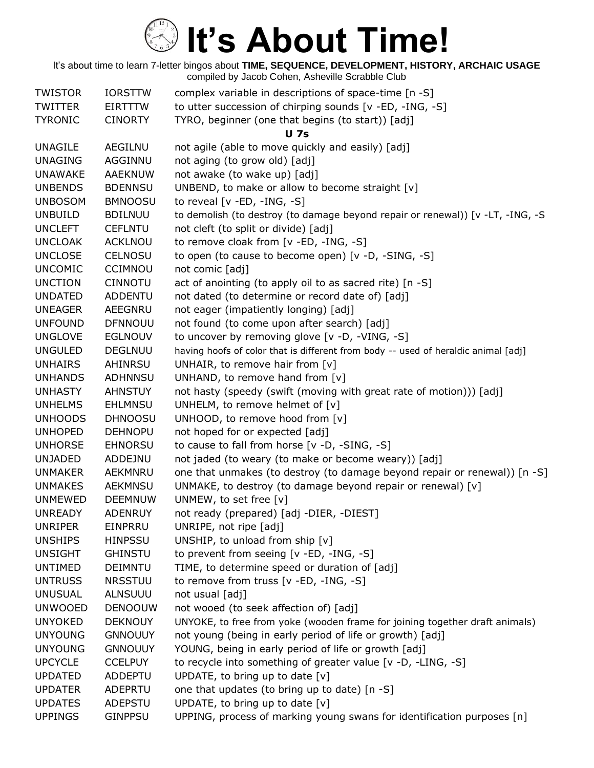| <b>TWISTOR</b> | <b>IORSTTW</b> | complex variable in descriptions of space-time [n -S]                              |
|----------------|----------------|------------------------------------------------------------------------------------|
| <b>TWITTER</b> | <b>EIRTTTW</b> | to utter succession of chirping sounds [v -ED, -ING, -S]                           |
| <b>TYRONIC</b> | <b>CINORTY</b> | TYRO, beginner (one that begins (to start)) [adj]                                  |
|                |                | <b>U</b> 7s                                                                        |
| <b>UNAGILE</b> | <b>AEGILNU</b> | not agile (able to move quickly and easily) [adj]                                  |
| <b>UNAGING</b> | AGGINNU        | not aging (to grow old) [adj]                                                      |
| <b>UNAWAKE</b> | <b>AAEKNUW</b> | not awake (to wake up) [adj]                                                       |
| <b>UNBENDS</b> | <b>BDENNSU</b> | UNBEND, to make or allow to become straight [v]                                    |
| <b>UNBOSOM</b> | <b>BMNOOSU</b> | to reveal $[v - ED, -ING, -S]$                                                     |
| <b>UNBUILD</b> | <b>BDILNUU</b> | to demolish (to destroy (to damage beyond repair or renewal)) [v -LT, -ING, -S     |
| <b>UNCLEFT</b> | <b>CEFLNTU</b> | not cleft (to split or divide) [adj]                                               |
| <b>UNCLOAK</b> | <b>ACKLNOU</b> | to remove cloak from [v -ED, -ING, -S]                                             |
| <b>UNCLOSE</b> | <b>CELNOSU</b> | to open (to cause to become open) [v -D, -SING, -S]                                |
| <b>UNCOMIC</b> | <b>CCIMNOU</b> | not comic [adj]                                                                    |
| <b>UNCTION</b> | <b>CINNOTU</b> | act of anointing (to apply oil to as sacred rite) [n -S]                           |
| <b>UNDATED</b> | <b>ADDENTU</b> | not dated (to determine or record date of) [adj]                                   |
| <b>UNEAGER</b> | <b>AEEGNRU</b> | not eager (impatiently longing) [adj]                                              |
| <b>UNFOUND</b> | <b>DFNNOUU</b> | not found (to come upon after search) [adj]                                        |
| <b>UNGLOVE</b> | <b>EGLNOUV</b> | to uncover by removing glove [v -D, -VING, -S]                                     |
| <b>UNGULED</b> | <b>DEGLNUU</b> | having hoofs of color that is different from body -- used of heraldic animal [adj] |
| <b>UNHAIRS</b> | AHINRSU        | UNHAIR, to remove hair from [v]                                                    |
| <b>UNHANDS</b> | <b>ADHNNSU</b> | UNHAND, to remove hand from [v]                                                    |
| <b>UNHASTY</b> | <b>AHNSTUY</b> | not hasty (speedy (swift (moving with great rate of motion))) [adj]                |
| <b>UNHELMS</b> | <b>EHLMNSU</b> | UNHELM, to remove helmet of [v]                                                    |
| <b>UNHOODS</b> | <b>DHNOOSU</b> | UNHOOD, to remove hood from [v]                                                    |
| <b>UNHOPED</b> | <b>DEHNOPU</b> | not hoped for or expected [adj]                                                    |
| <b>UNHORSE</b> | <b>EHNORSU</b> | to cause to fall from horse [v -D, -SING, -S]                                      |
| <b>UNJADED</b> | ADDEJNU        | not jaded (to weary (to make or become weary)) [adj]                               |
| <b>UNMAKER</b> | AEKMNRU        | one that unmakes (to destroy (to damage beyond repair or renewal)) [n -S]          |
| <b>UNMAKES</b> | <b>AEKMNSU</b> | UNMAKE, to destroy (to damage beyond repair or renewal) [v]                        |
| <b>UNMEWED</b> | <b>DEEMNUW</b> | UNMEW, to set free [v]                                                             |
| <b>UNREADY</b> | <b>ADENRUY</b> | not ready (prepared) [adj -DIER, -DIEST]                                           |
| <b>UNRIPER</b> | EINPRRU        | UNRIPE, not ripe [adj]                                                             |
| <b>UNSHIPS</b> | <b>HINPSSU</b> | UNSHIP, to unload from ship [v]                                                    |
| <b>UNSIGHT</b> | <b>GHINSTU</b> | to prevent from seeing [v -ED, -ING, -S]                                           |
| <b>UNTIMED</b> | <b>DEIMNTU</b> | TIME, to determine speed or duration of [adj]                                      |
| <b>UNTRUSS</b> | <b>NRSSTUU</b> | to remove from truss [v -ED, -ING, -S]                                             |
| <b>UNUSUAL</b> | <b>ALNSUUU</b> | not usual [adj]                                                                    |
| <b>UNWOOED</b> | <b>DENOOUW</b> | not wooed (to seek affection of) [adj]                                             |
| <b>UNYOKED</b> | <b>DEKNOUY</b> | UNYOKE, to free from yoke (wooden frame for joining together draft animals)        |
| <b>UNYOUNG</b> | <b>GNNOUUY</b> | not young (being in early period of life or growth) [adj]                          |
| <b>UNYOUNG</b> | <b>GNNOUUY</b> | YOUNG, being in early period of life or growth [adj]                               |
| <b>UPCYCLE</b> | <b>CCELPUY</b> | to recycle into something of greater value [v -D, -LING, -S]                       |
| <b>UPDATED</b> | ADDEPTU        | UPDATE, to bring up to date $[v]$                                                  |
| <b>UPDATER</b> | ADEPRTU        | one that updates (to bring up to date) [n -S]                                      |
| <b>UPDATES</b> | ADEPSTU        | UPDATE, to bring up to date $[v]$                                                  |
| <b>UPPINGS</b> | <b>GINPPSU</b> | UPPING, process of marking young swans for identification purposes [n]             |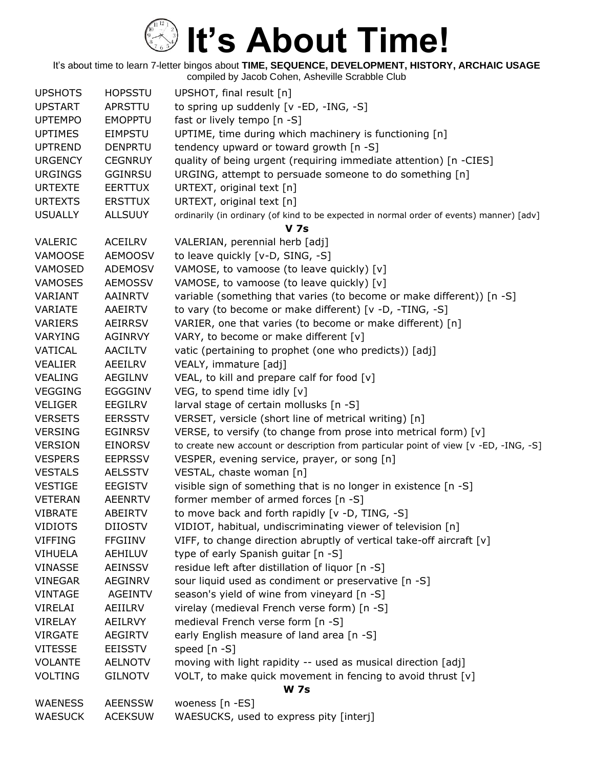| <b>UPSHOTS</b> | <b>HOPSSTU</b> | UPSHOT, final result [n]                                                                 |
|----------------|----------------|------------------------------------------------------------------------------------------|
| <b>UPSTART</b> | APRSTTU        | to spring up suddenly [v -ED, -ING, -S]                                                  |
| <b>UPTEMPO</b> | <b>EMOPPTU</b> | fast or lively tempo [n -S]                                                              |
| <b>UPTIMES</b> | <b>EIMPSTU</b> | UPTIME, time during which machinery is functioning [n]                                   |
| <b>UPTREND</b> | <b>DENPRTU</b> | tendency upward or toward growth [n -S]                                                  |
| <b>URGENCY</b> | <b>CEGNRUY</b> | quality of being urgent (requiring immediate attention) [n -CIES]                        |
| <b>URGINGS</b> | <b>GGINRSU</b> | URGING, attempt to persuade someone to do something [n]                                  |
| <b>URTEXTE</b> | <b>EERTTUX</b> | URTEXT, original text [n]                                                                |
| <b>URTEXTS</b> | <b>ERSTTUX</b> | URTEXT, original text [n]                                                                |
| <b>USUALLY</b> | <b>ALLSUUY</b> | ordinarily (in ordinary (of kind to be expected in normal order of events) manner) [adv] |
|                |                | <b>V</b> 7s                                                                              |
| <b>VALERIC</b> | <b>ACEILRV</b> | VALERIAN, perennial herb [adj]                                                           |
| VAMOOSE        | <b>AEMOOSV</b> | to leave quickly [v-D, SING, -S]                                                         |
| VAMOSED        | <b>ADEMOSV</b> | VAMOSE, to vamoose (to leave quickly) [v]                                                |
| <b>VAMOSES</b> | <b>AEMOSSV</b> | VAMOSE, to vamoose (to leave quickly) [v]                                                |
| VARIANT        | <b>AAINRTV</b> | variable (something that varies (to become or make different)) [n -S]                    |
| VARIATE        | AAEIRTV        | to vary (to become or make different) [v -D, -TING, -S]                                  |
| <b>VARIERS</b> | <b>AEIRRSV</b> | VARIER, one that varies (to become or make different) [n]                                |
| <b>VARYING</b> | <b>AGINRVY</b> | VARY, to become or make different [v]                                                    |
| VATICAL        | <b>AACILTV</b> | vatic (pertaining to prophet (one who predicts)) [adj]                                   |
| <b>VEALIER</b> | AEEILRV        | VEALY, immature [adj]                                                                    |
| <b>VEALING</b> | <b>AEGILNV</b> | VEAL, to kill and prepare calf for food [v]                                              |
| <b>VEGGING</b> | <b>EGGGINV</b> | VEG, to spend time idly [v]                                                              |
| <b>VELIGER</b> | <b>EEGILRV</b> | larval stage of certain mollusks [n -S]                                                  |
| <b>VERSETS</b> | <b>EERSSTV</b> | VERSET, versicle (short line of metrical writing) [n]                                    |
| <b>VERSING</b> | <b>EGINRSV</b> | VERSE, to versify (to change from prose into metrical form) [v]                          |
| <b>VERSION</b> | <b>EINORSV</b> | to create new account or description from particular point of view [v -ED, -ING, -S]     |
| <b>VESPERS</b> | <b>EEPRSSV</b> | VESPER, evening service, prayer, or song [n]                                             |
| <b>VESTALS</b> | <b>AELSSTV</b> | VESTAL, chaste woman [n]                                                                 |
| <b>VESTIGE</b> | <b>EEGISTV</b> | visible sign of something that is no longer in existence [n -S]                          |
| <b>VETERAN</b> | <b>AEENRTV</b> | former member of armed forces [n -S]                                                     |
| <b>VIBRATE</b> | <b>ABEIRTV</b> | to move back and forth rapidly [v -D, TING, -S]                                          |
| <b>VIDIOTS</b> | <b>DIIOSTV</b> | VIDIOT, habitual, undiscriminating viewer of television [n]                              |
| <b>VIFFING</b> | <b>FFGIINV</b> | VIFF, to change direction abruptly of vertical take-off aircraft [v]                     |
| <b>VIHUELA</b> | AEHILUV        | type of early Spanish guitar [n -S]                                                      |
| <b>VINASSE</b> | <b>AEINSSV</b> | residue left after distillation of liquor [n -S]                                         |
| <b>VINEGAR</b> | <b>AEGINRV</b> | sour liquid used as condiment or preservative [n -S]                                     |
| <b>VINTAGE</b> | <b>AGEINTV</b> | season's yield of wine from vineyard [n -S]                                              |
| <b>VIRELAI</b> | AEIILRV        | virelay (medieval French verse form) [n -S]                                              |
| <b>VIRELAY</b> | AEILRVY        | medieval French verse form [n -S]                                                        |
| <b>VIRGATE</b> | <b>AEGIRTV</b> | early English measure of land area [n -S]                                                |
| <b>VITESSE</b> | <b>EEISSTV</b> | speed $[n - S]$                                                                          |
| <b>VOLANTE</b> | <b>AELNOTV</b> | moving with light rapidity -- used as musical direction [adj]                            |
| <b>VOLTING</b> | <b>GILNOTV</b> | VOLT, to make quick movement in fencing to avoid thrust [v]                              |
|                |                | <b>W</b> 7s                                                                              |
| <b>WAENESS</b> | <b>AEENSSW</b> | woeness [n -ES]                                                                          |
| <b>WAESUCK</b> | <b>ACEKSUW</b> | WAESUCKS, used to express pity [interj]                                                  |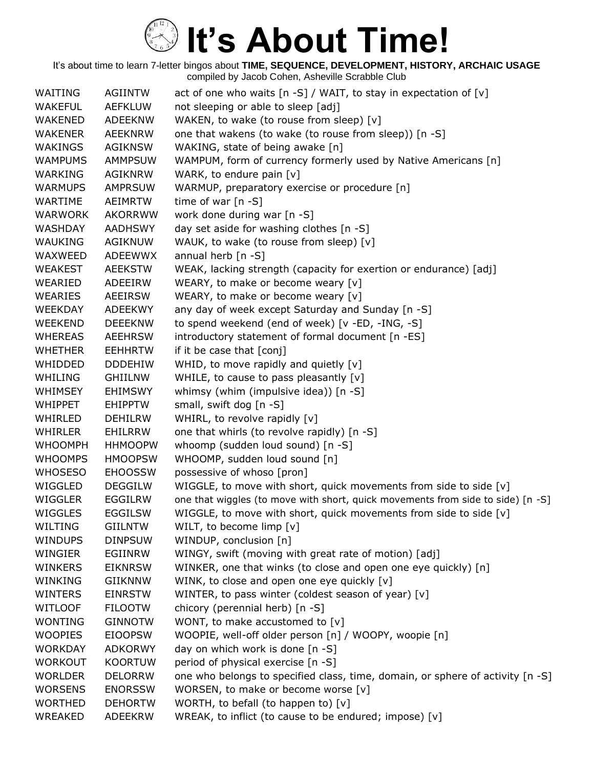| WAITING        | AGIINTW        | act of one who waits $[n -S] / WAIT$ , to stay in expectation of $[v]$          |
|----------------|----------------|---------------------------------------------------------------------------------|
| <b>WAKEFUL</b> | <b>AEFKLUW</b> | not sleeping or able to sleep [adj]                                             |
| <b>WAKENED</b> | <b>ADEEKNW</b> | WAKEN, to wake (to rouse from sleep) [v]                                        |
| <b>WAKENER</b> | <b>AEEKNRW</b> | one that wakens (to wake (to rouse from sleep)) [n -S]                          |
| <b>WAKINGS</b> | <b>AGIKNSW</b> | WAKING, state of being awake [n]                                                |
| <b>WAMPUMS</b> | AMMPSUW        | WAMPUM, form of currency formerly used by Native Americans [n]                  |
| WARKING        | AGIKNRW        | WARK, to endure pain $[v]$                                                      |
| <b>WARMUPS</b> | <b>AMPRSUW</b> | WARMUP, preparatory exercise or procedure [n]                                   |
| WARTIME        | <b>AEIMRTW</b> | time of war $[n - S]$                                                           |
| <b>WARWORK</b> | <b>AKORRWW</b> | work done during war [n -S]                                                     |
| <b>WASHDAY</b> | AADHSWY        | day set aside for washing clothes [n -S]                                        |
| <b>WAUKING</b> | AGIKNUW        | WAUK, to wake (to rouse from sleep) [v]                                         |
| WAXWEED        | ADEEWWX        | annual herb [n -S]                                                              |
| <b>WEAKEST</b> | <b>AEEKSTW</b> | WEAK, lacking strength (capacity for exertion or endurance) [adj]               |
| WEARIED        | ADEEIRW        | WEARY, to make or become weary [v]                                              |
| WEARIES        | <b>AEEIRSW</b> | WEARY, to make or become weary [v]                                              |
| <b>WEEKDAY</b> | <b>ADEEKWY</b> | any day of week except Saturday and Sunday [n -S]                               |
| <b>WEEKEND</b> | <b>DEEEKNW</b> | to spend weekend (end of week) [v -ED, -ING, -S]                                |
| <b>WHEREAS</b> | <b>AEEHRSW</b> | introductory statement of formal document [n -ES]                               |
| <b>WHETHER</b> | <b>EEHHRTW</b> | if it be case that [conj]                                                       |
| WHIDDED        | <b>DDDEHIW</b> | WHID, to move rapidly and quietly [v]                                           |
| WHILING        | <b>GHIILNW</b> | WHILE, to cause to pass pleasantly [v]                                          |
| <b>WHIMSEY</b> | <b>EHIMSWY</b> | whimsy (whim (impulsive idea)) [n -S]                                           |
| <b>WHIPPET</b> | <b>EHIPPTW</b> | small, swift dog [n -S]                                                         |
| WHIRLED        | <b>DEHILRW</b> | WHIRL, to revolve rapidly [v]                                                   |
| <b>WHIRLER</b> | <b>EHILRRW</b> | one that whirls (to revolve rapidly) [n -S]                                     |
| <b>WHOOMPH</b> | <b>HHMOOPW</b> | whoomp (sudden loud sound) [n -S]                                               |
| <b>WHOOMPS</b> | <b>HMOOPSW</b> | WHOOMP, sudden loud sound [n]                                                   |
| <b>WHOSESO</b> | <b>EHOOSSW</b> | possessive of whoso [pron]                                                      |
| WIGGLED        | <b>DEGGILW</b> | WIGGLE, to move with short, quick movements from side to side [v]               |
| WIGGLER        | EGGILRW        | one that wiggles (to move with short, quick movements from side to side) [n -S] |
| WIGGLES        | <b>EGGILSW</b> | WIGGLE, to move with short, quick movements from side to side [v]               |
| WILTING        | <b>GIILNTW</b> | WILT, to become limp [v]                                                        |
| <b>WINDUPS</b> | <b>DINPSUW</b> | WINDUP, conclusion [n]                                                          |
| WINGIER        | <b>EGIINRW</b> | WINGY, swift (moving with great rate of motion) [adj]                           |
| <b>WINKERS</b> | <b>EIKNRSW</b> | WINKER, one that winks (to close and open one eye quickly) [n]                  |
| WINKING        | <b>GIIKNNW</b> | WINK, to close and open one eye quickly [v]                                     |
| <b>WINTERS</b> | <b>EINRSTW</b> | WINTER, to pass winter (coldest season of year) [v]                             |
| <b>WITLOOF</b> | <b>FILOOTW</b> | chicory (perennial herb) [n -S]                                                 |
| <b>WONTING</b> | <b>GINNOTW</b> | WONT, to make accustomed to [v]                                                 |
| <b>WOOPIES</b> | <b>EIOOPSW</b> | WOOPIE, well-off older person [n] / WOOPY, woopie [n]                           |
| <b>WORKDAY</b> | <b>ADKORWY</b> | day on which work is done [n -S]                                                |
| <b>WORKOUT</b> | <b>KOORTUW</b> | period of physical exercise [n -S]                                              |
| <b>WORLDER</b> | <b>DELORRW</b> | one who belongs to specified class, time, domain, or sphere of activity [n -S]  |
| <b>WORSENS</b> | <b>ENORSSW</b> | WORSEN, to make or become worse [v]                                             |
| <b>WORTHED</b> | <b>DEHORTW</b> | WORTH, to befall (to happen to) [v]                                             |
| <b>WREAKED</b> | <b>ADEEKRW</b> | WREAK, to inflict (to cause to be endured; impose) [v]                          |